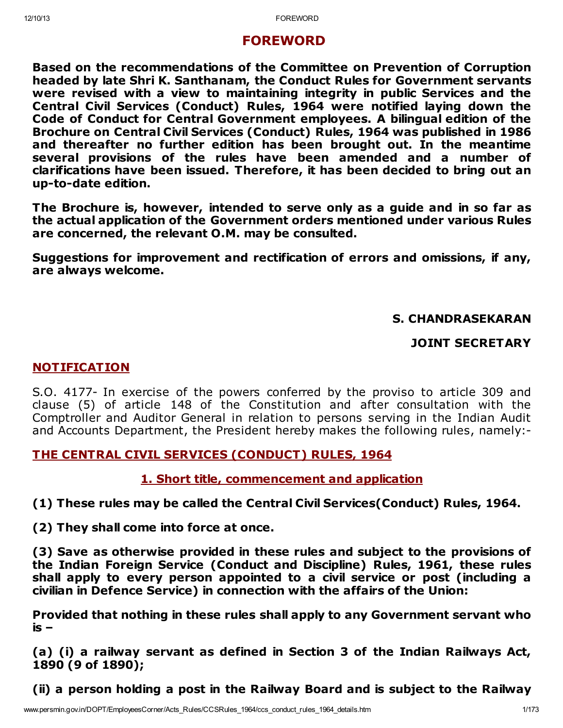# FOREWORD

Based on the recommendations of the Committee on Prevention of Corruption headed by late Shri K. Santhanam, the Conduct Rules for Government servants were revised with a view to maintaining integrity in public Services and the Central Civil Services (Conduct) Rules, 1964 were notified laying down the Code of Conduct for Central Government employees. A bilingual edition of the Brochure on Central Civil Services (Conduct) Rules, 1964 was published in 1986 and thereafter no further edition has been brought out. In the meantime several provisions of the rules have been amended and a number of clarifications have been issued. Therefore, it has been decided to bring out an up-to-date edition.

The Brochure is, however, intended to serve only as a guide and in so far as the actual application of the Government orders mentioned under various Rules are concerned, the relevant O.M. may be consulted.

Suggestions for improvement and rectification of errors and omissions, if any, are always welcome.

## S. CHANDRASEKARAN

#### JOINT SECRETARY

#### NOTIFICATION

S.O. 4177- In exercise of the powers conferred by the proviso to article 309 and clause (5) of article 148 of the Constitution and after consultation with the Comptroller and Auditor General in relation to persons serving in the Indian Audit and Accounts Department, the President hereby makes the following rules, namely:-

# THE CENTRAL CIVIL SERVICES (CONDUCT) RULES, 1964

#### 1. Short title, commencement and application

(1) These rules may be called the Central Civil Services(Conduct) Rules, 1964.

(2) They shall come into force at once.

(3) Save as otherwise provided in these rules and subject to the provisions of the Indian Foreign Service (Conduct and Discipline) Rules, 1961, these rules shall apply to every person appointed to a civil service or post (including a civilian in Defence Service) in connection with the affairs of the Union:

Provided that nothing in these rules shall apply to any Government servant who is –

(a) (i) a railway servant as defined in Section 3 of the Indian Railways Act, 1890 (9 of 1890);

(ii) a person holding a post in the Railway Board and is subject to the Railway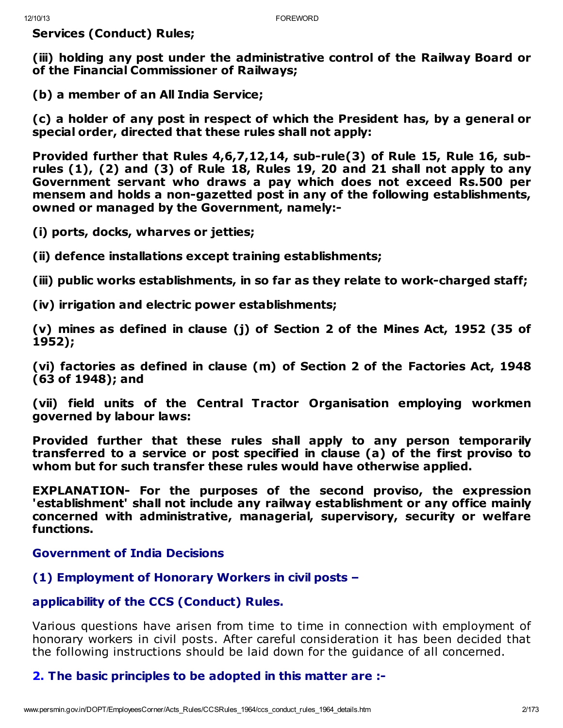Services (Conduct) Rules;

(iii) holding any post under the administrative control of the Railway Board or of the Financial Commissioner of Railways;

(b) a member of an All India Service;

(c) a holder of any post in respect of which the President has, by a general or special order, directed that these rules shall not apply:

Provided further that Rules 4,6,7,12,14, sub-rule(3) of Rule 15, Rule 16, subrules (1), (2) and (3) of Rule 18, Rules 19, 20 and 21 shall not apply to any Government servant who draws a pay which does not exceed Rs.500 per mensem and holds a non-gazetted post in any of the following establishments, owned or managed by the Government, namely:-

- (i) ports, docks, wharves or jetties;
- (ii) defence installations except training establishments;

(iii) public works establishments, in so far as they relate to work-charged staff;

(iv) irrigation and electric power establishments;

(v) mines as defined in clause (j) of Section 2 of the Mines Act, 1952 (35 of 1952);

(vi) factories as defined in clause (m) of Section 2 of the Factories Act, 1948 (63 of 1948); and

(vii) field units of the Central Tractor Organisation employing workmen governed by labour laws:

Provided further that these rules shall apply to any person temporarily transferred to a service or post specified in clause (a) of the first proviso to whom but for such transfer these rules would have otherwise applied.

EXPLANATION- For the purposes of the second proviso, the expression 'establishment' shall not include any railway establishment or any office mainly concerned with administrative, managerial, supervisory, security or welfare functions.

#### Government of India Decisions

(1) Employment of Honorary Workers in civil posts –

#### applicability of the CCS (Conduct) Rules.

Various questions have arisen from time to time in connection with employment of honorary workers in civil posts. After careful consideration it has been decided that the following instructions should be laid down for the guidance of all concerned.

# 2. The basic principles to be adopted in this matter are :-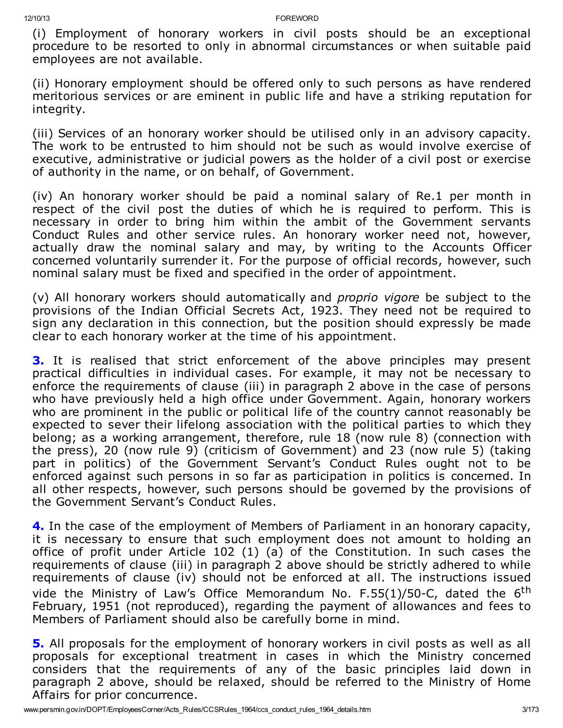(i) Employment of honorary workers in civil posts should be an exceptional procedure to be resorted to only in abnormal circumstances or when suitable paid employees are not available.

(ii) Honorary employment should be offered only to such persons as have rendered meritorious services or are eminent in public life and have a striking reputation for integrity.

(iii) Services of an honorary worker should be utilised only in an advisory capacity. The work to be entrusted to him should not be such as would involve exercise of executive, administrative or judicial powers as the holder of a civil post or exercise of authority in the name, or on behalf, of Government.

(iv) An honorary worker should be paid a nominal salary of Re.1 per month in respect of the civil post the duties of which he is required to perform. This is necessary in order to bring him within the ambit of the Government servants Conduct Rules and other service rules. An honorary worker need not, however, actually draw the nominal salary and may, by writing to the Accounts Officer concerned voluntarily surrender it. For the purpose of official records, however, such nominal salary must be fixed and specified in the order of appointment.

(v) All honorary workers should automatically and *proprio vigore* be subject to the provisions of the Indian Official Secrets Act, 1923. They need not be required to sign any declaration in this connection, but the position should expressly be made clear to each honorary worker at the time of his appointment.

**3.** It is realised that strict enforcement of the above principles may present practical difficulties in individual cases. For example, it may not be necessary to enforce the requirements of clause (iii) in paragraph 2 above in the case of persons who have previously held a high office under Government. Again, honorary workers who are prominent in the public or political life of the country cannot reasonably be expected to sever their lifelong association with the political parties to which they belong; as a working arrangement, therefore, rule 18 (now rule 8) (connection with the press), 20 (now rule 9) (criticism of Government) and 23 (now rule 5) (taking part in politics) of the Government Servant's Conduct Rules ought not to be enforced against such persons in so far as participation in politics is concerned. In all other respects, however, such persons should be governed by the provisions of the Government Servant's Conduct Rules.

4. In the case of the employment of Members of Parliament in an honorary capacity, it is necessary to ensure that such employment does not amount to holding an office of profit under Article 102 (1) (a) of the Constitution. In such cases the requirements of clause (iii) in paragraph 2 above should be strictly adhered to while requirements of clause (iv) should not be enforced at all. The instructions issued vide the Ministry of Law's Office Memorandum No. F.55(1)/50-C, dated the  $6^{\text{th}}$ February, 1951 (not reproduced), regarding the payment of allowances and fees to Members of Parliament should also be carefully borne in mind.

5. All proposals for the employment of honorary workers in civil posts as well as all proposals for exceptional treatment in cases in which the Ministry concerned considers that the requirements of any of the basic principles laid down in paragraph 2 above, should be relaxed, should be referred to the Ministry of Home Affairs for prior concurrence.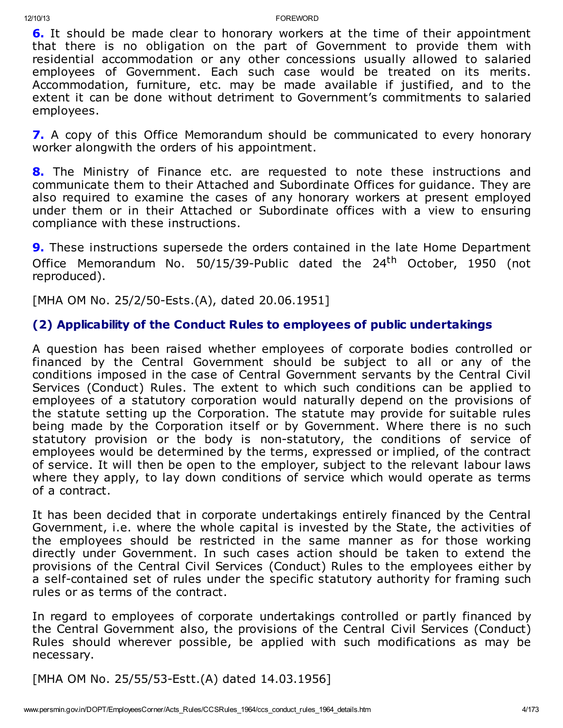**6.** It should be made clear to honorary workers at the time of their appointment that there is no obligation on the part of Government to provide them with residential accommodation or any other concessions usually allowed to salaried employees of Government. Each such case would be treated on its merits. Accommodation, furniture, etc. may be made available if justified, and to the extent it can be done without detriment to Government's commitments to salaried employees.

7. A copy of this Office Memorandum should be communicated to every honorary worker alongwith the orders of his appointment.

8. The Ministry of Finance etc. are requested to note these instructions and communicate them to their Attached and Subordinate Offices for guidance. They are also required to examine the cases of any honorary workers at present employed under them or in their Attached or Subordinate offices with a view to ensuring compliance with these instructions.

**9.** These instructions supersede the orders contained in the late Home Department Office Memorandum No. 50/15/39-Public dated the 24<sup>th</sup> October, 1950 (not reproduced).

[MHA OM No. 25/2/50-Ests.(A), dated 20.06.1951]

# (2) Applicability of the Conduct Rules to employees of public undertakings

A question has been raised whether employees of corporate bodies controlled or financed by the Central Government should be subject to all or any of the conditions imposed in the case of Central Government servants by the Central Civil Services (Conduct) Rules. The extent to which such conditions can be applied to employees of a statutory corporation would naturally depend on the provisions of the statute setting up the Corporation. The statute may provide for suitable rules being made by the Corporation itself or by Government. Where there is no such statutory provision or the body is non-statutory, the conditions of service of employees would be determined by the terms, expressed or implied, of the contract of service. It will then be open to the employer, subject to the relevant labour laws where they apply, to lay down conditions of service which would operate as terms of a contract.

It has been decided that in corporate undertakings entirely financed by the Central Government, i.e. where the whole capital is invested by the State, the activities of the employees should be restricted in the same manner as for those working directly under Government. In such cases action should be taken to extend the provisions of the Central Civil Services (Conduct) Rules to the employees either by a self-contained set of rules under the specific statutory authority for framing such rules or as terms of the contract.

In regard to employees of corporate undertakings controlled or partly financed by the Central Government also, the provisions of the Central Civil Services (Conduct) Rules should wherever possible, be applied with such modifications as may be necessary.

[MHA OM No. 25/55/53-Estt.(A) dated 14.03.1956]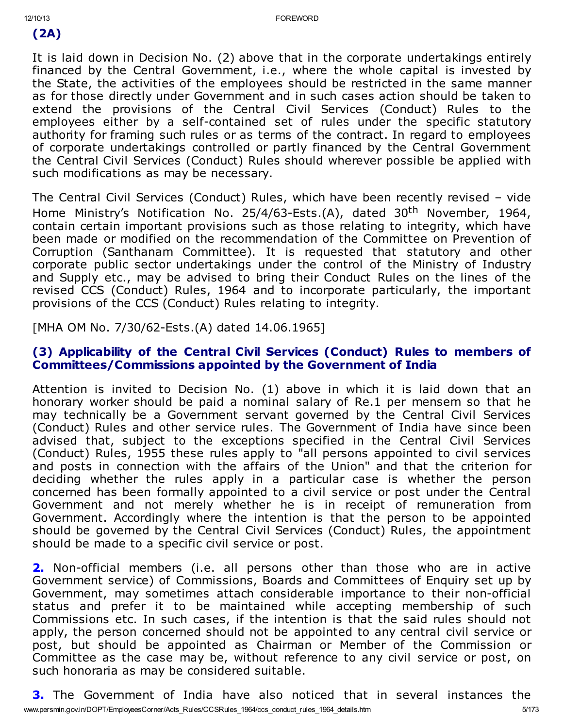# (2A)

It is laid down in Decision No. (2) above that in the corporate undertakings entirely financed by the Central Government, i.e., where the whole capital is invested by the State, the activities of the employees should be restricted in the same manner as for those directly under Government and in such cases action should be taken to extend the provisions of the Central Civil Services (Conduct) Rules to the employees either by a self-contained set of rules under the specific statutory authority for framing such rules or as terms of the contract. In regard to employees of corporate undertakings controlled or partly financed by the Central Government the Central Civil Services (Conduct) Rules should wherever possible be applied with such modifications as may be necessary.

The Central Civil Services (Conduct) Rules, which have been recently revised – vide Home Ministry's Notification No. 25/4/63-Ests.(A), dated 30<sup>th</sup> November, 1964, contain certain important provisions such as those relating to integrity, which have been made or modified on the recommendation of the Committee on Prevention of Corruption (Santhanam Committee). It is requested that statutory and other corporate public sector undertakings under the control of the Ministry of Industry and Supply etc., may be advised to bring their Conduct Rules on the lines of the revised CCS (Conduct) Rules, 1964 and to incorporate particularly, the important provisions of the CCS (Conduct) Rules relating to integrity.

[MHA OM No. 7/30/62-Ests.(A) dated 14.06.1965]

### (3) Applicability of the Central Civil Services (Conduct) Rules to members of Committees/Commissions appointed by the Government of India

Attention is invited to Decision No. (1) above in which it is laid down that an honorary worker should be paid a nominal salary of Re.1 per mensem so that he may technically be a Government servant governed by the Central Civil Services (Conduct) Rules and other service rules. The Government of India have since been advised that, subject to the exceptions specified in the Central Civil Services (Conduct) Rules, 1955 these rules apply to "all persons appointed to civil services and posts in connection with the affairs of the Union" and that the criterion for deciding whether the rules apply in a particular case is whether the person concerned has been formally appointed to a civil service or post under the Central Government and not merely whether he is in receipt of remuneration from Government. Accordingly where the intention is that the person to be appointed should be governed by the Central Civil Services (Conduct) Rules, the appointment should be made to a specific civil service or post.

2. Non-official members (i.e. all persons other than those who are in active Government service) of Commissions, Boards and Committees of Enquiry set up by Government, may sometimes attach considerable importance to their non-official status and prefer it to be maintained while accepting membership of such Commissions etc. In such cases, if the intention is that the said rules should not apply, the person concerned should not be appointed to any central civil service or post, but should be appointed as Chairman or Member of the Commission or Committee as the case may be, without reference to any civil service or post, on such honoraria as may be considered suitable.

www.persmin.gov.in/DOPT/EmployeesCorner/Acts\_Rules/CCSRules\_1964/ccs\_conduct\_rules\_1964\_details.htm 5/173 **3.** The Government of India have also noticed that in several instances the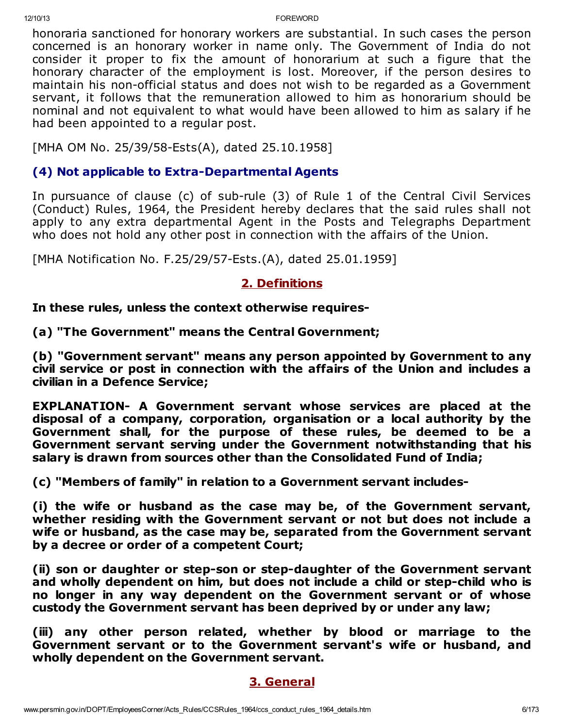honoraria sanctioned for honorary workers are substantial. In such cases the person concerned is an honorary worker in name only. The Government of India do not consider it proper to fix the amount of honorarium at such a figure that the honorary character of the employment is lost. Moreover, if the person desires to maintain his non-official status and does not wish to be regarded as a Government servant, it follows that the remuneration allowed to him as honorarium should be nominal and not equivalent to what would have been allowed to him as salary if he had been appointed to a regular post.

[MHA OM No. 25/39/58-Ests(A), dated 25.10.1958]

# (4) Not applicable to Extra-Departmental Agents

In pursuance of clause (c) of sub-rule (3) of Rule 1 of the Central Civil Services (Conduct) Rules, 1964, the President hereby declares that the said rules shall not apply to any extra departmental Agent in the Posts and Telegraphs Department who does not hold any other post in connection with the affairs of the Union.

[MHA Notification No. F.25/29/57-Ests.(A), dated 25.01.1959]

# 2. Definitions

In these rules, unless the context otherwise requires-

(a) "The Government" means the Central Government;

(b) "Government servant" means any person appointed by Government to any civil service or post in connection with the affairs of the Union and includes a civilian in a Defence Service;

EXPLANATION- A Government servant whose services are placed at the disposal of a company, corporation, organisation or a local authority by the Government shall, for the purpose of these rules, be deemed to be a Government servant serving under the Government notwithstanding that his salary is drawn from sources other than the Consolidated Fund of India;

(c) "Members of family" in relation to a Government servant includes-

(i) the wife or husband as the case may be, of the Government servant, whether residing with the Government servant or not but does not include a wife or husband, as the case may be, separated from the Government servant by a decree or order of a competent Court;

(ii) son or daughter or step-son or step-daughter of the Government servant and wholly dependent on him, but does not include a child or step-child who is no longer in any way dependent on the Government servant or of whose custody the Government servant has been deprived by or under any law;

(iii) any other person related, whether by blood or marriage to the Government servant or to the Government servant's wife or husband, and wholly dependent on the Government servant.

# 3. General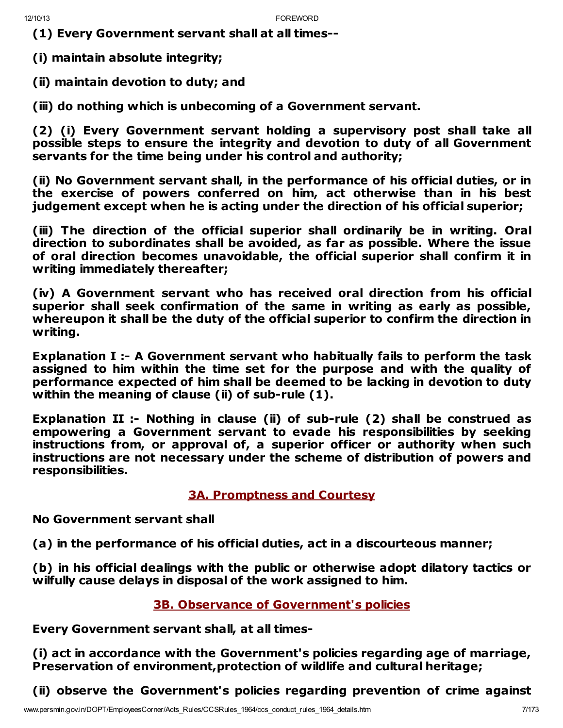(1) Every Government servant shall at all times--

(i) maintain absolute integrity;

(ii) maintain devotion to duty; and

(iii) do nothing which is unbecoming of a Government servant.

(2) (i) Every Government servant holding a supervisory post shall take all possible steps to ensure the integrity and devotion to duty of all Government servants for the time being under his control and authority;

(ii) No Government servant shall, in the performance of his official duties, or in the exercise of powers conferred on him, act otherwise than in his best judgement except when he is acting under the direction of his official superior;

(iii) The direction of the official superior shall ordinarily be in writing. Oral direction to subordinates shall be avoided, as far as possible. Where the issue of oral direction becomes unavoidable, the official superior shall confirm it in writing immediately thereafter;

(iv) A Government servant who has received oral direction from his official superior shall seek confirmation of the same in writing as early as possible, whereupon it shall be the duty of the official superior to confirm the direction in writing.

Explanation I :- A Government servant who habitually fails to perform the task assigned to him within the time set for the purpose and with the quality of performance expected of him shall be deemed to be lacking in devotion to duty within the meaning of clause (ii) of sub-rule (1).

Explanation II :- Nothing in clause (ii) of sub-rule (2) shall be construed as empowering a Government servant to evade his responsibilities by seeking instructions from, or approval of, a superior officer or authority when such instructions are not necessary under the scheme of distribution of powers and responsibilities.

# 3A. Promptness and Courtesy

No Government servant shall

(a) in the performance of his official duties, act in a discourteous manner;

(b) in his official dealings with the public or otherwise adopt dilatory tactics or wilfully cause delays in disposal of the work assigned to him.

# 3B. Observance of Government's policies

Every Government servant shall, at all times-

(i) act in accordance with the Government's policies regarding age of marriage, Preservation of environment,protection of wildlife and cultural heritage;

(ii) observe the Government's policies regarding prevention of crime against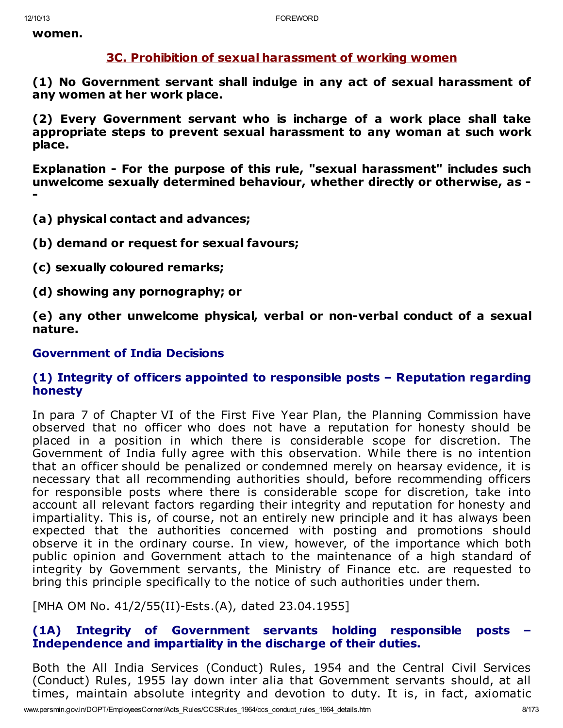women.

#### 3C. Prohibition of sexual harassment of working women

(1) No Government servant shall indulge in any act of sexual harassment of any women at her work place.

(2) Every Government servant who is incharge of a work place shall take appropriate steps to prevent sexual harassment to any woman at such work place.

Explanation - For the purpose of this rule, "sexual harassment" includes such unwelcome sexually determined behaviour, whether directly or otherwise, as - -

- (a) physical contact and advances;
- (b) demand or request for sexual favours;
- (c) sexually coloured remarks;
- (d) showing any pornography; or

(e) any other unwelcome physical, verbal or non-verbal conduct of a sexual nature.

#### Government of India Decisions

#### (1) Integrity of officers appointed to responsible posts – Reputation regarding honesty

In para 7 of Chapter VI of the First Five Year Plan, the Planning Commission have observed that no officer who does not have a reputation for honesty should be placed in a position in which there is considerable scope for discretion. The Government of India fully agree with this observation. While there is no intention that an officer should be penalized or condemned merely on hearsay evidence, it is necessary that all recommending authorities should, before recommending officers for responsible posts where there is considerable scope for discretion, take into account all relevant factors regarding their integrity and reputation for honesty and impartiality. This is, of course, not an entirely new principle and it has always been expected that the authorities concerned with posting and promotions should observe it in the ordinary course. In view, however, of the importance which both public opinion and Government attach to the maintenance of a high standard of integrity by Government servants, the Ministry of Finance etc. are requested to bring this principle specifically to the notice of such authorities under them.

[MHA OM No. 41/2/55(II)-Ests.(A), dated 23.04.1955]

#### (1A) Integrity of Government servants holding responsible posts – Independence and impartiality in the discharge of their duties.

Both the All India Services (Conduct) Rules, 1954 and the Central Civil Services (Conduct) Rules, 1955 lay down inter alia that Government servants should, at all times, maintain absolute integrity and devotion to duty. It is, in fact, axiomatic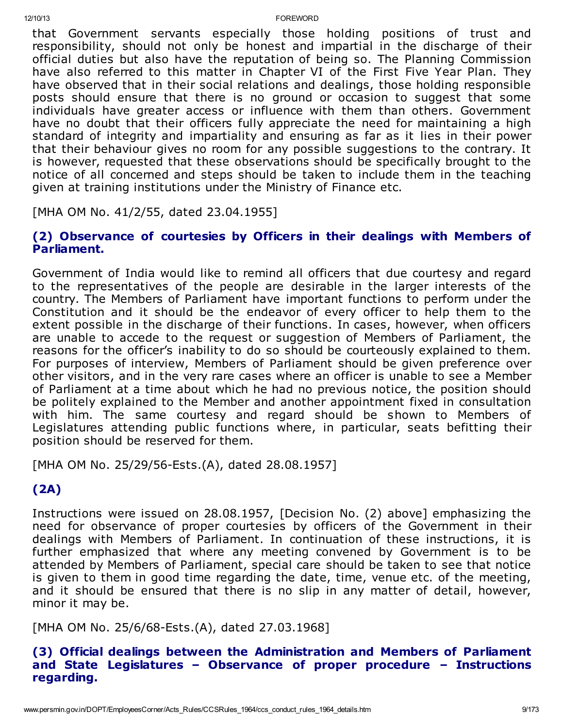that Government servants especially those holding positions of trust and responsibility, should not only be honest and impartial in the discharge of their official duties but also have the reputation of being so. The Planning Commission have also referred to this matter in Chapter VI of the First Five Year Plan. They have observed that in their social relations and dealings, those holding responsible posts should ensure that there is no ground or occasion to suggest that some individuals have greater access or influence with them than others. Government have no doubt that their officers fully appreciate the need for maintaining a high standard of integrity and impartiality and ensuring as far as it lies in their power that their behaviour gives no room for any possible suggestions to the contrary. It is however, requested that these observations should be specifically brought to the notice of all concerned and steps should be taken to include them in the teaching given at training institutions under the Ministry of Finance etc.

[MHA OM No. 41/2/55, dated 23.04.1955]

## (2) Observance of courtesies by Officers in their dealings with Members of Parliament.

Government of India would like to remind all officers that due courtesy and regard to the representatives of the people are desirable in the larger interests of the country. The Members of Parliament have important functions to perform under the Constitution and it should be the endeavor of every officer to help them to the extent possible in the discharge of their functions. In cases, however, when officers are unable to accede to the request or suggestion of Members of Parliament, the reasons for the officer's inability to do so should be courteously explained to them. For purposes of interview, Members of Parliament should be given preference over other visitors, and in the very rare cases where an officer is unable to see a Member of Parliament at a time about which he had no previous notice, the position should be politely explained to the Member and another appointment fixed in consultation with him. The same courtesy and regard should be shown to Members of Legislatures attending public functions where, in particular, seats befitting their position should be reserved for them.

[MHA OM No. 25/29/56-Ests.(A), dated 28.08.1957]

# (2A)

Instructions were issued on 28.08.1957, [Decision No. (2) above] emphasizing the need for observance of proper courtesies by officers of the Government in their dealings with Members of Parliament. In continuation of these instructions, it is further emphasized that where any meeting convened by Government is to be attended by Members of Parliament, special care should be taken to see that notice is given to them in good time regarding the date, time, venue etc. of the meeting, and it should be ensured that there is no slip in any matter of detail, however, minor it may be.

[MHA OM No. 25/6/68-Ests.(A), dated 27.03.1968]

#### (3) Official dealings between the Administration and Members of Parliament and State Legislatures – Observance of proper procedure – Instructions regarding.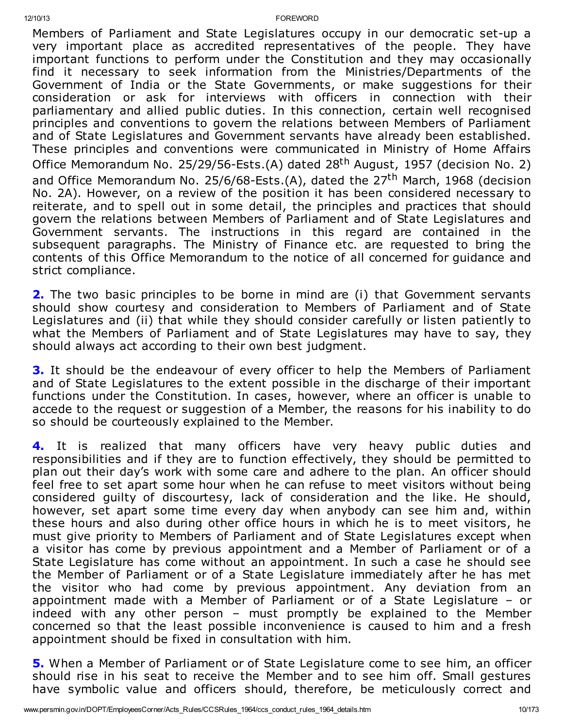Members of Parliament and State Legislatures occupy in our democratic set-up a very important place as accredited representatives of the people. They have important functions to perform under the Constitution and they may occasionally find it necessary to seek information from the Ministries/Departments of the Government of India or the State Governments, or make suggestions for their consideration or ask for interviews with officers in connection with their parliamentary and allied public duties. In this connection, certain well recognised principles and conventions to govern the relations between Members of Parliament and of State Legislatures and Government servants have already been established. These principles and conventions were communicated in Ministry of Home Affairs Office Memorandum No. 25/29/56-Ests.(A) dated 28<sup>th</sup> August, 1957 (decision No. 2) and Office Memorandum No. 25/6/68-Ests.(A), dated the 27<sup>th</sup> March, 1968 (decision No. 2A). However, on a review of the position it has been considered necessary to reiterate, and to spell out in some detail, the principles and practices that should govern the relations between Members of Parliament and of State Legislatures and Government servants. The instructions in this regard are contained in the subsequent paragraphs. The Ministry of Finance etc. are requested to bring the contents of this Office Memorandum to the notice of all concerned for guidance and strict compliance.

**2.** The two basic principles to be borne in mind are (i) that Government servants should show courtesy and consideration to Members of Parliament and of State Legislatures and (ii) that while they should consider carefully or listen patiently to what the Members of Parliament and of State Legislatures may have to say, they should always act according to their own best judgment.

**3.** It should be the endeavour of every officer to help the Members of Parliament and of State Legislatures to the extent possible in the discharge of their important functions under the Constitution. In cases, however, where an officer is unable to accede to the request or suggestion of a Member, the reasons for his inability to do so should be courteously explained to the Member.

4. It is realized that many officers have very heavy public duties and responsibilities and if they are to function effectively, they should be permitted to plan out their day's work with some care and adhere to the plan. An officer should feel free to set apart some hour when he can refuse to meet visitors without being considered guilty of discourtesy, lack of consideration and the like. He should, however, set apart some time every day when anybody can see him and, within these hours and also during other office hours in which he is to meet visitors, he must give priority to Members of Parliament and of State Legislatures except when a visitor has come by previous appointment and a Member of Parliament or of a State Legislature has come without an appointment. In such a case he should see the Member of Parliament or of a State Legislature immediately after he has met the visitor who had come by previous appointment. Any deviation from an appointment made with a Member of Parliament or of a State Legislature – or indeed with any other person – must promptly be explained to the Member concerned so that the least possible inconvenience is caused to him and a fresh appointment should be fixed in consultation with him.

5. When a Member of Parliament or of State Legislature come to see him, an officer should rise in his seat to receive the Member and to see him off. Small gestures have symbolic value and officers should, therefore, be meticulously correct and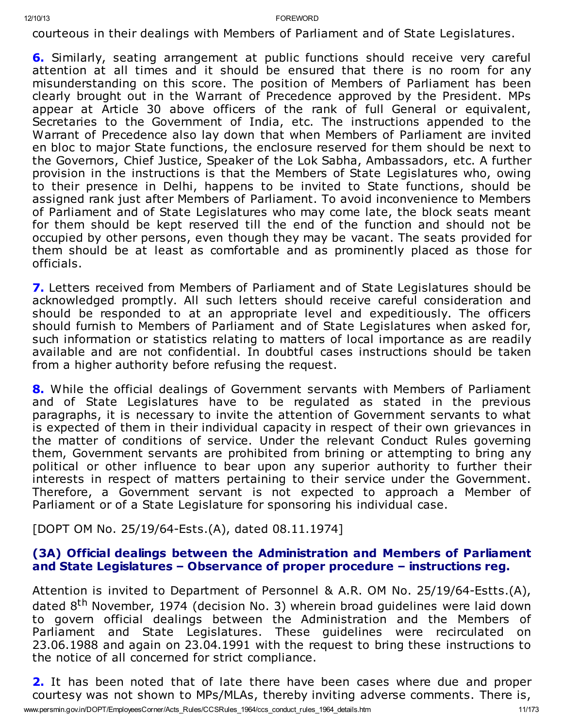courteous in their dealings with Members of Parliament and of State Legislatures.

6. Similarly, seating arrangement at public functions should receive very careful attention at all times and it should be ensured that there is no room for any misunderstanding on this score. The position of Members of Parliament has been clearly brought out in the Warrant of Precedence approved by the President. MPs appear at Article 30 above officers of the rank of full General or equivalent, Secretaries to the Government of India, etc. The instructions appended to the Warrant of Precedence also lay down that when Members of Parliament are invited en bloc to major State functions, the enclosure reserved for them should be next to the Governors, Chief Justice, Speaker of the Lok Sabha, Ambassadors, etc. A further provision in the instructions is that the Members of State Legislatures who, owing to their presence in Delhi, happens to be invited to State functions, should be assigned rank just after Members of Parliament. To avoid inconvenience to Members of Parliament and of State Legislatures who may come late, the block seats meant for them should be kept reserved till the end of the function and should not be occupied by other persons, even though they may be vacant. The seats provided for them should be at least as comfortable and as prominently placed as those for officials.

7. Letters received from Members of Parliament and of State Legislatures should be acknowledged promptly. All such letters should receive careful consideration and should be responded to at an appropriate level and expeditiously. The officers should furnish to Members of Parliament and of State Legislatures when asked for, such information or statistics relating to matters of local importance as are readily available and are not confidential. In doubtful cases instructions should be taken from a higher authority before refusing the request.

8. While the official dealings of Government servants with Members of Parliament and of State Legislatures have to be regulated as stated in the previous paragraphs, it is necessary to invite the attention of Government servants to what is expected of them in their individual capacity in respect of their own grievances in the matter of conditions of service. Under the relevant Conduct Rules governing them, Government servants are prohibited from brining or attempting to bring any political or other influence to bear upon any superior authority to further their interests in respect of matters pertaining to their service under the Government. Therefore, a Government servant is not expected to approach a Member of Parliament or of a State Legislature for sponsoring his individual case.

[DOPT OM No. 25/19/64-Ests.(A), dated 08.11.1974]

#### (3A) Official dealings between the Administration and Members of Parliament and State Legislatures – Observance of proper procedure – instructions reg.

Attention is invited to Department of Personnel & A.R. OM No. 25/19/64-Estts.(A), dated 8<sup>th</sup> November, 1974 (decision No. 3) wherein broad guidelines were laid down to govern official dealings between the Administration and the Members of Parliament and State Legislatures. These guidelines were recirculated on 23.06.1988 and again on 23.04.1991 with the request to bring these instructions to the notice of all concerned for strict compliance.

2. It has been noted that of late there have been cases where due and proper courtesy was not shown to MPs/MLAs, thereby inviting adverse comments. There is,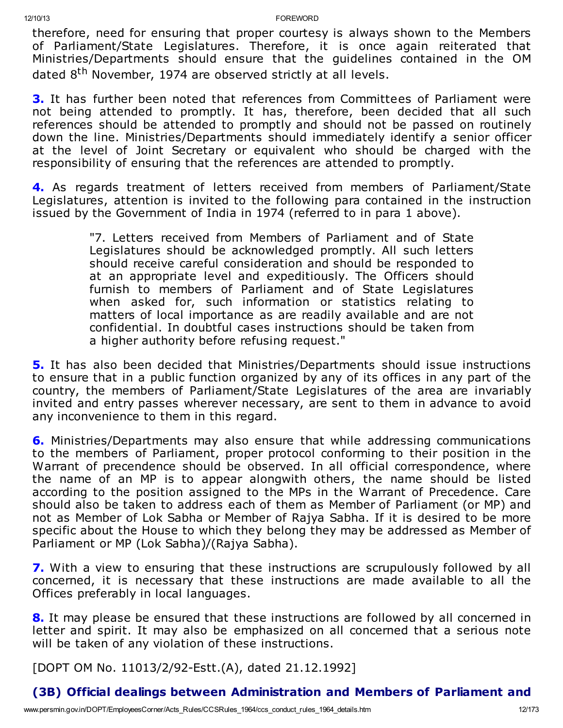therefore, need for ensuring that proper courtesy is always shown to the Members of Parliament/State Legislatures. Therefore, it is once again reiterated that Ministries/Departments should ensure that the guidelines contained in the OM dated 8<sup>th</sup> November, 1974 are observed strictly at all levels.

**3.** It has further been noted that references from Committees of Parliament were not being attended to promptly. It has, therefore, been decided that all such references should be attended to promptly and should not be passed on routinely down the line. Ministries/Departments should immediately identify a senior officer at the level of Joint Secretary or equivalent who should be charged with the responsibility of ensuring that the references are attended to promptly.

4. As regards treatment of letters received from members of Parliament/State Legislatures, attention is invited to the following para contained in the instruction issued by the Government of India in 1974 (referred to in para 1 above).

> "7. Letters received from Members of Parliament and of State Legislatures should be acknowledged promptly. All such letters should receive careful consideration and should be responded to at an appropriate level and expeditiously. The Officers should furnish to members of Parliament and of State Legislatures when asked for, such information or statistics relating to matters of local importance as are readily available and are not confidential. In doubtful cases instructions should be taken from a higher authority before refusing request."

**5.** It has also been decided that Ministries/Departments should issue instructions to ensure that in a public function organized by any of its offices in any part of the country, the members of Parliament/State Legislatures of the area are invariably invited and entry passes wherever necessary, are sent to them in advance to avoid any inconvenience to them in this regard.

6. Ministries/Departments may also ensure that while addressing communications to the members of Parliament, proper protocol conforming to their position in the Warrant of precendence should be observed. In all official correspondence, where the name of an MP is to appear alongwith others, the name should be listed according to the position assigned to the MPs in the Warrant of Precedence. Care should also be taken to address each of them as Member of Parliament (or MP) and not as Member of Lok Sabha or Member of Rajya Sabha. If it is desired to be more specific about the House to which they belong they may be addressed as Member of Parliament or MP (Lok Sabha)/(Rajya Sabha).

7. With a view to ensuring that these instructions are scrupulously followed by all concerned, it is necessary that these instructions are made available to all the Offices preferably in local languages.

8. It may please be ensured that these instructions are followed by all concerned in letter and spirit. It may also be emphasized on all concerned that a serious note will be taken of any violation of these instructions.

[DOPT OM No. 11013/2/92-Estt.(A), dated 21.12.1992]

# (3B) Official dealings between Administration and Members of Parliament and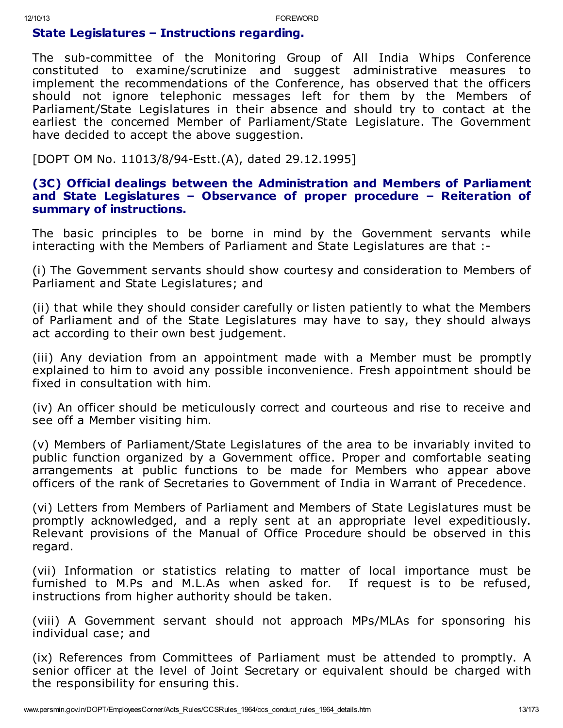#### State Legislatures – Instructions regarding.

The sub-committee of the Monitoring Group of All India Whips Conference constituted to examine/scrutinize and suggest administrative measures to implement the recommendations of the Conference, has observed that the officers should not ignore telephonic messages left for them by the Members of Parliament/State Legislatures in their absence and should try to contact at the earliest the concerned Member of Parliament/State Legislature. The Government have decided to accept the above suggestion.

[DOPT OM No. 11013/8/94-Estt.(A), dated 29.12.1995]

#### (3C) Official dealings between the Administration and Members of Parliament and State Legislatures – Observance of proper procedure – Reiteration of summary of instructions.

The basic principles to be borne in mind by the Government servants while interacting with the Members of Parliament and State Legislatures are that :-

(i) The Government servants should show courtesy and consideration to Members of Parliament and State Legislatures; and

(ii) that while they should consider carefully or listen patiently to what the Members of Parliament and of the State Legislatures may have to say, they should always act according to their own best judgement.

(iii) Any deviation from an appointment made with a Member must be promptly explained to him to avoid any possible inconvenience. Fresh appointment should be fixed in consultation with him.

(iv) An officer should be meticulously correct and courteous and rise to receive and see off a Member visiting him.

(v) Members of Parliament/State Legislatures of the area to be invariably invited to public function organized by a Government office. Proper and comfortable seating arrangements at public functions to be made for Members who appear above officers of the rank of Secretaries to Government of India in Warrant of Precedence.

(vi) Letters from Members of Parliament and Members of State Legislatures must be promptly acknowledged, and a reply sent at an appropriate level expeditiously. Relevant provisions of the Manual of Office Procedure should be observed in this regard.

(vii) Information or statistics relating to matter of local importance must be furnished to M.Ps and M.L.As when asked for. If request is to be refused, instructions from higher authority should be taken.

(viii) A Government servant should not approach MPs/MLAs for sponsoring his individual case; and

(ix) References from Committees of Parliament must be attended to promptly. A senior officer at the level of Joint Secretary or equivalent should be charged with the responsibility for ensuring this.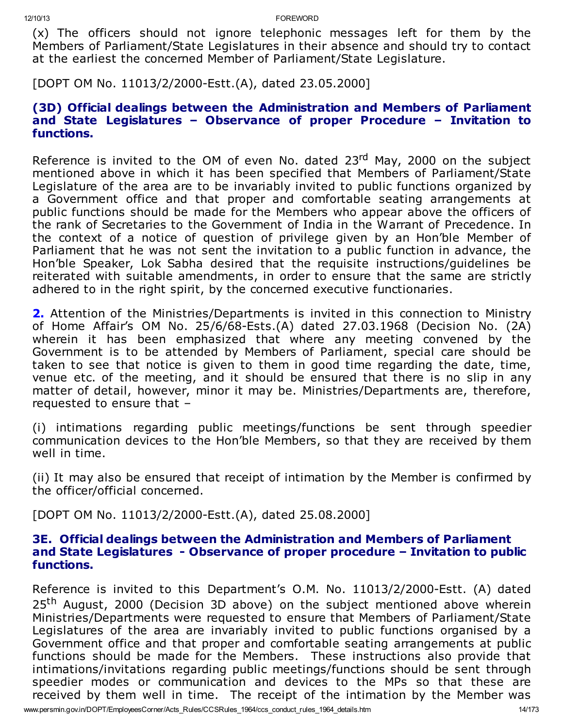(x) The officers should not ignore telephonic messages left for them by the Members of Parliament/State Legislatures in their absence and should try to contact at the earliest the concerned Member of Parliament/State Legislature.

[DOPT OM No. 11013/2/2000-Estt.(A), dated 23.05.2000]

#### (3D) Official dealings between the Administration and Members of Parliament and State Legislatures – Observance of proper Procedure – Invitation to functions.

Reference is invited to the OM of even No. dated 23<sup>rd</sup> May, 2000 on the subject mentioned above in which it has been specified that Members of Parliament/State Legislature of the area are to be invariably invited to public functions organized by a Government office and that proper and comfortable seating arrangements at public functions should be made for the Members who appear above the officers of the rank of Secretaries to the Government of India in the Warrant of Precedence. In the context of a notice of question of privilege given by an Hon'ble Member of Parliament that he was not sent the invitation to a public function in advance, the Hon'ble Speaker, Lok Sabha desired that the requisite instructions/guidelines be reiterated with suitable amendments, in order to ensure that the same are strictly adhered to in the right spirit, by the concerned executive functionaries.

2. Attention of the Ministries/Departments is invited in this connection to Ministry of Home Affair's OM No. 25/6/68-Ests.(A) dated 27.03.1968 (Decision No. (2A) wherein it has been emphasized that where any meeting convened by the Government is to be attended by Members of Parliament, special care should be taken to see that notice is given to them in good time regarding the date, time, venue etc. of the meeting, and it should be ensured that there is no slip in any matter of detail, however, minor it may be. Ministries/Departments are, therefore, requested to ensure that –

(i) intimations regarding public meetings/functions be sent through speedier communication devices to the Hon'ble Members, so that they are received by them well in time.

(ii) It may also be ensured that receipt of intimation by the Member is confirmed by the officer/official concerned.

[DOPT OM No. 11013/2/2000-Estt.(A), dated 25.08.2000]

#### 3E. Official dealings between the Administration and Members of Parliament and State Legislatures - Observance of proper procedure – Invitation to public functions.

Reference is invited to this Department's O.M. No. 11013/2/2000-Estt. (A) dated 25<sup>th</sup> August, 2000 (Decision 3D above) on the subject mentioned above wherein Ministries/Departments were requested to ensure that Members of Parliament/State Legislatures of the area are invariably invited to public functions organised by a Government office and that proper and comfortable seating arrangements at public functions should be made for the Members. These instructions also provide that intimations/invitations regarding public meetings/functions should be sent through speedier modes or communication and devices to the MPs so that these are received by them well in time. The receipt of the intimation by the Member was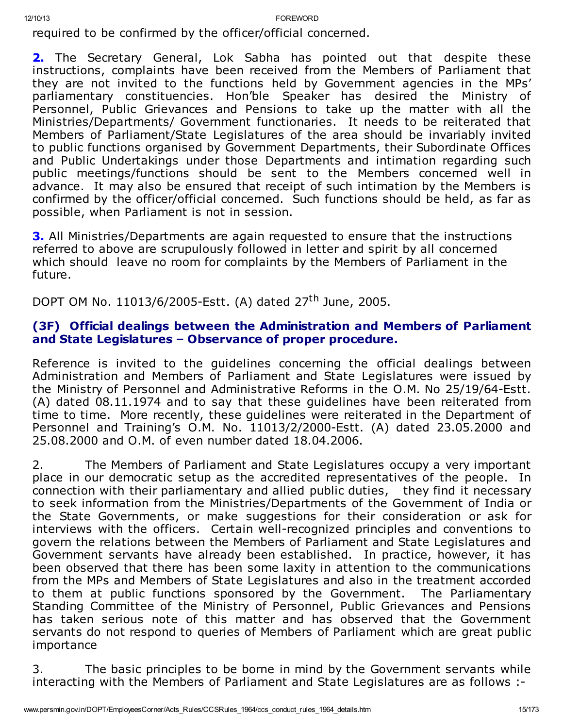required to be confirmed by the officer/official concerned.

2. The Secretary General, Lok Sabha has pointed out that despite these instructions, complaints have been received from the Members of Parliament that they are not invited to the functions held by Government agencies in the MPs' parliamentary constituencies. Hon'ble Speaker has desired the Ministry of Personnel, Public Grievances and Pensions to take up the matter with all the Ministries/Departments/ Government functionaries. It needs to be reiterated that Members of Parliament/State Legislatures of the area should be invariably invited to public functions organised by Government Departments, their Subordinate Offices and Public Undertakings under those Departments and intimation regarding such public meetings/functions should be sent to the Members concerned well in advance. It may also be ensured that receipt of such intimation by the Members is confirmed by the officer/official concerned. Such functions should be held, as far as possible, when Parliament is not in session.

**3.** All Ministries/Departments are again requested to ensure that the instructions referred to above are scrupulously followed in letter and spirit by all concerned which should leave no room for complaints by the Members of Parliament in the future.

DOPT OM No. 11013/6/2005-Estt. (A) dated 27<sup>th</sup> June, 2005.

#### (3F) Official dealings between the Administration and Members of Parliament and State Legislatures – Observance of proper procedure.

Reference is invited to the guidelines concerning the official dealings between Administration and Members of Parliament and State Legislatures were issued by the Ministry of Personnel and Administrative Reforms in the O.M. No 25/19/64-Estt. (A) dated 08.11.1974 and to say that these guidelines have been reiterated from time to time. More recently, these guidelines were reiterated in the Department of Personnel and Training's O.M. No. 11013/2/2000-Estt. (A) dated 23.05.2000 and 25.08.2000 and O.M. of even number dated 18.04.2006.

2. The Members of Parliament and State Legislatures occupy a very important place in our democratic setup as the accredited representatives of the people. In connection with their parliamentary and allied public duties, they find it necessary to seek information from the Ministries/Departments of the Government of India or the State Governments, or make suggestions for their consideration or ask for interviews with the officers. Certain well-recognized principles and conventions to govern the relations between the Members of Parliament and State Legislatures and Government servants have already been established. In practice, however, it has been observed that there has been some laxity in attention to the communications from the MPs and Members of State Legislatures and also in the treatment accorded to them at public functions sponsored by the Government. The Parliamentary Standing Committee of the Ministry of Personnel, Public Grievances and Pensions has taken serious note of this matter and has observed that the Government servants do not respond to queries of Members of Parliament which are great public importance

3. The basic principles to be borne in mind by the Government servants while interacting with the Members of Parliament and State Legislatures are as follows :-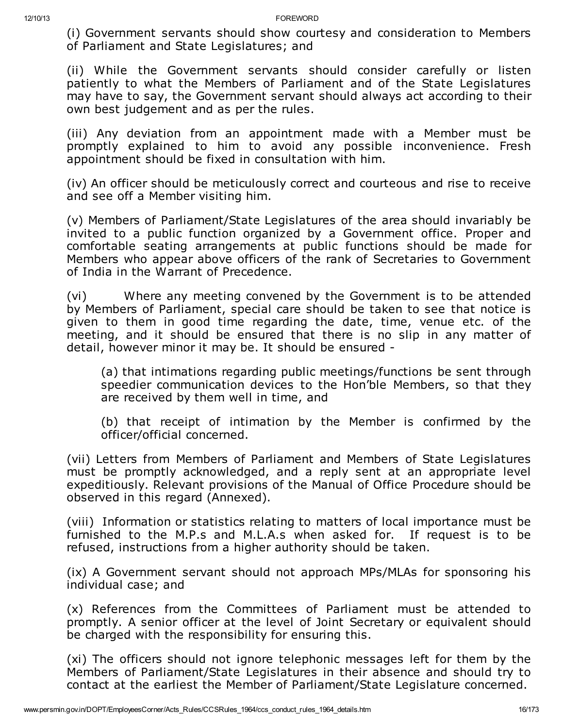(i) Government servants should show courtesy and consideration to Members of Parliament and State Legislatures; and

(ii) While the Government servants should consider carefully or listen patiently to what the Members of Parliament and of the State Legislatures may have to say, the Government servant should always act according to their own best judgement and as per the rules.

(iii) Any deviation from an appointment made with a Member must be promptly explained to him to avoid any possible inconvenience. Fresh appointment should be fixed in consultation with him.

(iv) An officer should be meticulously correct and courteous and rise to receive and see off a Member visiting him.

(v) Members of Parliament/State Legislatures of the area should invariably be invited to a public function organized by a Government office. Proper and comfortable seating arrangements at public functions should be made for Members who appear above officers of the rank of Secretaries to Government of India in the Warrant of Precedence.

(vi) Where any meeting convened by the Government is to be attended by Members of Parliament, special care should be taken to see that notice is given to them in good time regarding the date, time, venue etc. of the meeting, and it should be ensured that there is no slip in any matter of detail, however minor it may be. It should be ensured -

(a) that intimations regarding public meetings/functions be sent through speedier communication devices to the Hon'ble Members, so that they are received by them well in time, and

(b) that receipt of intimation by the Member is confirmed by the officer/official concerned.

(vii) Letters from Members of Parliament and Members of State Legislatures must be promptly acknowledged, and a reply sent at an appropriate level expeditiously. Relevant provisions of the Manual of Office Procedure should be observed in this regard (Annexed).

(viii) Information or statistics relating to matters of local importance must be furnished to the M.P.s and M.L.A.s when asked for. If request is to be refused, instructions from a higher authority should be taken.

(ix) A Government servant should not approach MPs/MLAs for sponsoring his individual case; and

(x) References from the Committees of Parliament must be attended to promptly. A senior officer at the level of Joint Secretary or equivalent should be charged with the responsibility for ensuring this.

(xi) The officers should not ignore telephonic messages left for them by the Members of Parliament/State Legislatures in their absence and should try to contact at the earliest the Member of Parliament/State Legislature concerned.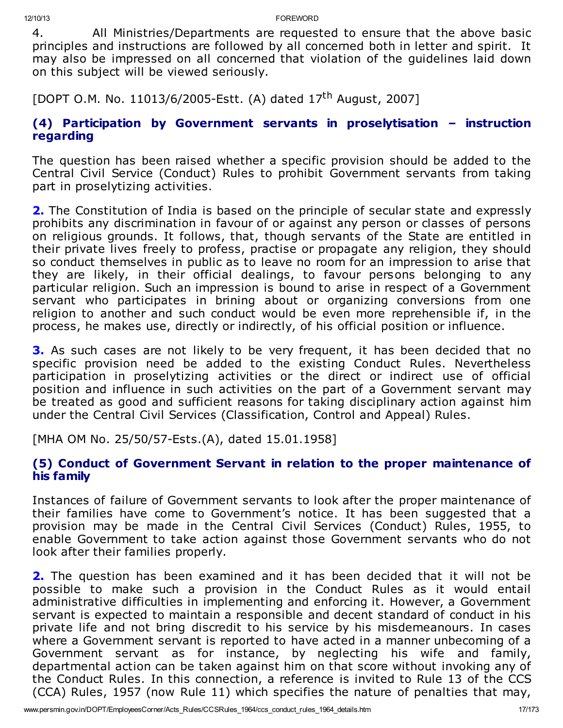4. All Ministries/Departments are requested to ensure that the above basic principles and instructions are followed by all concerned both in letter and spirit. It may also be impressed on all concerned that violation of the guidelines laid down on this subject will be viewed seriously.

[DOPT O.M. No. 11013/6/2005-Estt. (A) dated  $17<sup>th</sup>$  August, 2007]

### (4) Participation by Government servants in proselytisation – instruction regarding

The question has been raised whether a specific provision should be added to the Central Civil Service (Conduct) Rules to prohibit Government servants from taking part in proselytizing activities.

2. The Constitution of India is based on the principle of secular state and expressly prohibits any discrimination in favour of or against any person or classes of persons on religious grounds. It follows, that, though servants of the State are entitled in their private lives freely to profess, practise or propagate any religion, they should so conduct themselves in public as to leave no room for an impression to arise that they are likely, in their official dealings, to favour persons belonging to any particular religion. Such an impression is bound to arise in respect of a Government servant who participates in brining about or organizing conversions from one religion to another and such conduct would be even more reprehensible if, in the process, he makes use, directly or indirectly, of his official position or influence.

**3.** As such cases are not likely to be very frequent, it has been decided that no specific provision need be added to the existing Conduct Rules. Nevertheless participation in proselytizing activities or the direct or indirect use of official position and influence in such activities on the part of a Government servant may be treated as good and sufficient reasons for taking disciplinary action against him under the Central Civil Services (Classification, Control and Appeal) Rules.

[MHA OM No. 25/50/57-Ests.(A), dated 15.01.1958]

## (5) Conduct of Government Servant in relation to the proper maintenance of his family

Instances of failure of Government servants to look after the proper maintenance of their families have come to Government's notice. It has been suggested that a provision may be made in the Central Civil Services (Conduct) Rules, 1955, to enable Government to take action against those Government servants who do not look after their families properly.

2. The question has been examined and it has been decided that it will not be possible to make such a provision in the Conduct Rules as it would entail administrative difficulties in implementing and enforcing it. However, a Government servant is expected to maintain a responsible and decent standard of conduct in his private life and not bring discredit to his service by his misdemeanours. In cases where a Government servant is reported to have acted in a manner unbecoming of a Government servant as for instance, by neglecting his wife and family, departmental action can be taken against him on that score without invoking any of the Conduct Rules. In this connection, a reference is invited to Rule 13 of the CCS (CCA) Rules, 1957 (now Rule 11) which specifies the nature of penalties that may,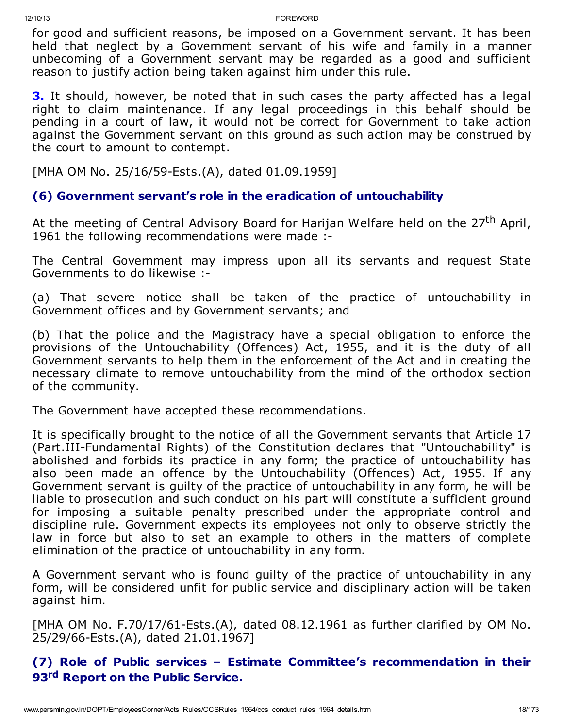for good and sufficient reasons, be imposed on a Government servant. It has been held that neglect by a Government servant of his wife and family in a manner unbecoming of a Government servant may be regarded as a good and sufficient reason to justify action being taken against him under this rule.

**3.** It should, however, be noted that in such cases the party affected has a legal right to claim maintenance. If any legal proceedings in this behalf should be pending in a court of law, it would not be correct for Government to take action against the Government servant on this ground as such action may be construed by the court to amount to contempt.

[MHA OM No. 25/16/59-Ests.(A), dated 01.09.1959]

# (6) Government servant's role in the eradication of untouchability

At the meeting of Central Advisory Board for Harijan Welfare held on the 27<sup>th</sup> April, 1961 the following recommendations were made :-

The Central Government may impress upon all its servants and request State Governments to do likewise :-

(a) That severe notice shall be taken of the practice of untouchability in Government offices and by Government servants; and

(b) That the police and the Magistracy have a special obligation to enforce the provisions of the Untouchability (Offences) Act, 1955, and it is the duty of all Government servants to help them in the enforcement of the Act and in creating the necessary climate to remove untouchability from the mind of the orthodox section of the community.

The Government have accepted these recommendations.

It is specifically brought to the notice of all the Government servants that Article 17 (Part.III-Fundamental Rights) of the Constitution declares that "Untouchability" is abolished and forbids its practice in any form; the practice of untouchability has also been made an offence by the Untouchability (Offences) Act, 1955. If any Government servant is guilty of the practice of untouchability in any form, he will be liable to prosecution and such conduct on his part will constitute a sufficient ground for imposing a suitable penalty prescribed under the appropriate control and discipline rule. Government expects its employees not only to observe strictly the law in force but also to set an example to others in the matters of complete elimination of the practice of untouchability in any form.

A Government servant who is found guilty of the practice of untouchability in any form, will be considered unfit for public service and disciplinary action will be taken against him.

[MHA OM No. F.70/17/61-Ests.(A), dated 08.12.1961 as further clarified by OM No. 25/29/66-Ests.(A), dated 21.01.1967]

# (7) Role of Public services – Estimate Committee's recommendation in their 93<sup>rd</sup> Report on the Public Service.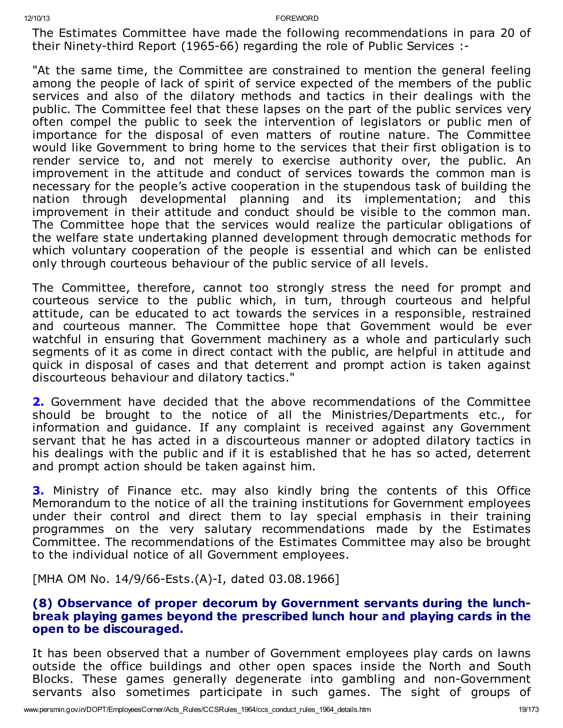The Estimates Committee have made the following recommendations in para 20 of their Ninety-third Report (1965-66) regarding the role of Public Services :-

"At the same time, the Committee are constrained to mention the general feeling among the people of lack of spirit of service expected of the members of the public services and also of the dilatory methods and tactics in their dealings with the public. The Committee feel that these lapses on the part of the public services very often compel the public to seek the intervention of legislators or public men of importance for the disposal of even matters of routine nature. The Committee would like Government to bring home to the services that their first obligation is to render service to, and not merely to exercise authority over, the public. An improvement in the attitude and conduct of services towards the common man is necessary for the people's active cooperation in the stupendous task of building the nation through developmental planning and its implementation; and this improvement in their attitude and conduct should be visible to the common man. The Committee hope that the services would realize the particular obligations of the welfare state undertaking planned development through democratic methods for which voluntary cooperation of the people is essential and which can be enlisted only through courteous behaviour of the public service of all levels.

The Committee, therefore, cannot too strongly stress the need for prompt and courteous service to the public which, in turn, through courteous and helpful attitude, can be educated to act towards the services in a responsible, restrained and courteous manner. The Committee hope that Government would be ever watchful in ensuring that Government machinery as a whole and particularly such segments of it as come in direct contact with the public, are helpful in attitude and quick in disposal of cases and that deterrent and prompt action is taken against discourteous behaviour and dilatory tactics."

2. Government have decided that the above recommendations of the Committee should be brought to the notice of all the Ministries/Departments etc., for information and guidance. If any complaint is received against any Government servant that he has acted in a discourteous manner or adopted dilatory tactics in his dealings with the public and if it is established that he has so acted, deterrent and prompt action should be taken against him.

**3.** Ministry of Finance etc. may also kindly bring the contents of this Office Memorandum to the notice of all the training institutions for Government employees under their control and direct them to lay special emphasis in their training programmes on the very salutary recommendations made by the Estimates Committee. The recommendations of the Estimates Committee may also be brought to the individual notice of all Government employees.

[MHA OM No. 14/9/66-Ests.(A)-I, dated 03.08.1966]

#### (8) Observance of proper decorum by Government servants during the lunchbreak playing games beyond the prescribed lunch hour and playing cards in the open to be discouraged.

It has been observed that a number of Government employees play cards on lawns outside the office buildings and other open spaces inside the North and South Blocks. These games generally degenerate into gambling and non-Government servants also sometimes participate in such games. The sight of groups of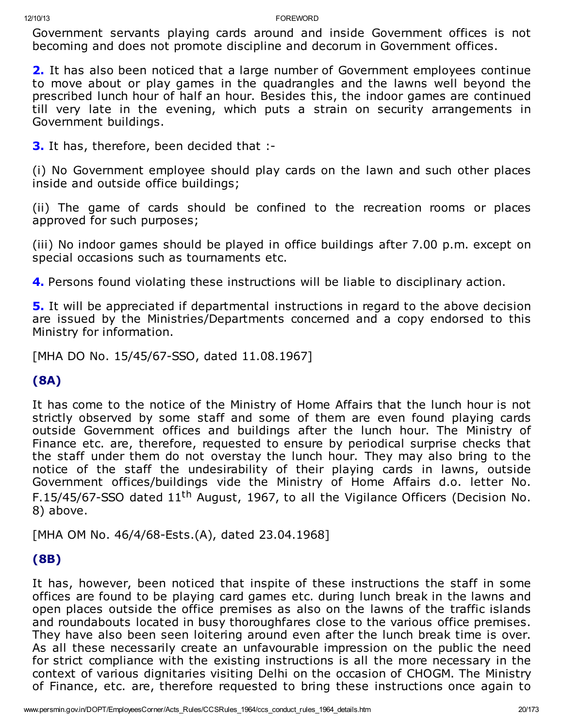Government servants playing cards around and inside Government offices is not becoming and does not promote discipline and decorum in Government offices.

**2.** It has also been noticed that a large number of Government employees continue to move about or play games in the quadrangles and the lawns well beyond the prescribed lunch hour of half an hour. Besides this, the indoor games are continued till very late in the evening, which puts a strain on security arrangements in Government buildings.

**3.** It has, therefore, been decided that :-

(i) No Government employee should play cards on the lawn and such other places inside and outside office buildings;

(ii) The game of cards should be confined to the recreation rooms or places approved for such purposes;

(iii) No indoor games should be played in office buildings after 7.00 p.m. except on special occasions such as tournaments etc.

4. Persons found violating these instructions will be liable to disciplinary action.

**5.** It will be appreciated if departmental instructions in regard to the above decision are issued by the Ministries/Departments concerned and a copy endorsed to this Ministry for information.

[MHA DO No. 15/45/67-SSO, dated 11.08.1967]

# (8A)

It has come to the notice of the Ministry of Home Affairs that the lunch hour is not strictly observed by some staff and some of them are even found playing cards outside Government offices and buildings after the lunch hour. The Ministry of Finance etc. are, therefore, requested to ensure by periodical surprise checks that the staff under them do not overstay the lunch hour. They may also bring to the notice of the staff the undesirability of their playing cards in lawns, outside Government offices/buildings vide the Ministry of Home Affairs d.o. letter No. F.15/45/67-SSO dated  $11<sup>th</sup>$  August, 1967, to all the Vigilance Officers (Decision No. 8) above.

[MHA OM No. 46/4/68-Ests.(A), dated 23.04.1968]

# (8B)

It has, however, been noticed that inspite of these instructions the staff in some offices are found to be playing card games etc. during lunch break in the lawns and open places outside the office premises as also on the lawns of the traffic islands and roundabouts located in busy thoroughfares close to the various office premises. They have also been seen loitering around even after the lunch break time is over. As all these necessarily create an unfavourable impression on the public the need for strict compliance with the existing instructions is all the more necessary in the context of various dignitaries visiting Delhi on the occasion of CHOGM. The Ministry of Finance, etc. are, therefore requested to bring these instructions once again to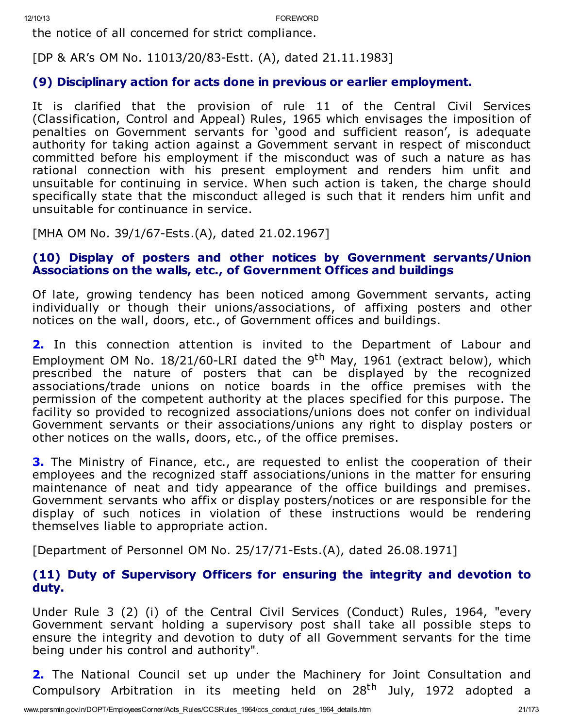the notice of all concerned for strict compliance.

[DP & AR's OM No. 11013/20/83-Estt. (A), dated 21.11.1983]

# (9) Disciplinary action for acts done in previous or earlier employment.

It is clarified that the provision of rule 11 of the Central Civil Services (Classification, Control and Appeal) Rules, 1965 which envisages the imposition of penalties on Government servants for 'good and sufficient reason', is adequate authority for taking action against a Government servant in respect of misconduct committed before his employment if the misconduct was of such a nature as has rational connection with his present employment and renders him unfit and unsuitable for continuing in service. When such action is taken, the charge should specifically state that the misconduct alleged is such that it renders him unfit and unsuitable for continuance in service.

[MHA OM No. 39/1/67-Ests.(A), dated 21.02.1967]

#### (10) Display of posters and other notices by Government servants/Union Associations on the walls, etc., of Government Offices and buildings

Of late, growing tendency has been noticed among Government servants, acting individually or though their unions/associations, of affixing posters and other notices on the wall, doors, etc., of Government offices and buildings.

2. In this connection attention is invited to the Department of Labour and Employment OM No. 18/21/60-LRI dated the 9<sup>th</sup> May, 1961 (extract below), which prescribed the nature of posters that can be displayed by the recognized associations/trade unions on notice boards in the office premises with the permission of the competent authority at the places specified for this purpose. The facility so provided to recognized associations/unions does not confer on individual Government servants or their associations/unions any right to display posters or other notices on the walls, doors, etc., of the office premises.

**3.** The Ministry of Finance, etc., are requested to enlist the cooperation of their employees and the recognized staff associations/unions in the matter for ensuring maintenance of neat and tidy appearance of the office buildings and premises. Government servants who affix or display posters/notices or are responsible for the display of such notices in violation of these instructions would be rendering themselves liable to appropriate action.

[Department of Personnel OM No. 25/17/71-Ests.(A), dated 26.08.1971]

# (11) Duty of Supervisory Officers for ensuring the integrity and devotion to duty.

Under Rule 3 (2) (i) of the Central Civil Services (Conduct) Rules, 1964, "every Government servant holding a supervisory post shall take all possible steps to ensure the integrity and devotion to duty of all Government servants for the time being under his control and authority".

2. The National Council set up under the Machinery for Joint Consultation and Compulsory Arbitration in its meeting held on 28<sup>th</sup> July, 1972 adopted a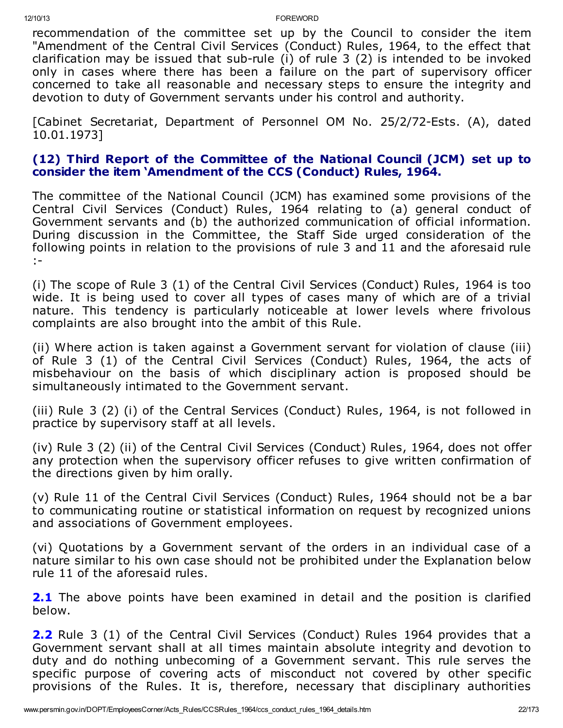recommendation of the committee set up by the Council to consider the item "Amendment of the Central Civil Services (Conduct) Rules, 1964, to the effect that clarification may be issued that sub-rule (i) of rule 3 (2) is intended to be invoked only in cases where there has been a failure on the part of supervisory officer concerned to take all reasonable and necessary steps to ensure the integrity and devotion to duty of Government servants under his control and authority.

[Cabinet Secretariat, Department of Personnel OM No. 25/2/72-Ests. (A), dated 10.01.1973]

## (12) Third Report of the Committee of the National Council (JCM) set up to consider the item 'Amendment of the CCS (Conduct) Rules, 1964.

The committee of the National Council (JCM) has examined some provisions of the Central Civil Services (Conduct) Rules, 1964 relating to (a) general conduct of Government servants and (b) the authorized communication of official information. During discussion in the Committee, the Staff Side urged consideration of the following points in relation to the provisions of rule 3 and 11 and the aforesaid rule :-

(i) The scope of Rule 3 (1) of the Central Civil Services (Conduct) Rules, 1964 is too wide. It is being used to cover all types of cases many of which are of a trivial nature. This tendency is particularly noticeable at lower levels where frivolous complaints are also brought into the ambit of this Rule.

(ii) Where action is taken against a Government servant for violation of clause (iii) of Rule 3 (1) of the Central Civil Services (Conduct) Rules, 1964, the acts of misbehaviour on the basis of which disciplinary action is proposed should be simultaneously intimated to the Government servant.

(iii) Rule 3 (2) (i) of the Central Services (Conduct) Rules, 1964, is not followed in practice by supervisory staff at all levels.

(iv) Rule 3 (2) (ii) of the Central Civil Services (Conduct) Rules, 1964, does not offer any protection when the supervisory officer refuses to give written confirmation of the directions given by him orally.

(v) Rule 11 of the Central Civil Services (Conduct) Rules, 1964 should not be a bar to communicating routine or statistical information on request by recognized unions and associations of Government employees.

(vi) Quotations by a Government servant of the orders in an individual case of a nature similar to his own case should not be prohibited under the Explanation below rule 11 of the aforesaid rules.

**2.1** The above points have been examined in detail and the position is clarified below.

**2.2** Rule 3 (1) of the Central Civil Services (Conduct) Rules 1964 provides that a Government servant shall at all times maintain absolute integrity and devotion to duty and do nothing unbecoming of a Government servant. This rule serves the specific purpose of covering acts of misconduct not covered by other specific provisions of the Rules. It is, therefore, necessary that disciplinary authorities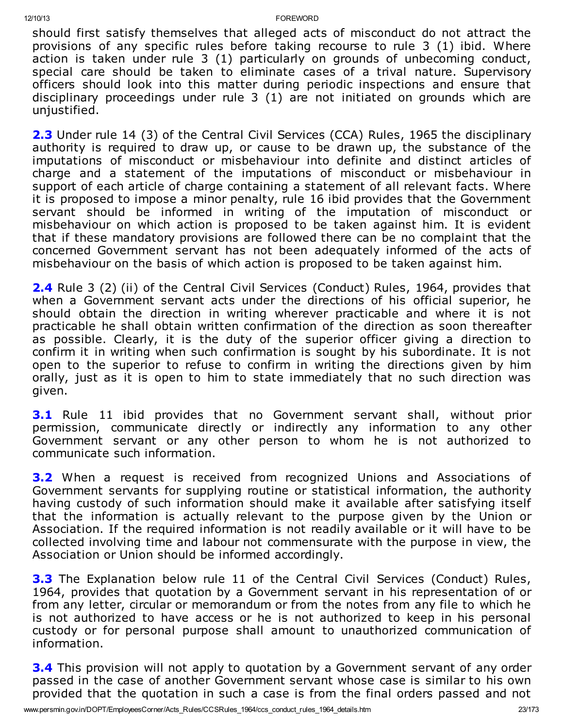should first satisfy themselves that alleged acts of misconduct do not attract the provisions of any specific rules before taking recourse to rule 3 (1) ibid. Where action is taken under rule 3 (1) particularly on grounds of unbecoming conduct, special care should be taken to eliminate cases of a trival nature. Supervisory officers should look into this matter during periodic inspections and ensure that disciplinary proceedings under rule 3 (1) are not initiated on grounds which are unjustified.

2.3 Under rule 14 (3) of the Central Civil Services (CCA) Rules, 1965 the disciplinary authority is required to draw up, or cause to be drawn up, the substance of the imputations of misconduct or misbehaviour into definite and distinct articles of charge and a statement of the imputations of misconduct or misbehaviour in support of each article of charge containing a statement of all relevant facts. Where it is proposed to impose a minor penalty, rule 16 ibid provides that the Government servant should be informed in writing of the imputation of misconduct or misbehaviour on which action is proposed to be taken against him. It is evident that if these mandatory provisions are followed there can be no complaint that the concerned Government servant has not been adequately informed of the acts of misbehaviour on the basis of which action is proposed to be taken against him.

2.4 Rule 3 (2) (ii) of the Central Civil Services (Conduct) Rules, 1964, provides that when a Government servant acts under the directions of his official superior, he should obtain the direction in writing wherever practicable and where it is not practicable he shall obtain written confirmation of the direction as soon thereafter as possible. Clearly, it is the duty of the superior officer giving a direction to confirm it in writing when such confirmation is sought by his subordinate. It is not open to the superior to refuse to confirm in writing the directions given by him orally, just as it is open to him to state immediately that no such direction was given.

**3.1** Rule 11 ibid provides that no Government servant shall, without prior permission, communicate directly or indirectly any information to any other Government servant or any other person to whom he is not authorized to communicate such information.

**3.2** When a request is received from recognized Unions and Associations of Government servants for supplying routine or statistical information, the authority having custody of such information should make it available after satisfying itself that the information is actually relevant to the purpose given by the Union or Association. If the required information is not readily available or it will have to be collected involving time and labour not commensurate with the purpose in view, the Association or Union should be informed accordingly.

**3.3** The Explanation below rule 11 of the Central Civil Services (Conduct) Rules, 1964, provides that quotation by a Government servant in his representation of or from any letter, circular or memorandum or from the notes from any file to which he is not authorized to have access or he is not authorized to keep in his personal custody or for personal purpose shall amount to unauthorized communication of information.

**3.4** This provision will not apply to quotation by a Government servant of any order passed in the case of another Government servant whose case is similar to his own provided that the quotation in such a case is from the final orders passed and not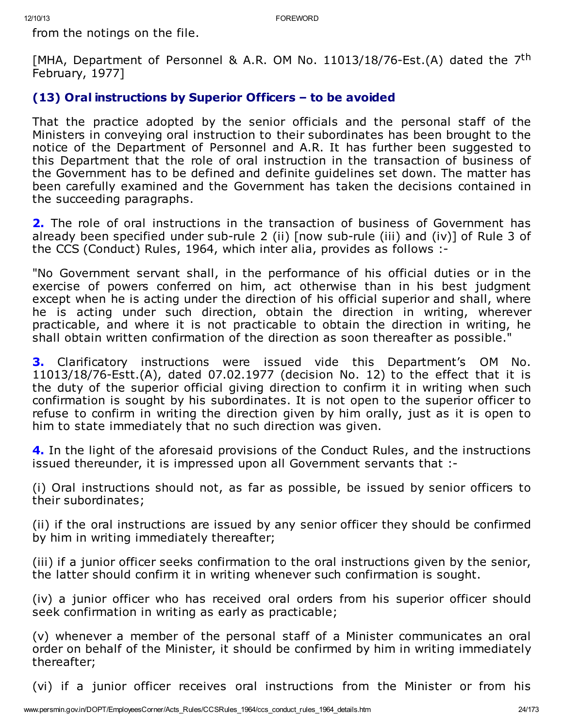from the notings on the file.

[MHA, Department of Personnel & A.R. OM No.  $11013/18/76$ -Est.(A) dated the  $7<sup>th</sup>$ February, 1977]

## (13) Oral instructions by Superior Officers – to be avoided

That the practice adopted by the senior officials and the personal staff of the Ministers in conveying oral instruction to their subordinates has been brought to the notice of the Department of Personnel and A.R. It has further been suggested to this Department that the role of oral instruction in the transaction of business of the Government has to be defined and definite guidelines set down. The matter has been carefully examined and the Government has taken the decisions contained in the succeeding paragraphs.

2. The role of oral instructions in the transaction of business of Government has already been specified under sub-rule 2 (ii) [now sub-rule (iii) and (iv)] of Rule 3 of the CCS (Conduct) Rules, 1964, which inter alia, provides as follows :-

"No Government servant shall, in the performance of his official duties or in the exercise of powers conferred on him, act otherwise than in his best judgment except when he is acting under the direction of his official superior and shall, where he is acting under such direction, obtain the direction in writing, wherever practicable, and where it is not practicable to obtain the direction in writing, he shall obtain written confirmation of the direction as soon thereafter as possible."

3. Clarificatory instructions were issued vide this Department's OM No. 11013/18/76-Estt.(A), dated 07.02.1977 (decision No. 12) to the effect that it is the duty of the superior official giving direction to confirm it in writing when such confirmation is sought by his subordinates. It is not open to the superior officer to refuse to confirm in writing the direction given by him orally, just as it is open to him to state immediately that no such direction was given.

4. In the light of the aforesaid provisions of the Conduct Rules, and the instructions issued thereunder, it is impressed upon all Government servants that :-

(i) Oral instructions should not, as far as possible, be issued by senior officers to their subordinates;

(ii) if the oral instructions are issued by any senior officer they should be confirmed by him in writing immediately thereafter;

(iii) if a junior officer seeks confirmation to the oral instructions given by the senior, the latter should confirm it in writing whenever such confirmation is sought.

(iv) a junior officer who has received oral orders from his superior officer should seek confirmation in writing as early as practicable;

(v) whenever a member of the personal staff of a Minister communicates an oral order on behalf of the Minister, it should be confirmed by him in writing immediately thereafter;

(vi) if a junior officer receives oral instructions from the Minister or from his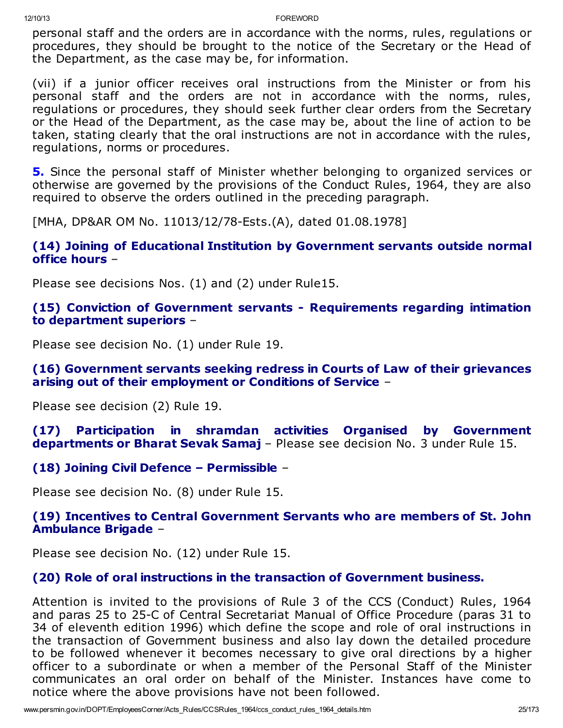personal staff and the orders are in accordance with the norms, rules, regulations or procedures, they should be brought to the notice of the Secretary or the Head of the Department, as the case may be, for information.

(vii) if a junior officer receives oral instructions from the Minister or from his personal staff and the orders are not in accordance with the norms, rules, regulations or procedures, they should seek further clear orders from the Secretary or the Head of the Department, as the case may be, about the line of action to be taken, stating clearly that the oral instructions are not in accordance with the rules, regulations, norms or procedures.

5. Since the personal staff of Minister whether belonging to organized services or otherwise are governed by the provisions of the Conduct Rules, 1964, they are also required to observe the orders outlined in the preceding paragraph.

[MHA, DP&AR OM No. 11013/12/78-Ests.(A), dated 01.08.1978]

#### (14) Joining of Educational Institution by Government servants outside normal office hours –

Please see decisions Nos. (1) and (2) under Rule15.

#### (15) Conviction of Government servants - Requirements regarding intimation to department superiors –

Please see decision No. (1) under Rule 19.

#### (16) Government servants seeking redress in Courts of Law of their grievances arising out of their employment or Conditions of Service –

Please see decision (2) Rule 19.

(17) Participation in shramdan activities Organised by Government departments or Bharat Sevak Samaj – Please see decision No. 3 under Rule 15.

#### (18) Joining Civil Defence – Permissible –

Please see decision No. (8) under Rule 15.

#### (19) Incentives to Central Government Servants who are members of St. John Ambulance Brigade –

Please see decision No. (12) under Rule 15.

#### (20) Role of oral instructions in the transaction of Government business.

Attention is invited to the provisions of Rule 3 of the CCS (Conduct) Rules, 1964 and paras 25 to 25-C of Central Secretariat Manual of Office Procedure (paras 31 to 34 of eleventh edition 1996) which define the scope and role of oral instructions in the transaction of Government business and also lay down the detailed procedure to be followed whenever it becomes necessary to give oral directions by a higher officer to a subordinate or when a member of the Personal Staff of the Minister communicates an oral order on behalf of the Minister. Instances have come to notice where the above provisions have not been followed.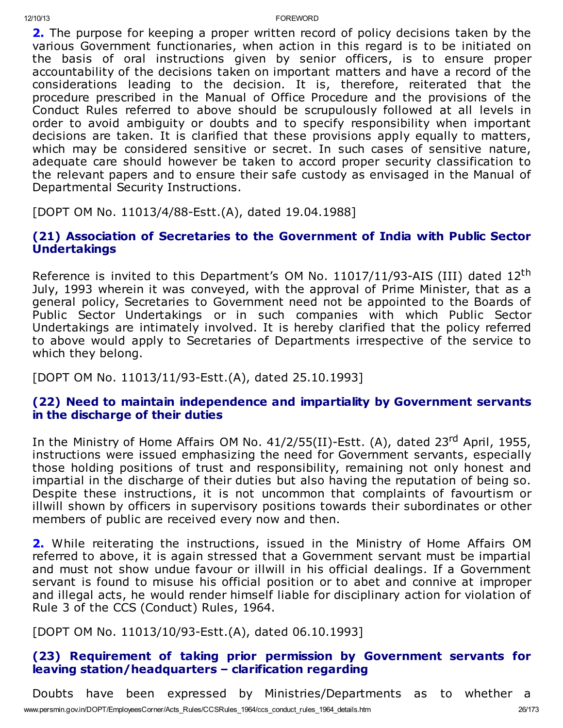**2.** The purpose for keeping a proper written record of policy decisions taken by the various Government functionaries, when action in this regard is to be initiated on the basis of oral instructions given by senior officers, is to ensure proper accountability of the decisions taken on important matters and have a record of the considerations leading to the decision. It is, therefore, reiterated that the procedure prescribed in the Manual of Office Procedure and the provisions of the Conduct Rules referred to above should be scrupulously followed at all levels in order to avoid ambiguity or doubts and to specify responsibility when important decisions are taken. It is clarified that these provisions apply equally to matters, which may be considered sensitive or secret. In such cases of sensitive nature, adequate care should however be taken to accord proper security classification to the relevant papers and to ensure their safe custody as envisaged in the Manual of Departmental Security Instructions.

[DOPT OM No. 11013/4/88-Estt.(A), dated 19.04.1988]

## (21) Association of Secretaries to the Government of India with Public Sector Undertakings

Reference is invited to this Department's OM No. 11017/11/93-AIS (III) dated 12<sup>th</sup> July, 1993 wherein it was conveyed, with the approval of Prime Minister, that as a general policy, Secretaries to Government need not be appointed to the Boards of Public Sector Undertakings or in such companies with which Public Sector Undertakings are intimately involved. It is hereby clarified that the policy referred to above would apply to Secretaries of Departments irrespective of the service to which they belong.

[DOPT OM No. 11013/11/93-Estt.(A), dated 25.10.1993]

# (22) Need to maintain independence and impartiality by Government servants in the discharge of their duties

In the Ministry of Home Affairs OM No. 41/2/55(II)-Estt. (A), dated 23<sup>rd</sup> April, 1955, instructions were issued emphasizing the need for Government servants, especially those holding positions of trust and responsibility, remaining not only honest and impartial in the discharge of their duties but also having the reputation of being so. Despite these instructions, it is not uncommon that complaints of favourtism or illwill shown by officers in supervisory positions towards their subordinates or other members of public are received every now and then.

2. While reiterating the instructions, issued in the Ministry of Home Affairs OM referred to above, it is again stressed that a Government servant must be impartial and must not show undue favour or illwill in his official dealings. If a Government servant is found to misuse his official position or to abet and connive at improper and illegal acts, he would render himself liable for disciplinary action for violation of Rule 3 of the CCS (Conduct) Rules, 1964.

[DOPT OM No. 11013/10/93-Estt.(A), dated 06.10.1993]

# (23) Requirement of taking prior permission by Government servants for leaving station/headquarters – clarification regarding

www.persmin.gov.in/DOPT/EmployeesCorner/Acts\_Rules/CCSRules\_1964/ccs\_conduct\_rules\_1964\_details.htm 26/173 Doubts have been expressed by Ministries/Departments as to whether a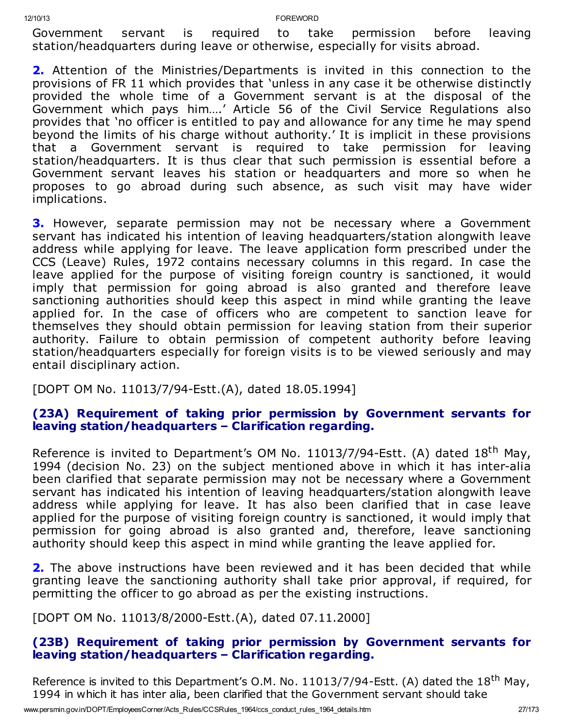Government servant is required to take permission before leaving station/headquarters during leave or otherwise, especially for visits abroad.

**2.** Attention of the Ministries/Departments is invited in this connection to the provisions of FR 11 which provides that 'unless in any case it be otherwise distinctly provided the whole time of a Government servant is at the disposal of the Government which pays him….' Article 56 of the Civil Service Regulations also provides that 'no officer is entitled to pay and allowance for any time he may spend beyond the limits of his charge without authority.' It is implicit in these provisions that a Government servant is required to take permission for leaving station/headquarters. It is thus clear that such permission is essential before a Government servant leaves his station or headquarters and more so when he proposes to go abroad during such absence, as such visit may have wider implications.

**3.** However, separate permission may not be necessary where a Government servant has indicated his intention of leaving headquarters/station alongwith leave address while applying for leave. The leave application form prescribed under the CCS (Leave) Rules, 1972 contains necessary columns in this regard. In case the leave applied for the purpose of visiting foreign country is sanctioned, it would imply that permission for going abroad is also granted and therefore leave sanctioning authorities should keep this aspect in mind while granting the leave applied for. In the case of officers who are competent to sanction leave for themselves they should obtain permission for leaving station from their superior authority. Failure to obtain permission of competent authority before leaving station/headquarters especially for foreign visits is to be viewed seriously and may entail disciplinary action.

[DOPT OM No. 11013/7/94-Estt.(A), dated 18.05.1994]

## (23A) Requirement of taking prior permission by Government servants for leaving station/headquarters – Clarification regarding.

Reference is invited to Department's OM No. 11013/7/94-Estt. (A) dated 18<sup>th</sup> May, 1994 (decision No. 23) on the subject mentioned above in which it has inter-alia been clarified that separate permission may not be necessary where a Government servant has indicated his intention of leaving headquarters/station alongwith leave address while applying for leave. It has also been clarified that in case leave applied for the purpose of visiting foreign country is sanctioned, it would imply that permission for going abroad is also granted and, therefore, leave sanctioning authority should keep this aspect in mind while granting the leave applied for.

2. The above instructions have been reviewed and it has been decided that while granting leave the sanctioning authority shall take prior approval, if required, for permitting the officer to go abroad as per the existing instructions.

[DOPT OM No. 11013/8/2000-Estt.(A), dated 07.11.2000]

## (23B) Requirement of taking prior permission by Government servants for leaving station/headquarters – Clarification regarding.

Reference is invited to this Department's O.M. No.  $11013/7/94$ -Estt. (A) dated the  $18<sup>th</sup>$  May, 1994 in which it has inter alia, been clarified that the Government servant should take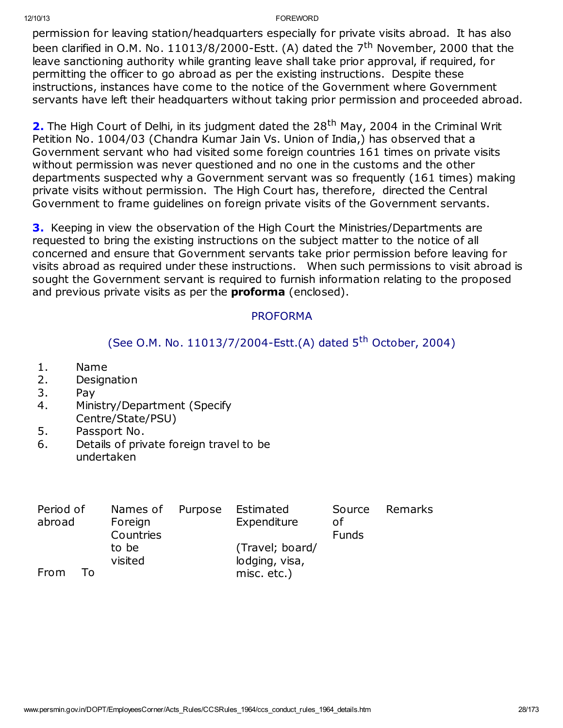permission for leaving station/headquarters especially for private visits abroad. It has also been clarified in O.M. No. 11013/8/2000-Estt. (A) dated the 7<sup>th</sup> November, 2000 that the leave sanctioning authority while granting leave shall take prior approval, if required, for permitting the officer to go abroad as per the existing instructions. Despite these instructions, instances have come to the notice of the Government where Government servants have left their headquarters without taking prior permission and proceeded abroad.

2. The High Court of Delhi, in its judgment dated the 28<sup>th</sup> May, 2004 in the Criminal Writ Petition No. 1004/03 (Chandra Kumar Jain Vs. Union of India,) has observed that a Government servant who had visited some foreign countries 161 times on private visits without permission was never questioned and no one in the customs and the other departments suspected why a Government servant was so frequently (161 times) making private visits without permission. The High Court has, therefore, directed the Central Government to frame guidelines on foreign private visits of the Government servants.

**3.** Keeping in view the observation of the High Court the Ministries/Departments are requested to bring the existing instructions on the subject matter to the notice of all concerned and ensure that Government servants take prior permission before leaving for visits abroad as required under these instructions. When such permissions to visit abroad is sought the Government servant is required to furnish information relating to the proposed and previous private visits as per the **proforma** (enclosed).

#### PROFORMA

# (See O.M. No.  $11013/7/2004$ -Estt. $(A)$  dated  $5<sup>th</sup>$  October, 2004)

- 1. Name
- 2. Designation
- 3. Pay
- 4. Ministry/Department (Specify Centre/State/PSU)
- 5. Passport No.
- 6. Details of private foreign travel to be undertaken

| Period of<br>abroad<br>From<br>Tο | Names of Purpose<br>Foreign<br>Countries<br>to be<br>visited |                                                  | Estimated<br>Expenditure | Source<br>οf<br><b>Funds</b> | Remarks |
|-----------------------------------|--------------------------------------------------------------|--------------------------------------------------|--------------------------|------------------------------|---------|
|                                   |                                                              | (Travel; board/<br>lodging, visa,<br>misc. etc.) |                          |                              |         |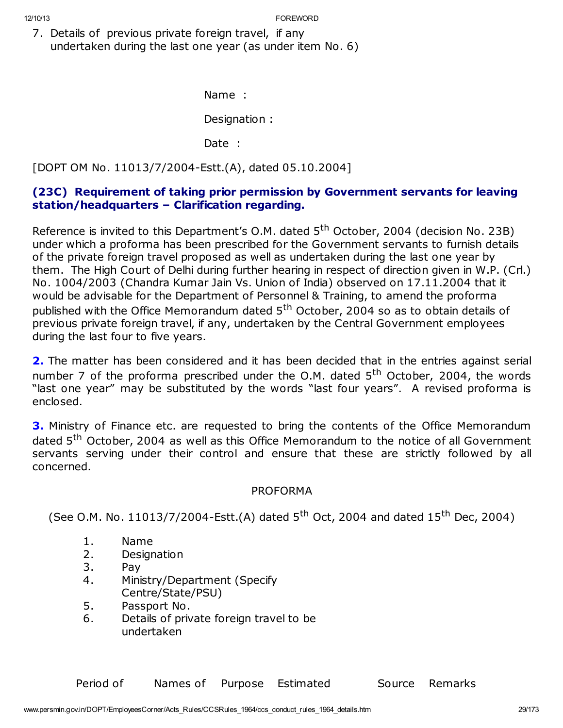7. Details of previous private foreign travel, if any undertaken during the last one year (as under item No. 6)

> Name : Designation : Date :

[DOPT OM No. 11013/7/2004-Estt.(A), dated 05.10.2004]

## (23C) Requirement of taking prior permission by Government servants for leaving station/headquarters – Clarification regarding.

Reference is invited to this Department's O.M. dated 5<sup>th</sup> October, 2004 (decision No. 23B) under which a proforma has been prescribed for the Government servants to furnish details of the private foreign travel proposed as well as undertaken during the last one year by them. The High Court of Delhi during further hearing in respect of direction given in W.P. (Crl.) No. 1004/2003 (Chandra Kumar Jain Vs. Union of India) observed on 17.11.2004 that it would be advisable for the Department of Personnel & Training, to amend the proforma published with the Office Memorandum dated 5<sup>th</sup> October, 2004 so as to obtain details of previous private foreign travel, if any, undertaken by the Central Government employees during the last four to five years.

2. The matter has been considered and it has been decided that in the entries against serial number 7 of the proforma prescribed under the O.M. dated 5<sup>th</sup> October, 2004, the words "last one year" may be substituted by the words "last four years". A revised proforma is enclosed.

**3.** Ministry of Finance etc. are requested to bring the contents of the Office Memorandum dated 5<sup>th</sup> October, 2004 as well as this Office Memorandum to the notice of all Government servants serving under their control and ensure that these are strictly followed by all concerned.

# PROFORMA

(See O.M. No. 11013/7/2004-Estt.(A) dated  $5^{th}$  Oct, 2004 and dated 15<sup>th</sup> Dec, 2004)

- 1. Name
- 2. Designation
- 3. Pay
- 4. Ministry/Department (Specify
- Centre/State/PSU)
- 5. Passport No.
- 6. Details of private foreign travel to be undertaken

Period of Mames of Purpose Estimated Source Remarks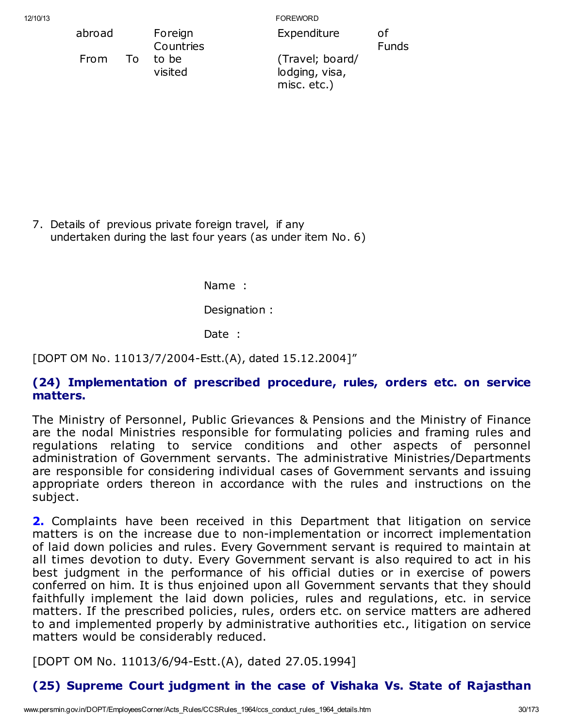abroad Foreign **Countries** to be visited From To to be (Travel; board/

12/10/13 FOREWORD

Expenditure of

Funds

lodging, visa, misc. etc.)

7. Details of previous private foreign travel, if any undertaken during the last four years (as under item No. 6)

Name :

Designation :

Date :

[DOPT OM No. 11013/7/2004-Estt.(A), dated 15.12.2004]"

# (24) Implementation of prescribed procedure, rules, orders etc. on service matters.

The Ministry of Personnel, Public Grievances & Pensions and the Ministry of Finance are the nodal Ministries responsible for formulating policies and framing rules and regulations relating to service conditions and other aspects of personnel administration of Government servants. The administrative Ministries/Departments are responsible for considering individual cases of Government servants and issuing appropriate orders thereon in accordance with the rules and instructions on the subject.

**2.** Complaints have been received in this Department that litigation on service matters is on the increase due to non-implementation or incorrect implementation of laid down policies and rules. Every Government servant is required to maintain at all times devotion to duty. Every Government servant is also required to act in his best judgment in the performance of his official duties or in exercise of powers conferred on him. It is thus enjoined upon all Government servants that they should faithfully implement the laid down policies, rules and regulations, etc. in service matters. If the prescribed policies, rules, orders etc. on service matters are adhered to and implemented properly by administrative authorities etc., litigation on service matters would be considerably reduced.

[DOPT OM No. 11013/6/94-Estt.(A), dated 27.05.1994]

# (25) Supreme Court judgment in the case of Vishaka Vs. State of Rajasthan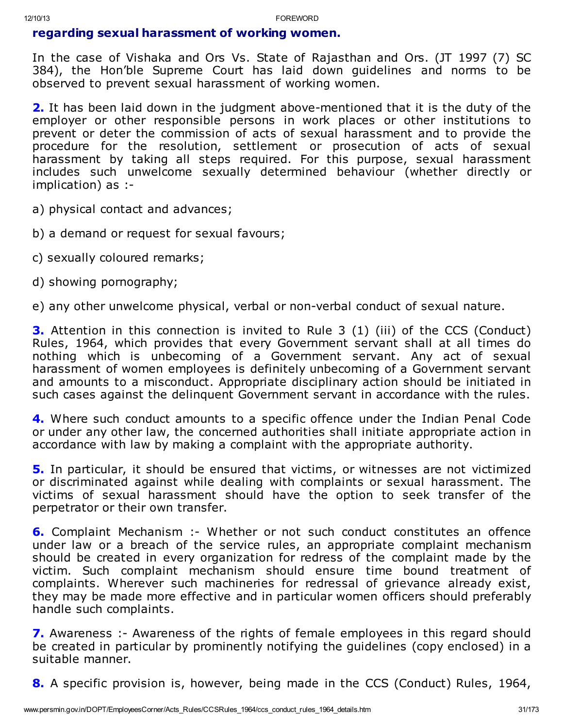#### regarding sexual harassment of working women.

In the case of Vishaka and Ors Vs. State of Rajasthan and Ors. (JT 1997 (7) SC 384), the Hon'ble Supreme Court has laid down guidelines and norms to be observed to prevent sexual harassment of working women.

2. It has been laid down in the judgment above-mentioned that it is the duty of the employer or other responsible persons in work places or other institutions to prevent or deter the commission of acts of sexual harassment and to provide the procedure for the resolution, settlement or prosecution of acts of sexual harassment by taking all steps required. For this purpose, sexual harassment includes such unwelcome sexually determined behaviour (whether directly or implication) as :-

- a) physical contact and advances;
- b) a demand or request for sexual favours;
- c) sexually coloured remarks;
- d) showing pornography;

e) any other unwelcome physical, verbal or non-verbal conduct of sexual nature.

**3.** Attention in this connection is invited to Rule 3 (1) (iii) of the CCS (Conduct) Rules, 1964, which provides that every Government servant shall at all times do nothing which is unbecoming of a Government servant. Any act of sexual harassment of women employees is definitely unbecoming of a Government servant and amounts to a misconduct. Appropriate disciplinary action should be initiated in such cases against the delinquent Government servant in accordance with the rules.

4. Where such conduct amounts to a specific offence under the Indian Penal Code or under any other law, the concerned authorities shall initiate appropriate action in accordance with law by making a complaint with the appropriate authority.

5. In particular, it should be ensured that victims, or witnesses are not victimized or discriminated against while dealing with complaints or sexual harassment. The victims of sexual harassment should have the option to seek transfer of the perpetrator or their own transfer.

**6.** Complaint Mechanism :- Whether or not such conduct constitutes an offence under law or a breach of the service rules, an appropriate complaint mechanism should be created in every organization for redress of the complaint made by the victim. Such complaint mechanism should ensure time bound treatment of complaints. Wherever such machineries for redressal of grievance already exist, they may be made more effective and in particular women officers should preferably handle such complaints.

7. Awareness :- Awareness of the rights of female employees in this regard should be created in particular by prominently notifying the guidelines (copy enclosed) in a suitable manner.

8. A specific provision is, however, being made in the CCS (Conduct) Rules, 1964,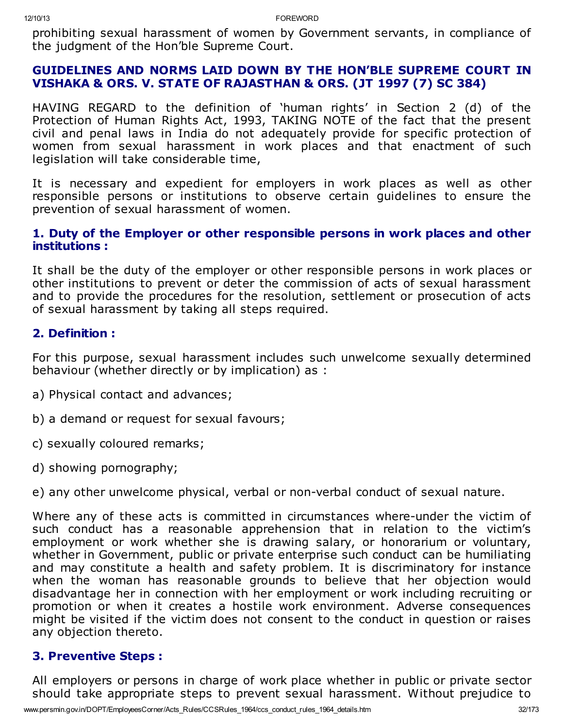prohibiting sexual harassment of women by Government servants, in compliance of the judgment of the Hon'ble Supreme Court.

#### GUIDELINES AND NORMS LAID DOWN BY THE HON'BLE SUPREME COURT IN VISHAKA & ORS. V. STATE OF RAJASTHAN & ORS. (JT 1997 (7) SC 384)

HAVING REGARD to the definition of 'human rights' in Section 2 (d) of the Protection of Human Rights Act, 1993, TAKING NOTE of the fact that the present civil and penal laws in India do not adequately provide for specific protection of women from sexual harassment in work places and that enactment of such legislation will take considerable time,

It is necessary and expedient for employers in work places as well as other responsible persons or institutions to observe certain guidelines to ensure the prevention of sexual harassment of women.

#### 1. Duty of the Employer or other responsible persons in work places and other institutions :

It shall be the duty of the employer or other responsible persons in work places or other institutions to prevent or deter the commission of acts of sexual harassment and to provide the procedures for the resolution, settlement or prosecution of acts of sexual harassment by taking all steps required.

# 2. Definition :

For this purpose, sexual harassment includes such unwelcome sexually determined behaviour (whether directly or by implication) as :

- a) Physical contact and advances;
- b) a demand or request for sexual favours;
- c) sexually coloured remarks;
- d) showing pornography;

e) any other unwelcome physical, verbal or non-verbal conduct of sexual nature.

Where any of these acts is committed in circumstances where-under the victim of such conduct has a reasonable apprehension that in relation to the victim's employment or work whether she is drawing salary, or honorarium or voluntary, whether in Government, public or private enterprise such conduct can be humiliating and may constitute a health and safety problem. It is discriminatory for instance when the woman has reasonable grounds to believe that her objection would disadvantage her in connection with her employment or work including recruiting or promotion or when it creates a hostile work environment. Adverse consequences might be visited if the victim does not consent to the conduct in question or raises any objection thereto.

# 3. Preventive Steps :

All employers or persons in charge of work place whether in public or private sector should take appropriate steps to prevent sexual harassment. Without prejudice to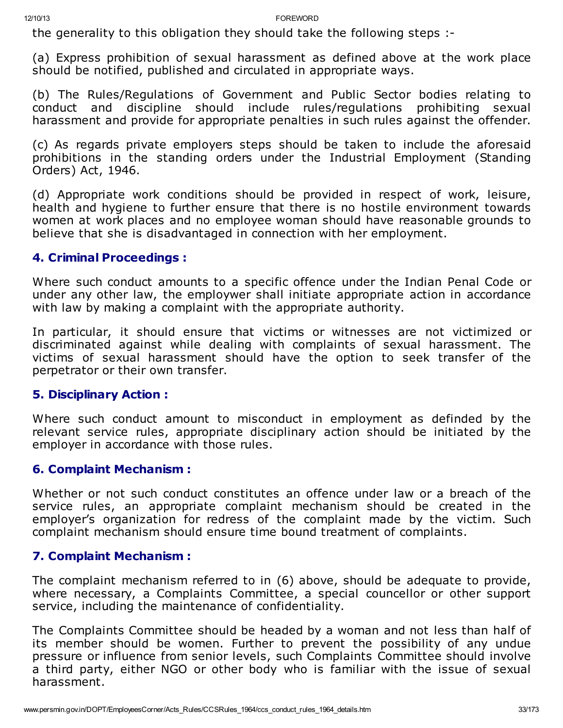the generality to this obligation they should take the following steps :-

(a) Express prohibition of sexual harassment as defined above at the work place should be notified, published and circulated in appropriate ways.

(b) The Rules/Regulations of Government and Public Sector bodies relating to conduct and discipline should include rules/regulations prohibiting sexual harassment and provide for appropriate penalties in such rules against the offender.

(c) As regards private employers steps should be taken to include the aforesaid prohibitions in the standing orders under the Industrial Employment (Standing Orders) Act, 1946.

(d) Appropriate work conditions should be provided in respect of work, leisure, health and hygiene to further ensure that there is no hostile environment towards women at work places and no employee woman should have reasonable grounds to believe that she is disadvantaged in connection with her employment.

# 4. Criminal Proceedings :

Where such conduct amounts to a specific offence under the Indian Penal Code or under any other law, the employwer shall initiate appropriate action in accordance with law by making a complaint with the appropriate authority.

In particular, it should ensure that victims or witnesses are not victimized or discriminated against while dealing with complaints of sexual harassment. The victims of sexual harassment should have the option to seek transfer of the perpetrator or their own transfer.

# 5. Disciplinary Action :

Where such conduct amount to misconduct in employment as definded by the relevant service rules, appropriate disciplinary action should be initiated by the employer in accordance with those rules.

# 6. Complaint Mechanism :

Whether or not such conduct constitutes an offence under law or a breach of the service rules, an appropriate complaint mechanism should be created in the employer's organization for redress of the complaint made by the victim. Such complaint mechanism should ensure time bound treatment of complaints.

# 7. Complaint Mechanism :

The complaint mechanism referred to in (6) above, should be adequate to provide, where necessary, a Complaints Committee, a special councellor or other support service, including the maintenance of confidentiality.

The Complaints Committee should be headed by a woman and not less than half of its member should be women. Further to prevent the possibility of any undue pressure or influence from senior levels, such Complaints Committee should involve a third party, either NGO or other body who is familiar with the issue of sexual harassment.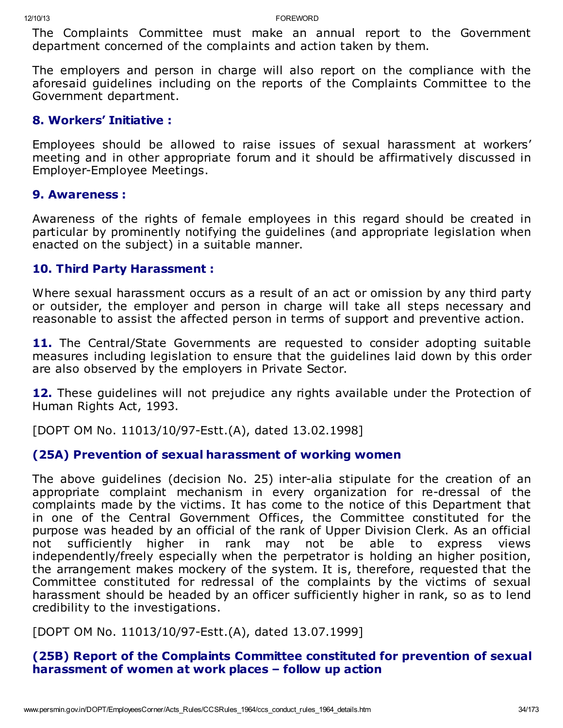The Complaints Committee must make an annual report to the Government department concerned of the complaints and action taken by them.

The employers and person in charge will also report on the compliance with the aforesaid guidelines including on the reports of the Complaints Committee to the Government department.

#### 8. Workers' Initiative :

Employees should be allowed to raise issues of sexual harassment at workers' meeting and in other appropriate forum and it should be affirmatively discussed in Employer-Employee Meetings.

## 9. Awareness :

Awareness of the rights of female employees in this regard should be created in particular by prominently notifying the guidelines (and appropriate legislation when enacted on the subject) in a suitable manner.

# 10. Third Party Harassment :

Where sexual harassment occurs as a result of an act or omission by any third party or outsider, the employer and person in charge will take all steps necessary and reasonable to assist the affected person in terms of support and preventive action.

**11.** The Central/State Governments are requested to consider adopting suitable measures including legislation to ensure that the guidelines laid down by this order are also observed by the employers in Private Sector.

**12.** These guidelines will not prejudice any rights available under the Protection of Human Rights Act, 1993.

[DOPT OM No. 11013/10/97-Estt.(A), dated 13.02.1998]

# (25A) Prevention of sexual harassment of working women

The above guidelines (decision No. 25) inter-alia stipulate for the creation of an appropriate complaint mechanism in every organization for re-dressal of the complaints made by the victims. It has come to the notice of this Department that in one of the Central Government Offices, the Committee constituted for the purpose was headed by an official of the rank of Upper Division Clerk. As an official not sufficiently higher in rank may not be able to express views independently/freely especially when the perpetrator is holding an higher position, the arrangement makes mockery of the system. It is, therefore, requested that the Committee constituted for redressal of the complaints by the victims of sexual harassment should be headed by an officer sufficiently higher in rank, so as to lend credibility to the investigations.

[DOPT OM No. 11013/10/97-Estt.(A), dated 13.07.1999]

## (25B) Report of the Complaints Committee constituted for prevention of sexual harassment of women at work places – follow up action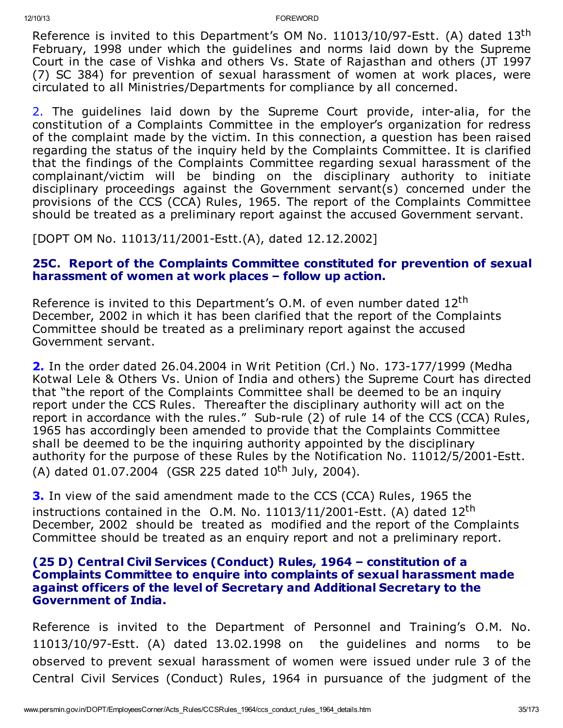Reference is invited to this Department's OM No. 11013/10/97-Estt. (A) dated 13<sup>th</sup> February, 1998 under which the guidelines and norms laid down by the Supreme Court in the case of Vishka and others Vs. State of Rajasthan and others (JT 1997 (7) SC 384) for prevention of sexual harassment of women at work places, were circulated to all Ministries/Departments for compliance by all concerned.

2. The quidelines laid down by the Supreme Court provide, inter-alia, for the constitution of a Complaints Committee in the employer's organization for redress of the complaint made by the victim. In this connection, a question has been raised regarding the status of the inquiry held by the Complaints Committee. It is clarified that the findings of the Complaints Committee regarding sexual harassment of the complainant/victim will be binding on the disciplinary authority to initiate disciplinary proceedings against the Government servant(s) concerned under the provisions of the CCS (CCA) Rules, 1965. The report of the Complaints Committee should be treated as a preliminary report against the accused Government servant.

[DOPT OM No. 11013/11/2001-Estt.(A), dated 12.12.2002]

## 25C. Report of the Complaints Committee constituted for prevention of sexual harassment of women at work places – follow up action.

Reference is invited to this Department's O.M. of even number dated 12<sup>th</sup> December, 2002 in which it has been clarified that the report of the Complaints Committee should be treated as a preliminary report against the accused Government servant.

**2.** In the order dated 26.04.2004 in Writ Petition (Crl.) No. 173-177/1999 (Medha Kotwal Lele & Others Vs. Union of India and others) the Supreme Court has directed that "the report of the Complaints Committee shall be deemed to be an inquiry report under the CCS Rules. Thereafter the disciplinary authority will act on the report in accordance with the rules." Sub-rule (2) of rule 14 of the CCS (CCA) Rules, 1965 has accordingly been amended to provide that the Complaints Committee shall be deemed to be the inquiring authority appointed by the disciplinary authority for the purpose of these Rules by the Notification No. 11012/5/2001-Estt. (A) dated 01.07.2004 (GSR 225 dated  $10^{th}$  July, 2004).

**3.** In view of the said amendment made to the CCS (CCA) Rules, 1965 the instructions contained in the  $O.M.$  No. 11013/11/2001-Estt. (A) dated  $12<sup>th</sup>$ December, 2002 should be treated as modified and the report of the Complaints Committee should be treated as an enquiry report and not a preliminary report.

#### (25 D) Central Civil Services (Conduct) Rules, 1964 – constitution of a Complaints Committee to enquire into complaints of sexual harassment made against officers of the level of Secretary and Additional Secretary to the Government of India.

Reference is invited to the Department of Personnel and Training's O.M. No. 11013/10/97-Estt. (A) dated 13.02.1998 on the guidelines and norms to be observed to prevent sexual harassment of women were issued under rule 3 of the Central Civil Services (Conduct) Rules, 1964 in pursuance of the judgment of the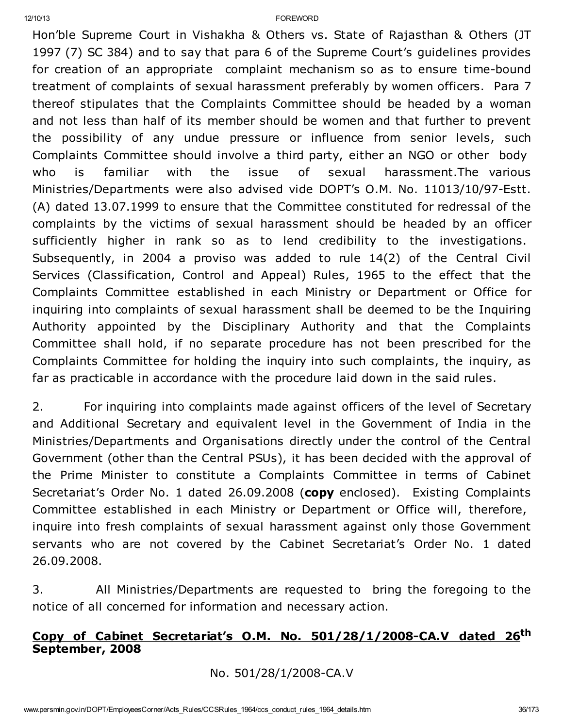Hon'ble Supreme Court in Vishakha & Others vs. State of Rajasthan & Others (JT 1997 (7) SC 384) and to say that para 6 of the Supreme Court's guidelines provides for creation of an appropriate complaint mechanism so as to ensure time-bound treatment of complaints of sexual harassment preferably by women officers. Para 7 thereof stipulates that the Complaints Committee should be headed by a woman and not less than half of its member should be women and that further to prevent the possibility of any undue pressure or influence from senior levels, such Complaints Committee should involve a third party, either an NGO or other body who is familiar with the issue of sexual harassment.The various Ministries/Departments were also advised vide DOPT's O.M. No. 11013/10/97-Estt. (A) dated 13.07.1999 to ensure that the Committee constituted for redressal of the complaints by the victims of sexual harassment should be headed by an officer sufficiently higher in rank so as to lend credibility to the investigations. Subsequently, in 2004 a proviso was added to rule 14(2) of the Central Civil Services (Classification, Control and Appeal) Rules, 1965 to the effect that the Complaints Committee established in each Ministry or Department or Office for inquiring into complaints of sexual harassment shall be deemed to be the Inquiring Authority appointed by the Disciplinary Authority and that the Complaints Committee shall hold, if no separate procedure has not been prescribed for the Complaints Committee for holding the inquiry into such complaints, the inquiry, as far as practicable in accordance with the procedure laid down in the said rules.

2. For inquiring into complaints made against officers of the level of Secretary and Additional Secretary and equivalent level in the Government of India in the Ministries/Departments and Organisations directly under the control of the Central Government (other than the Central PSUs), it has been decided with the approval of the Prime Minister to constitute a Complaints Committee in terms of Cabinet Secretariat's Order No. 1 dated 26.09.2008 (copy enclosed). Existing Complaints Committee established in each Ministry or Department or Office will, therefore, inquire into fresh complaints of sexual harassment against only those Government servants who are not covered by the Cabinet Secretariat's Order No. 1 dated 26.09.2008.

3. All Ministries/Departments are requested to bring the foregoing to the notice of all concerned for information and necessary action.

# Copy of Cabinet Secretariat's O.M. No. 501/28/1/2008-CA.V dated 26<sup>th</sup> September, 2008

No. 501/28/1/2008-CA.V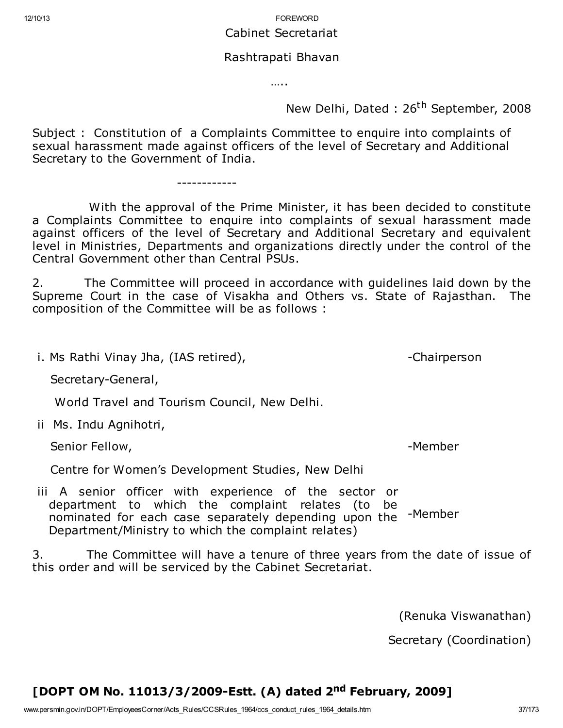#### Cabinet Secretariat

#### Rashtrapati Bhavan

……

New Delhi, Dated: 26<sup>th</sup> September, 2008

Subject : Constitution of a Complaints Committee to enquire into complaints of sexual harassment made against officers of the level of Secretary and Additional Secretary to the Government of India.

With the approval of the Prime Minister, it has been decided to constitute a Complaints Committee to enquire into complaints of sexual harassment made against officers of the level of Secretary and Additional Secretary and equivalent level in Ministries, Departments and organizations directly under the control of the Central Government other than Central PSUs.

2. The Committee will proceed in accordance with guidelines laid down by the Supreme Court in the case of Visakha and Others vs. State of Rajasthan. The composition of the Committee will be as follows :

i. Ms Rathi Vinay Jha, (IAS retired),

-Chairperson

Secretary-General,

World Travel and Tourism Council, New Delhi.

ii Ms. Indu Agnihotri,

Senior Fellow,

-Member

Centre for Women's Development Studies, New Delhi

------------

iii A senior officer with experience of the sector or department to which the complaint relates (to be nominated for each case separately depending upon the Department/Ministry to which the complaint relates) -Member

3. The Committee will have a tenure of three years from the date of issue of this order and will be serviced by the Cabinet Secretariat.

(Renuka Viswanathan)

Secretary (Coordination)

# [DOPT OM No. 11013/3/2009-Estt. (A) dated 2<sup>nd</sup> February, 2009]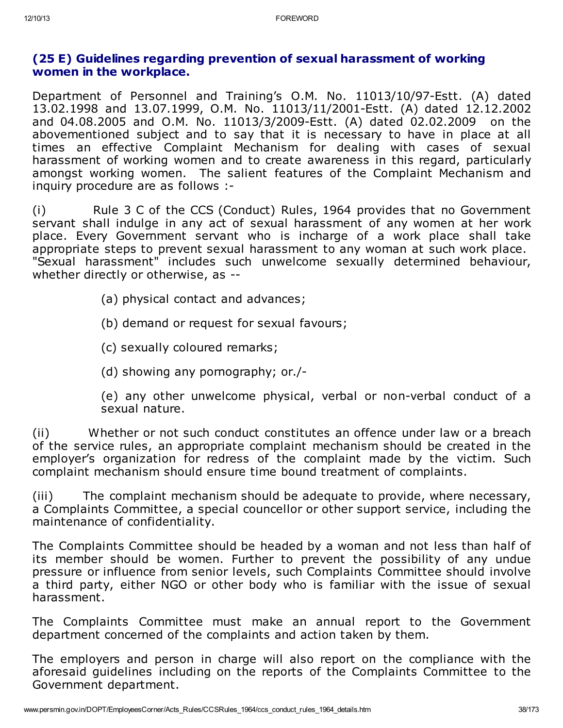#### (25 E) Guidelines regarding prevention of sexual harassment of working women in the workplace.

Department of Personnel and Training's O.M. No. 11013/10/97-Estt. (A) dated 13.02.1998 and 13.07.1999, O.M. No. 11013/11/2001-Estt. (A) dated 12.12.2002 and 04.08.2005 and O.M. No. 11013/3/2009-Estt. (A) dated 02.02.2009 on the abovementioned subject and to say that it is necessary to have in place at all times an effective Complaint Mechanism for dealing with cases of sexual harassment of working women and to create awareness in this regard, particularly amongst working women. The salient features of the Complaint Mechanism and inquiry procedure are as follows :-

(i) Rule 3 C of the CCS (Conduct) Rules, 1964 provides that no Government servant shall indulge in any act of sexual harassment of any women at her work place. Every Government servant who is incharge of a work place shall take appropriate steps to prevent sexual harassment to any woman at such work place. "Sexual harassment" includes such unwelcome sexually determined behaviour, whether directly or otherwise, as --

- (a) physical contact and advances;
- (b) demand or request for sexual favours;
- (c) sexually coloured remarks;
- (d) showing any pornography; or./-

(e) any other unwelcome physical, verbal or non-verbal conduct of a sexual nature.

(ii) Whether or not such conduct constitutes an offence under law or a breach of the service rules, an appropriate complaint mechanism should be created in the employer's organization for redress of the complaint made by the victim. Such complaint mechanism should ensure time bound treatment of complaints.

(iii) The complaint mechanism should be adequate to provide, where necessary, a Complaints Committee, a special councellor or other support service, including the maintenance of confidentiality.

The Complaints Committee should be headed by a woman and not less than half of its member should be women. Further to prevent the possibility of any undue pressure or influence from senior levels, such Complaints Committee should involve a third party, either NGO or other body who is familiar with the issue of sexual harassment.

The Complaints Committee must make an annual report to the Government department concerned of the complaints and action taken by them.

The employers and person in charge will also report on the compliance with the aforesaid guidelines including on the reports of the Complaints Committee to the Government department.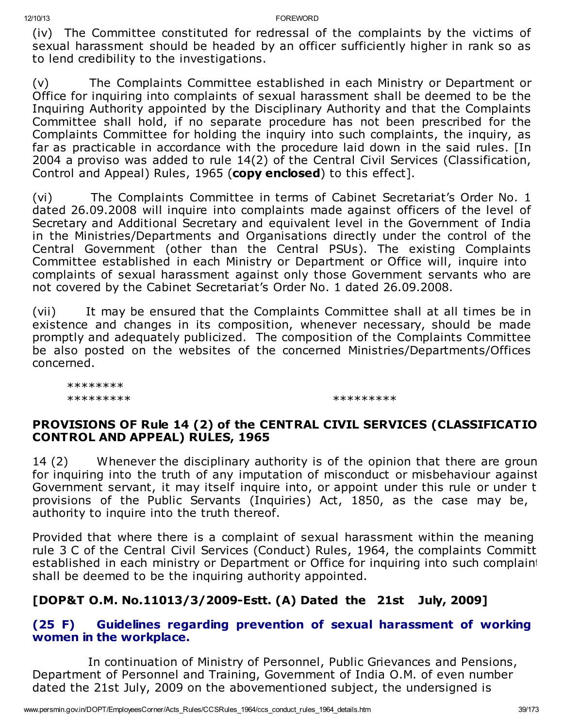(iv) The Committee constituted for redressal of the complaints by the victims of sexual harassment should be headed by an officer sufficiently higher in rank so as to lend credibility to the investigations.

(v) The Complaints Committee established in each Ministry or Department or Office for inquiring into complaints of sexual harassment shall be deemed to be the Inquiring Authority appointed by the Disciplinary Authority and that the Complaints Committee shall hold, if no separate procedure has not been prescribed for the Complaints Committee for holding the inquiry into such complaints, the inquiry, as far as practicable in accordance with the procedure laid down in the said rules. [In 2004 a proviso was added to rule 14(2) of the Central Civil Services (Classification, Control and Appeal) Rules, 1965 (copy enclosed) to this effect].

(vi) The Complaints Committee in terms of Cabinet Secretariat's Order No. 1 dated 26.09.2008 will inquire into complaints made against officers of the level of Secretary and Additional Secretary and equivalent level in the Government of India in the Ministries/Departments and Organisations directly under the control of the Central Government (other than the Central PSUs). The existing Complaints Committee established in each Ministry or Department or Office will, inquire into complaints of sexual harassment against only those Government servants who are not covered by the Cabinet Secretariat's Order No. 1 dated 26.09.2008.

(vii) It may be ensured that the Complaints Committee shall at all times be in existence and changes in its composition, whenever necessary, should be made promptly and adequately publicized. The composition of the Complaints Committee be also posted on the websites of the concerned Ministries/Departments/Offices concerned.

\*\*\*\*\*\*\*\* \*\*\*\*\*\*\*\*\* \*\*\*\*\*\*\*\*\*

#### PROVISIONS OF Rule 14 (2) of the CENTRAL CIVIL SERVICES (CLASSIFICATIO CONTROL AND APPEAL) RULES, 1965

 $14$  (2) Whenever the disciplinary authority is of the opinion that there are groun for inquiring into the truth of any imputation of misconduct or misbehaviour against Government servant, it may itself inquire into, or appoint under this rule or under t provisions of the Public Servants (Inquiries) Act, 1850, as the case may be, authority to inquire into the truth thereof.

Provided that where there is a complaint of sexual harassment within the meaning rule 3 C of the Central Civil Services (Conduct) Rules, 1964, the complaints Committ established in each ministry or Department or Office for inquiring into such complaint shall be deemed to be the inquiring authority appointed.

## [DOP&T O.M. No.11013/3/2009-Estt. (A) Dated the 21st July, 2009]

#### (25 F) Guidelines regarding prevention of sexual harassment of working women in the workplace.

In continuation of Ministry of Personnel, Public Grievances and Pensions, Department of Personnel and Training, Government of India O.M. of even number dated the 21st July, 2009 on the abovementioned subject, the undersigned is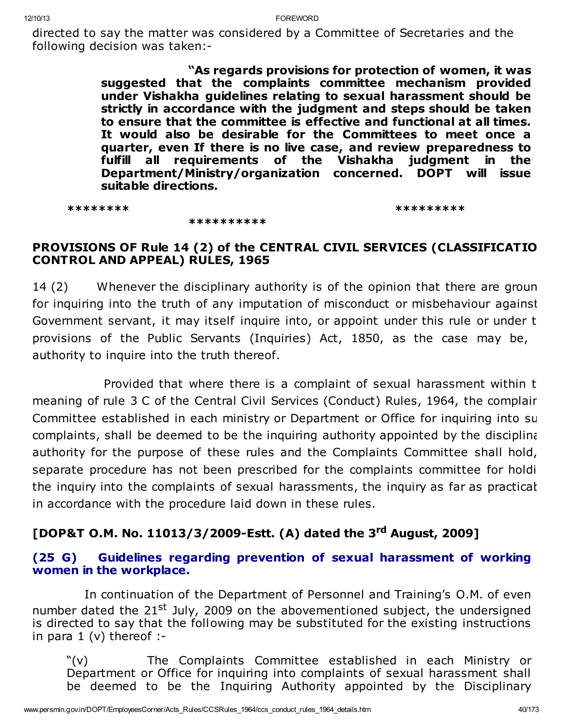directed to say the matter was considered by a Committee of Secretaries and the following decision was taken:-

> "As regards provisions for protection of women, it was suggested that the complaints committee mechanism provided under Vishakha guidelines relating to sexual harassment should be strictly in accordance with the judgment and steps should be taken to ensure that the committee is effective and functional at all times. It would also be desirable for the Committees to meet once a quarter, even If there is no live case, and review preparedness to fulfill all requirements of the Vishakha judgment in the Department/Ministry/organization concerned. DOPT will issue suitable directions.

\*\*\*\*\*\*\*\* \*\*\*\*\*\*\*\*\*

#### PROVISIONS OF Rule 14 (2) of the CENTRAL CIVIL SERVICES (CLASSIFICATIO CONTROL AND APPEAL) RULES, 1965

\*\*\*\*\*\*\*\*\*\*

14 (2) Whenever the disciplinary authority is of the opinion that there are groun for inquiring into the truth of any imputation of misconduct or misbehaviour against Government servant, it may itself inquire into, or appoint under this rule or under t provisions of the Public Servants (Inquiries) Act, 1850, as the case may be, authority to inquire into the truth thereof.

Provided that where there is a complaint of sexual harassment within the meaning of rule 3 C of the Central Civil Services (Conduct) Rules, 1964, the complair Committee established in each ministry or Department or Office for inquiring into su complaints, shall be deemed to be the inquiring authority appointed by the disciplinary authority for the purpose of these rules and the Complaints Committee shall hold, separate procedure has not been prescribed for the complaints committee for holdi the inquiry into the complaints of sexual harassments, the inquiry as far as practical in accordance with the procedure laid down in these rules.

# [DOP&T O.M. No. 11013/3/2009-Estt. (A) dated the 3<sup>rd</sup> August, 2009]

## (25 G) Guidelines regarding prevention of sexual harassment of working women in the workplace.

In continuation of the Department of Personnel and Training's O.M. of even number dated the 21<sup>st</sup> July, 2009 on the abovementioned subject, the undersigned is directed to say that the following may be substituted for the existing instructions in para  $1 (v)$  thereof :-

"(v) The Complaints Committee established in each Ministry or Department or Office for inquiring into complaints of sexual harassment shall be deemed to be the Inquiring Authority appointed by the Disciplinary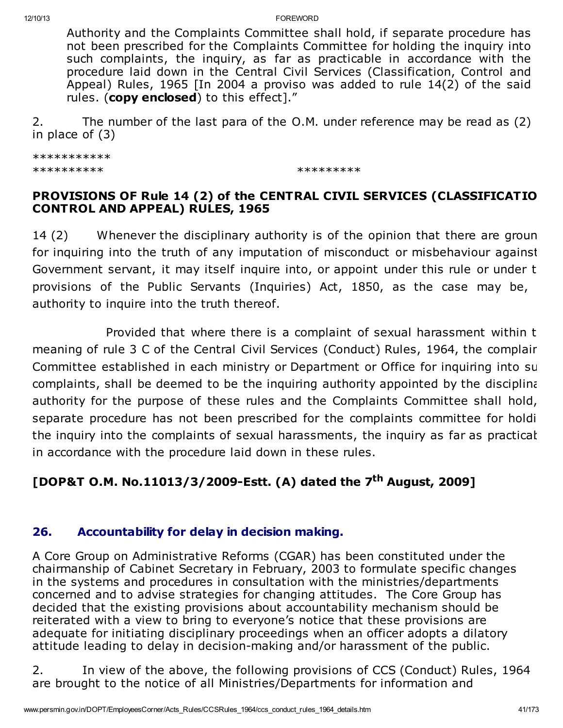Authority and the Complaints Committee shall hold, if separate procedure has not been prescribed for the Complaints Committee for holding the inquiry into such complaints, the inquiry, as far as practicable in accordance with the procedure laid down in the Central Civil Services (Classification, Control and Appeal) Rules, 1965 [In 2004 a proviso was added to rule 14(2) of the said rules. (copy enclosed) to this effect]."

2. The number of the last para of the O.M. under reference may be read as (2) in place of (3)

\*\*\*\*\*\*\*\*\*\*\* \*\*\*\*\*\*\*\*\*\* \*\*\*\*\*\*\*\*\*

## PROVISIONS OF Rule 14 (2) of the CENTRAL CIVIL SERVICES (CLASSIFICATIO CONTROL AND APPEAL) RULES, 1965

 $14$  (2) Whenever the disciplinary authority is of the opinion that there are groun for inquiring into the truth of any imputation of misconduct or misbehaviour against Government servant, it may itself inquire into, or appoint under this rule or under t provisions of the Public Servants (Inquiries) Act, 1850, as the case may be, authority to inquire into the truth thereof.

Provided that where there is a complaint of sexual harassment within the meaning of rule 3 C of the Central Civil Services (Conduct) Rules, 1964, the complair Committee established in each ministry or Department or Office for inquiring into su complaints, shall be deemed to be the inquiring authority appointed by the disciplinary authority for the purpose of these rules and the Complaints Committee shall hold, separate procedure has not been prescribed for the complaints committee for holdi the inquiry into the complaints of sexual harassments, the inquiry as far as practical in accordance with the procedure laid down in these rules.

## [DOP&T O.M. No.11013/3/2009-Estt. (A) dated the  $7<sup>th</sup>$  August, 2009]

## 26. Accountability for delay in decision making.

A Core Group on Administrative Reforms (CGAR) has been constituted under the chairmanship of Cabinet Secretary in February, 2003 to formulate specific changes in the systems and procedures in consultation with the ministries/departments concerned and to advise strategies for changing attitudes. The Core Group has decided that the existing provisions about accountability mechanism should be reiterated with a view to bring to everyone's notice that these provisions are adequate for initiating disciplinary proceedings when an officer adopts a dilatory attitude leading to delay in decision-making and/or harassment of the public.

2. In view of the above, the following provisions of CCS (Conduct) Rules, 1964 are brought to the notice of all Ministries/Departments for information and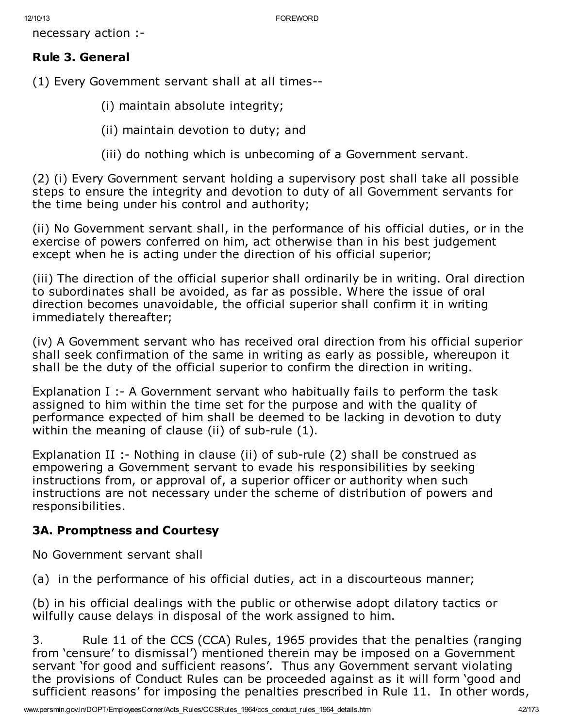necessary action :-

## Rule 3. General

(1) Every Government servant shall at all times--

- (i) maintain absolute integrity;
- (ii) maintain devotion to duty; and
- (iii) do nothing which is unbecoming of a Government servant.

(2) (i) Every Government servant holding a supervisory post shall take all possible steps to ensure the integrity and devotion to duty of all Government servants for the time being under his control and authority;

(ii) No Government servant shall, in the performance of his official duties, or in the exercise of powers conferred on him, act otherwise than in his best judgement except when he is acting under the direction of his official superior;

(iii) The direction of the official superior shall ordinarily be in writing. Oral direction to subordinates shall be avoided, as far as possible. Where the issue of oral direction becomes unavoidable, the official superior shall confirm it in writing immediately thereafter;

(iv) A Government servant who has received oral direction from his official superior shall seek confirmation of the same in writing as early as possible, whereupon it shall be the duty of the official superior to confirm the direction in writing.

Explanation I :- A Government servant who habitually fails to perform the task assigned to him within the time set for the purpose and with the quality of performance expected of him shall be deemed to be lacking in devotion to duty within the meaning of clause (ii) of sub-rule (1).

Explanation II :- Nothing in clause (ii) of sub-rule (2) shall be construed as empowering a Government servant to evade his responsibilities by seeking instructions from, or approval of, a superior officer or authority when such instructions are not necessary under the scheme of distribution of powers and responsibilities.

## 3A. Promptness and Courtesy

No Government servant shall

(a) in the performance of his official duties, act in a discourteous manner;

(b) in his official dealings with the public or otherwise adopt dilatory tactics or wilfully cause delays in disposal of the work assigned to him.

3. Rule 11 of the CCS (CCA) Rules, 1965 provides that the penalties (ranging from 'censure' to dismissal') mentioned therein may be imposed on a Government servant 'for good and sufficient reasons'. Thus any Government servant violating the provisions of Conduct Rules can be proceeded against as it will form 'good and sufficient reasons' for imposing the penalties prescribed in Rule 11. In other words,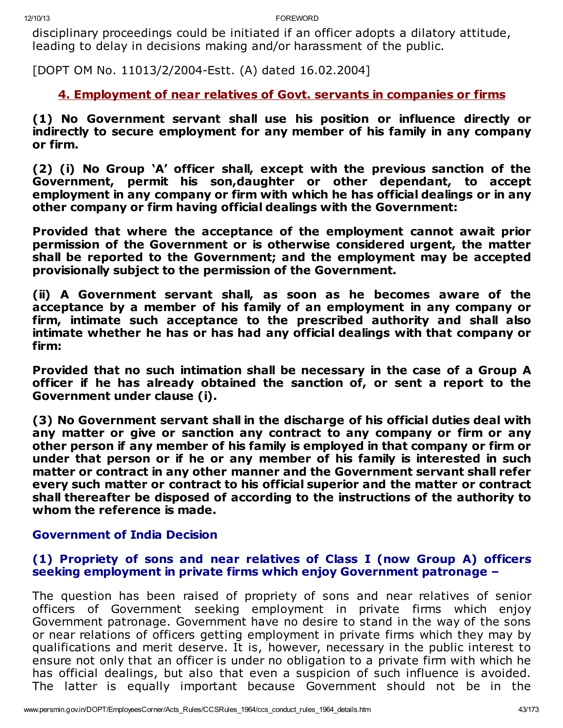disciplinary proceedings could be initiated if an officer adopts a dilatory attitude, leading to delay in decisions making and/or harassment of the public.

[DOPT OM No. 11013/2/2004-Estt. (A) dated 16.02.2004]

4. Employment of near relatives of Govt. servants in companies or firms

(1) No Government servant shall use his position or influence directly or indirectly to secure employment for any member of his family in any company or firm.

(2) (i) No Group 'A' officer shall, except with the previous sanction of the Government, permit his son,daughter or other dependant, to accept employment in any company or firm with which he has official dealings or in any other company or firm having official dealings with the Government:

Provided that where the acceptance of the employment cannot await prior permission of the Government or is otherwise considered urgent, the matter shall be reported to the Government; and the employment may be accepted provisionally subject to the permission of the Government.

(ii) A Government servant shall, as soon as he becomes aware of the acceptance by a member of his family of an employment in any company or firm, intimate such acceptance to the prescribed authority and shall also intimate whether he has or has had any official dealings with that company or firm:

Provided that no such intimation shall be necessary in the case of a Group A officer if he has already obtained the sanction of, or sent a report to the Government under clause (i).

(3) No Government servant shall in the discharge of his official duties deal with any matter or give or sanction any contract to any company or firm or any other person if any member of his family is employed in that company or firm or under that person or if he or any member of his family is interested in such matter or contract in any other manner and the Government servant shall refer every such matter or contract to his official superior and the matter or contract shall thereafter be disposed of according to the instructions of the authority to whom the reference is made.

#### Government of India Decision

#### (1) Propriety of sons and near relatives of Class I (now Group A) officers seeking employment in private firms which enjoy Government patronage –

The question has been raised of propriety of sons and near relatives of senior officers of Government seeking employment in private firms which enjoy Government patronage. Government have no desire to stand in the way of the sons or near relations of officers getting employment in private firms which they may by qualifications and merit deserve. It is, however, necessary in the public interest to ensure not only that an officer is under no obligation to a private firm with which he has official dealings, but also that even a suspicion of such influence is avoided. The latter is equally important because Government should not be in the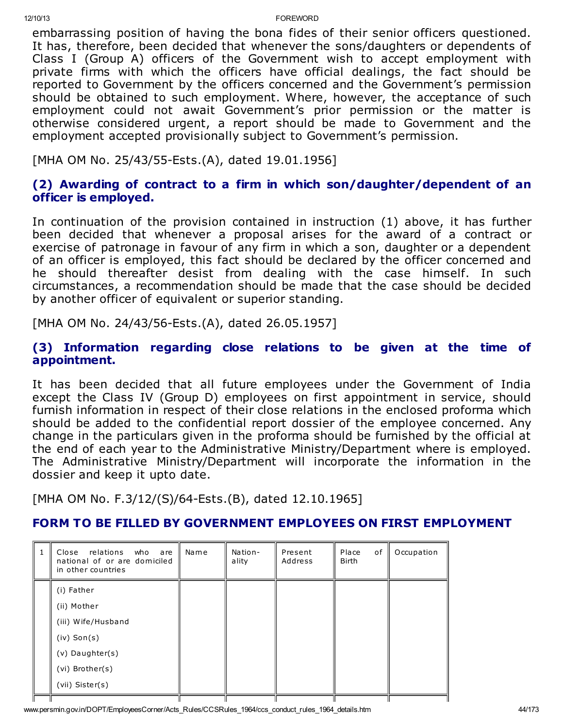embarrassing position of having the bona fides of their senior officers questioned. It has, therefore, been decided that whenever the sons/daughters or dependents of Class I (Group A) officers of the Government wish to accept employment with private firms with which the officers have official dealings, the fact should be reported to Government by the officers concerned and the Government's permission should be obtained to such employment. Where, however, the acceptance of such employment could not await Government's prior permission or the matter is otherwise considered urgent, a report should be made to Government and the employment accepted provisionally subject to Government's permission.

[MHA OM No. 25/43/55-Ests.(A), dated 19.01.1956]

#### (2) Awarding of contract to a firm in which son/daughter/dependent of an officer is employed.

In continuation of the provision contained in instruction (1) above, it has further been decided that whenever a proposal arises for the award of a contract or exercise of patronage in favour of any firm in which a son, daughter or a dependent of an officer is employed, this fact should be declared by the officer concerned and he should thereafter desist from dealing with the case himself. In such circumstances, a recommendation should be made that the case should be decided by another officer of equivalent or superior standing.

[MHA OM No. 24/43/56-Ests.(A), dated 26.05.1957]

## (3) Information regarding close relations to be given at the time of appointment.

It has been decided that all future employees under the Government of India except the Class IV (Group D) employees on first appointment in service, should furnish information in respect of their close relations in the enclosed proforma which should be added to the confidential report dossier of the employee concerned. Any change in the particulars given in the proforma should be furnished by the official at the end of each year to the Administrative Ministry/Department where is employed. The Administrative Ministry/Department will incorporate the information in the dossier and keep it upto date.

[MHA OM No. F.3/12/(S)/64-Ests.(B), dated 12.10.1965]

## FORM TO BE FILLED BY GOVERNMENT EMPLOYEES ON FIRST EMPLOYMENT

| $\mathbf{1}$ | relations<br>who<br>Close<br>are<br>national of or are domiciled<br>in other countries                                       | Name | Nation-<br>ality | Present<br>Address | of<br>Place<br><b>Birth</b> | Occupation |
|--------------|------------------------------------------------------------------------------------------------------------------------------|------|------------------|--------------------|-----------------------------|------------|
|              | (i) Father<br>(ii) Mother<br>(iii) Wife/Husband<br>$(iv)$ Son $(s)$<br>(v) Daughter(s)<br>(vi) Brother(s)<br>(vii) Sister(s) |      |                  |                    |                             |            |
|              |                                                                                                                              |      |                  |                    |                             |            |

www.persmin.gov.in/DOPT/EmployeesCorner/Acts\_Rules/CCSRules\_1964/ccs\_conduct\_rules\_1964\_details.htm 44/173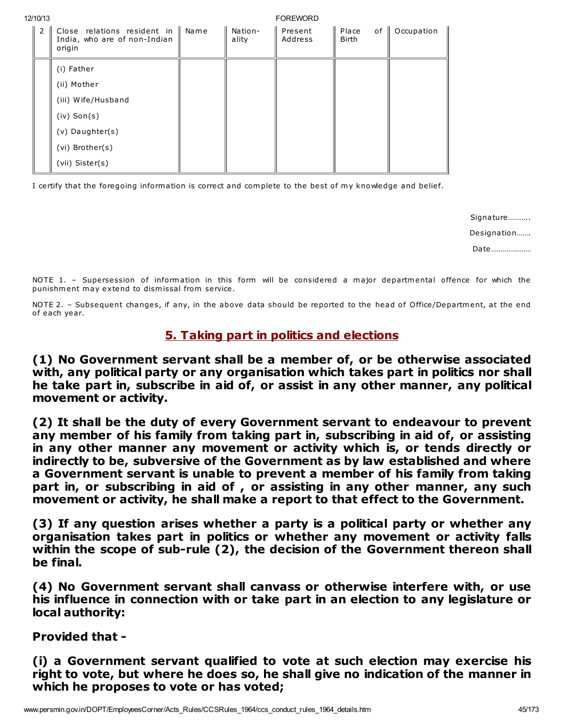| 12/10/13 |                       |                                                                              |  |                  | <b>FOREWORD</b>    |                      |                        |  |
|----------|-----------------------|------------------------------------------------------------------------------|--|------------------|--------------------|----------------------|------------------------|--|
|          | $\mathbf{2}^{\prime}$ | Close relations resident in I Name<br>India, who are of non-Indian<br>origin |  | Nation-<br>ality | Present<br>Address | Place<br>of<br>Birth | $\parallel$ Occupation |  |
|          |                       | (i) Father                                                                   |  |                  |                    |                      |                        |  |
|          |                       | (ii) Mother                                                                  |  |                  |                    |                      |                        |  |
|          |                       | (iii) Wife/Husband                                                           |  |                  |                    |                      |                        |  |
|          |                       | (iv) Son(s)                                                                  |  |                  |                    |                      |                        |  |
|          |                       | (v) Daughter(s)                                                              |  |                  |                    |                      |                        |  |
|          |                       | (vi) Brother(s)                                                              |  |                  |                    |                      |                        |  |
|          |                       | (vii) Sister(s)                                                              |  |                  |                    |                      |                        |  |

I certify that the foregoing information is correct and complete to the best of my knowledge and belief.

Signature……….. Designation……. Date…………………

NOTE 1. – Supersession of information in this form will be considered a major departmental offence for which the punishment may extend to dismissal from service.

NOTE 2. – Subsequent changes, if any, in the above data should be reported to the head of Office/Department, at the end of each year.

#### 5. Taking part in politics and elections

(1) No Government servant shall be a member of, or be otherwise associated with, any political party or any organisation which takes part in politics nor shall he take part in, subscribe in aid of, or assist in any other manner, any political movement or activity.

(2) It shall be the duty of every Government servant to endeavour to prevent any member of his family from taking part in, subscribing in aid of, or assisting in any other manner any movement or activity which is, or tends directly or indirectly to be, subversive of the Government as by law established and where a Government servant is unable to prevent a member of his family from taking part in, or subscribing in aid of , or assisting in any other manner, any such movement or activity, he shall make a report to that effect to the Government.

(3) If any question arises whether a party is a political party or whether any organisation takes part in politics or whether any movement or activity falls within the scope of sub-rule (2), the decision of the Government thereon shall be final.

(4) No Government servant shall canvass or otherwise interfere with, or use his influence in connection with or take part in an election to any legislature or local authority:

#### Provided that -

(i) a Government servant qualified to vote at such election may exercise his right to vote, but where he does so, he shall give no indication of the manner in which he proposes to vote or has voted;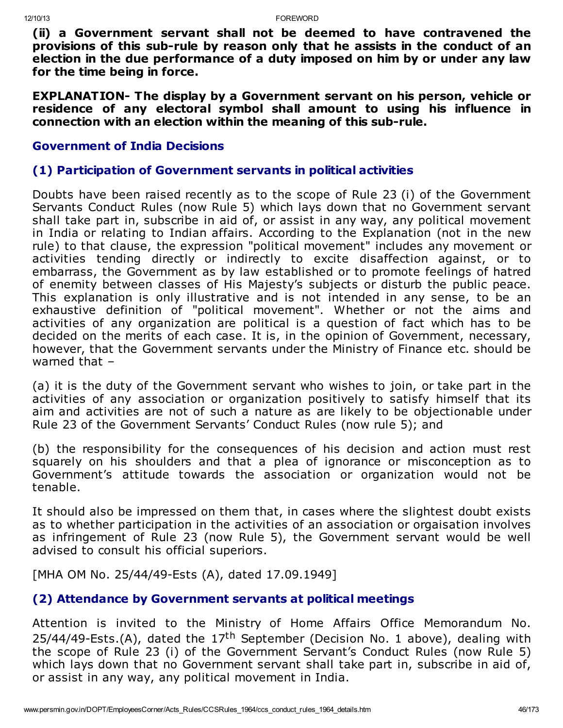(ii) a Government servant shall not be deemed to have contravened the provisions of this sub-rule by reason only that he assists in the conduct of an election in the due performance of a duty imposed on him by or under any law for the time being in force.

EXPLANATION- The display by a Government servant on his person, vehicle or residence of any electoral symbol shall amount to using his influence in connection with an election within the meaning of this sub-rule.

#### Government of India Decisions

#### (1) Participation of Government servants in political activities

Doubts have been raised recently as to the scope of Rule 23 (i) of the Government Servants Conduct Rules (now Rule 5) which lays down that no Government servant shall take part in, subscribe in aid of, or assist in any way, any political movement in India or relating to Indian affairs. According to the Explanation (not in the new rule) to that clause, the expression "political movement" includes any movement or activities tending directly or indirectly to excite disaffection against, or to embarrass, the Government as by law established or to promote feelings of hatred of enemity between classes of His Majesty's subjects or disturb the public peace. This explanation is only illustrative and is not intended in any sense, to be an exhaustive definition of "political movement". Whether or not the aims and activities of any organization are political is a question of fact which has to be decided on the merits of each case. It is, in the opinion of Government, necessary, however, that the Government servants under the Ministry of Finance etc. should be warned that –

(a) it is the duty of the Government servant who wishes to join, or take part in the activities of any association or organization positively to satisfy himself that its aim and activities are not of such a nature as are likely to be objectionable under Rule 23 of the Government Servants' Conduct Rules (now rule 5); and

(b) the responsibility for the consequences of his decision and action must rest squarely on his shoulders and that a plea of ignorance or misconception as to Government's attitude towards the association or organization would not be tenable.

It should also be impressed on them that, in cases where the slightest doubt exists as to whether participation in the activities of an association or orgaisation involves as infringement of Rule 23 (now Rule 5), the Government servant would be well advised to consult his official superiors.

[MHA OM No. 25/44/49-Ests (A), dated 17.09.1949]

#### (2) Attendance by Government servants at political meetings

Attention is invited to the Ministry of Home Affairs Office Memorandum No. 25/44/49-Ests.(A), dated the 17<sup>th</sup> September (Decision No. 1 above), dealing with the scope of Rule 23 (i) of the Government Servant's Conduct Rules (now Rule 5) which lays down that no Government servant shall take part in, subscribe in aid of, or assist in any way, any political movement in India.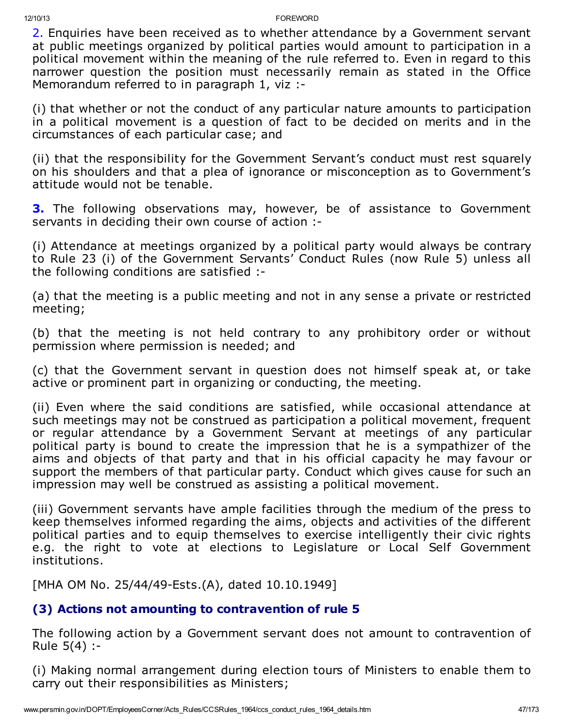2. Enquiries have been received as to whether attendance by a Government servant at public meetings organized by political parties would amount to participation in a political movement within the meaning of the rule referred to. Even in regard to this narrower question the position must necessarily remain as stated in the Office Memorandum referred to in paragraph 1, viz :-

(i) that whether or not the conduct of any particular nature amounts to participation in a political movement is a question of fact to be decided on merits and in the circumstances of each particular case; and

(ii) that the responsibility for the Government Servant's conduct must rest squarely on his shoulders and that a plea of ignorance or misconception as to Government's attitude would not be tenable.

**3.** The following observations may, however, be of assistance to Government servants in deciding their own course of action :-

(i) Attendance at meetings organized by a political party would always be contrary to Rule 23 (i) of the Government Servants' Conduct Rules (now Rule 5) unless all the following conditions are satisfied :-

(a) that the meeting is a public meeting and not in any sense a private or restricted meeting;

(b) that the meeting is not held contrary to any prohibitory order or without permission where permission is needed; and

(c) that the Government servant in question does not himself speak at, or take active or prominent part in organizing or conducting, the meeting.

(ii) Even where the said conditions are satisfied, while occasional attendance at such meetings may not be construed as participation a political movement, frequent or regular attendance by a Government Servant at meetings of any particular political party is bound to create the impression that he is a sympathizer of the aims and objects of that party and that in his official capacity he may favour or support the members of that particular party. Conduct which gives cause for such an impression may well be construed as assisting a political movement.

(iii) Government servants have ample facilities through the medium of the press to keep themselves informed regarding the aims, objects and activities of the different political parties and to equip themselves to exercise intelligently their civic rights e.g. the right to vote at elections to Legislature or Local Self Government institutions.

[MHA OM No. 25/44/49-Ests.(A), dated 10.10.1949]

## (3) Actions not amounting to contravention of rule 5

The following action by a Government servant does not amount to contravention of Rule 5(4) :-

(i) Making normal arrangement during election tours of Ministers to enable them to carry out their responsibilities as Ministers;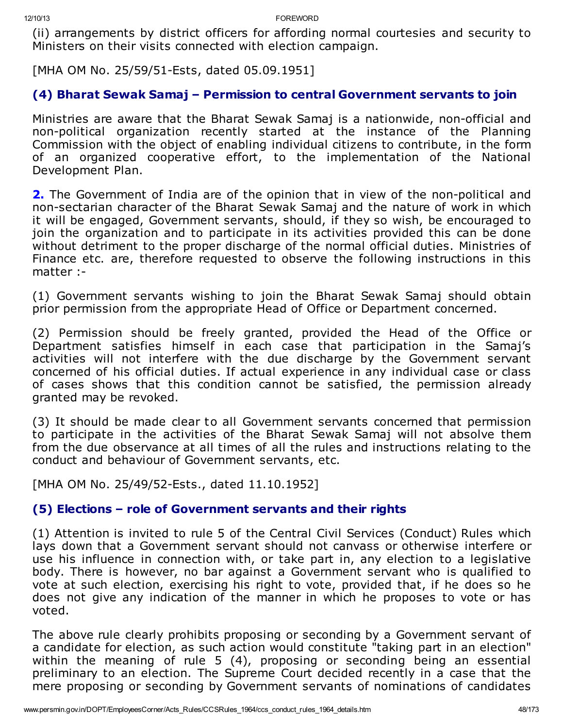(ii) arrangements by district officers for affording normal courtesies and security to Ministers on their visits connected with election campaign.

[MHA OM No. 25/59/51-Ests, dated 05.09.1951]

## (4) Bharat Sewak Samaj – Permission to central Government servants to join

Ministries are aware that the Bharat Sewak Samaj is a nationwide, non-official and non-political organization recently started at the instance of the Planning Commission with the object of enabling individual citizens to contribute, in the form of an organized cooperative effort, to the implementation of the National Development Plan.

2. The Government of India are of the opinion that in view of the non-political and non-sectarian character of the Bharat Sewak Samaj and the nature of work in which it will be engaged, Government servants, should, if they so wish, be encouraged to join the organization and to participate in its activities provided this can be done without detriment to the proper discharge of the normal official duties. Ministries of Finance etc. are, therefore requested to observe the following instructions in this matter :-

(1) Government servants wishing to join the Bharat Sewak Samaj should obtain prior permission from the appropriate Head of Office or Department concerned.

(2) Permission should be freely granted, provided the Head of the Office or Department satisfies himself in each case that participation in the Samaj's activities will not interfere with the due discharge by the Government servant concerned of his official duties. If actual experience in any individual case or class of cases shows that this condition cannot be satisfied, the permission already granted may be revoked.

(3) It should be made clear to all Government servants concerned that permission to participate in the activities of the Bharat Sewak Samaj will not absolve them from the due observance at all times of all the rules and instructions relating to the conduct and behaviour of Government servants, etc.

[MHA OM No. 25/49/52-Ests., dated 11.10.1952]

## (5) Elections – role of Government servants and their rights

(1) Attention is invited to rule 5 of the Central Civil Services (Conduct) Rules which lays down that a Government servant should not canvass or otherwise interfere or use his influence in connection with, or take part in, any election to a legislative body. There is however, no bar against a Government servant who is qualified to vote at such election, exercising his right to vote, provided that, if he does so he does not give any indication of the manner in which he proposes to vote or has voted.

The above rule clearly prohibits proposing or seconding by a Government servant of a candidate for election, as such action would constitute "taking part in an election" within the meaning of rule 5 (4), proposing or seconding being an essential preliminary to an election. The Supreme Court decided recently in a case that the mere proposing or seconding by Government servants of nominations of candidates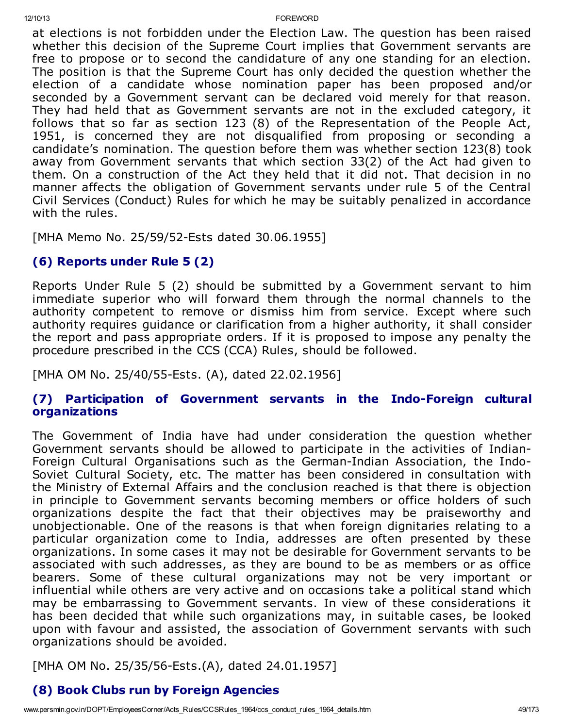at elections is not forbidden under the Election Law. The question has been raised whether this decision of the Supreme Court implies that Government servants are free to propose or to second the candidature of any one standing for an election. The position is that the Supreme Court has only decided the question whether the election of a candidate whose nomination paper has been proposed and/or seconded by a Government servant can be declared void merely for that reason. They had held that as Government servants are not in the excluded category, it follows that so far as section 123 (8) of the Representation of the People Act, 1951, is concerned they are not disqualified from proposing or seconding a candidate's nomination. The question before them was whether section 123(8) took away from Government servants that which section 33(2) of the Act had given to them. On a construction of the Act they held that it did not. That decision in no manner affects the obligation of Government servants under rule 5 of the Central Civil Services (Conduct) Rules for which he may be suitably penalized in accordance with the rules.

[MHA Memo No. 25/59/52-Ests dated 30.06.1955]

## (6) Reports under Rule 5 (2)

Reports Under Rule 5 (2) should be submitted by a Government servant to him immediate superior who will forward them through the normal channels to the authority competent to remove or dismiss him from service. Except where such authority requires guidance or clarification from a higher authority, it shall consider the report and pass appropriate orders. If it is proposed to impose any penalty the procedure prescribed in the CCS (CCA) Rules, should be followed.

[MHA OM No. 25/40/55-Ests. (A), dated 22.02.1956]

#### (7) Participation of Government servants in the Indo-Foreign cultural organizations

The Government of India have had under consideration the question whether Government servants should be allowed to participate in the activities of Indian-Foreign Cultural Organisations such as the German-Indian Association, the Indo-Soviet Cultural Society, etc. The matter has been considered in consultation with the Ministry of External Affairs and the conclusion reached is that there is objection in principle to Government servants becoming members or office holders of such organizations despite the fact that their objectives may be praiseworthy and unobjectionable. One of the reasons is that when foreign dignitaries relating to a particular organization come to India, addresses are often presented by these organizations. In some cases it may not be desirable for Government servants to be associated with such addresses, as they are bound to be as members or as office bearers. Some of these cultural organizations may not be very important or influential while others are very active and on occasions take a political stand which may be embarrassing to Government servants. In view of these considerations it has been decided that while such organizations may, in suitable cases, be looked upon with favour and assisted, the association of Government servants with such organizations should be avoided.

[MHA OM No. 25/35/56-Ests.(A), dated 24.01.1957]

# (8) Book Clubs run by Foreign Agencies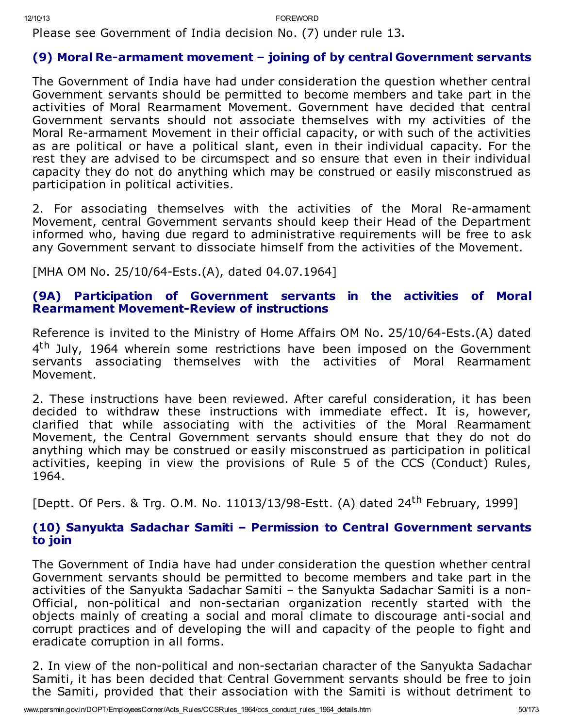Please see Government of India decision No. (7) under rule 13.

## (9) Moral Re-armament movement – joining of by central Government servants

The Government of India have had under consideration the question whether central Government servants should be permitted to become members and take part in the activities of Moral Rearmament Movement. Government have decided that central Government servants should not associate themselves with my activities of the Moral Re-armament Movement in their official capacity, or with such of the activities as are political or have a political slant, even in their individual capacity. For the rest they are advised to be circumspect and so ensure that even in their individual capacity they do not do anything which may be construed or easily misconstrued as participation in political activities.

2. For associating themselves with the activities of the Moral Re-armament Movement, central Government servants should keep their Head of the Department informed who, having due regard to administrative requirements will be free to ask any Government servant to dissociate himself from the activities of the Movement.

[MHA OM No. 25/10/64-Ests.(A), dated 04.07.1964]

#### (9A) Participation of Government servants in the activities of Moral Rearmament Movement-Review of instructions

Reference is invited to the Ministry of Home Affairs OM No. 25/10/64-Ests.(A) dated 4<sup>th</sup> July, 1964 wherein some restrictions have been imposed on the Government servants associating themselves with the activities of Moral Rearmament Movement.

2. These instructions have been reviewed. After careful consideration, it has been decided to withdraw these instructions with immediate effect. It is, however, clarified that while associating with the activities of the Moral Rearmament Movement, the Central Government servants should ensure that they do not do anything which may be construed or easily misconstrued as participation in political activities, keeping in view the provisions of Rule 5 of the CCS (Conduct) Rules, 1964.

[Deptt. Of Pers. & Trg. O.M. No.  $11013/13/98$ -Estt. (A) dated  $24<sup>th</sup>$  February, 1999]

#### (10) Sanyukta Sadachar Samiti – Permission to Central Government servants to join

The Government of India have had under consideration the question whether central Government servants should be permitted to become members and take part in the activities of the Sanyukta Sadachar Samiti – the Sanyukta Sadachar Samiti is a non-Official, non-political and non-sectarian organization recently started with the objects mainly of creating a social and moral climate to discourage anti-social and corrupt practices and of developing the will and capacity of the people to fight and eradicate corruption in all forms.

2. In view of the non-political and non-sectarian character of the Sanyukta Sadachar Samiti, it has been decided that Central Government servants should be free to join the Samiti, provided that their association with the Samiti is without detriment to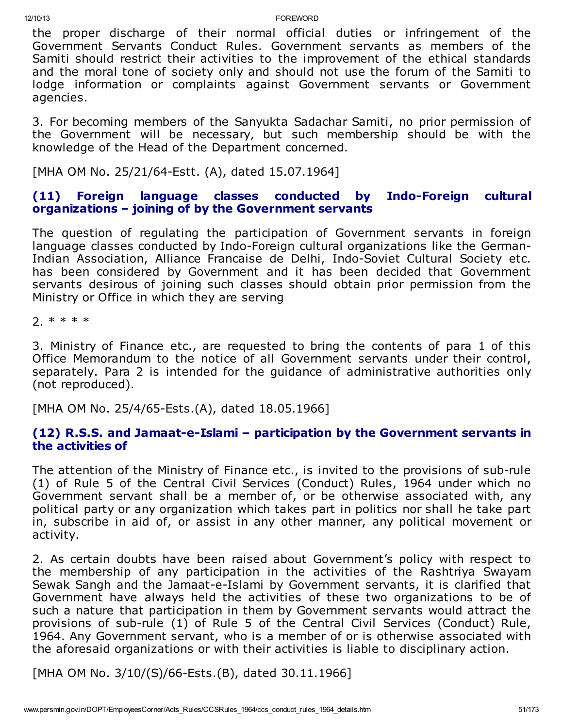the proper discharge of their normal official duties or infringement of the Government Servants Conduct Rules. Government servants as members of the Samiti should restrict their activities to the improvement of the ethical standards and the moral tone of society only and should not use the forum of the Samiti to lodge information or complaints against Government servants or Government agencies.

3. For becoming members of the Sanyukta Sadachar Samiti, no prior permission of the Government will be necessary, but such membership should be with the knowledge of the Head of the Department concerned.

[MHA OM No. 25/21/64-Estt. (A), dated 15.07.1964]

## (11) Foreign language classes conducted by Indo-Foreign cultural organizations – joining of by the Government servants

The question of regulating the participation of Government servants in foreign language classes conducted by Indo-Foreign cultural organizations like the German-Indian Association, Alliance Francaise de Delhi, Indo-Soviet Cultural Society etc. has been considered by Government and it has been decided that Government servants desirous of joining such classes should obtain prior permission from the Ministry or Office in which they are serving

 $2.****$ 

3. Ministry of Finance etc., are requested to bring the contents of para 1 of this Office Memorandum to the notice of all Government servants under their control, separately. Para 2 is intended for the guidance of administrative authorities only (not reproduced).

[MHA OM No. 25/4/65-Ests.(A), dated 18.05.1966]

#### (12) R.S.S. and Jamaat-e-Islami – participation by the Government servants in the activities of

The attention of the Ministry of Finance etc., is invited to the provisions of sub-rule (1) of Rule 5 of the Central Civil Services (Conduct) Rules, 1964 under which no Government servant shall be a member of, or be otherwise associated with, any political party or any organization which takes part in politics nor shall he take part in, subscribe in aid of, or assist in any other manner, any political movement or activity.

2. As certain doubts have been raised about Government's policy with respect to the membership of any participation in the activities of the Rashtriya Swayam Sewak Sangh and the Jamaat-e-Islami by Government servants, it is clarified that Government have always held the activities of these two organizations to be of such a nature that participation in them by Government servants would attract the provisions of sub-rule (1) of Rule 5 of the Central Civil Services (Conduct) Rule, 1964. Any Government servant, who is a member of or is otherwise associated with the aforesaid organizations or with their activities is liable to disciplinary action.

[MHA OM No. 3/10/(S)/66-Ests.(B), dated 30.11.1966]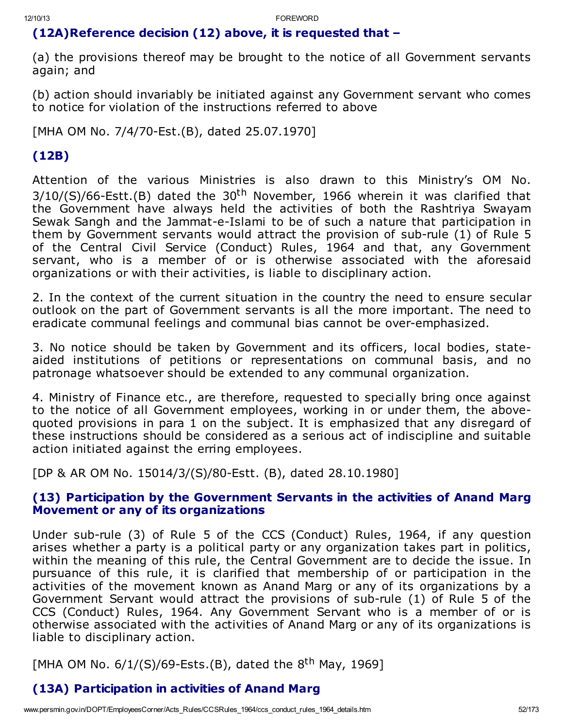## (12A)Reference decision (12) above, it is requested that –

(a) the provisions thereof may be brought to the notice of all Government servants again; and

(b) action should invariably be initiated against any Government servant who comes to notice for violation of the instructions referred to above

[MHA OM No. 7/4/70-Est.(B), dated 25.07.1970]

## (12B)

Attention of the various Ministries is also drawn to this Ministry's OM No.  $3/10$ /(S)/66-Estt.(B) dated the  $30<sup>th</sup>$  November, 1966 wherein it was clarified that the Government have always held the activities of both the Rashtriya Swayam Sewak Sangh and the Jammat-e-Islami to be of such a nature that participation in them by Government servants would attract the provision of sub-rule (1) of Rule 5 of the Central Civil Service (Conduct) Rules, 1964 and that, any Government servant, who is a member of or is otherwise associated with the aforesaid organizations or with their activities, is liable to disciplinary action.

2. In the context of the current situation in the country the need to ensure secular outlook on the part of Government servants is all the more important. The need to eradicate communal feelings and communal bias cannot be over-emphasized.

3. No notice should be taken by Government and its officers, local bodies, stateaided institutions of petitions or representations on communal basis, and no patronage whatsoever should be extended to any communal organization.

4. Ministry of Finance etc., are therefore, requested to specially bring once against to the notice of all Government employees, working in or under them, the abovequoted provisions in para 1 on the subject. It is emphasized that any disregard of these instructions should be considered as a serious act of indiscipline and suitable action initiated against the erring employees.

[DP & AR OM No. 15014/3/(S)/80-Estt. (B), dated 28.10.1980]

#### (13) Participation by the Government Servants in the activities of Anand Marg Movement or any of its organizations

Under sub-rule (3) of Rule 5 of the CCS (Conduct) Rules, 1964, if any question arises whether a party is a political party or any organization takes part in politics, within the meaning of this rule, the Central Government are to decide the issue. In pursuance of this rule, it is clarified that membership of or participation in the activities of the movement known as Anand Marg or any of its organizations by a Government Servant would attract the provisions of sub-rule (1) of Rule 5 of the CCS (Conduct) Rules, 1964. Any Government Servant who is a member of or is otherwise associated with the activities of Anand Marg or any of its organizations is liable to disciplinary action.

[MHA OM No.  $6/1/(S)/69$ -Ests.(B), dated the  $8^{th}$  May, 1969]

## (13A) Participation in activities of Anand Marg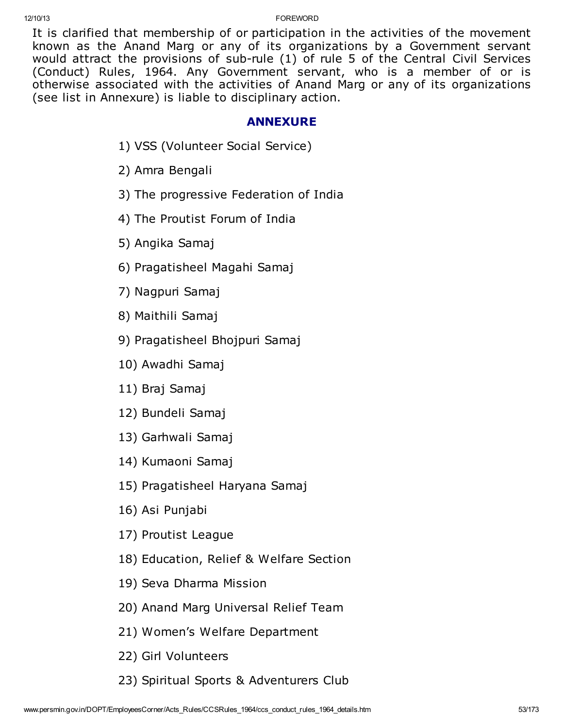It is clarified that membership of or participation in the activities of the movement known as the Anand Marg or any of its organizations by a Government servant would attract the provisions of sub-rule (1) of rule 5 of the Central Civil Services (Conduct) Rules, 1964. Any Government servant, who is a member of or is otherwise associated with the activities of Anand Marg or any of its organizations (see list in Annexure) is liable to disciplinary action.

## ANNEXURE

- 1) VSS (Volunteer Social Service)
- 2) Amra Bengali
- 3) The progressive Federation of India
- 4) The Proutist Forum of India
- 5) Angika Samaj
- 6) Pragatisheel Magahi Samaj
- 7) Nagpuri Samaj
- 8) Maithili Samaj
- 9) Pragatisheel Bhojpuri Samaj
- 10) Awadhi Samaj
- 11) Braj Samaj
- 12) Bundeli Samaj
- 13) Garhwali Samaj
- 14) Kumaoni Samaj
- 15) Pragatisheel Haryana Samaj
- 16) Asi Punjabi
- 17) Proutist League
- 18) Education, Relief & Welfare Section
- 19) Seva Dharma Mission
- 20) Anand Marg Universal Relief Team
- 21) Women's Welfare Department
- 22) Girl Volunteers
- 23) Spiritual Sports & Adventurers Club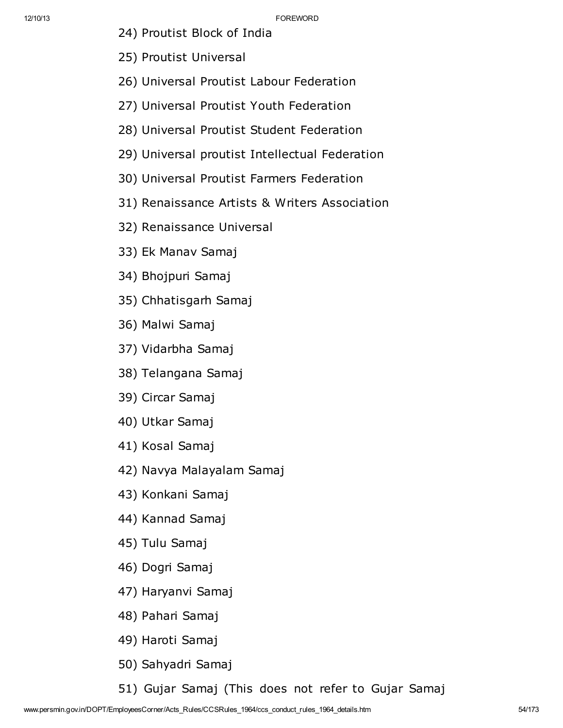- 24) Proutist Block of India
- 25) Proutist Universal
- 26) Universal Proutist Labour Federation
- 27) Universal Proutist Youth Federation
- 28) Universal Proutist Student Federation
- 29) Universal proutist Intellectual Federation
- 30) Universal Proutist Farmers Federation
- 31) Renaissance Artists & Writers Association
- 32) Renaissance Universal
- 33) Ek Manav Samaj
- 34) Bhojpuri Samaj
- 35) Chhatisgarh Samaj
- 36) Malwi Samaj
- 37) Vidarbha Samaj
- 38) Telangana Samaj
- 39) Circar Samaj
- 40) Utkar Samaj
- 41) Kosal Samaj
- 42) Navya Malayalam Samaj
- 43) Konkani Samaj
- 44) Kannad Samaj
- 45) Tulu Samaj
- 46) Dogri Samaj
- 47) Haryanvi Samaj
- 48) Pahari Samaj
- 49) Haroti Samaj
- 50) Sahyadri Samaj
- 51) Gujar Samaj (This does not refer to Gujar Samaj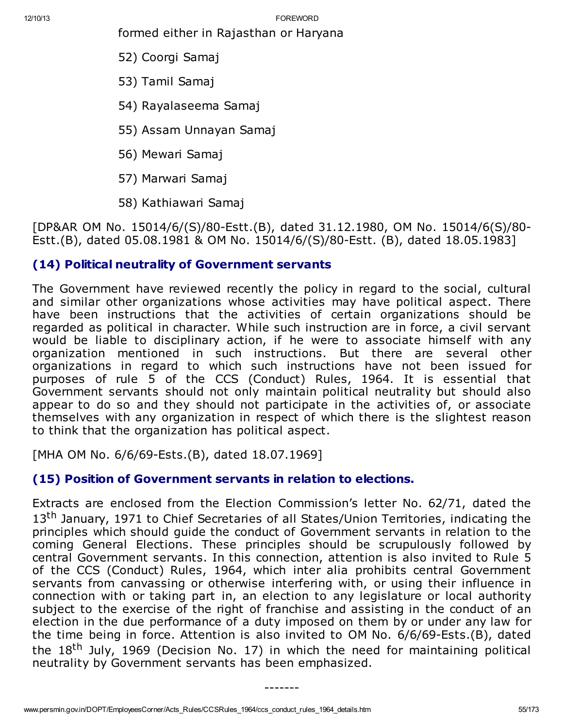formed either in Rajasthan or Haryana

- 52) Coorgi Samaj
- 53) Tamil Samaj
- 54) Rayalaseema Samaj
- 55) Assam Unnayan Samaj
- 56) Mewari Samaj
- 57) Marwari Samaj
- 58) Kathiawari Samaj

[DP&AR OM No. 15014/6/(S)/80-Estt.(B), dated 31.12.1980, OM No. 15014/6(S)/80- Estt.(B), dated 05.08.1981 & OM No. 15014/6/(S)/80-Estt. (B), dated 18.05.1983]

## (14) Political neutrality of Government servants

The Government have reviewed recently the policy in regard to the social, cultural and similar other organizations whose activities may have political aspect. There have been instructions that the activities of certain organizations should be regarded as political in character. While such instruction are in force, a civil servant would be liable to disciplinary action, if he were to associate himself with any organization mentioned in such instructions. But there are several other organizations in regard to which such instructions have not been issued for purposes of rule 5 of the CCS (Conduct) Rules, 1964. It is essential that Government servants should not only maintain political neutrality but should also appear to do so and they should not participate in the activities of, or associate themselves with any organization in respect of which there is the slightest reason to think that the organization has political aspect.

[MHA OM No. 6/6/69-Ests.(B), dated 18.07.1969]

## (15) Position of Government servants in relation to elections.

Extracts are enclosed from the Election Commission's letter No. 62/71, dated the 13<sup>th</sup> January, 1971 to Chief Secretaries of all States/Union Territories, indicating the principles which should guide the conduct of Government servants in relation to the coming General Elections. These principles should be scrupulously followed by central Government servants. In this connection, attention is also invited to Rule 5 of the CCS (Conduct) Rules, 1964, which inter alia prohibits central Government servants from canvassing or otherwise interfering with, or using their influence in connection with or taking part in, an election to any legislature or local authority subject to the exercise of the right of franchise and assisting in the conduct of an election in the due performance of a duty imposed on them by or under any law for the time being in force. Attention is also invited to OM No. 6/6/69-Ests.(B), dated the 18<sup>th</sup> July, 1969 (Decision No. 17) in which the need for maintaining political neutrality by Government servants has been emphasized.

-------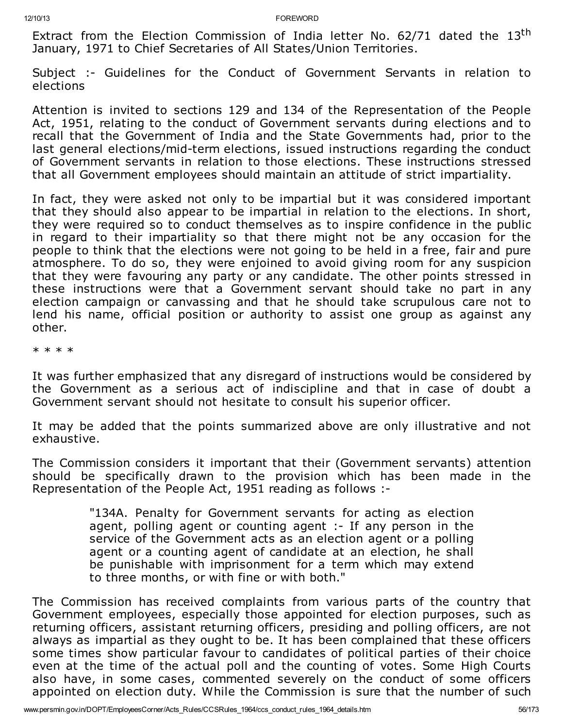Extract from the Election Commission of India letter No. 62/71 dated the 13<sup>th</sup> January, 1971 to Chief Secretaries of All States/Union Territories.

Subject :- Guidelines for the Conduct of Government Servants in relation to elections

Attention is invited to sections 129 and 134 of the Representation of the People Act, 1951, relating to the conduct of Government servants during elections and to recall that the Government of India and the State Governments had, prior to the last general elections/mid-term elections, issued instructions regarding the conduct of Government servants in relation to those elections. These instructions stressed that all Government employees should maintain an attitude of strict impartiality.

In fact, they were asked not only to be impartial but it was considered important that they should also appear to be impartial in relation to the elections. In short, they were required so to conduct themselves as to inspire confidence in the public in regard to their impartiality so that there might not be any occasion for the people to think that the elections were not going to be held in a free, fair and pure atmosphere. To do so, they were enjoined to avoid giving room for any suspicion that they were favouring any party or any candidate. The other points stressed in these instructions were that a Government servant should take no part in any election campaign or canvassing and that he should take scrupulous care not to lend his name, official position or authority to assist one group as against any other.

\* \* \* \*

It was further emphasized that any disregard of instructions would be considered by the Government as a serious act of indiscipline and that in case of doubt a Government servant should not hesitate to consult his superior officer.

It may be added that the points summarized above are only illustrative and not exhaustive.

The Commission considers it important that their (Government servants) attention should be specifically drawn to the provision which has been made in the Representation of the People Act, 1951 reading as follows :-

> "134A. Penalty for Government servants for acting as election agent, polling agent or counting agent :- If any person in the service of the Government acts as an election agent or a polling agent or a counting agent of candidate at an election, he shall be punishable with imprisonment for a term which may extend to three months, or with fine or with both."

The Commission has received complaints from various parts of the country that Government employees, especially those appointed for election purposes, such as returning officers, assistant returning officers, presiding and polling officers, are not always as impartial as they ought to be. It has been complained that these officers some times show particular favour to candidates of political parties of their choice even at the time of the actual poll and the counting of votes. Some High Courts also have, in some cases, commented severely on the conduct of some officers appointed on election duty. While the Commission is sure that the number of such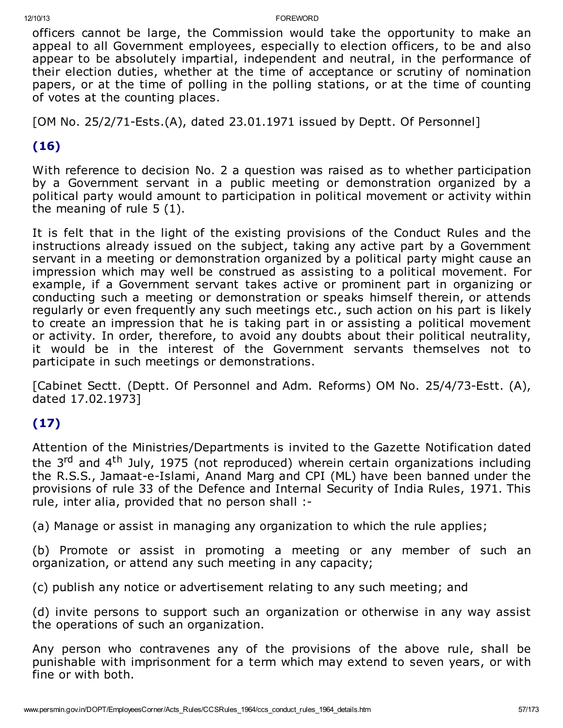officers cannot be large, the Commission would take the opportunity to make an appeal to all Government employees, especially to election officers, to be and also appear to be absolutely impartial, independent and neutral, in the performance of their election duties, whether at the time of acceptance or scrutiny of nomination papers, or at the time of polling in the polling stations, or at the time of counting of votes at the counting places.

[OM No. 25/2/71-Ests.(A), dated 23.01.1971 issued by Deptt. Of Personnel]

# (16)

With reference to decision No. 2 a question was raised as to whether participation by a Government servant in a public meeting or demonstration organized by a political party would amount to participation in political movement or activity within the meaning of rule 5 (1).

It is felt that in the light of the existing provisions of the Conduct Rules and the instructions already issued on the subject, taking any active part by a Government servant in a meeting or demonstration organized by a political party might cause an impression which may well be construed as assisting to a political movement. For example, if a Government servant takes active or prominent part in organizing or conducting such a meeting or demonstration or speaks himself therein, or attends regularly or even frequently any such meetings etc., such action on his part is likely to create an impression that he is taking part in or assisting a political movement or activity. In order, therefore, to avoid any doubts about their political neutrality, it would be in the interest of the Government servants themselves not to participate in such meetings or demonstrations.

[Cabinet Sectt. (Deptt. Of Personnel and Adm. Reforms) OM No. 25/4/73-Estt. (A), dated 17.02.1973]

# (17)

Attention of the Ministries/Departments is invited to the Gazette Notification dated the 3<sup>rd</sup> and 4<sup>th</sup> July, 1975 (not reproduced) wherein certain organizations including the R.S.S., Jamaat-e-Islami, Anand Marg and CPI (ML) have been banned under the provisions of rule 33 of the Defence and Internal Security of India Rules, 1971. This rule, inter alia, provided that no person shall :-

(a) Manage or assist in managing any organization to which the rule applies;

(b) Promote or assist in promoting a meeting or any member of such an organization, or attend any such meeting in any capacity;

(c) publish any notice or advertisement relating to any such meeting; and

(d) invite persons to support such an organization or otherwise in any way assist the operations of such an organization.

Any person who contravenes any of the provisions of the above rule, shall be punishable with imprisonment for a term which may extend to seven years, or with fine or with both.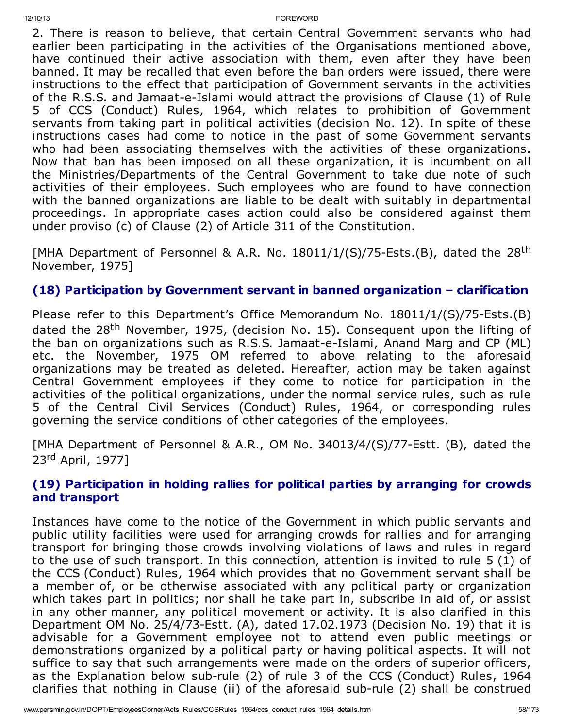2. There is reason to believe, that certain Central Government servants who had earlier been participating in the activities of the Organisations mentioned above, have continued their active association with them, even after they have been banned. It may be recalled that even before the ban orders were issued, there were instructions to the effect that participation of Government servants in the activities of the R.S.S. and Jamaat-e-Islami would attract the provisions of Clause (1) of Rule 5 of CCS (Conduct) Rules, 1964, which relates to prohibition of Government servants from taking part in political activities (decision No. 12). In spite of these instructions cases had come to notice in the past of some Government servants who had been associating themselves with the activities of these organizations. Now that ban has been imposed on all these organization, it is incumbent on all the Ministries/Departments of the Central Government to take due note of such activities of their employees. Such employees who are found to have connection with the banned organizations are liable to be dealt with suitably in departmental proceedings. In appropriate cases action could also be considered against them under proviso (c) of Clause (2) of Article 311 of the Constitution.

[MHA Department of Personnel & A.R. No.  $18011/1/(S)/75$ -Ests.(B), dated the  $28<sup>th</sup>$ November, 1975]

## (18) Participation by Government servant in banned organization – clarification

Please refer to this Department's Office Memorandum No. 18011/1/(S)/75-Ests.(B) dated the 28<sup>th</sup> November, 1975, (decision No. 15). Consequent upon the lifting of the ban on organizations such as R.S.S. Jamaat-e-Islami, Anand Marg and CP (ML) etc. the November, 1975 OM referred to above relating to the aforesaid organizations may be treated as deleted. Hereafter, action may be taken against Central Government employees if they come to notice for participation in the activities of the political organizations, under the normal service rules, such as rule 5 of the Central Civil Services (Conduct) Rules, 1964, or corresponding rules governing the service conditions of other categories of the employees.

[MHA Department of Personnel & A.R., OM No. 34013/4/(S)/77-Estt. (B), dated the 23<sup>rd</sup> April, 1977]

#### (19) Participation in holding rallies for political parties by arranging for crowds and transport

Instances have come to the notice of the Government in which public servants and public utility facilities were used for arranging crowds for rallies and for arranging transport for bringing those crowds involving violations of laws and rules in regard to the use of such transport. In this connection, attention is invited to rule 5 (1) of the CCS (Conduct) Rules, 1964 which provides that no Government servant shall be a member of, or be otherwise associated with any political party or organization which takes part in politics; nor shall he take part in, subscribe in aid of, or assist in any other manner, any political movement or activity. It is also clarified in this Department OM No. 25/4/73-Estt. (A), dated 17.02.1973 (Decision No. 19) that it is advisable for a Government employee not to attend even public meetings or demonstrations organized by a political party or having political aspects. It will not suffice to say that such arrangements were made on the orders of superior officers, as the Explanation below sub-rule (2) of rule 3 of the CCS (Conduct) Rules, 1964 clarifies that nothing in Clause (ii) of the aforesaid sub-rule (2) shall be construed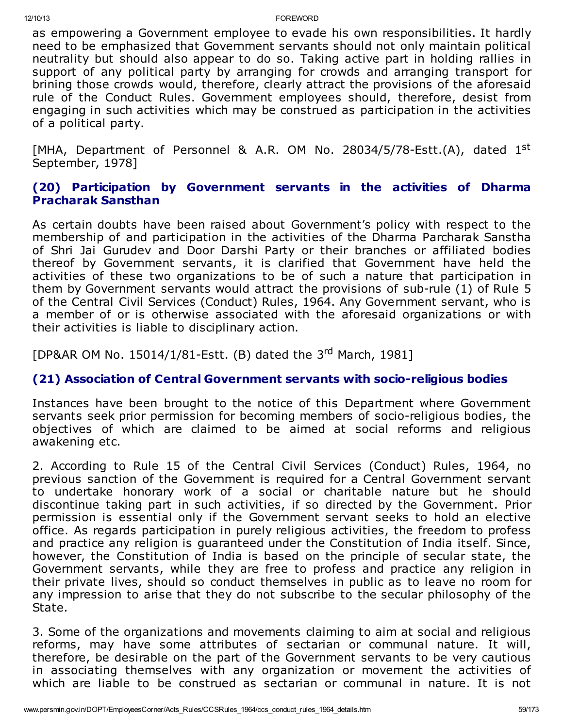as empowering a Government employee to evade his own responsibilities. It hardly need to be emphasized that Government servants should not only maintain political neutrality but should also appear to do so. Taking active part in holding rallies in support of any political party by arranging for crowds and arranging transport for brining those crowds would, therefore, clearly attract the provisions of the aforesaid rule of the Conduct Rules. Government employees should, therefore, desist from engaging in such activities which may be construed as participation in the activities of a political party.

[MHA, Department of Personnel & A.R. OM No. 28034/5/78-Estt.(A), dated 1st September, 1978]

#### (20) Participation by Government servants in the activities of Dharma Pracharak Sansthan

As certain doubts have been raised about Government's policy with respect to the membership of and participation in the activities of the Dharma Parcharak Sanstha of Shri Jai Gurudev and Door Darshi Party or their branches or affiliated bodies thereof by Government servants, it is clarified that Government have held the activities of these two organizations to be of such a nature that participation in them by Government servants would attract the provisions of sub-rule (1) of Rule 5 of the Central Civil Services (Conduct) Rules, 1964. Any Government servant, who is a member of or is otherwise associated with the aforesaid organizations or with their activities is liable to disciplinary action.

[DP&AR OM No. 15014/1/81-Estt. (B) dated the 3rd March, 1981]

## (21) Association of Central Government servants with socio-religious bodies

Instances have been brought to the notice of this Department where Government servants seek prior permission for becoming members of socio-religious bodies, the objectives of which are claimed to be aimed at social reforms and religious awakening etc.

2. According to Rule 15 of the Central Civil Services (Conduct) Rules, 1964, no previous sanction of the Government is required for a Central Government servant to undertake honorary work of a social or charitable nature but he should discontinue taking part in such activities, if so directed by the Government. Prior permission is essential only if the Government servant seeks to hold an elective office. As regards participation in purely religious activities, the freedom to profess and practice any religion is guaranteed under the Constitution of India itself. Since, however, the Constitution of India is based on the principle of secular state, the Government servants, while they are free to profess and practice any religion in their private lives, should so conduct themselves in public as to leave no room for any impression to arise that they do not subscribe to the secular philosophy of the State.

3. Some of the organizations and movements claiming to aim at social and religious reforms, may have some attributes of sectarian or communal nature. It will, therefore, be desirable on the part of the Government servants to be very cautious in associating themselves with any organization or movement the activities of which are liable to be construed as sectarian or communal in nature. It is not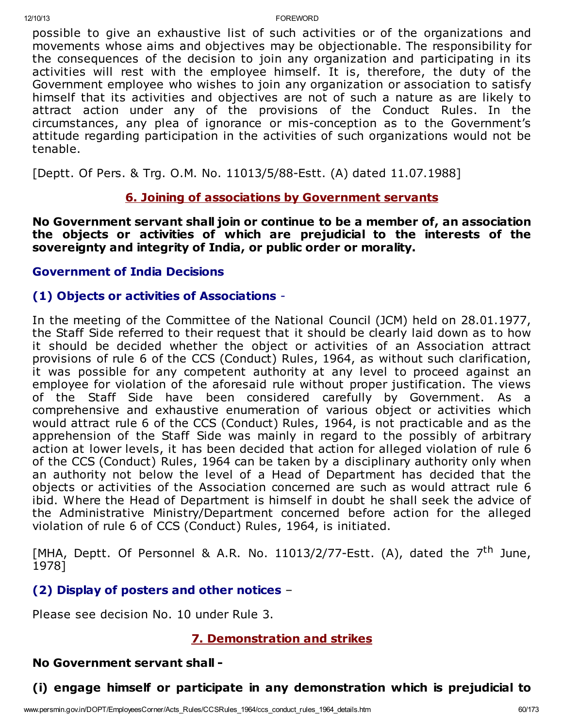possible to give an exhaustive list of such activities or of the organizations and movements whose aims and objectives may be objectionable. The responsibility for the consequences of the decision to join any organization and participating in its activities will rest with the employee himself. It is, therefore, the duty of the Government employee who wishes to join any organization or association to satisfy himself that its activities and objectives are not of such a nature as are likely to attract action under any of the provisions of the Conduct Rules. In the circumstances, any plea of ignorance or mis-conception as to the Government's attitude regarding participation in the activities of such organizations would not be tenable.

[Deptt. Of Pers. & Trg. O.M. No. 11013/5/88-Estt. (A) dated 11.07.1988]

## 6. Joining of associations by Government servants

No Government servant shall join or continue to be a member of, an association the objects or activities of which are prejudicial to the interests of the sovereignty and integrity of India, or public order or morality.

#### Government of India Decisions

## (1) Objects or activities of Associations -

In the meeting of the Committee of the National Council (JCM) held on 28.01.1977, the Staff Side referred to their request that it should be clearly laid down as to how it should be decided whether the object or activities of an Association attract provisions of rule 6 of the CCS (Conduct) Rules, 1964, as without such clarification, it was possible for any competent authority at any level to proceed against an employee for violation of the aforesaid rule without proper justification. The views of the Staff Side have been considered carefully by Government. As a comprehensive and exhaustive enumeration of various object or activities which would attract rule 6 of the CCS (Conduct) Rules, 1964, is not practicable and as the apprehension of the Staff Side was mainly in regard to the possibly of arbitrary action at lower levels, it has been decided that action for alleged violation of rule 6 of the CCS (Conduct) Rules, 1964 can be taken by a disciplinary authority only when an authority not below the level of a Head of Department has decided that the objects or activities of the Association concerned are such as would attract rule 6 ibid. Where the Head of Department is himself in doubt he shall seek the advice of the Administrative Ministry/Department concerned before action for the alleged violation of rule 6 of CCS (Conduct) Rules, 1964, is initiated.

[MHA, Deptt. Of Personnel & A.R. No. 11013/2/77-Estt. (A), dated the  $7<sup>th</sup>$  June, 1978]

## (2) Display of posters and other notices –

Please see decision No. 10 under Rule 3.

## 7. Demonstration and strikes

## No Government servant shall -

(i) engage himself or participate in any demonstration which is prejudicial to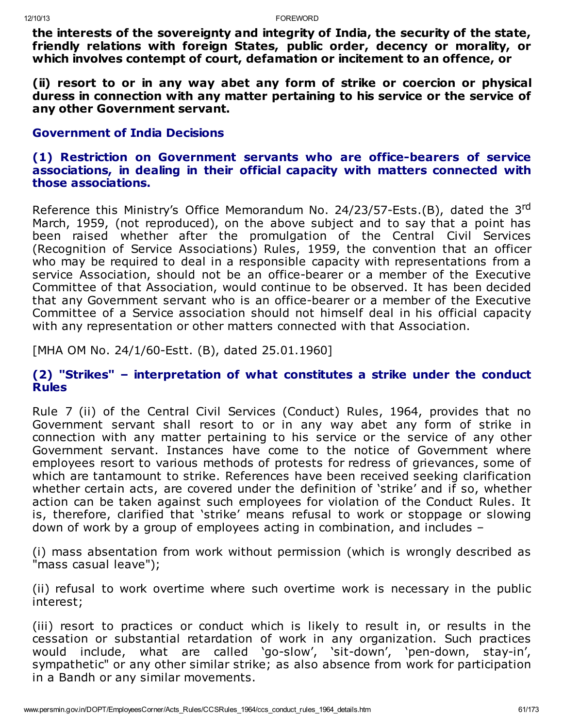the interests of the sovereignty and integrity of India, the security of the state, friendly relations with foreign States, public order, decency or morality, or which involves contempt of court, defamation or incitement to an offence, or

(ii) resort to or in any way abet any form of strike or coercion or physical duress in connection with any matter pertaining to his service or the service of any other Government servant.

#### Government of India Decisions

#### (1) Restriction on Government servants who are office-bearers of service associations, in dealing in their official capacity with matters connected with those associations.

Reference this Ministry's Office Memorandum No. 24/23/57-Ests.(B), dated the 3<sup>rd</sup> March, 1959, (not reproduced), on the above subject and to say that a point has been raised whether after the promulgation of the Central Civil Services (Recognition of Service Associations) Rules, 1959, the convention that an officer who may be required to deal in a responsible capacity with representations from a service Association, should not be an office-bearer or a member of the Executive Committee of that Association, would continue to be observed. It has been decided that any Government servant who is an office-bearer or a member of the Executive Committee of a Service association should not himself deal in his official capacity with any representation or other matters connected with that Association.

[MHA OM No. 24/1/60-Estt. (B), dated 25.01.1960]

#### (2) "Strikes" – interpretation of what constitutes a strike under the conduct Rules

Rule 7 (ii) of the Central Civil Services (Conduct) Rules, 1964, provides that no Government servant shall resort to or in any way abet any form of strike in connection with any matter pertaining to his service or the service of any other Government servant. Instances have come to the notice of Government where employees resort to various methods of protests for redress of grievances, some of which are tantamount to strike. References have been received seeking clarification whether certain acts, are covered under the definition of 'strike' and if so, whether action can be taken against such employees for violation of the Conduct Rules. It is, therefore, clarified that 'strike' means refusal to work or stoppage or slowing down of work by a group of employees acting in combination, and includes –

(i) mass absentation from work without permission (which is wrongly described as "mass casual leave");

(ii) refusal to work overtime where such overtime work is necessary in the public interest;

(iii) resort to practices or conduct which is likely to result in, or results in the cessation or substantial retardation of work in any organization. Such practices would include, what are called 'go-slow', 'sit-down', 'pen-down, stay-in', sympathetic" or any other similar strike; as also absence from work for participation in a Bandh or any similar movements.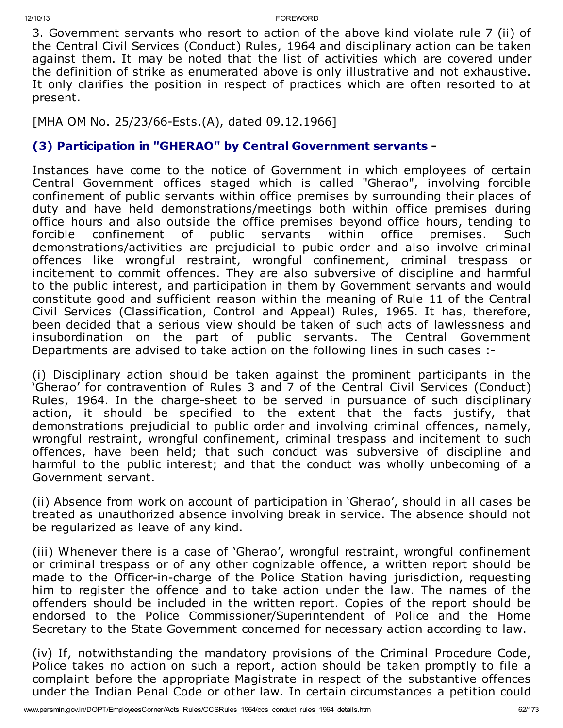3. Government servants who resort to action of the above kind violate rule 7 (ii) of the Central Civil Services (Conduct) Rules, 1964 and disciplinary action can be taken against them. It may be noted that the list of activities which are covered under the definition of strike as enumerated above is only illustrative and not exhaustive. It only clarifies the position in respect of practices which are often resorted to at present.

[MHA OM No. 25/23/66-Ests.(A), dated 09.12.1966]

## (3) Participation in "GHERAO" by Central Government servants -

Instances have come to the notice of Government in which employees of certain Central Government offices staged which is called "Gherao", involving forcible confinement of public servants within office premises by surrounding their places of duty and have held demonstrations/meetings both within office premises during office hours and also outside the office premises beyond office hours, tending to forcible confinement of public servants within office premises. Such demonstrations/activities are prejudicial to pubic order and also involve criminal offences like wrongful restraint, wrongful confinement, criminal trespass or incitement to commit offences. They are also subversive of discipline and harmful to the public interest, and participation in them by Government servants and would constitute good and sufficient reason within the meaning of Rule 11 of the Central Civil Services (Classification, Control and Appeal) Rules, 1965. It has, therefore, been decided that a serious view should be taken of such acts of lawlessness and insubordination on the part of public servants. The Central Government Departments are advised to take action on the following lines in such cases :-

(i) Disciplinary action should be taken against the prominent participants in the 'Gherao' for contravention of Rules 3 and 7 of the Central Civil Services (Conduct) Rules, 1964. In the charge-sheet to be served in pursuance of such disciplinary action, it should be specified to the extent that the facts justify, that demonstrations prejudicial to public order and involving criminal offences, namely, wrongful restraint, wrongful confinement, criminal trespass and incitement to such offences, have been held; that such conduct was subversive of discipline and harmful to the public interest; and that the conduct was wholly unbecoming of a Government servant.

(ii) Absence from work on account of participation in 'Gherao', should in all cases be treated as unauthorized absence involving break in service. The absence should not be regularized as leave of any kind.

(iii) Whenever there is a case of 'Gherao', wrongful restraint, wrongful confinement or criminal trespass or of any other cognizable offence, a written report should be made to the Officer-in-charge of the Police Station having jurisdiction, requesting him to register the offence and to take action under the law. The names of the offenders should be included in the written report. Copies of the report should be endorsed to the Police Commissioner/Superintendent of Police and the Home Secretary to the State Government concerned for necessary action according to law.

(iv) If, notwithstanding the mandatory provisions of the Criminal Procedure Code, Police takes no action on such a report, action should be taken promptly to file a complaint before the appropriate Magistrate in respect of the substantive offences under the Indian Penal Code or other law. In certain circumstances a petition could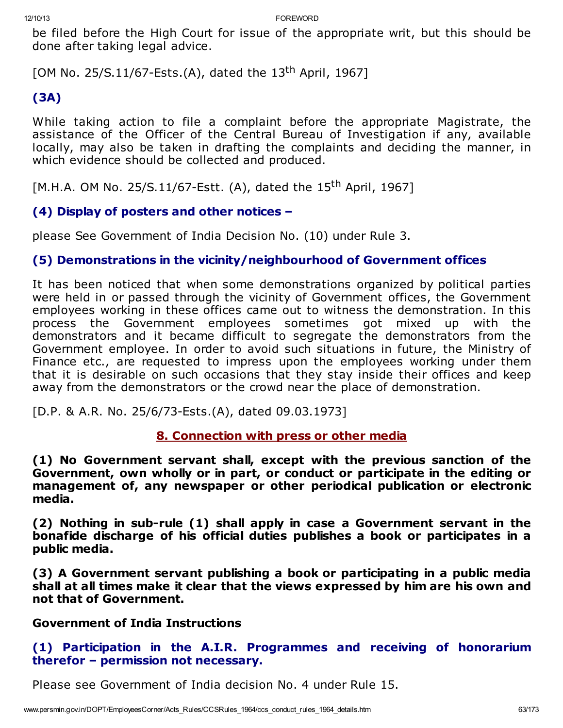be filed before the High Court for issue of the appropriate writ, but this should be done after taking legal advice.

[OM No. 25/S.11/67-Ests.(A), dated the  $13<sup>th</sup>$  April, 1967]

## (3A)

While taking action to file a complaint before the appropriate Magistrate, the assistance of the Officer of the Central Bureau of Investigation if any, available locally, may also be taken in drafting the complaints and deciding the manner, in which evidence should be collected and produced.

[M.H.A. OM No. 25/S.11/67-Estt. (A), dated the 15<sup>th</sup> April, 1967]

## (4) Display of posters and other notices –

please See Government of India Decision No. (10) under Rule 3.

## (5) Demonstrations in the vicinity/neighbourhood of Government offices

It has been noticed that when some demonstrations organized by political parties were held in or passed through the vicinity of Government offices, the Government employees working in these offices came out to witness the demonstration. In this process the Government employees sometimes got mixed up with the demonstrators and it became difficult to segregate the demonstrators from the Government employee. In order to avoid such situations in future, the Ministry of Finance etc., are requested to impress upon the employees working under them that it is desirable on such occasions that they stay inside their offices and keep away from the demonstrators or the crowd near the place of demonstration.

[D.P. & A.R. No. 25/6/73-Ests.(A), dated 09.03.1973]

## 8. Connection with press or other media

(1) No Government servant shall, except with the previous sanction of the Government, own wholly or in part, or conduct or participate in the editing or management of, any newspaper or other periodical publication or electronic media.

(2) Nothing in sub-rule (1) shall apply in case a Government servant in the bonafide discharge of his official duties publishes a book or participates in a public media.

(3) A Government servant publishing a book or participating in a public media shall at all times make it clear that the views expressed by him are his own and not that of Government.

#### Government of India Instructions

## (1) Participation in the A.I.R. Programmes and receiving of honorarium therefor – permission not necessary.

Please see Government of India decision No. 4 under Rule 15.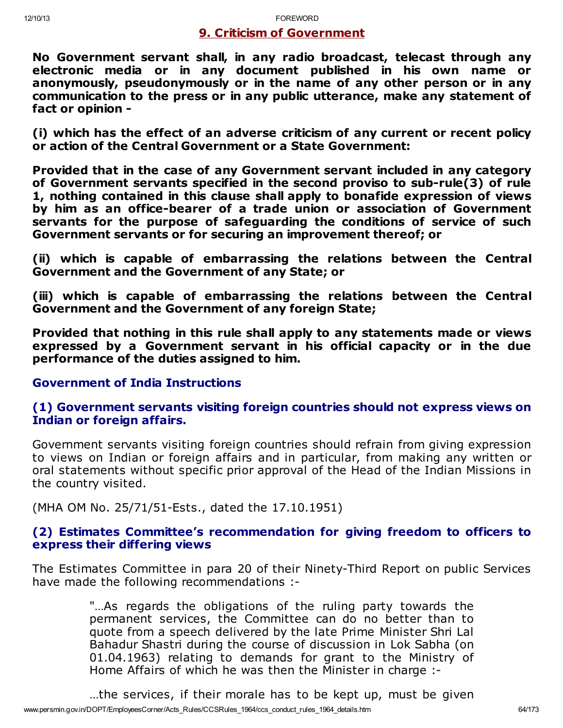#### 9. Criticism of Government

No Government servant shall, in any radio broadcast, telecast through any electronic media or in any document published in his own name or anonymously, pseudonymously or in the name of any other person or in any communication to the press or in any public utterance, make any statement of fact or opinion -

(i) which has the effect of an adverse criticism of any current or recent policy or action of the Central Government or a State Government:

Provided that in the case of any Government servant included in any category of Government servants specified in the second proviso to sub-rule(3) of rule 1, nothing contained in this clause shall apply to bonafide expression of views by him as an office-bearer of a trade union or association of Government servants for the purpose of safeguarding the conditions of service of such Government servants or for securing an improvement thereof; or

(ii) which is capable of embarrassing the relations between the Central Government and the Government of any State; or

(iii) which is capable of embarrassing the relations between the Central Government and the Government of any foreign State;

Provided that nothing in this rule shall apply to any statements made or views expressed by a Government servant in his official capacity or in the due performance of the duties assigned to him.

#### Government of India Instructions

#### (1) Government servants visiting foreign countries should not express views on Indian or foreign affairs.

Government servants visiting foreign countries should refrain from giving expression to views on Indian or foreign affairs and in particular, from making any written or oral statements without specific prior approval of the Head of the Indian Missions in the country visited.

(MHA OM No. 25/71/51-Ests., dated the 17.10.1951)

#### (2) Estimates Committee's recommendation for giving freedom to officers to express their differing views

The Estimates Committee in para 20 of their Ninety-Third Report on public Services have made the following recommendations :-

> "…As regards the obligations of the ruling party towards the permanent services, the Committee can do no better than to quote from a speech delivered by the late Prime Minister Shri Lal Bahadur Shastri during the course of discussion in Lok Sabha (on 01.04.1963) relating to demands for grant to the Ministry of Home Affairs of which he was then the Minister in charge :-

ww.persmin.gov.in/DOPT/EmployeesCorner/Acts\_Rules/CCSRules\_1964/ccs\_conduct\_rules\_1964\_details.htm 64/173 …the services, if their morale has to be kept up, must be given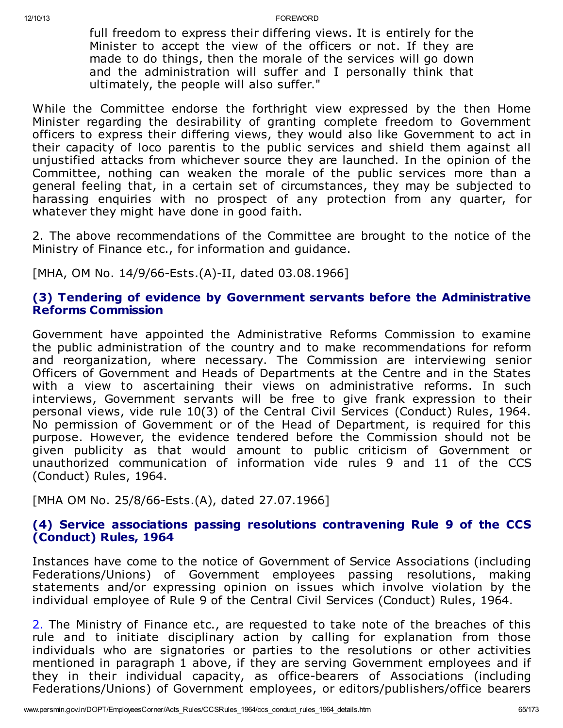full freedom to express their differing views. It is entirely for the Minister to accept the view of the officers or not. If they are made to do things, then the morale of the services will go down and the administration will suffer and I personally think that ultimately, the people will also suffer."

While the Committee endorse the forthright view expressed by the then Home Minister regarding the desirability of granting complete freedom to Government officers to express their differing views, they would also like Government to act in their capacity of loco parentis to the public services and shield them against all unjustified attacks from whichever source they are launched. In the opinion of the Committee, nothing can weaken the morale of the public services more than a general feeling that, in a certain set of circumstances, they may be subjected to harassing enquiries with no prospect of any protection from any quarter, for whatever they might have done in good faith.

2. The above recommendations of the Committee are brought to the notice of the Ministry of Finance etc., for information and guidance.

[MHA, OM No. 14/9/66-Ests.(A)-II, dated 03.08.1966]

## (3) Tendering of evidence by Government servants before the Administrative Reforms Commission

Government have appointed the Administrative Reforms Commission to examine the public administration of the country and to make recommendations for reform and reorganization, where necessary. The Commission are interviewing senior Officers of Government and Heads of Departments at the Centre and in the States with a view to ascertaining their views on administrative reforms. In such interviews, Government servants will be free to give frank expression to their personal views, vide rule 10(3) of the Central Civil Services (Conduct) Rules, 1964. No permission of Government or of the Head of Department, is required for this purpose. However, the evidence tendered before the Commission should not be given publicity as that would amount to public criticism of Government or unauthorized communication of information vide rules 9 and 11 of the CCS (Conduct) Rules, 1964.

[MHA OM No. 25/8/66-Ests.(A), dated 27.07.1966]

## (4) Service associations passing resolutions contravening Rule 9 of the CCS (Conduct) Rules, 1964

Instances have come to the notice of Government of Service Associations (including Federations/Unions) of Government employees passing resolutions, making statements and/or expressing opinion on issues which involve violation by the individual employee of Rule 9 of the Central Civil Services (Conduct) Rules, 1964.

2. The Ministry of Finance etc., are requested to take note of the breaches of this rule and to initiate disciplinary action by calling for explanation from those individuals who are signatories or parties to the resolutions or other activities mentioned in paragraph 1 above, if they are serving Government employees and if they in their individual capacity, as office-bearers of Associations (including Federations/Unions) of Government employees, or editors/publishers/office bearers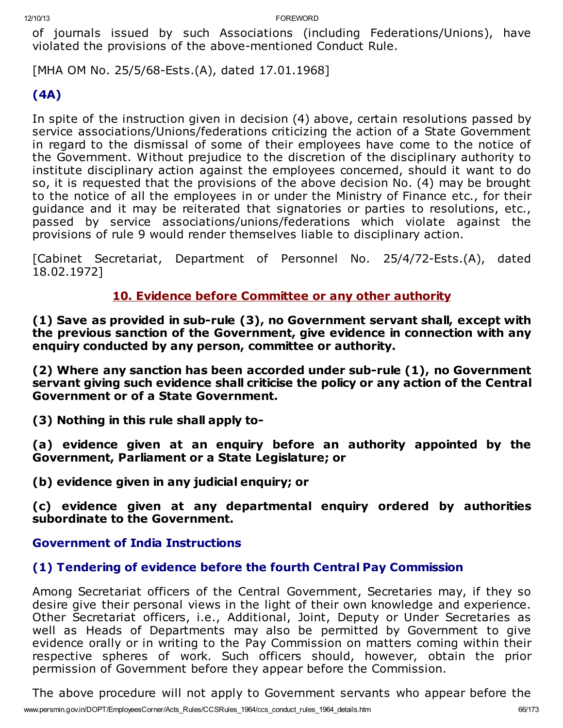of journals issued by such Associations (including Federations/Unions), have violated the provisions of the above-mentioned Conduct Rule.

[MHA OM No. 25/5/68-Ests.(A), dated 17.01.1968]

# (4A)

In spite of the instruction given in decision (4) above, certain resolutions passed by service associations/Unions/federations criticizing the action of a State Government in regard to the dismissal of some of their employees have come to the notice of the Government. Without prejudice to the discretion of the disciplinary authority to institute disciplinary action against the employees concerned, should it want to do so, it is requested that the provisions of the above decision No. (4) may be brought to the notice of all the employees in or under the Ministry of Finance etc., for their guidance and it may be reiterated that signatories or parties to resolutions, etc., passed by service associations/unions/federations which violate against the provisions of rule 9 would render themselves liable to disciplinary action.

[Cabinet Secretariat, Department of Personnel No. 25/4/72-Ests.(A), dated 18.02.1972]

10. Evidence before Committee or any other authority

(1) Save as provided in sub-rule (3), no Government servant shall, except with the previous sanction of the Government, give evidence in connection with any enquiry conducted by any person, committee or authority.

(2) Where any sanction has been accorded under sub-rule (1), no Government servant giving such evidence shall criticise the policy or any action of the Central Government or of a State Government.

(3) Nothing in this rule shall apply to-

(a) evidence given at an enquiry before an authority appointed by the Government, Parliament or a State Legislature; or

(b) evidence given in any judicial enquiry; or

(c) evidence given at any departmental enquiry ordered by authorities subordinate to the Government.

## Government of India Instructions

## (1) Tendering of evidence before the fourth Central Pay Commission

Among Secretariat officers of the Central Government, Secretaries may, if they so desire give their personal views in the light of their own knowledge and experience. Other Secretariat officers, i.e., Additional, Joint, Deputy or Under Secretaries as well as Heads of Departments may also be permitted by Government to give evidence orally or in writing to the Pay Commission on matters coming within their respective spheres of work. Such officers should, however, obtain the prior permission of Government before they appear before the Commission.

The above procedure will not apply to Government servants who appear before the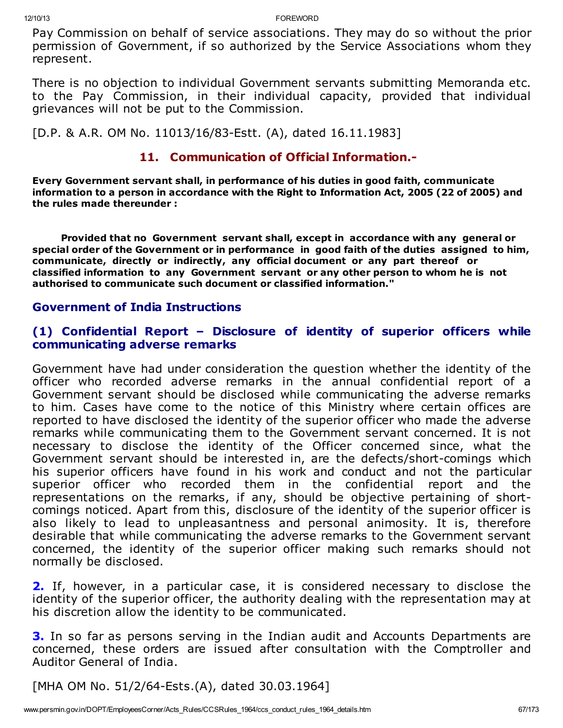Pay Commission on behalf of service associations. They may do so without the prior permission of Government, if so authorized by the Service Associations whom they represent.

There is no objection to individual Government servants submitting Memoranda etc. to the Pay Commission, in their individual capacity, provided that individual grievances will not be put to the Commission.

[D.P. & A.R. OM No. 11013/16/83-Estt. (A), dated 16.11.1983]

## 11. Communication of Official Information.-

Every Government servant shall, in performance of his duties in good faith, communicate information to a person in accordance with the Right to Information Act, 2005 (22 of 2005) and the rules made thereunder :

Provided that no Government servant shall, except in accordance with any general or special order of the Government or in performance in good faith of the duties assigned to him, communicate, directly or indirectly, any official document or any part thereof or classified information to any Government servant or any other person to whom he is not authorised to communicate such document or classified information."

#### Government of India Instructions

#### (1) Confidential Report – Disclosure of identity of superior officers while communicating adverse remarks

Government have had under consideration the question whether the identity of the officer who recorded adverse remarks in the annual confidential report of a Government servant should be disclosed while communicating the adverse remarks to him. Cases have come to the notice of this Ministry where certain offices are reported to have disclosed the identity of the superior officer who made the adverse remarks while communicating them to the Government servant concerned. It is not necessary to disclose the identity of the Officer concerned since, what the Government servant should be interested in, are the defects/short-comings which his superior officers have found in his work and conduct and not the particular superior officer who recorded them in the confidential report and the representations on the remarks, if any, should be objective pertaining of shortcomings noticed. Apart from this, disclosure of the identity of the superior officer is also likely to lead to unpleasantness and personal animosity. It is, therefore desirable that while communicating the adverse remarks to the Government servant concerned, the identity of the superior officer making such remarks should not normally be disclosed.

**2.** If, however, in a particular case, it is considered necessary to disclose the identity of the superior officer, the authority dealing with the representation may at his discretion allow the identity to be communicated.

3. In so far as persons serving in the Indian audit and Accounts Departments are concerned, these orders are issued after consultation with the Comptroller and Auditor General of India.

[MHA OM No. 51/2/64-Ests.(A), dated 30.03.1964]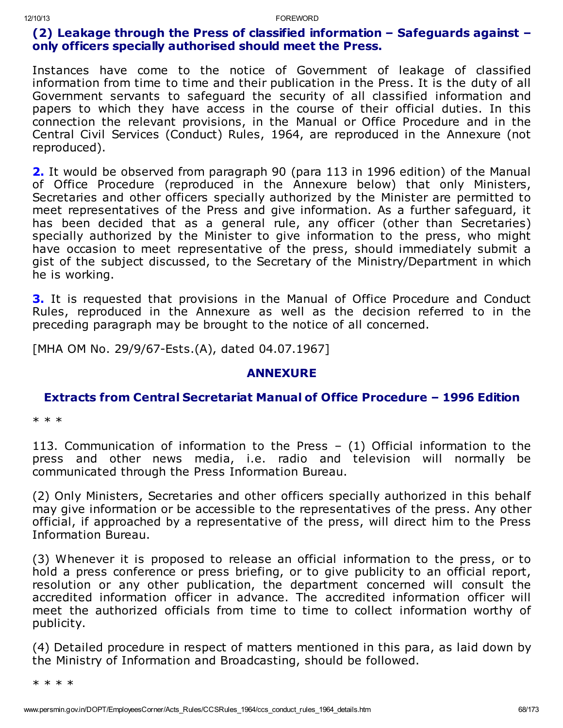#### (2) Leakage through the Press of classified information – Safeguards against – only officers specially authorised should meet the Press.

Instances have come to the notice of Government of leakage of classified information from time to time and their publication in the Press. It is the duty of all Government servants to safeguard the security of all classified information and papers to which they have access in the course of their official duties. In this connection the relevant provisions, in the Manual or Office Procedure and in the Central Civil Services (Conduct) Rules, 1964, are reproduced in the Annexure (not reproduced).

2. It would be observed from paragraph 90 (para 113 in 1996 edition) of the Manual of Office Procedure (reproduced in the Annexure below) that only Ministers, Secretaries and other officers specially authorized by the Minister are permitted to meet representatives of the Press and give information. As a further safeguard, it has been decided that as a general rule, any officer (other than Secretaries) specially authorized by the Minister to give information to the press, who might have occasion to meet representative of the press, should immediately submit a gist of the subject discussed, to the Secretary of the Ministry/Department in which he is working.

**3.** It is requested that provisions in the Manual of Office Procedure and Conduct Rules, reproduced in the Annexure as well as the decision referred to in the preceding paragraph may be brought to the notice of all concerned.

[MHA OM No. 29/9/67-Ests.(A), dated 04.07.1967]

#### ANNEXURE

#### Extracts from Central Secretariat Manual of Office Procedure – 1996 Edition

\* \* \*

113. Communication of information to the Press – (1) Official information to the press and other news media, i.e. radio and television will normally be communicated through the Press Information Bureau.

(2) Only Ministers, Secretaries and other officers specially authorized in this behalf may give information or be accessible to the representatives of the press. Any other official, if approached by a representative of the press, will direct him to the Press Information Bureau.

(3) Whenever it is proposed to release an official information to the press, or to hold a press conference or press briefing, or to give publicity to an official report, resolution or any other publication, the department concerned will consult the accredited information officer in advance. The accredited information officer will meet the authorized officials from time to time to collect information worthy of publicity.

(4) Detailed procedure in respect of matters mentioned in this para, as laid down by the Ministry of Information and Broadcasting, should be followed.

\* \* \* \*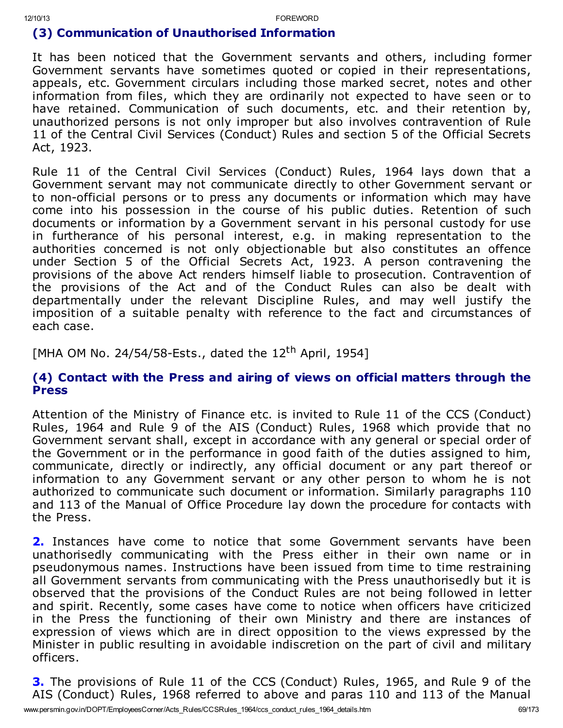## (3) Communication of Unauthorised Information

It has been noticed that the Government servants and others, including former Government servants have sometimes quoted or copied in their representations, appeals, etc. Government circulars including those marked secret, notes and other information from files, which they are ordinarily not expected to have seen or to have retained. Communication of such documents, etc. and their retention by, unauthorized persons is not only improper but also involves contravention of Rule 11 of the Central Civil Services (Conduct) Rules and section 5 of the Official Secrets Act, 1923.

Rule 11 of the Central Civil Services (Conduct) Rules, 1964 lays down that a Government servant may not communicate directly to other Government servant or to non-official persons or to press any documents or information which may have come into his possession in the course of his public duties. Retention of such documents or information by a Government servant in his personal custody for use in furtherance of his personal interest, e.g. in making representation to the authorities concerned is not only objectionable but also constitutes an offence under Section 5 of the Official Secrets Act, 1923. A person contravening the provisions of the above Act renders himself liable to prosecution. Contravention of the provisions of the Act and of the Conduct Rules can also be dealt with departmentally under the relevant Discipline Rules, and may well justify the imposition of a suitable penalty with reference to the fact and circumstances of each case.

[MHA OM No. 24/54/58-Ests., dated the 12<sup>th</sup> April, 1954]

#### (4) Contact with the Press and airing of views on official matters through the **Press**

Attention of the Ministry of Finance etc. is invited to Rule 11 of the CCS (Conduct) Rules, 1964 and Rule 9 of the AIS (Conduct) Rules, 1968 which provide that no Government servant shall, except in accordance with any general or special order of the Government or in the performance in good faith of the duties assigned to him, communicate, directly or indirectly, any official document or any part thereof or information to any Government servant or any other person to whom he is not authorized to communicate such document or information. Similarly paragraphs 110 and 113 of the Manual of Office Procedure lay down the procedure for contacts with the Press.

2. Instances have come to notice that some Government servants have been unathorisedly communicating with the Press either in their own name or in pseudonymous names. Instructions have been issued from time to time restraining all Government servants from communicating with the Press unauthorisedly but it is observed that the provisions of the Conduct Rules are not being followed in letter and spirit. Recently, some cases have come to notice when officers have criticized in the Press the functioning of their own Ministry and there are instances of expression of views which are in direct opposition to the views expressed by the Minister in public resulting in avoidable indiscretion on the part of civil and military officers.

www.persmin.gov.in/DOPT/EmployeesCorner/Acts\_Rules/CCSRules\_1964/ccs\_conduct\_rules\_1964\_details.htm 69/173 **3.** The provisions of Rule 11 of the CCS (Conduct) Rules, 1965, and Rule 9 of the AIS (Conduct) Rules, 1968 referred to above and paras 110 and 113 of the Manual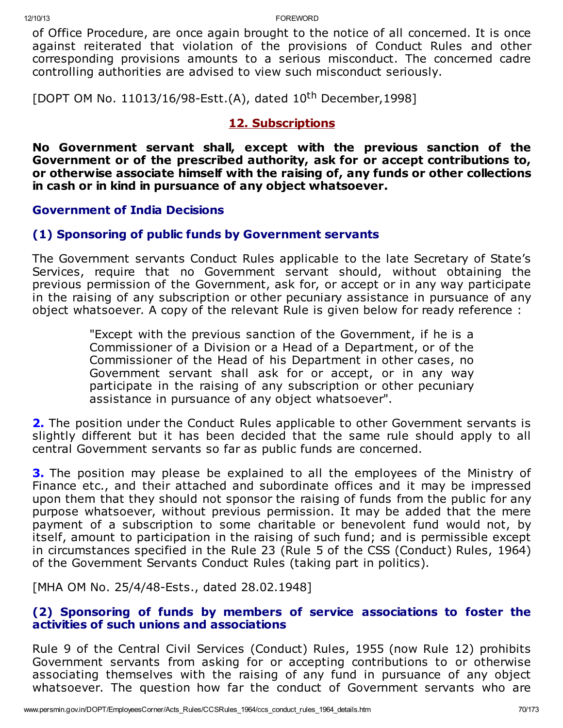of Office Procedure, are once again brought to the notice of all concerned. It is once against reiterated that violation of the provisions of Conduct Rules and other corresponding provisions amounts to a serious misconduct. The concerned cadre controlling authorities are advised to view such misconduct seriously.

[DOPT OM No. 11013/16/98-Estt.(A), dated 10<sup>th</sup> December, 1998]

## 12. Subscriptions

No Government servant shall, except with the previous sanction of the Government or of the prescribed authority, ask for or accept contributions to, or otherwise associate himself with the raising of, any funds or other collections in cash or in kind in pursuance of any object whatsoever.

Government of India Decisions

## (1) Sponsoring of public funds by Government servants

The Government servants Conduct Rules applicable to the late Secretary of State's Services, require that no Government servant should, without obtaining the previous permission of the Government, ask for, or accept or in any way participate in the raising of any subscription or other pecuniary assistance in pursuance of any object whatsoever. A copy of the relevant Rule is given below for ready reference :

> "Except with the previous sanction of the Government, if he is a Commissioner of a Division or a Head of a Department, or of the Commissioner of the Head of his Department in other cases, no Government servant shall ask for or accept, or in any way participate in the raising of any subscription or other pecuniary assistance in pursuance of any object whatsoever".

2. The position under the Conduct Rules applicable to other Government servants is slightly different but it has been decided that the same rule should apply to all central Government servants so far as public funds are concerned.

**3.** The position may please be explained to all the employees of the Ministry of Finance etc., and their attached and subordinate offices and it may be impressed upon them that they should not sponsor the raising of funds from the public for any purpose whatsoever, without previous permission. It may be added that the mere payment of a subscription to some charitable or benevolent fund would not, by itself, amount to participation in the raising of such fund; and is permissible except in circumstances specified in the Rule 23 (Rule 5 of the CSS (Conduct) Rules, 1964) of the Government Servants Conduct Rules (taking part in politics).

[MHA OM No. 25/4/48-Ests., dated 28.02.1948]

#### (2) Sponsoring of funds by members of service associations to foster the activities of such unions and associations

Rule 9 of the Central Civil Services (Conduct) Rules, 1955 (now Rule 12) prohibits Government servants from asking for or accepting contributions to or otherwise associating themselves with the raising of any fund in pursuance of any object whatsoever. The question how far the conduct of Government servants who are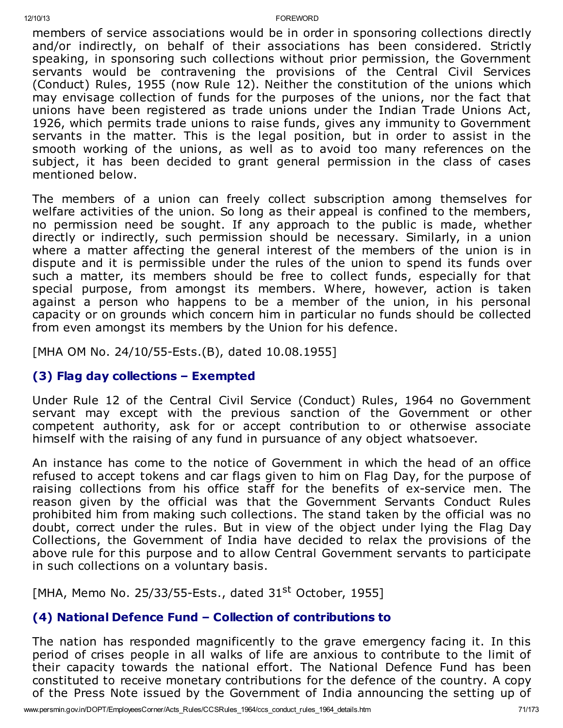members of service associations would be in order in sponsoring collections directly and/or indirectly, on behalf of their associations has been considered. Strictly speaking, in sponsoring such collections without prior permission, the Government servants would be contravening the provisions of the Central Civil Services (Conduct) Rules, 1955 (now Rule 12). Neither the constitution of the unions which may envisage collection of funds for the purposes of the unions, nor the fact that unions have been registered as trade unions under the Indian Trade Unions Act, 1926, which permits trade unions to raise funds, gives any immunity to Government servants in the matter. This is the legal position, but in order to assist in the smooth working of the unions, as well as to avoid too many references on the subject, it has been decided to grant general permission in the class of cases mentioned below.

The members of a union can freely collect subscription among themselves for welfare activities of the union. So long as their appeal is confined to the members, no permission need be sought. If any approach to the public is made, whether directly or indirectly, such permission should be necessary. Similarly, in a union where a matter affecting the general interest of the members of the union is in dispute and it is permissible under the rules of the union to spend its funds over such a matter, its members should be free to collect funds, especially for that special purpose, from amongst its members. Where, however, action is taken against a person who happens to be a member of the union, in his personal capacity or on grounds which concern him in particular no funds should be collected from even amongst its members by the Union for his defence.

[MHA OM No. 24/10/55-Ests.(B), dated 10.08.1955]

## (3) Flag day collections – Exempted

Under Rule 12 of the Central Civil Service (Conduct) Rules, 1964 no Government servant may except with the previous sanction of the Government or other competent authority, ask for or accept contribution to or otherwise associate himself with the raising of any fund in pursuance of any object whatsoever.

An instance has come to the notice of Government in which the head of an office refused to accept tokens and car flags given to him on Flag Day, for the purpose of raising collections from his office staff for the benefits of ex-service men. The reason given by the official was that the Government Servants Conduct Rules prohibited him from making such collections. The stand taken by the official was no doubt, correct under the rules. But in view of the object under lying the Flag Day Collections, the Government of India have decided to relax the provisions of the above rule for this purpose and to allow Central Government servants to participate in such collections on a voluntary basis.

[MHA, Memo No. 25/33/55-Ests., dated 31<sup>st</sup> October, 1955]

## (4) National Defence Fund – Collection of contributions to

The nation has responded magnificently to the grave emergency facing it. In this period of crises people in all walks of life are anxious to contribute to the limit of their capacity towards the national effort. The National Defence Fund has been constituted to receive monetary contributions for the defence of the country. A copy of the Press Note issued by the Government of India announcing the setting up of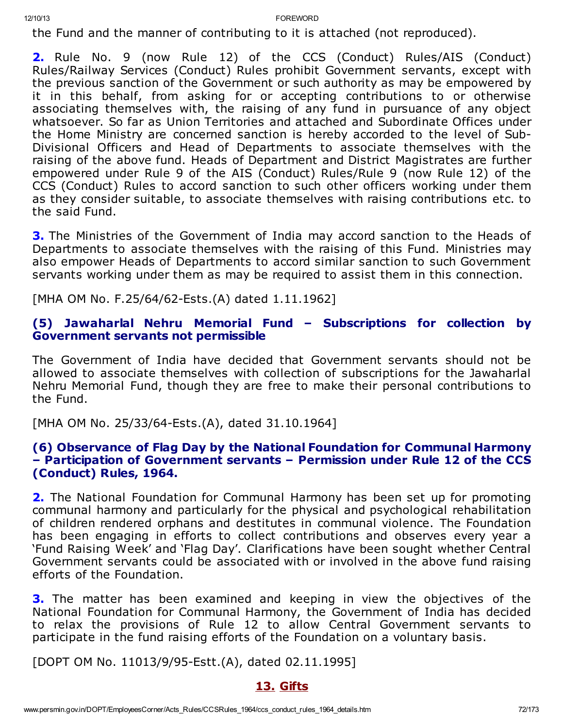the Fund and the manner of contributing to it is attached (not reproduced).

2. Rule No. 9 (now Rule 12) of the CCS (Conduct) Rules/AIS (Conduct) Rules/Railway Services (Conduct) Rules prohibit Government servants, except with the previous sanction of the Government or such authority as may be empowered by it in this behalf, from asking for or accepting contributions to or otherwise associating themselves with, the raising of any fund in pursuance of any object whatsoever. So far as Union Territories and attached and Subordinate Offices under the Home Ministry are concerned sanction is hereby accorded to the level of Sub-Divisional Officers and Head of Departments to associate themselves with the raising of the above fund. Heads of Department and District Magistrates are further empowered under Rule 9 of the AIS (Conduct) Rules/Rule 9 (now Rule 12) of the CCS (Conduct) Rules to accord sanction to such other officers working under them as they consider suitable, to associate themselves with raising contributions etc. to the said Fund.

**3.** The Ministries of the Government of India may accord sanction to the Heads of Departments to associate themselves with the raising of this Fund. Ministries may also empower Heads of Departments to accord similar sanction to such Government servants working under them as may be required to assist them in this connection.

[MHA OM No. F.25/64/62-Ests.(A) dated 1.11.1962]

#### (5) Jawaharlal Nehru Memorial Fund – Subscriptions for collection by Government servants not permissible

The Government of India have decided that Government servants should not be allowed to associate themselves with collection of subscriptions for the Jawaharlal Nehru Memorial Fund, though they are free to make their personal contributions to the Fund.

[MHA OM No. 25/33/64-Ests.(A), dated 31.10.1964]

#### (6) Observance of Flag Day by the National Foundation for Communal Harmony – Participation of Government servants – Permission under Rule 12 of the CCS (Conduct) Rules, 1964.

**2.** The National Foundation for Communal Harmony has been set up for promoting communal harmony and particularly for the physical and psychological rehabilitation of children rendered orphans and destitutes in communal violence. The Foundation has been engaging in efforts to collect contributions and observes every year a 'Fund Raising Week' and 'Flag Day'. Clarifications have been sought whether Central Government servants could be associated with or involved in the above fund raising efforts of the Foundation.

**3.** The matter has been examined and keeping in view the objectives of the National Foundation for Communal Harmony, the Government of India has decided to relax the provisions of Rule 12 to allow Central Government servants to participate in the fund raising efforts of the Foundation on a voluntary basis.

[DOPT OM No. 11013/9/95-Estt.(A), dated 02.11.1995]

## 13. Gifts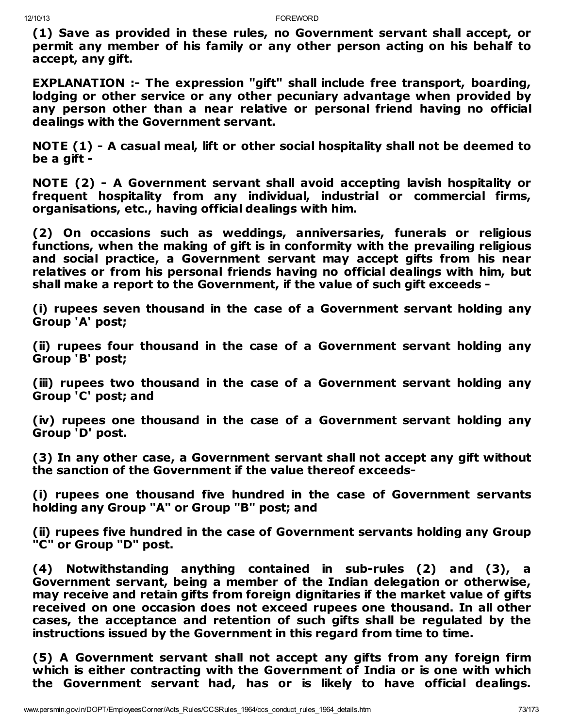(1) Save as provided in these rules, no Government servant shall accept, or permit any member of his family or any other person acting on his behalf to accept, any gift.

EXPLANATION :- The expression "gift" shall include free transport, boarding, lodging or other service or any other pecuniary advantage when provided by any person other than a near relative or personal friend having no official dealings with the Government servant.

NOTE (1) - A casual meal, lift or other social hospitality shall not be deemed to be a gift -

NOTE (2) - A Government servant shall avoid accepting lavish hospitality or frequent hospitality from any individual, industrial or commercial firms, organisations, etc., having official dealings with him.

(2) On occasions such as weddings, anniversaries, funerals or religious functions, when the making of gift is in conformity with the prevailing religious and social practice, a Government servant may accept gifts from his near relatives or from his personal friends having no official dealings with him, but shall make a report to the Government, if the value of such gift exceeds -

(i) rupees seven thousand in the case of a Government servant holding any Group 'A' post;

(ii) rupees four thousand in the case of a Government servant holding any Group 'B' post;

(iii) rupees two thousand in the case of a Government servant holding any Group 'C' post; and

(iv) rupees one thousand in the case of a Government servant holding any Group 'D' post.

(3) In any other case, a Government servant shall not accept any gift without the sanction of the Government if the value thereof exceeds-

(i) rupees one thousand five hundred in the case of Government servants holding any Group "A" or Group "B" post; and

(ii) rupees five hundred in the case of Government servants holding any Group "C" or Group "D" post.

(4) Notwithstanding anything contained in sub-rules (2) and (3), a Government servant, being a member of the Indian delegation or otherwise, may receive and retain gifts from foreign dignitaries if the market value of gifts received on one occasion does not exceed rupees one thousand. In all other cases, the acceptance and retention of such gifts shall be regulated by the instructions issued by the Government in this regard from time to time.

(5) A Government servant shall not accept any gifts from any foreign firm which is either contracting with the Government of India or is one with which the Government servant had, has or is likely to have official dealings.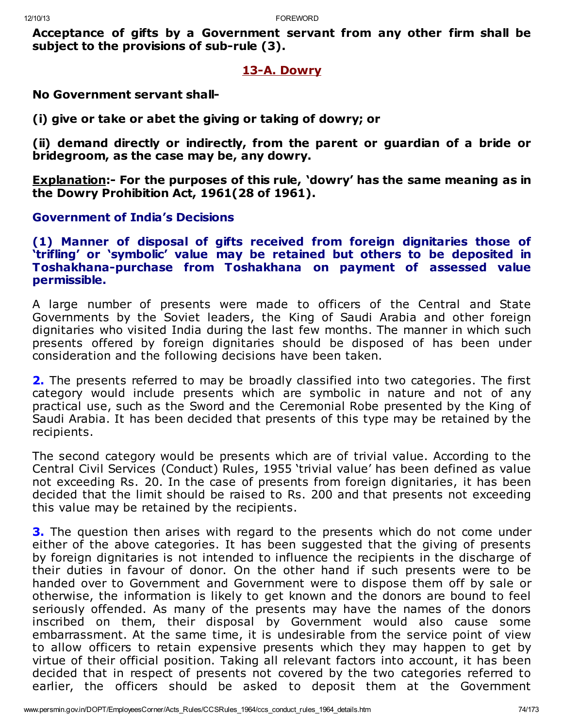Acceptance of gifts by a Government servant from any other firm shall be subject to the provisions of sub-rule (3).

### 13-A. Dowry

No Government servant shall-

(i) give or take or abet the giving or taking of dowry; or

(ii) demand directly or indirectly, from the parent or guardian of a bride or bridegroom, as the case may be, any dowry.

Explanation:- For the purposes of this rule, 'dowry' has the same meaning as in the Dowry Prohibition Act, 1961(28 of 1961).

#### Government of India's Decisions

(1) Manner of disposal of gifts received from foreign dignitaries those of 'trifling' or 'symbolic' value may be retained but others to be deposited in Toshakhana-purchase from Toshakhana on payment of assessed value permissible.

A large number of presents were made to officers of the Central and State Governments by the Soviet leaders, the King of Saudi Arabia and other foreign dignitaries who visited India during the last few months. The manner in which such presents offered by foreign dignitaries should be disposed of has been under consideration and the following decisions have been taken.

**2.** The presents referred to may be broadly classified into two categories. The first category would include presents which are symbolic in nature and not of any practical use, such as the Sword and the Ceremonial Robe presented by the King of Saudi Arabia. It has been decided that presents of this type may be retained by the recipients.

The second category would be presents which are of trivial value. According to the Central Civil Services (Conduct) Rules, 1955 'trivial value' has been defined as value not exceeding Rs. 20. In the case of presents from foreign dignitaries, it has been decided that the limit should be raised to Rs. 200 and that presents not exceeding this value may be retained by the recipients.

**3.** The question then arises with regard to the presents which do not come under either of the above categories. It has been suggested that the giving of presents by foreign dignitaries is not intended to influence the recipients in the discharge of their duties in favour of donor. On the other hand if such presents were to be handed over to Government and Government were to dispose them off by sale or otherwise, the information is likely to get known and the donors are bound to feel seriously offended. As many of the presents may have the names of the donors inscribed on them, their disposal by Government would also cause some embarrassment. At the same time, it is undesirable from the service point of view to allow officers to retain expensive presents which they may happen to get by virtue of their official position. Taking all relevant factors into account, it has been decided that in respect of presents not covered by the two categories referred to earlier, the officers should be asked to deposit them at the Government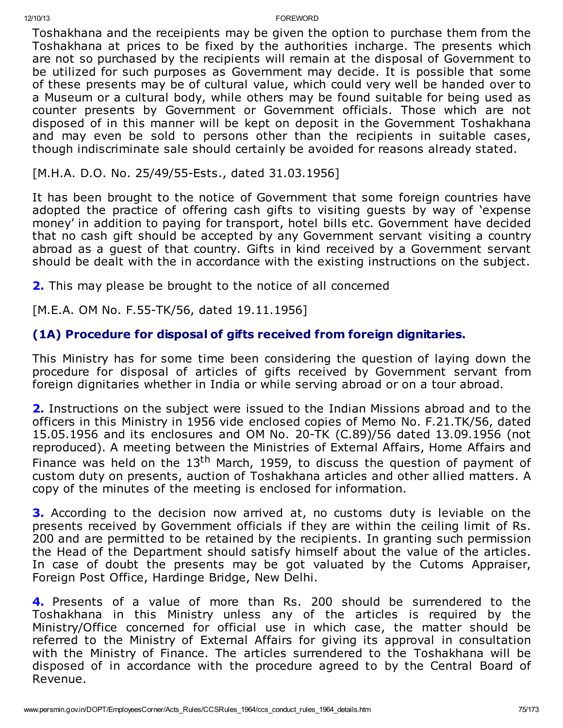Toshakhana and the receipients may be given the option to purchase them from the Toshakhana at prices to be fixed by the authorities incharge. The presents which are not so purchased by the recipients will remain at the disposal of Government to be utilized for such purposes as Government may decide. It is possible that some of these presents may be of cultural value, which could very well be handed over to a Museum or a cultural body, while others may be found suitable for being used as counter presents by Government or Government officials. Those which are not disposed of in this manner will be kept on deposit in the Government Toshakhana and may even be sold to persons other than the recipients in suitable cases, though indiscriminate sale should certainly be avoided for reasons already stated.

[M.H.A. D.O. No. 25/49/55-Ests., dated 31.03.1956]

It has been brought to the notice of Government that some foreign countries have adopted the practice of offering cash gifts to visiting guests by way of 'expense money' in addition to paying for transport, hotel bills etc. Government have decided that no cash gift should be accepted by any Government servant visiting a country abroad as a guest of that country. Gifts in kind received by a Government servant should be dealt with the in accordance with the existing instructions on the subject.

**2.** This may please be brought to the notice of all concerned

[M.E.A. OM No. F.55-TK/56, dated 19.11.1956]

# (1A) Procedure for disposal of gifts received from foreign dignitaries.

This Ministry has for some time been considering the question of laying down the procedure for disposal of articles of gifts received by Government servant from foreign dignitaries whether in India or while serving abroad or on a tour abroad.

2. Instructions on the subject were issued to the Indian Missions abroad and to the officers in this Ministry in 1956 vide enclosed copies of Memo No. F.21.TK/56, dated 15.05.1956 and its enclosures and OM No. 20-TK (C.89)/56 dated 13.09.1956 (not reproduced). A meeting between the Ministries of External Affairs, Home Affairs and Finance was held on the 13<sup>th</sup> March, 1959, to discuss the question of payment of custom duty on presents, auction of Toshakhana articles and other allied matters. A copy of the minutes of the meeting is enclosed for information.

**3.** According to the decision now arrived at, no customs duty is leviable on the presents received by Government officials if they are within the ceiling limit of Rs. 200 and are permitted to be retained by the recipients. In granting such permission the Head of the Department should satisfy himself about the value of the articles. In case of doubt the presents may be got valuated by the Cutoms Appraiser, Foreign Post Office, Hardinge Bridge, New Delhi.

4. Presents of a value of more than Rs. 200 should be surrendered to the Toshakhana in this Ministry unless any of the articles is required by the Ministry/Office concerned for official use in which case, the matter should be referred to the Ministry of External Affairs for giving its approval in consultation with the Ministry of Finance. The articles surrendered to the Toshakhana will be disposed of in accordance with the procedure agreed to by the Central Board of Revenue.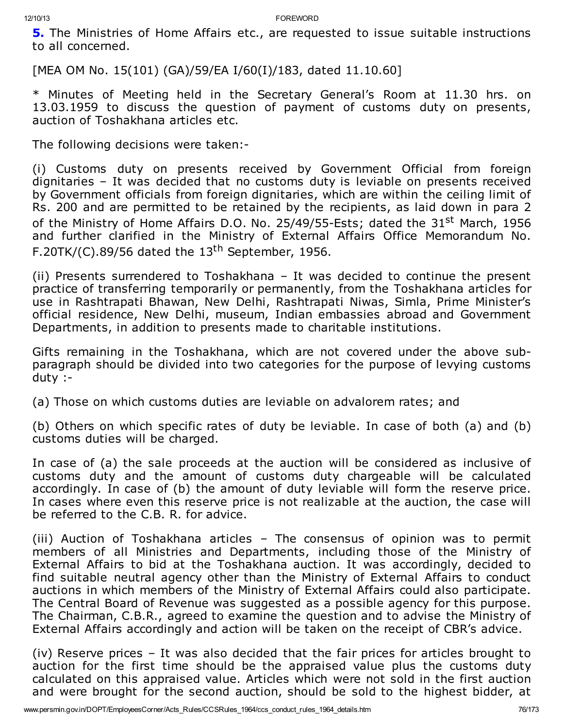**5.** The Ministries of Home Affairs etc., are requested to issue suitable instructions to all concerned.

[MEA OM No. 15(101) (GA)/59/EA I/60(I)/183, dated 11.10.60]

\* Minutes of Meeting held in the Secretary General's Room at 11.30 hrs. on 13.03.1959 to discuss the question of payment of customs duty on presents, auction of Toshakhana articles etc.

The following decisions were taken:-

(i) Customs duty on presents received by Government Official from foreign dignitaries – It was decided that no customs duty is leviable on presents received by Government officials from foreign dignitaries, which are within the ceiling limit of Rs. 200 and are permitted to be retained by the recipients, as laid down in para 2 of the Ministry of Home Affairs D.O. No. 25/49/55-Ests; dated the 31<sup>st</sup> March, 1956 and further clarified in the Ministry of External Affairs Office Memorandum No. F.20TK/(C).89/56 dated the  $13<sup>th</sup>$  September, 1956.

(ii) Presents surrendered to Toshakhana – It was decided to continue the present practice of transferring temporarily or permanently, from the Toshakhana articles for use in Rashtrapati Bhawan, New Delhi, Rashtrapati Niwas, Simla, Prime Minister's official residence, New Delhi, museum, Indian embassies abroad and Government Departments, in addition to presents made to charitable institutions.

Gifts remaining in the Toshakhana, which are not covered under the above subparagraph should be divided into two categories for the purpose of levying customs duty :-

(a) Those on which customs duties are leviable on advalorem rates; and

(b) Others on which specific rates of duty be leviable. In case of both (a) and (b) customs duties will be charged.

In case of (a) the sale proceeds at the auction will be considered as inclusive of customs duty and the amount of customs duty chargeable will be calculated accordingly. In case of (b) the amount of duty leviable will form the reserve price. In cases where even this reserve price is not realizable at the auction, the case will be referred to the C.B. R. for advice.

(iii) Auction of Toshakhana articles – The consensus of opinion was to permit members of all Ministries and Departments, including those of the Ministry of External Affairs to bid at the Toshakhana auction. It was accordingly, decided to find suitable neutral agency other than the Ministry of External Affairs to conduct auctions in which members of the Ministry of External Affairs could also participate. The Central Board of Revenue was suggested as a possible agency for this purpose. The Chairman, C.B.R., agreed to examine the question and to advise the Ministry of External Affairs accordingly and action will be taken on the receipt of CBR's advice.

(iv) Reserve prices – It was also decided that the fair prices for articles brought to auction for the first time should be the appraised value plus the customs duty calculated on this appraised value. Articles which were not sold in the first auction and were brought for the second auction, should be sold to the highest bidder, at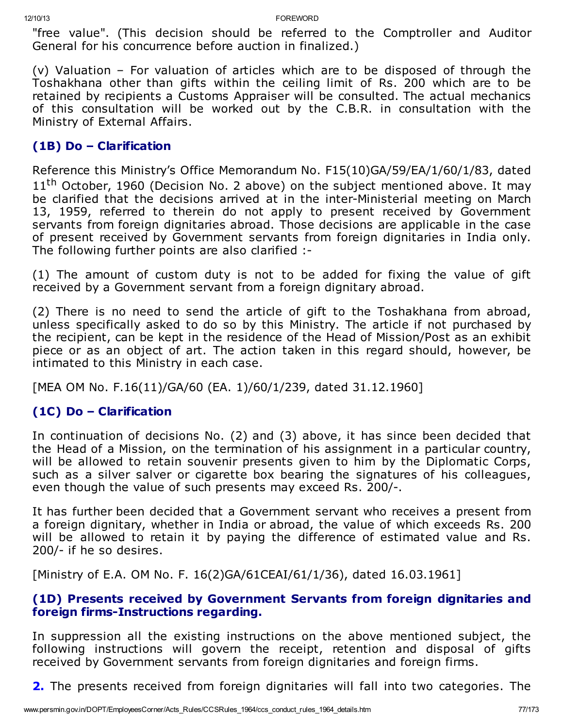"free value". (This decision should be referred to the Comptroller and Auditor General for his concurrence before auction in finalized.)

(v) Valuation – For valuation of articles which are to be disposed of through the Toshakhana other than gifts within the ceiling limit of Rs. 200 which are to be retained by recipients a Customs Appraiser will be consulted. The actual mechanics of this consultation will be worked out by the C.B.R. in consultation with the Ministry of External Affairs.

# (1B) Do – Clarification

Reference this Ministry's Office Memorandum No. F15(10)GA/59/EA/1/60/1/83, dated 11<sup>th</sup> October, 1960 (Decision No. 2 above) on the subject mentioned above. It may be clarified that the decisions arrived at in the inter-Ministerial meeting on March 13, 1959, referred to therein do not apply to present received by Government servants from foreign dignitaries abroad. Those decisions are applicable in the case of present received by Government servants from foreign dignitaries in India only. The following further points are also clarified :-

(1) The amount of custom duty is not to be added for fixing the value of gift received by a Government servant from a foreign dignitary abroad.

(2) There is no need to send the article of gift to the Toshakhana from abroad, unless specifically asked to do so by this Ministry. The article if not purchased by the recipient, can be kept in the residence of the Head of Mission/Post as an exhibit piece or as an object of art. The action taken in this regard should, however, be intimated to this Ministry in each case.

[MEA OM No. F.16(11)/GA/60 (EA. 1)/60/1/239, dated 31.12.1960]

# (1C) Do – Clarification

In continuation of decisions No. (2) and (3) above, it has since been decided that the Head of a Mission, on the termination of his assignment in a particular country, will be allowed to retain souvenir presents given to him by the Diplomatic Corps, such as a silver salver or cigarette box bearing the signatures of his colleagues, even though the value of such presents may exceed Rs. 200/-.

It has further been decided that a Government servant who receives a present from a foreign dignitary, whether in India or abroad, the value of which exceeds Rs. 200 will be allowed to retain it by paying the difference of estimated value and Rs. 200/- if he so desires.

[Ministry of E.A. OM No. F. 16(2)GA/61CEAI/61/1/36), dated 16.03.1961]

## (1D) Presents received by Government Servants from foreign dignitaries and foreign firms-Instructions regarding.

In suppression all the existing instructions on the above mentioned subject, the following instructions will govern the receipt, retention and disposal of gifts received by Government servants from foreign dignitaries and foreign firms.

2. The presents received from foreign dignitaries will fall into two categories. The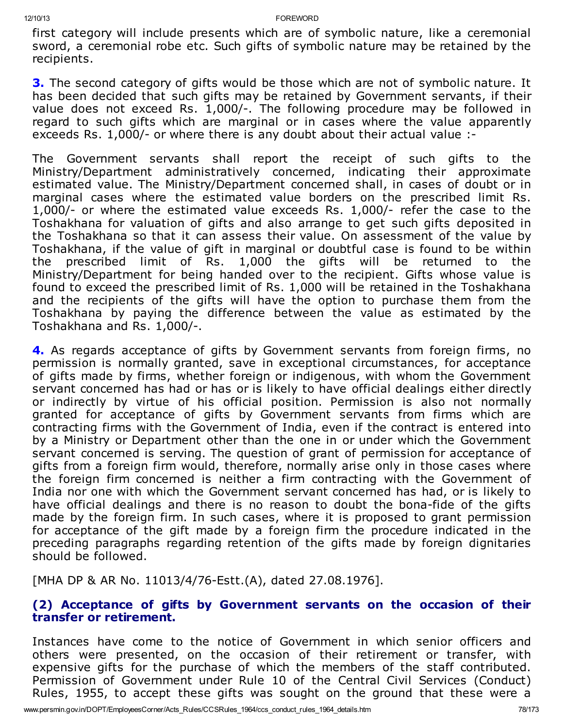first category will include presents which are of symbolic nature, like a ceremonial sword, a ceremonial robe etc. Such gifts of symbolic nature may be retained by the recipients.

**3.** The second category of gifts would be those which are not of symbolic nature. It has been decided that such gifts may be retained by Government servants, if their value does not exceed Rs. 1,000/-. The following procedure may be followed in regard to such gifts which are marginal or in cases where the value apparently exceeds Rs. 1,000/- or where there is any doubt about their actual value :-

The Government servants shall report the receipt of such gifts to the Ministry/Department administratively concerned, indicating their approximate estimated value. The Ministry/Department concerned shall, in cases of doubt or in marginal cases where the estimated value borders on the prescribed limit Rs. 1,000/- or where the estimated value exceeds Rs. 1,000/- refer the case to the Toshakhana for valuation of gifts and also arrange to get such gifts deposited in the Toshakhana so that it can assess their value. On assessment of the value by Toshakhana, if the value of gift in marginal or doubtful case is found to be within the prescribed limit of Rs. 1,000 the gifts will be returned to the Ministry/Department for being handed over to the recipient. Gifts whose value is found to exceed the prescribed limit of Rs. 1,000 will be retained in the Toshakhana and the recipients of the gifts will have the option to purchase them from the Toshakhana by paying the difference between the value as estimated by the Toshakhana and Rs. 1,000/-.

4. As regards acceptance of gifts by Government servants from foreign firms, no permission is normally granted, save in exceptional circumstances, for acceptance of gifts made by firms, whether foreign or indigenous, with whom the Government servant concerned has had or has or is likely to have official dealings either directly or indirectly by virtue of his official position. Permission is also not normally granted for acceptance of gifts by Government servants from firms which are contracting firms with the Government of India, even if the contract is entered into by a Ministry or Department other than the one in or under which the Government servant concerned is serving. The question of grant of permission for acceptance of gifts from a foreign firm would, therefore, normally arise only in those cases where the foreign firm concerned is neither a firm contracting with the Government of India nor one with which the Government servant concerned has had, or is likely to have official dealings and there is no reason to doubt the bona-fide of the gifts made by the foreign firm. In such cases, where it is proposed to grant permission for acceptance of the gift made by a foreign firm the procedure indicated in the preceding paragraphs regarding retention of the gifts made by foreign dignitaries should be followed.

[MHA DP & AR No. 11013/4/76-Estt.(A), dated 27.08.1976].

### (2) Acceptance of gifts by Government servants on the occasion of their transfer or retirement.

Instances have come to the notice of Government in which senior officers and others were presented, on the occasion of their retirement or transfer, with expensive gifts for the purchase of which the members of the staff contributed. Permission of Government under Rule 10 of the Central Civil Services (Conduct) Rules, 1955, to accept these gifts was sought on the ground that these were a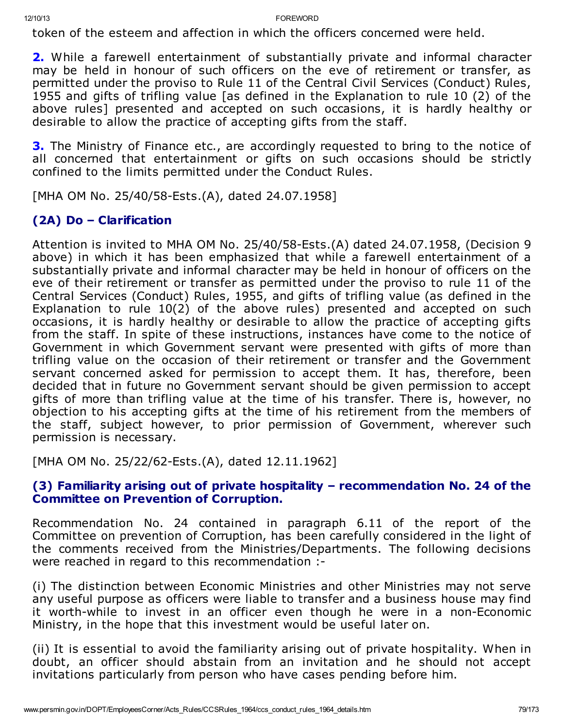token of the esteem and affection in which the officers concerned were held.

2. While a farewell entertainment of substantially private and informal character may be held in honour of such officers on the eve of retirement or transfer, as permitted under the proviso to Rule 11 of the Central Civil Services (Conduct) Rules, 1955 and gifts of trifling value [as defined in the Explanation to rule 10 (2) of the above rules] presented and accepted on such occasions, it is hardly healthy or desirable to allow the practice of accepting gifts from the staff.

**3.** The Ministry of Finance etc., are accordingly requested to bring to the notice of all concerned that entertainment or gifts on such occasions should be strictly confined to the limits permitted under the Conduct Rules.

[MHA OM No. 25/40/58-Ests.(A), dated 24.07.1958]

# (2A) Do – Clarification

Attention is invited to MHA OM No. 25/40/58-Ests.(A) dated 24.07.1958, (Decision 9 above) in which it has been emphasized that while a farewell entertainment of a substantially private and informal character may be held in honour of officers on the eve of their retirement or transfer as permitted under the proviso to rule 11 of the Central Services (Conduct) Rules, 1955, and gifts of trifling value (as defined in the Explanation to rule 10(2) of the above rules) presented and accepted on such occasions, it is hardly healthy or desirable to allow the practice of accepting gifts from the staff. In spite of these instructions, instances have come to the notice of Government in which Government servant were presented with gifts of more than trifling value on the occasion of their retirement or transfer and the Government servant concerned asked for permission to accept them. It has, therefore, been decided that in future no Government servant should be given permission to accept gifts of more than trifling value at the time of his transfer. There is, however, no objection to his accepting gifts at the time of his retirement from the members of the staff, subject however, to prior permission of Government, wherever such permission is necessary.

[MHA OM No. 25/22/62-Ests.(A), dated 12.11.1962]

### (3) Familiarity arising out of private hospitality – recommendation No. 24 of the Committee on Prevention of Corruption.

Recommendation No. 24 contained in paragraph 6.11 of the report of the Committee on prevention of Corruption, has been carefully considered in the light of the comments received from the Ministries/Departments. The following decisions were reached in regard to this recommendation :-

(i) The distinction between Economic Ministries and other Ministries may not serve any useful purpose as officers were liable to transfer and a business house may find it worth-while to invest in an officer even though he were in a non-Economic Ministry, in the hope that this investment would be useful later on.

(ii) It is essential to avoid the familiarity arising out of private hospitality. When in doubt, an officer should abstain from an invitation and he should not accept invitations particularly from person who have cases pending before him.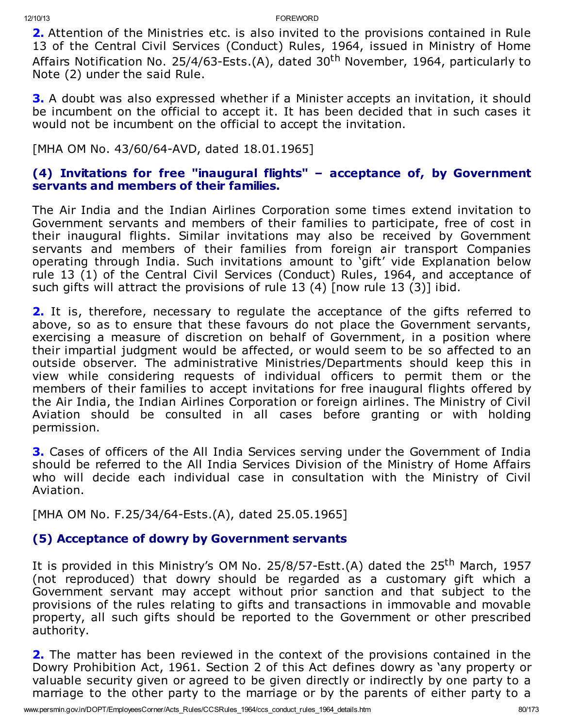2. Attention of the Ministries etc. is also invited to the provisions contained in Rule 13 of the Central Civil Services (Conduct) Rules, 1964, issued in Ministry of Home Affairs Notification No. 25/4/63-Ests.(A), dated 30<sup>th</sup> November, 1964, particularly to Note (2) under the said Rule.

3. A doubt was also expressed whether if a Minister accepts an invitation, it should be incumbent on the official to accept it. It has been decided that in such cases it would not be incumbent on the official to accept the invitation.

[MHA OM No. 43/60/64-AVD, dated 18.01.1965]

## (4) Invitations for free "inaugural flights" – acceptance of, by Government servants and members of their families.

The Air India and the Indian Airlines Corporation some times extend invitation to Government servants and members of their families to participate, free of cost in their inaugural flights. Similar invitations may also be received by Government servants and members of their families from foreign air transport Companies operating through India. Such invitations amount to 'gift' vide Explanation below rule 13 (1) of the Central Civil Services (Conduct) Rules, 1964, and acceptance of such gifts will attract the provisions of rule 13 (4) [now rule 13 (3)] ibid.

**2.** It is, therefore, necessary to regulate the acceptance of the gifts referred to above, so as to ensure that these favours do not place the Government servants, exercising a measure of discretion on behalf of Government, in a position where their impartial judgment would be affected, or would seem to be so affected to an outside observer. The administrative Ministries/Departments should keep this in view while considering requests of individual officers to permit them or the members of their families to accept invitations for free inaugural flights offered by the Air India, the Indian Airlines Corporation or foreign airlines. The Ministry of Civil Aviation should be consulted in all cases before granting or with holding permission.

**3.** Cases of officers of the All India Services serving under the Government of India should be referred to the All India Services Division of the Ministry of Home Affairs who will decide each individual case in consultation with the Ministry of Civil Aviation.

[MHA OM No. F.25/34/64-Ests.(A), dated 25.05.1965]

# (5) Acceptance of dowry by Government servants

It is provided in this Ministry's OM No. 25/8/57-Estt.(A) dated the 25<sup>th</sup> March, 1957 (not reproduced) that dowry should be regarded as a customary gift which a Government servant may accept without prior sanction and that subject to the provisions of the rules relating to gifts and transactions in immovable and movable property, all such gifts should be reported to the Government or other prescribed authority.

**2.** The matter has been reviewed in the context of the provisions contained in the Dowry Prohibition Act, 1961. Section 2 of this Act defines dowry as 'any property or valuable security given or agreed to be given directly or indirectly by one party to a marriage to the other party to the marriage or by the parents of either party to a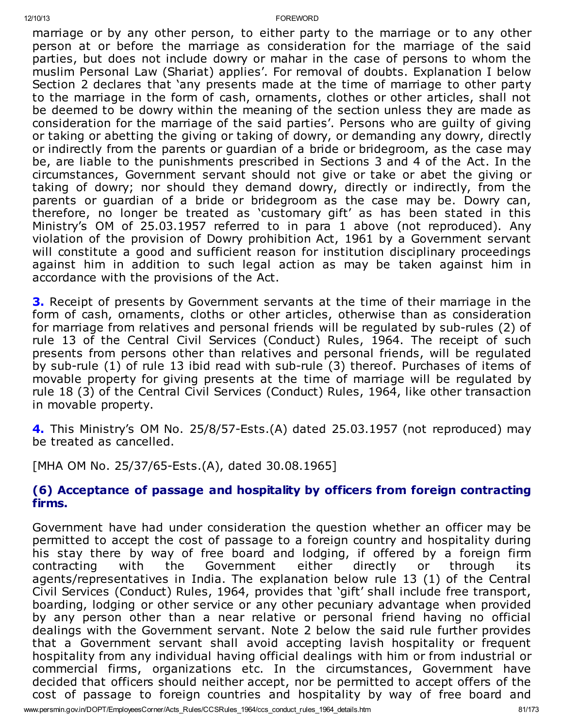marriage or by any other person, to either party to the marriage or to any other person at or before the marriage as consideration for the marriage of the said parties, but does not include dowry or mahar in the case of persons to whom the muslim Personal Law (Shariat) applies'. For removal of doubts. Explanation I below Section 2 declares that 'any presents made at the time of marriage to other party to the marriage in the form of cash, ornaments, clothes or other articles, shall not be deemed to be dowry within the meaning of the section unless they are made as consideration for the marriage of the said parties'. Persons who are guilty of giving or taking or abetting the giving or taking of dowry, or demanding any dowry, directly or indirectly from the parents or guardian of a bride or bridegroom, as the case may be, are liable to the punishments prescribed in Sections 3 and 4 of the Act. In the circumstances, Government servant should not give or take or abet the giving or taking of dowry; nor should they demand dowry, directly or indirectly, from the parents or guardian of a bride or bridegroom as the case may be. Dowry can, therefore, no longer be treated as 'customary gift' as has been stated in this Ministry's OM of 25.03.1957 referred to in para 1 above (not reproduced). Any violation of the provision of Dowry prohibition Act, 1961 by a Government servant will constitute a good and sufficient reason for institution disciplinary proceedings against him in addition to such legal action as may be taken against him in accordance with the provisions of the Act.

**3.** Receipt of presents by Government servants at the time of their marriage in the form of cash, ornaments, cloths or other articles, otherwise than as consideration for marriage from relatives and personal friends will be regulated by sub-rules (2) of rule 13 of the Central Civil Services (Conduct) Rules, 1964. The receipt of such presents from persons other than relatives and personal friends, will be regulated by sub-rule (1) of rule 13 ibid read with sub-rule (3) thereof. Purchases of items of movable property for giving presents at the time of marriage will be regulated by rule 18 (3) of the Central Civil Services (Conduct) Rules, 1964, like other transaction in movable property.

4. This Ministry's OM No. 25/8/57-Ests.(A) dated 25.03.1957 (not reproduced) may be treated as cancelled.

[MHA OM No. 25/37/65-Ests.(A), dated 30.08.1965]

### (6) Acceptance of passage and hospitality by officers from foreign contracting firms.

Government have had under consideration the question whether an officer may be permitted to accept the cost of passage to a foreign country and hospitality during his stay there by way of free board and lodging, if offered by a foreign firm contracting with the Government either directly or through its agents/representatives in India. The explanation below rule 13 (1) of the Central Civil Services (Conduct) Rules, 1964, provides that 'gift' shall include free transport, boarding, lodging or other service or any other pecuniary advantage when provided by any person other than a near relative or personal friend having no official dealings with the Government servant. Note 2 below the said rule further provides that a Government servant shall avoid accepting lavish hospitality or frequent hospitality from any individual having official dealings with him or from industrial or commercial firms, organizations etc. In the circumstances, Government have decided that officers should neither accept, nor be permitted to accept offers of the cost of passage to foreign countries and hospitality by way of free board and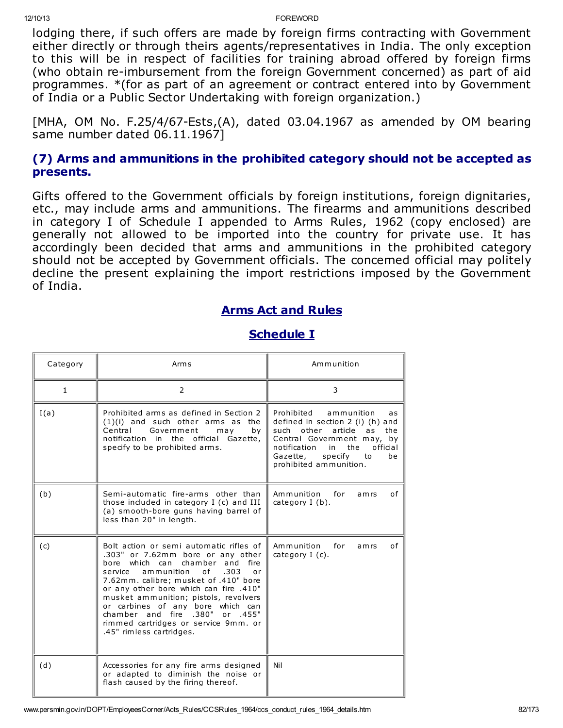lodging there, if such offers are made by foreign firms contracting with Government either directly or through theirs agents/representatives in India. The only exception to this will be in respect of facilities for training abroad offered by foreign firms (who obtain re-imbursement from the foreign Government concerned) as part of aid programmes. \*(for as part of an agreement or contract entered into by Government of India or a Public Sector Undertaking with foreign organization.)

[MHA, OM No. F.25/4/67-Ests,(A), dated 03.04.1967 as amended by OM bearing same number dated 06.11.1967]

## (7) Arms and ammunitions in the prohibited category should not be accepted as presents.

Gifts offered to the Government officials by foreign institutions, foreign dignitaries, etc., may include arms and ammunitions. The firearms and ammunitions described in category I of Schedule I appended to Arms Rules, 1962 (copy enclosed) are generally not allowed to be imported into the country for private use. It has accordingly been decided that arms and ammunitions in the prohibited category should not be accepted by Government officials. The concerned official may politely decline the present explaining the import restrictions imposed by the Government of India.

# Arms Act and Rules

# Schedule I

| Category | Arm <sub>s</sub>                                                                                                                                                                                                                                                                                                                                                                                                                           | Ammunition                                                                                                                                                                                                                          |  |  |  |
|----------|--------------------------------------------------------------------------------------------------------------------------------------------------------------------------------------------------------------------------------------------------------------------------------------------------------------------------------------------------------------------------------------------------------------------------------------------|-------------------------------------------------------------------------------------------------------------------------------------------------------------------------------------------------------------------------------------|--|--|--|
| 1        | 2                                                                                                                                                                                                                                                                                                                                                                                                                                          | 3                                                                                                                                                                                                                                   |  |  |  |
| I(a)     | Prohibited arms as defined in Section 2<br>$(1)(i)$ and such other arms as the<br>Central<br>Government<br>by<br>may<br>notification in the official Gazette,<br>specify to be prohibited arms.                                                                                                                                                                                                                                            | Prohibited<br>ammunition<br>as<br>defined in section 2 (i) (h) and<br>such other article<br>as the<br>Central Government may, by<br>notification in<br>the<br>official<br>Gazette,<br>specify<br>to<br>be<br>prohibited ammunition. |  |  |  |
| (b)      | Semi-automatic fire-arms other than<br>those included in category I (c) and III<br>(a) smooth-bore guns having barrel of<br>less than 20" in length.                                                                                                                                                                                                                                                                                       | <sub>of</sub><br>Ammunition<br>for<br>amrs<br>category I (b).                                                                                                                                                                       |  |  |  |
| (c)      | Bolt action or semi automatic rifles of<br>.303" or 7.62mm bore or any other<br>chamber and fire<br>which can<br>hore<br>ammunition<br>of<br>.303<br>service<br>or<br>7.62mm. calibre; musket of .410" bore<br>or any other bore which can fire .410"<br>musket ammunition; pistols, revolvers<br>or carbines of any bore which can<br>chamber and fire .380" or .455"<br>rimmed cartridges or service 9mm. or<br>.45" rimless cartridges. | of<br>Am munition<br>for<br>amrs<br>category $I(c)$ .                                                                                                                                                                               |  |  |  |
| (d)      | Accessories for any fire arms designed<br>or adapted to diminish the noise or<br>flash caused by the firing thereof.                                                                                                                                                                                                                                                                                                                       | Nil                                                                                                                                                                                                                                 |  |  |  |

www.persmin.gov.in/DOPT/EmployeesCorner/Acts\_Rules/CCSRules\_1964/ccs\_conduct\_rules\_1964\_details.htm 82/173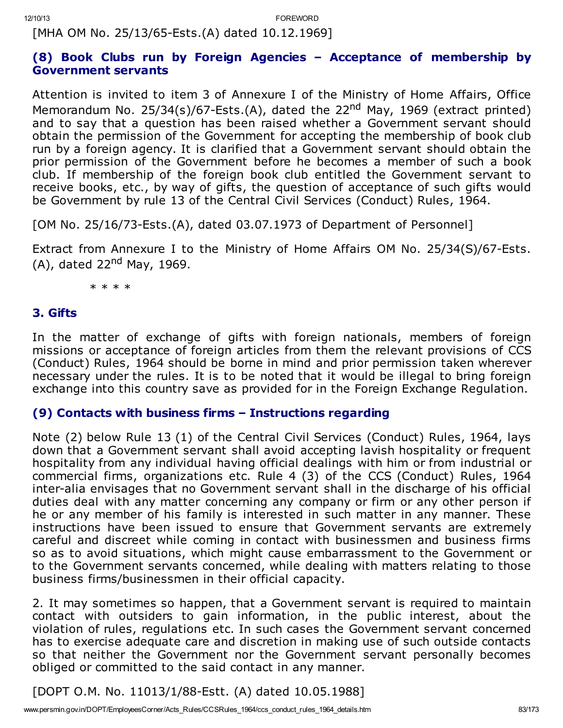[MHA OM No. 25/13/65-Ests.(A) dated 10.12.1969]

### (8) Book Clubs run by Foreign Agencies – Acceptance of membership by Government servants

Attention is invited to item 3 of Annexure I of the Ministry of Home Affairs, Office Memorandum No. 25/34(s)/67-Ests.(A), dated the 22<sup>nd</sup> May, 1969 (extract printed) and to say that a question has been raised whether a Government servant should obtain the permission of the Government for accepting the membership of book club run by a foreign agency. It is clarified that a Government servant should obtain the prior permission of the Government before he becomes a member of such a book club. If membership of the foreign book club entitled the Government servant to receive books, etc., by way of gifts, the question of acceptance of such gifts would be Government by rule 13 of the Central Civil Services (Conduct) Rules, 1964.

[OM No. 25/16/73-Ests.(A), dated 03.07.1973 of Department of Personnel]

Extract from Annexure I to the Ministry of Home Affairs OM No. 25/34(S)/67-Ests. (A), dated 22<sup>nd</sup> May, 1969.

\* \* \* \*

## 3. Gifts

In the matter of exchange of gifts with foreign nationals, members of foreign missions or acceptance of foreign articles from them the relevant provisions of CCS (Conduct) Rules, 1964 should be borne in mind and prior permission taken wherever necessary under the rules. It is to be noted that it would be illegal to bring foreign exchange into this country save as provided for in the Foreign Exchange Regulation.

## (9) Contacts with business firms – Instructions regarding

Note (2) below Rule 13 (1) of the Central Civil Services (Conduct) Rules, 1964, lays down that a Government servant shall avoid accepting lavish hospitality or frequent hospitality from any individual having official dealings with him or from industrial or commercial firms, organizations etc. Rule 4 (3) of the CCS (Conduct) Rules, 1964 inter-alia envisages that no Government servant shall in the discharge of his official duties deal with any matter concerning any company or firm or any other person if he or any member of his family is interested in such matter in any manner. These instructions have been issued to ensure that Government servants are extremely careful and discreet while coming in contact with businessmen and business firms so as to avoid situations, which might cause embarrassment to the Government or to the Government servants concerned, while dealing with matters relating to those business firms/businessmen in their official capacity.

2. It may sometimes so happen, that a Government servant is required to maintain contact with outsiders to gain information, in the public interest, about the violation of rules, regulations etc. In such cases the Government servant concerned has to exercise adequate care and discretion in making use of such outside contacts so that neither the Government nor the Government servant personally becomes obliged or committed to the said contact in any manner.

[DOPT O.M. No. 11013/1/88-Estt. (A) dated 10.05.1988]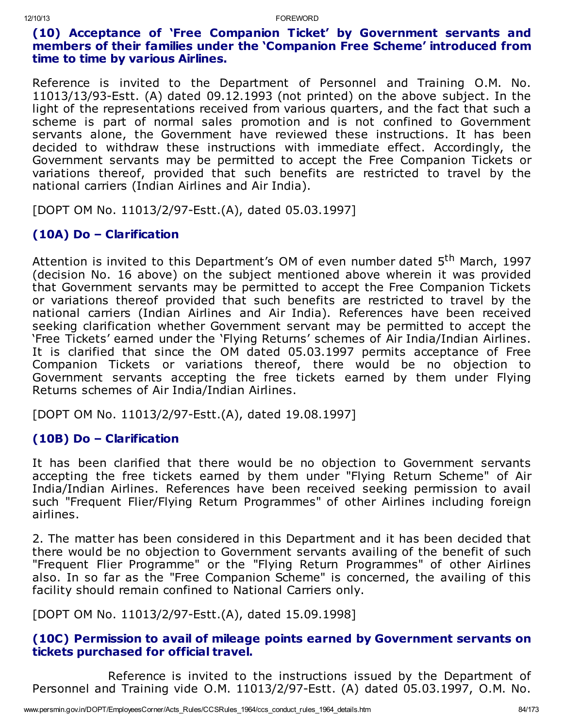#### (10) Acceptance of 'Free Companion Ticket' by Government servants and members of their families under the 'Companion Free Scheme' introduced from time to time by various Airlines.

Reference is invited to the Department of Personnel and Training O.M. No. 11013/13/93-Estt. (A) dated 09.12.1993 (not printed) on the above subject. In the light of the representations received from various quarters, and the fact that such a scheme is part of normal sales promotion and is not confined to Government servants alone, the Government have reviewed these instructions. It has been decided to withdraw these instructions with immediate effect. Accordingly, the Government servants may be permitted to accept the Free Companion Tickets or variations thereof, provided that such benefits are restricted to travel by the national carriers (Indian Airlines and Air India).

[DOPT OM No. 11013/2/97-Estt.(A), dated 05.03.1997]

# (10A) Do – Clarification

Attention is invited to this Department's OM of even number dated 5<sup>th</sup> March, 1997 (decision No. 16 above) on the subject mentioned above wherein it was provided that Government servants may be permitted to accept the Free Companion Tickets or variations thereof provided that such benefits are restricted to travel by the national carriers (Indian Airlines and Air India). References have been received seeking clarification whether Government servant may be permitted to accept the 'Free Tickets' earned under the 'Flying Returns' schemes of Air India/Indian Airlines. It is clarified that since the OM dated 05.03.1997 permits acceptance of Free Companion Tickets or variations thereof, there would be no objection to Government servants accepting the free tickets earned by them under Flying Returns schemes of Air India/Indian Airlines.

[DOPT OM No. 11013/2/97-Estt.(A), dated 19.08.1997]

# (10B) Do – Clarification

It has been clarified that there would be no objection to Government servants accepting the free tickets earned by them under "Flying Return Scheme" of Air India/Indian Airlines. References have been received seeking permission to avail such "Frequent Flier/Flying Return Programmes" of other Airlines including foreign airlines.

2. The matter has been considered in this Department and it has been decided that there would be no objection to Government servants availing of the benefit of such "Frequent Flier Programme" or the "Flying Return Programmes" of other Airlines also. In so far as the "Free Companion Scheme" is concerned, the availing of this facility should remain confined to National Carriers only.

[DOPT OM No. 11013/2/97-Estt.(A), dated 15.09.1998]

### (10C) Permission to avail of mileage points earned by Government servants on tickets purchased for official travel.

Reference is invited to the instructions issued by the Department of Personnel and Training vide O.M. 11013/2/97-Estt. (A) dated 05.03.1997, O.M. No.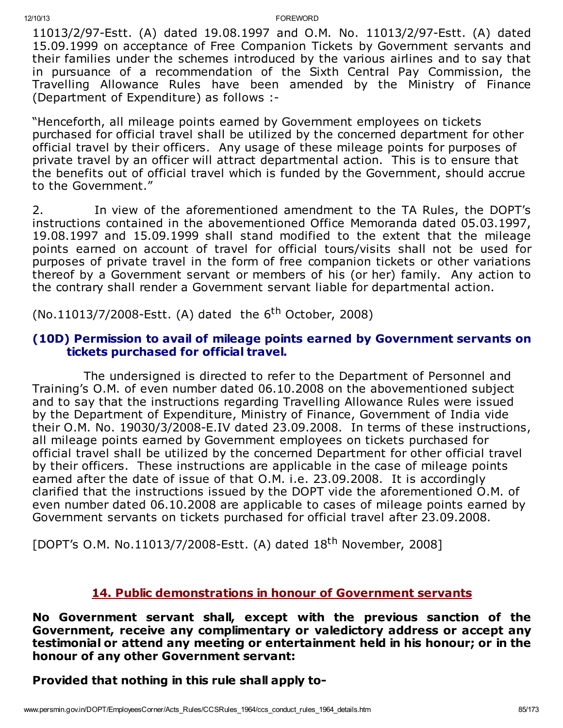11013/2/97-Estt. (A) dated 19.08.1997 and O.M. No. 11013/2/97-Estt. (A) dated 15.09.1999 on acceptance of Free Companion Tickets by Government servants and their families under the schemes introduced by the various airlines and to say that in pursuance of a recommendation of the Sixth Central Pay Commission, the Travelling Allowance Rules have been amended by the Ministry of Finance (Department of Expenditure) as follows :-

"Henceforth, all mileage points earned by Government employees on tickets purchased for official travel shall be utilized by the concerned department for other official travel by their officers. Any usage of these mileage points for purposes of private travel by an officer will attract departmental action. This is to ensure that the benefits out of official travel which is funded by the Government, should accrue to the Government."

2. In view of the aforementioned amendment to the TA Rules, the DOPT's instructions contained in the abovementioned Office Memoranda dated 05.03.1997, 19.08.1997 and 15.09.1999 shall stand modified to the extent that the mileage points earned on account of travel for official tours/visits shall not be used for purposes of private travel in the form of free companion tickets or other variations thereof by a Government servant or members of his (or her) family. Any action to the contrary shall render a Government servant liable for departmental action.

 $(No.11013/7/2008$ -Estt. (A) dated the  $6<sup>th</sup>$  October, 2008)

### (10D) Permission to avail of mileage points earned by Government servants on tickets purchased for official travel.

The undersigned is directed to refer to the Department of Personnel and Training's O.M. of even number dated 06.10.2008 on the abovementioned subject and to say that the instructions regarding Travelling Allowance Rules were issued by the Department of Expenditure, Ministry of Finance, Government of India vide their O.M. No. 19030/3/2008-E.IV dated 23.09.2008. In terms of these instructions, all mileage points earned by Government employees on tickets purchased for official travel shall be utilized by the concerned Department for other official travel by their officers. These instructions are applicable in the case of mileage points earned after the date of issue of that O.M. i.e. 23.09.2008. It is accordingly clarified that the instructions issued by the DOPT vide the aforementioned O.M. of even number dated 06.10.2008 are applicable to cases of mileage points earned by Government servants on tickets purchased for official travel after 23.09.2008.

[DOPT's O.M. No.11013/7/2008-Estt. (A) dated  $18<sup>th</sup>$  November, 2008]

## 14. Public demonstrations in honour of Government servants

No Government servant shall, except with the previous sanction of the Government, receive any complimentary or valedictory address or accept any testimonial or attend any meeting or entertainment held in his honour; or in the honour of any other Government servant:

Provided that nothing in this rule shall apply to-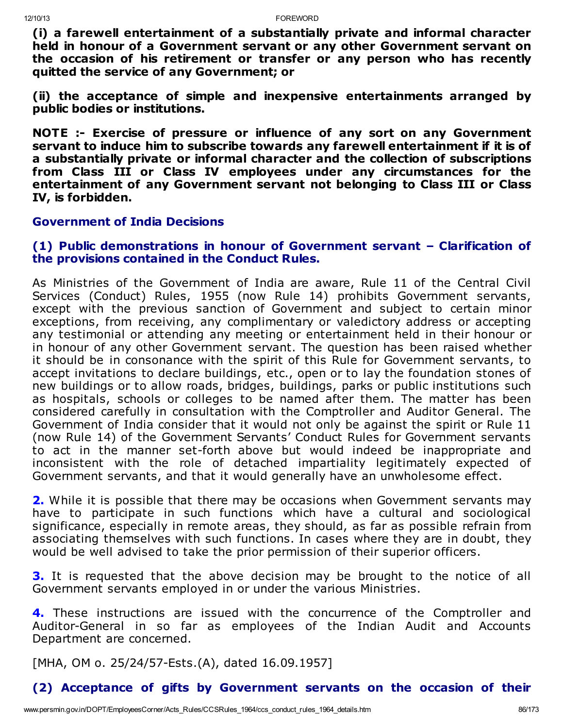(i) a farewell entertainment of a substantially private and informal character held in honour of a Government servant or any other Government servant on the occasion of his retirement or transfer or any person who has recently quitted the service of any Government; or

(ii) the acceptance of simple and inexpensive entertainments arranged by public bodies or institutions.

NOTE :- Exercise of pressure or influence of any sort on any Government servant to induce him to subscribe towards any farewell entertainment if it is of a substantially private or informal character and the collection of subscriptions from Class III or Class IV employees under any circumstances for the entertainment of any Government servant not belonging to Class III or Class IV, is forbidden.

#### Government of India Decisions

#### (1) Public demonstrations in honour of Government servant – Clarification of the provisions contained in the Conduct Rules.

As Ministries of the Government of India are aware, Rule 11 of the Central Civil Services (Conduct) Rules, 1955 (now Rule 14) prohibits Government servants, except with the previous sanction of Government and subject to certain minor exceptions, from receiving, any complimentary or valedictory address or accepting any testimonial or attending any meeting or entertainment held in their honour or in honour of any other Government servant. The question has been raised whether it should be in consonance with the spirit of this Rule for Government servants, to accept invitations to declare buildings, etc., open or to lay the foundation stones of new buildings or to allow roads, bridges, buildings, parks or public institutions such as hospitals, schools or colleges to be named after them. The matter has been considered carefully in consultation with the Comptroller and Auditor General. The Government of India consider that it would not only be against the spirit or Rule 11 (now Rule 14) of the Government Servants' Conduct Rules for Government servants to act in the manner set-forth above but would indeed be inappropriate and inconsistent with the role of detached impartiality legitimately expected of Government servants, and that it would generally have an unwholesome effect.

**2.** While it is possible that there may be occasions when Government servants may have to participate in such functions which have a cultural and sociological significance, especially in remote areas, they should, as far as possible refrain from associating themselves with such functions. In cases where they are in doubt, they would be well advised to take the prior permission of their superior officers.

**3.** It is requested that the above decision may be brought to the notice of all Government servants employed in or under the various Ministries.

4. These instructions are issued with the concurrence of the Comptroller and Auditor-General in so far as employees of the Indian Audit and Accounts Department are concerned.

[MHA, OM o. 25/24/57-Ests.(A), dated 16.09.1957]

(2) Acceptance of gifts by Government servants on the occasion of their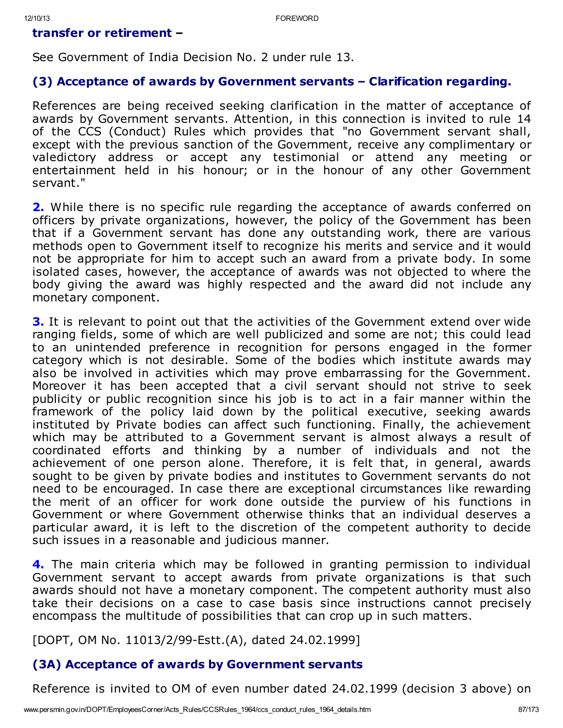### transfer or retirement –

See Government of India Decision No. 2 under rule 13.

#### (3) Acceptance of awards by Government servants – Clarification regarding.

References are being received seeking clarification in the matter of acceptance of awards by Government servants. Attention, in this connection is invited to rule 14 of the CCS (Conduct) Rules which provides that "no Government servant shall, except with the previous sanction of the Government, receive any complimentary or valedictory address or accept any testimonial or attend any meeting or entertainment held in his honour; or in the honour of any other Government servant."

2. While there is no specific rule regarding the acceptance of awards conferred on officers by private organizations, however, the policy of the Government has been that if a Government servant has done any outstanding work, there are various methods open to Government itself to recognize his merits and service and it would not be appropriate for him to accept such an award from a private body. In some isolated cases, however, the acceptance of awards was not objected to where the body giving the award was highly respected and the award did not include any monetary component.

**3.** It is relevant to point out that the activities of the Government extend over wide ranging fields, some of which are well publicized and some are not; this could lead to an unintended preference in recognition for persons engaged in the former category which is not desirable. Some of the bodies which institute awards may also be involved in activities which may prove embarrassing for the Government. Moreover it has been accepted that a civil servant should not strive to seek publicity or public recognition since his job is to act in a fair manner within the framework of the policy laid down by the political executive, seeking awards instituted by Private bodies can affect such functioning. Finally, the achievement which may be attributed to a Government servant is almost always a result of coordinated efforts and thinking by a number of individuals and not the achievement of one person alone. Therefore, it is felt that, in general, awards sought to be given by private bodies and institutes to Government servants do not need to be encouraged. In case there are exceptional circumstances like rewarding the merit of an officer for work done outside the purview of his functions in Government or where Government otherwise thinks that an individual deserves a particular award, it is left to the discretion of the competent authority to decide such issues in a reasonable and judicious manner.

**4.** The main criteria which may be followed in granting permission to individual Government servant to accept awards from private organizations is that such awards should not have a monetary component. The competent authority must also take their decisions on a case to case basis since instructions cannot precisely encompass the multitude of possibilities that can crop up in such matters.

[DOPT, OM No. 11013/2/99-Estt.(A), dated 24.02.1999]

#### (3A) Acceptance of awards by Government servants

Reference is invited to OM of even number dated 24.02.1999 (decision 3 above) on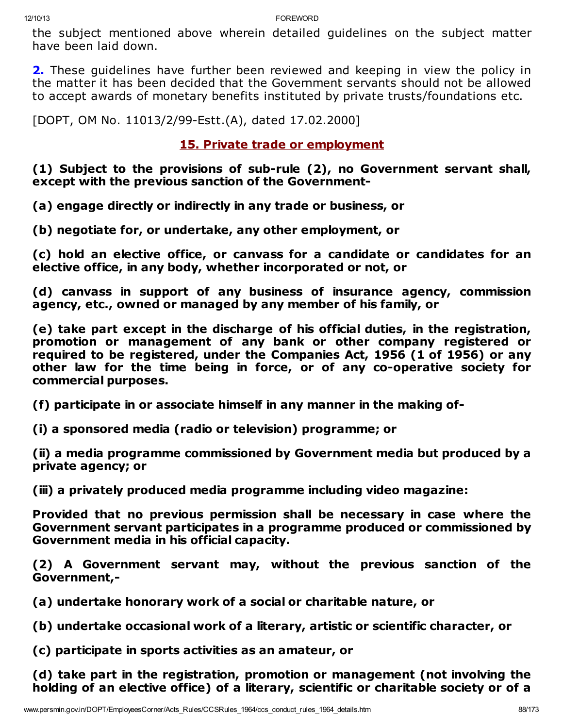the subject mentioned above wherein detailed guidelines on the subject matter have been laid down.

**2.** These guidelines have further been reviewed and keeping in view the policy in the matter it has been decided that the Government servants should not be allowed to accept awards of monetary benefits instituted by private trusts/foundations etc.

[DOPT, OM No. 11013/2/99-Estt.(A), dated 17.02.2000]

## 15. Private trade or employment

(1) Subject to the provisions of sub-rule (2), no Government servant shall, except with the previous sanction of the Government-

(a) engage directly or indirectly in any trade or business, or

(b) negotiate for, or undertake, any other employment, or

(c) hold an elective office, or canvass for a candidate or candidates for an elective office, in any body, whether incorporated or not, or

(d) canvass in support of any business of insurance agency, commission agency, etc., owned or managed by any member of his family, or

(e) take part except in the discharge of his official duties, in the registration, promotion or management of any bank or other company registered or required to be registered, under the Companies Act, 1956 (1 of 1956) or any other law for the time being in force, or of any co-operative society for commercial purposes.

(f) participate in or associate himself in any manner in the making of-

(i) a sponsored media (radio or television) programme; or

(ii) a media programme commissioned by Government media but produced by a private agency; or

(iii) a privately produced media programme including video magazine:

Provided that no previous permission shall be necessary in case where the Government servant participates in a programme produced or commissioned by Government media in his official capacity.

(2) A Government servant may, without the previous sanction of the Government,-

(a) undertake honorary work of a social or charitable nature, or

(b) undertake occasional work of a literary, artistic or scientific character, or

(c) participate in sports activities as an amateur, or

(d) take part in the registration, promotion or management (not involving the holding of an elective office) of a literary, scientific or charitable society or of a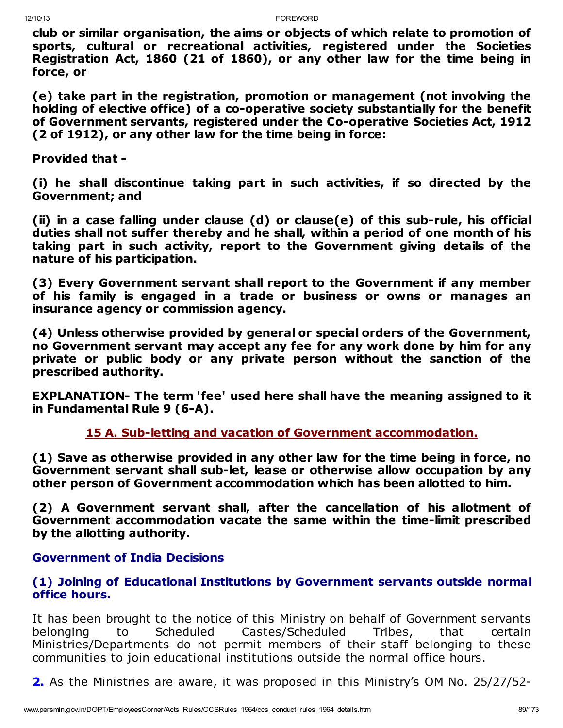club or similar organisation, the aims or objects of which relate to promotion of sports, cultural or recreational activities, registered under the Societies Registration Act, 1860 (21 of 1860), or any other law for the time being in force, or

(e) take part in the registration, promotion or management (not involving the holding of elective office) of a co-operative society substantially for the benefit of Government servants, registered under the Co-operative Societies Act, 1912 (2 of 1912), or any other law for the time being in force:

Provided that -

(i) he shall discontinue taking part in such activities, if so directed by the Government; and

(ii) in a case falling under clause (d) or clause(e) of this sub-rule, his official duties shall not suffer thereby and he shall, within a period of one month of his taking part in such activity, report to the Government giving details of the nature of his participation.

(3) Every Government servant shall report to the Government if any member of his family is engaged in a trade or business or owns or manages an insurance agency or commission agency.

(4) Unless otherwise provided by general or special orders of the Government, no Government servant may accept any fee for any work done by him for any private or public body or any private person without the sanction of the prescribed authority.

EXPLANATION- The term 'fee' used here shall have the meaning assigned to it in Fundamental Rule 9 (6-A).

15 A. Sub-letting and vacation of Government accommodation.

(1) Save as otherwise provided in any other law for the time being in force, no Government servant shall sub-let, lease or otherwise allow occupation by any other person of Government accommodation which has been allotted to him.

(2) A Government servant shall, after the cancellation of his allotment of Government accommodation vacate the same within the time-limit prescribed by the allotting authority.

Government of India Decisions

(1) Joining of Educational Institutions by Government servants outside normal office hours.

It has been brought to the notice of this Ministry on behalf of Government servants belonging to Scheduled Castes/Scheduled Tribes, that certain Ministries/Departments do not permit members of their staff belonging to these communities to join educational institutions outside the normal office hours.

2. As the Ministries are aware, it was proposed in this Ministry's OM No. 25/27/52-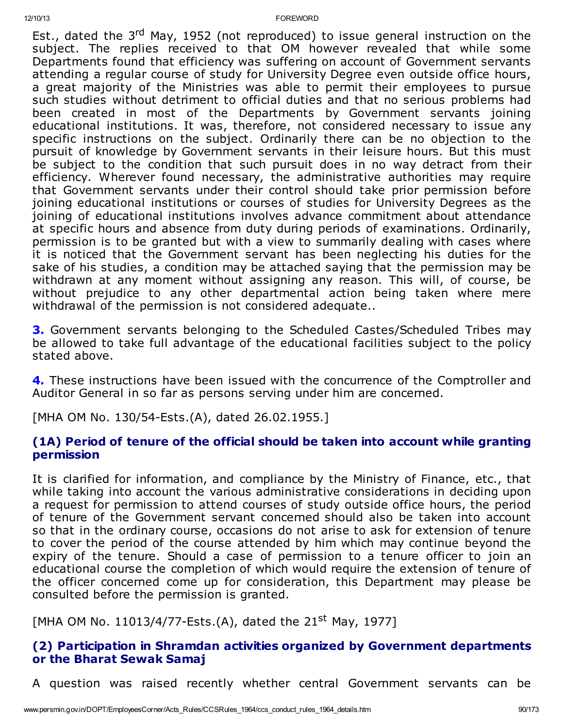Est., dated the 3<sup>rd</sup> May, 1952 (not reproduced) to issue general instruction on the subject. The replies received to that OM however revealed that while some Departments found that efficiency was suffering on account of Government servants attending a regular course of study for University Degree even outside office hours, a great majority of the Ministries was able to permit their employees to pursue such studies without detriment to official duties and that no serious problems had been created in most of the Departments by Government servants joining educational institutions. It was, therefore, not considered necessary to issue any specific instructions on the subject. Ordinarily there can be no objection to the pursuit of knowledge by Government servants in their leisure hours. But this must be subject to the condition that such pursuit does in no way detract from their efficiency. Wherever found necessary, the administrative authorities may require that Government servants under their control should take prior permission before joining educational institutions or courses of studies for University Degrees as the joining of educational institutions involves advance commitment about attendance at specific hours and absence from duty during periods of examinations. Ordinarily, permission is to be granted but with a view to summarily dealing with cases where it is noticed that the Government servant has been neglecting his duties for the sake of his studies, a condition may be attached saying that the permission may be withdrawn at any moment without assigning any reason. This will, of course, be without prejudice to any other departmental action being taken where mere withdrawal of the permission is not considered adequate..

**3.** Government servants belonging to the Scheduled Castes/Scheduled Tribes may be allowed to take full advantage of the educational facilities subject to the policy stated above.

4. These instructions have been issued with the concurrence of the Comptroller and Auditor General in so far as persons serving under him are concerned.

[MHA OM No. 130/54-Ests.(A), dated 26.02.1955.]

#### (1A) Period of tenure of the official should be taken into account while granting permission

It is clarified for information, and compliance by the Ministry of Finance, etc., that while taking into account the various administrative considerations in deciding upon a request for permission to attend courses of study outside office hours, the period of tenure of the Government servant concerned should also be taken into account so that in the ordinary course, occasions do not arise to ask for extension of tenure to cover the period of the course attended by him which may continue beyond the expiry of the tenure. Should a case of permission to a tenure officer to join an educational course the completion of which would require the extension of tenure of the officer concerned come up for consideration, this Department may please be consulted before the permission is granted.

[MHA OM No. 11013/4/77-Ests.(A), dated the 21<sup>st</sup> May, 1977]

## (2) Participation in Shramdan activities organized by Government departments or the Bharat Sewak Samaj

A question was raised recently whether central Government servants can be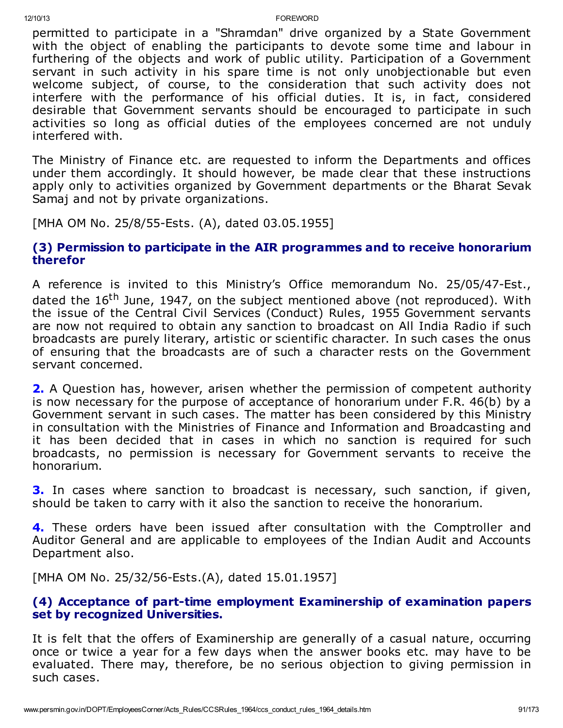permitted to participate in a "Shramdan" drive organized by a State Government with the object of enabling the participants to devote some time and labour in furthering of the objects and work of public utility. Participation of a Government servant in such activity in his spare time is not only unobjectionable but even welcome subject, of course, to the consideration that such activity does not interfere with the performance of his official duties. It is, in fact, considered desirable that Government servants should be encouraged to participate in such activities so long as official duties of the employees concerned are not unduly interfered with.

The Ministry of Finance etc. are requested to inform the Departments and offices under them accordingly. It should however, be made clear that these instructions apply only to activities organized by Government departments or the Bharat Sevak Samaj and not by private organizations.

[MHA OM No. 25/8/55-Ests. (A), dated 03.05.1955]

### (3) Permission to participate in the AIR programmes and to receive honorarium therefor

A reference is invited to this Ministry's Office memorandum No. 25/05/47-Est., dated the 16<sup>th</sup> June, 1947, on the subject mentioned above (not reproduced). With the issue of the Central Civil Services (Conduct) Rules, 1955 Government servants are now not required to obtain any sanction to broadcast on All India Radio if such broadcasts are purely literary, artistic or scientific character. In such cases the onus of ensuring that the broadcasts are of such a character rests on the Government servant concerned.

**2.** A Question has, however, arisen whether the permission of competent authority is now necessary for the purpose of acceptance of honorarium under F.R. 46(b) by a Government servant in such cases. The matter has been considered by this Ministry in consultation with the Ministries of Finance and Information and Broadcasting and it has been decided that in cases in which no sanction is required for such broadcasts, no permission is necessary for Government servants to receive the honorarium.

**3.** In cases where sanction to broadcast is necessary, such sanction, if given, should be taken to carry with it also the sanction to receive the honorarium.

4. These orders have been issued after consultation with the Comptroller and Auditor General and are applicable to employees of the Indian Audit and Accounts Department also.

[MHA OM No. 25/32/56-Ests.(A), dated 15.01.1957]

### (4) Acceptance of part-time employment Examinership of examination papers set by recognized Universities.

It is felt that the offers of Examinership are generally of a casual nature, occurring once or twice a year for a few days when the answer books etc. may have to be evaluated. There may, therefore, be no serious objection to giving permission in such cases.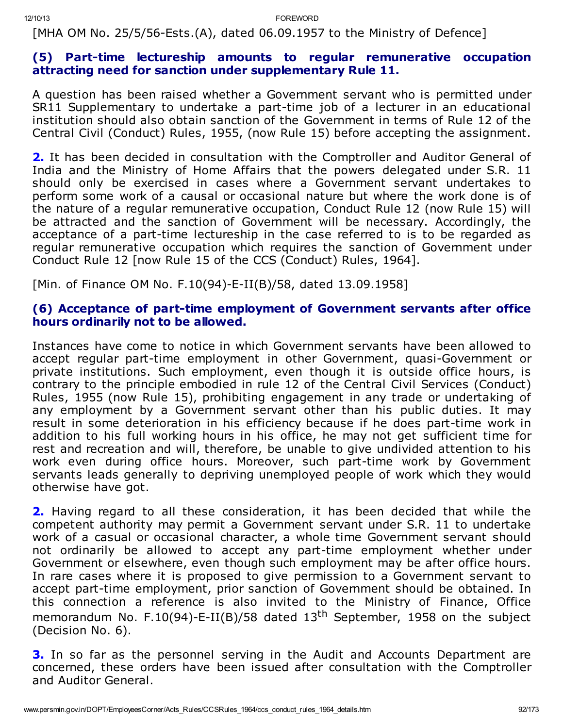[MHA OM No. 25/5/56-Ests.(A), dated 06.09.1957 to the Ministry of Defence]

#### (5) Part-time lectureship amounts to regular remunerative occupation attracting need for sanction under supplementary Rule 11.

A question has been raised whether a Government servant who is permitted under SR11 Supplementary to undertake a part-time job of a lecturer in an educational institution should also obtain sanction of the Government in terms of Rule 12 of the Central Civil (Conduct) Rules, 1955, (now Rule 15) before accepting the assignment.

2. It has been decided in consultation with the Comptroller and Auditor General of India and the Ministry of Home Affairs that the powers delegated under S.R. 11 should only be exercised in cases where a Government servant undertakes to perform some work of a causal or occasional nature but where the work done is of the nature of a regular remunerative occupation, Conduct Rule 12 (now Rule 15) will be attracted and the sanction of Government will be necessary. Accordingly, the acceptance of a part-time lectureship in the case referred to is to be regarded as regular remunerative occupation which requires the sanction of Government under Conduct Rule 12 [now Rule 15 of the CCS (Conduct) Rules, 1964].

[Min. of Finance OM No. F.10(94)-E-II(B)/58, dated 13.09.1958]

#### (6) Acceptance of part-time employment of Government servants after office hours ordinarily not to be allowed.

Instances have come to notice in which Government servants have been allowed to accept regular part-time employment in other Government, quasi-Government or private institutions. Such employment, even though it is outside office hours, is contrary to the principle embodied in rule 12 of the Central Civil Services (Conduct) Rules, 1955 (now Rule 15), prohibiting engagement in any trade or undertaking of any employment by a Government servant other than his public duties. It may result in some deterioration in his efficiency because if he does part-time work in addition to his full working hours in his office, he may not get sufficient time for rest and recreation and will, therefore, be unable to give undivided attention to his work even during office hours. Moreover, such part-time work by Government servants leads generally to depriving unemployed people of work which they would otherwise have got.

2. Having regard to all these consideration, it has been decided that while the competent authority may permit a Government servant under S.R. 11 to undertake work of a casual or occasional character, a whole time Government servant should not ordinarily be allowed to accept any part-time employment whether under Government or elsewhere, even though such employment may be after office hours. In rare cases where it is proposed to give permission to a Government servant to accept part-time employment, prior sanction of Government should be obtained. In this connection a reference is also invited to the Ministry of Finance, Office memorandum No. F.10(94)-E-II(B)/58 dated  $13<sup>th</sup>$  September, 1958 on the subject (Decision No. 6).

**3.** In so far as the personnel serving in the Audit and Accounts Department are concerned, these orders have been issued after consultation with the Comptroller and Auditor General.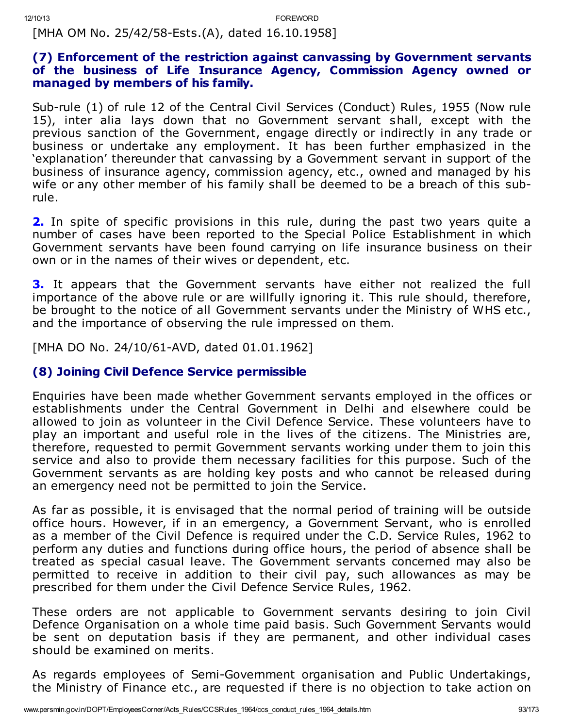#### (7) Enforcement of the restriction against canvassing by Government servants of the business of Life Insurance Agency, Commission Agency owned or managed by members of his family.

Sub-rule (1) of rule 12 of the Central Civil Services (Conduct) Rules, 1955 (Now rule 15), inter alia lays down that no Government servant shall, except with the previous sanction of the Government, engage directly or indirectly in any trade or business or undertake any employment. It has been further emphasized in the 'explanation' thereunder that canvassing by a Government servant in support of the business of insurance agency, commission agency, etc., owned and managed by his wife or any other member of his family shall be deemed to be a breach of this subrule.

**2.** In spite of specific provisions in this rule, during the past two years quite a number of cases have been reported to the Special Police Establishment in which Government servants have been found carrying on life insurance business on their own or in the names of their wives or dependent, etc.

**3.** It appears that the Government servants have either not realized the full importance of the above rule or are willfully ignoring it. This rule should, therefore, be brought to the notice of all Government servants under the Ministry of WHS etc., and the importance of observing the rule impressed on them.

[MHA DO No. 24/10/61-AVD, dated 01.01.1962]

## (8) Joining Civil Defence Service permissible

Enquiries have been made whether Government servants employed in the offices or establishments under the Central Government in Delhi and elsewhere could be allowed to join as volunteer in the Civil Defence Service. These volunteers have to play an important and useful role in the lives of the citizens. The Ministries are, therefore, requested to permit Government servants working under them to join this service and also to provide them necessary facilities for this purpose. Such of the Government servants as are holding key posts and who cannot be released during an emergency need not be permitted to join the Service.

As far as possible, it is envisaged that the normal period of training will be outside office hours. However, if in an emergency, a Government Servant, who is enrolled as a member of the Civil Defence is required under the C.D. Service Rules, 1962 to perform any duties and functions during office hours, the period of absence shall be treated as special casual leave. The Government servants concerned may also be permitted to receive in addition to their civil pay, such allowances as may be prescribed for them under the Civil Defence Service Rules, 1962.

These orders are not applicable to Government servants desiring to join Civil Defence Organisation on a whole time paid basis. Such Government Servants would be sent on deputation basis if they are permanent, and other individual cases should be examined on merits.

As regards employees of Semi-Government organisation and Public Undertakings, the Ministry of Finance etc., are requested if there is no objection to take action on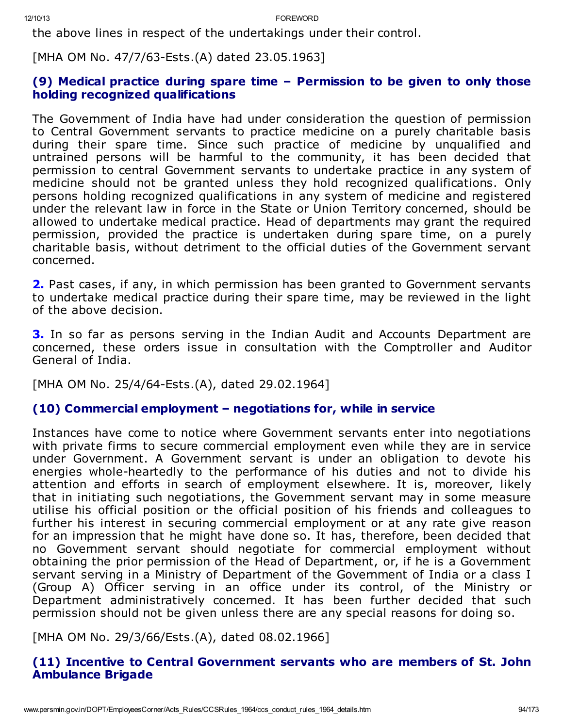the above lines in respect of the undertakings under their control.

[MHA OM No. 47/7/63-Ests.(A) dated 23.05.1963]

### (9) Medical practice during spare time – Permission to be given to only those holding recognized qualifications

The Government of India have had under consideration the question of permission to Central Government servants to practice medicine on a purely charitable basis during their spare time. Since such practice of medicine by unqualified and untrained persons will be harmful to the community, it has been decided that permission to central Government servants to undertake practice in any system of medicine should not be granted unless they hold recognized qualifications. Only persons holding recognized qualifications in any system of medicine and registered under the relevant law in force in the State or Union Territory concerned, should be allowed to undertake medical practice. Head of departments may grant the required permission, provided the practice is undertaken during spare time, on a purely charitable basis, without detriment to the official duties of the Government servant concerned.

2. Past cases, if any, in which permission has been granted to Government servants to undertake medical practice during their spare time, may be reviewed in the light of the above decision.

**3.** In so far as persons serving in the Indian Audit and Accounts Department are concerned, these orders issue in consultation with the Comptroller and Auditor General of India.

[MHA OM No. 25/4/64-Ests.(A), dated 29.02.1964]

## (10) Commercial employment – negotiations for, while in service

Instances have come to notice where Government servants enter into negotiations with private firms to secure commercial employment even while they are in service under Government. A Government servant is under an obligation to devote his energies whole-heartedly to the performance of his duties and not to divide his attention and efforts in search of employment elsewhere. It is, moreover, likely that in initiating such negotiations, the Government servant may in some measure utilise his official position or the official position of his friends and colleagues to further his interest in securing commercial employment or at any rate give reason for an impression that he might have done so. It has, therefore, been decided that no Government servant should negotiate for commercial employment without obtaining the prior permission of the Head of Department, or, if he is a Government servant serving in a Ministry of Department of the Government of India or a class I (Group A) Officer serving in an office under its control, of the Ministry or Department administratively concerned. It has been further decided that such permission should not be given unless there are any special reasons for doing so.

[MHA OM No. 29/3/66/Ests.(A), dated 08.02.1966]

#### (11) Incentive to Central Government servants who are members of St. John Ambulance Brigade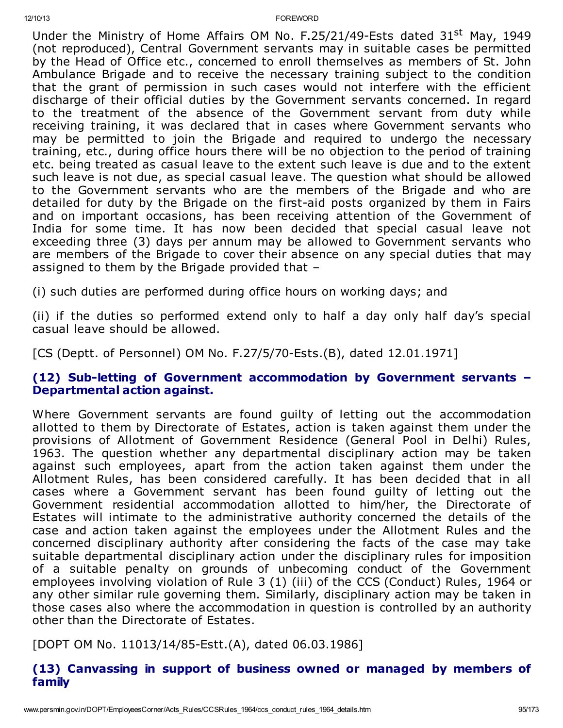Under the Ministry of Home Affairs OM No. F.25/21/49-Ests dated 31<sup>st</sup> May, 1949 (not reproduced), Central Government servants may in suitable cases be permitted by the Head of Office etc., concerned to enroll themselves as members of St. John Ambulance Brigade and to receive the necessary training subject to the condition that the grant of permission in such cases would not interfere with the efficient discharge of their official duties by the Government servants concerned. In regard to the treatment of the absence of the Government servant from duty while receiving training, it was declared that in cases where Government servants who may be permitted to join the Brigade and required to undergo the necessary training, etc., during office hours there will be no objection to the period of training etc. being treated as casual leave to the extent such leave is due and to the extent such leave is not due, as special casual leave. The question what should be allowed to the Government servants who are the members of the Brigade and who are detailed for duty by the Brigade on the first-aid posts organized by them in Fairs and on important occasions, has been receiving attention of the Government of India for some time. It has now been decided that special casual leave not exceeding three (3) days per annum may be allowed to Government servants who are members of the Brigade to cover their absence on any special duties that may assigned to them by the Brigade provided that –

(i) such duties are performed during office hours on working days; and

(ii) if the duties so performed extend only to half a day only half day's special casual leave should be allowed.

[CS (Deptt. of Personnel) OM No. F.27/5/70-Ests.(B), dated 12.01.1971]

#### (12) Sub-letting of Government accommodation by Government servants – Departmental action against.

Where Government servants are found guilty of letting out the accommodation allotted to them by Directorate of Estates, action is taken against them under the provisions of Allotment of Government Residence (General Pool in Delhi) Rules, 1963. The question whether any departmental disciplinary action may be taken against such employees, apart from the action taken against them under the Allotment Rules, has been considered carefully. It has been decided that in all cases where a Government servant has been found guilty of letting out the Government residential accommodation allotted to him/her, the Directorate of Estates will intimate to the administrative authority concerned the details of the case and action taken against the employees under the Allotment Rules and the concerned disciplinary authority after considering the facts of the case may take suitable departmental disciplinary action under the disciplinary rules for imposition of a suitable penalty on grounds of unbecoming conduct of the Government employees involving violation of Rule 3 (1) (iii) of the CCS (Conduct) Rules, 1964 or any other similar rule governing them. Similarly, disciplinary action may be taken in those cases also where the accommodation in question is controlled by an authority other than the Directorate of Estates.

[DOPT OM No. 11013/14/85-Estt.(A), dated 06.03.1986]

#### (13) Canvassing in support of business owned or managed by members of family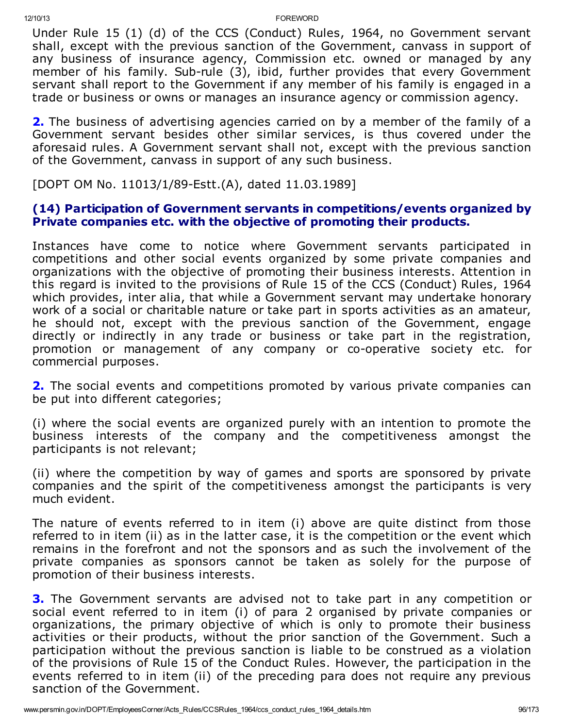Under Rule 15 (1) (d) of the CCS (Conduct) Rules, 1964, no Government servant shall, except with the previous sanction of the Government, canvass in support of any business of insurance agency, Commission etc. owned or managed by any member of his family. Sub-rule (3), ibid, further provides that every Government servant shall report to the Government if any member of his family is engaged in a trade or business or owns or manages an insurance agency or commission agency.

2. The business of advertising agencies carried on by a member of the family of a Government servant besides other similar services, is thus covered under the aforesaid rules. A Government servant shall not, except with the previous sanction of the Government, canvass in support of any such business.

[DOPT OM No. 11013/1/89-Estt.(A), dated 11.03.1989]

### (14) Participation of Government servants in competitions/events organized by Private companies etc. with the objective of promoting their products.

Instances have come to notice where Government servants participated in competitions and other social events organized by some private companies and organizations with the objective of promoting their business interests. Attention in this regard is invited to the provisions of Rule 15 of the CCS (Conduct) Rules, 1964 which provides, inter alia, that while a Government servant may undertake honorary work of a social or charitable nature or take part in sports activities as an amateur, he should not, except with the previous sanction of the Government, engage directly or indirectly in any trade or business or take part in the registration, promotion or management of any company or co-operative society etc. for commercial purposes.

**2.** The social events and competitions promoted by various private companies can be put into different categories;

(i) where the social events are organized purely with an intention to promote the business interests of the company and the competitiveness amongst the participants is not relevant;

(ii) where the competition by way of games and sports are sponsored by private companies and the spirit of the competitiveness amongst the participants is very much evident.

The nature of events referred to in item (i) above are quite distinct from those referred to in item (ii) as in the latter case, it is the competition or the event which remains in the forefront and not the sponsors and as such the involvement of the private companies as sponsors cannot be taken as solely for the purpose of promotion of their business interests.

**3.** The Government servants are advised not to take part in any competition or social event referred to in item (i) of para 2 organised by private companies or organizations, the primary objective of which is only to promote their business activities or their products, without the prior sanction of the Government. Such a participation without the previous sanction is liable to be construed as a violation of the provisions of Rule 15 of the Conduct Rules. However, the participation in the events referred to in item (ii) of the preceding para does not require any previous sanction of the Government.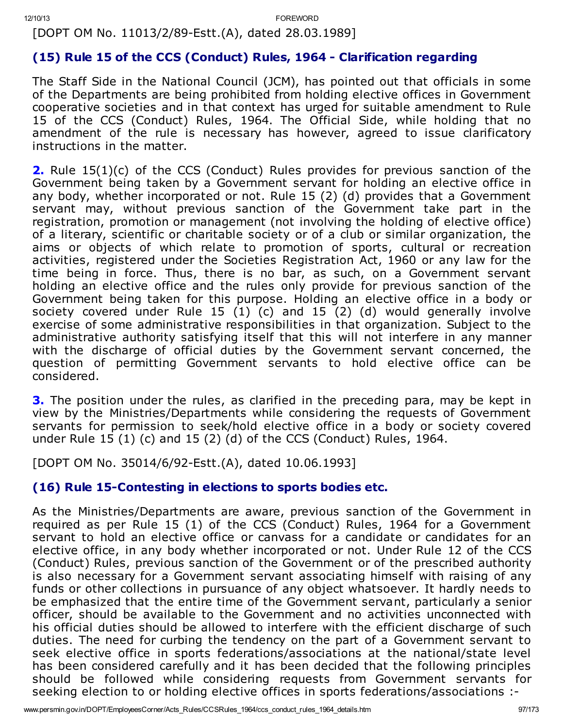[DOPT OM No. 11013/2/89-Estt.(A), dated 28.03.1989]

## (15) Rule 15 of the CCS (Conduct) Rules, 1964 - Clarification regarding

The Staff Side in the National Council (JCM), has pointed out that officials in some of the Departments are being prohibited from holding elective offices in Government cooperative societies and in that context has urged for suitable amendment to Rule 15 of the CCS (Conduct) Rules, 1964. The Official Side, while holding that no amendment of the rule is necessary has however, agreed to issue clarificatory instructions in the matter.

**2.** Rule 15(1)(c) of the CCS (Conduct) Rules provides for previous sanction of the Government being taken by a Government servant for holding an elective office in any body, whether incorporated or not. Rule 15 (2) (d) provides that a Government servant may, without previous sanction of the Government take part in the registration, promotion or management (not involving the holding of elective office) of a literary, scientific or charitable society or of a club or similar organization, the aims or objects of which relate to promotion of sports, cultural or recreation activities, registered under the Societies Registration Act, 1960 or any law for the time being in force. Thus, there is no bar, as such, on a Government servant holding an elective office and the rules only provide for previous sanction of the Government being taken for this purpose. Holding an elective office in a body or society covered under Rule 15 (1) (c) and 15 (2) (d) would generally involve exercise of some administrative responsibilities in that organization. Subject to the administrative authority satisfying itself that this will not interfere in any manner with the discharge of official duties by the Government servant concerned, the question of permitting Government servants to hold elective office can be considered.

**3.** The position under the rules, as clarified in the preceding para, may be kept in view by the Ministries/Departments while considering the requests of Government servants for permission to seek/hold elective office in a body or society covered under Rule 15 (1) (c) and 15 (2) (d) of the CCS (Conduct) Rules, 1964.

[DOPT OM No. 35014/6/92-Estt.(A), dated 10.06.1993]

#### (16) Rule 15-Contesting in elections to sports bodies etc.

As the Ministries/Departments are aware, previous sanction of the Government in required as per Rule 15 (1) of the CCS (Conduct) Rules, 1964 for a Government servant to hold an elective office or canvass for a candidate or candidates for an elective office, in any body whether incorporated or not. Under Rule 12 of the CCS (Conduct) Rules, previous sanction of the Government or of the prescribed authority is also necessary for a Government servant associating himself with raising of any funds or other collections in pursuance of any object whatsoever. It hardly needs to be emphasized that the entire time of the Government servant, particularly a senior officer, should be available to the Government and no activities unconnected with his official duties should be allowed to interfere with the efficient discharge of such duties. The need for curbing the tendency on the part of a Government servant to seek elective office in sports federations/associations at the national/state level has been considered carefully and it has been decided that the following principles should be followed while considering requests from Government servants for seeking election to or holding elective offices in sports federations/associations :-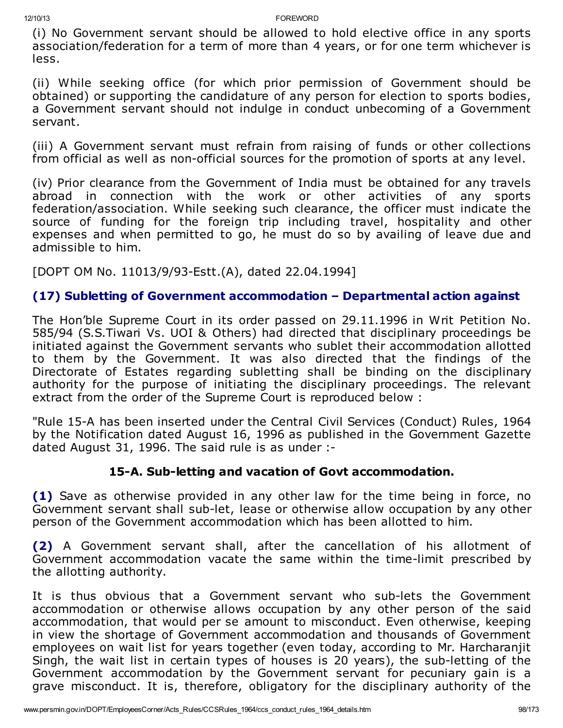(i) No Government servant should be allowed to hold elective office in any sports association/federation for a term of more than 4 years, or for one term whichever is less.

(ii) While seeking office (for which prior permission of Government should be obtained) or supporting the candidature of any person for election to sports bodies, a Government servant should not indulge in conduct unbecoming of a Government servant.

(iii) A Government servant must refrain from raising of funds or other collections from official as well as non-official sources for the promotion of sports at any level.

(iv) Prior clearance from the Government of India must be obtained for any travels abroad in connection with the work or other activities of any sports federation/association. While seeking such clearance, the officer must indicate the source of funding for the foreign trip including travel, hospitality and other expenses and when permitted to go, he must do so by availing of leave due and admissible to him.

[DOPT OM No. 11013/9/93-Estt.(A), dated 22.04.1994]

# (17) Subletting of Government accommodation – Departmental action against

The Hon'ble Supreme Court in its order passed on 29.11.1996 in Writ Petition No. 585/94 (S.S.Tiwari Vs. UOI & Others) had directed that disciplinary proceedings be initiated against the Government servants who sublet their accommodation allotted to them by the Government. It was also directed that the findings of the Directorate of Estates regarding subletting shall be binding on the disciplinary authority for the purpose of initiating the disciplinary proceedings. The relevant extract from the order of the Supreme Court is reproduced below :

"Rule 15-A has been inserted under the Central Civil Services (Conduct) Rules, 1964 by the Notification dated August 16, 1996 as published in the Government Gazette dated August 31, 1996. The said rule is as under :-

# 15-A. Sub-letting and vacation of Govt accommodation.

(1) Save as otherwise provided in any other law for the time being in force, no Government servant shall sub-let, lease or otherwise allow occupation by any other person of the Government accommodation which has been allotted to him.

(2) A Government servant shall, after the cancellation of his allotment of Government accommodation vacate the same within the time-limit prescribed by the allotting authority.

It is thus obvious that a Government servant who sub-lets the Government accommodation or otherwise allows occupation by any other person of the said accommodation, that would per se amount to misconduct. Even otherwise, keeping in view the shortage of Government accommodation and thousands of Government employees on wait list for years together (even today, according to Mr. Harcharanjit Singh, the wait list in certain types of houses is 20 years), the sub-letting of the Government accommodation by the Government servant for pecuniary gain is a grave misconduct. It is, therefore, obligatory for the disciplinary authority of the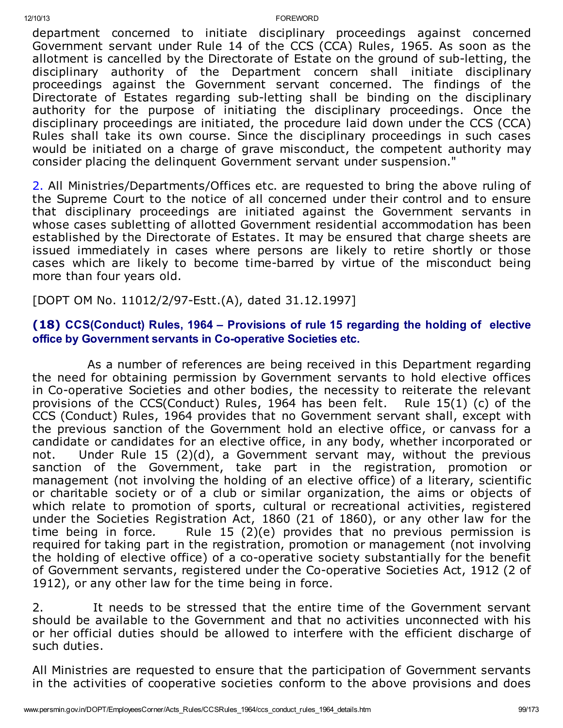department concerned to initiate disciplinary proceedings against concerned Government servant under Rule 14 of the CCS (CCA) Rules, 1965. As soon as the allotment is cancelled by the Directorate of Estate on the ground of sub-letting, the disciplinary authority of the Department concern shall initiate disciplinary proceedings against the Government servant concerned. The findings of the Directorate of Estates regarding sub-letting shall be binding on the disciplinary authority for the purpose of initiating the disciplinary proceedings. Once the disciplinary proceedings are initiated, the procedure laid down under the CCS (CCA) Rules shall take its own course. Since the disciplinary proceedings in such cases would be initiated on a charge of grave misconduct, the competent authority may consider placing the delinquent Government servant under suspension."

2. All Ministries/Departments/Offices etc. are requested to bring the above ruling of the Supreme Court to the notice of all concerned under their control and to ensure that disciplinary proceedings are initiated against the Government servants in whose cases subletting of allotted Government residential accommodation has been established by the Directorate of Estates. It may be ensured that charge sheets are issued immediately in cases where persons are likely to retire shortly or those cases which are likely to become time-barred by virtue of the misconduct being more than four years old.

[DOPT OM No. 11012/2/97-Estt.(A), dated 31.12.1997]

#### (18) CCS(Conduct) Rules, 1964 – Provisions of rule 15 regarding the holding of elective office by Government servants in Co-operative Societies etc.

As a number of references are being received in this Department regarding the need for obtaining permission by Government servants to hold elective offices in Co-operative Societies and other bodies, the necessity to reiterate the relevant provisions of the CCS(Conduct) Rules, 1964 has been felt. Rule 15(1) (c) of the CCS (Conduct) Rules, 1964 provides that no Government servant shall, except with the previous sanction of the Government hold an elective office, or canvass for a candidate or candidates for an elective office, in any body, whether incorporated or not. Under Rule 15 (2)(d), a Government servant may, without the previous sanction of the Government, take part in the registration, promotion or management (not involving the holding of an elective office) of a literary, scientific or charitable society or of a club or similar organization, the aims or objects of which relate to promotion of sports, cultural or recreational activities, registered under the Societies Registration Act, 1860 (21 of 1860), or any other law for the time being in force. Rule 15  $(2)(e)$  provides that no previous permission is required for taking part in the registration, promotion or management (not involving the holding of elective office) of a co-operative society substantially for the benefit of Government servants, registered under the Co-operative Societies Act, 1912 (2 of 1912), or any other law for the time being in force.

2. It needs to be stressed that the entire time of the Government servant should be available to the Government and that no activities unconnected with his or her official duties should be allowed to interfere with the efficient discharge of such duties.

All Ministries are requested to ensure that the participation of Government servants in the activities of cooperative societies conform to the above provisions and does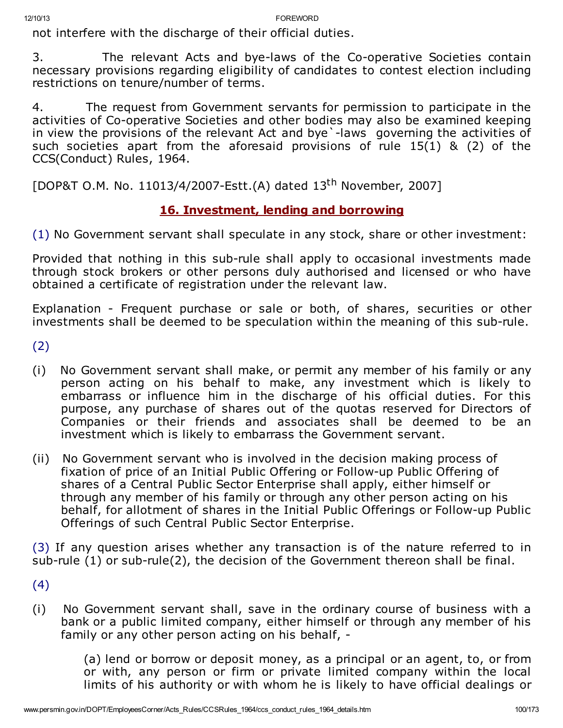not interfere with the discharge of their official duties.

3. The relevant Acts and bye-laws of the Co-operative Societies contain necessary provisions regarding eligibility of candidates to contest election including restrictions on tenure/number of terms.

4. The request from Government servants for permission to participate in the activities of Co-operative Societies and other bodies may also be examined keeping in view the provisions of the relevant Act and bye`-laws governing the activities of such societies apart from the aforesaid provisions of rule 15(1) & (2) of the CCS(Conduct) Rules, 1964.

[DOP&T O.M. No. 11013/4/2007-Estt.(A) dated 13<sup>th</sup> November, 2007]

# 16. Investment, lending and borrowing

(1) No Government servant shall speculate in any stock, share or other investment:

Provided that nothing in this sub-rule shall apply to occasional investments made through stock brokers or other persons duly authorised and licensed or who have obtained a certificate of registration under the relevant law.

Explanation - Frequent purchase or sale or both, of shares, securities or other investments shall be deemed to be speculation within the meaning of this sub-rule.

(2)

- (i) No Government servant shall make, or permit any member of his family or any person acting on his behalf to make, any investment which is likely to embarrass or influence him in the discharge of his official duties. For this purpose, any purchase of shares out of the quotas reserved for Directors of Companies or their friends and associates shall be deemed to be an investment which is likely to embarrass the Government servant.
- (ii) No Government servant who is involved in the decision making process of fixation of price of an Initial Public Offering or Follow-up Public Offering of shares of a Central Public Sector Enterprise shall apply, either himself or through any member of his family or through any other person acting on his behalf, for allotment of shares in the Initial Public Offerings or Follow-up Public Offerings of such Central Public Sector Enterprise.

(3) If any question arises whether any transaction is of the nature referred to in sub-rule (1) or sub-rule(2), the decision of the Government thereon shall be final.

(4)

(i) No Government servant shall, save in the ordinary course of business with a bank or a public limited company, either himself or through any member of his family or any other person acting on his behalf, -

> (a) lend or borrow or deposit money, as a principal or an agent, to, or from or with, any person or firm or private limited company within the local limits of his authority or with whom he is likely to have official dealings or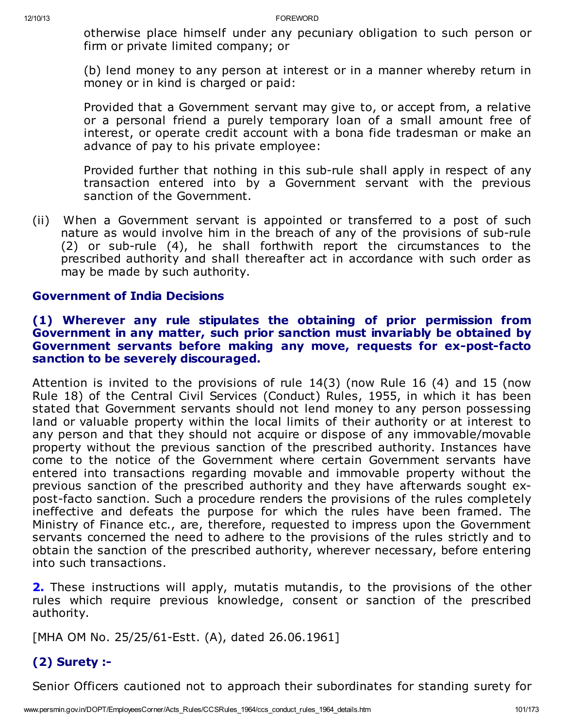otherwise place himself under any pecuniary obligation to such person or firm or private limited company; or

(b) lend money to any person at interest or in a manner whereby return in money or in kind is charged or paid:

Provided that a Government servant may give to, or accept from, a relative or a personal friend a purely temporary loan of a small amount free of interest, or operate credit account with a bona fide tradesman or make an advance of pay to his private employee:

Provided further that nothing in this sub-rule shall apply in respect of any transaction entered into by a Government servant with the previous sanction of the Government.

(ii) When a Government servant is appointed or transferred to a post of such nature as would involve him in the breach of any of the provisions of sub-rule (2) or sub-rule (4), he shall forthwith report the circumstances to the prescribed authority and shall thereafter act in accordance with such order as may be made by such authority.

#### Government of India Decisions

#### (1) Wherever any rule stipulates the obtaining of prior permission from Government in any matter, such prior sanction must invariably be obtained by Government servants before making any move, requests for ex-post-facto sanction to be severely discouraged.

Attention is invited to the provisions of rule 14(3) (now Rule 16 (4) and 15 (now Rule 18) of the Central Civil Services (Conduct) Rules, 1955, in which it has been stated that Government servants should not lend money to any person possessing land or valuable property within the local limits of their authority or at interest to any person and that they should not acquire or dispose of any immovable/movable property without the previous sanction of the prescribed authority. Instances have come to the notice of the Government where certain Government servants have entered into transactions regarding movable and immovable property without the previous sanction of the prescribed authority and they have afterwards sought expost-facto sanction. Such a procedure renders the provisions of the rules completely ineffective and defeats the purpose for which the rules have been framed. The Ministry of Finance etc., are, therefore, requested to impress upon the Government servants concerned the need to adhere to the provisions of the rules strictly and to obtain the sanction of the prescribed authority, wherever necessary, before entering into such transactions.

**2.** These instructions will apply, mutatis mutandis, to the provisions of the other rules which require previous knowledge, consent or sanction of the prescribed authority.

[MHA OM No. 25/25/61-Estt. (A), dated 26.06.1961]

# (2) Surety :-

Senior Officers cautioned not to approach their subordinates for standing surety for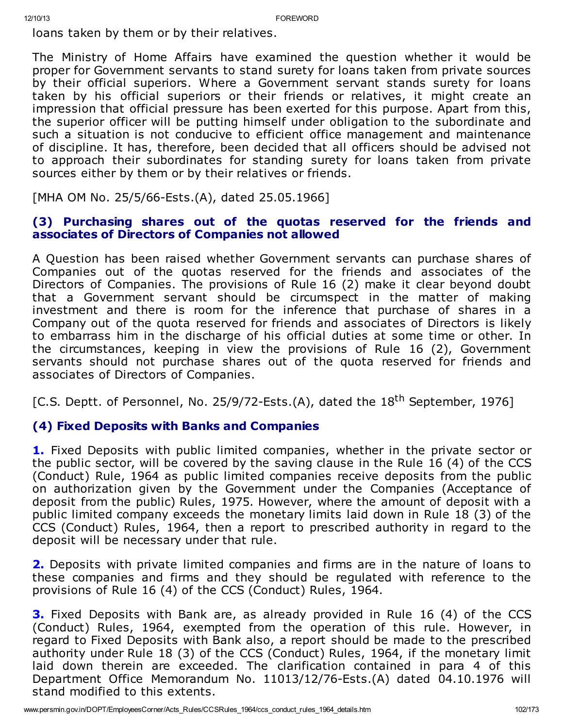loans taken by them or by their relatives.

The Ministry of Home Affairs have examined the question whether it would be proper for Government servants to stand surety for loans taken from private sources by their official superiors. Where a Government servant stands surety for loans taken by his official superiors or their friends or relatives, it might create an impression that official pressure has been exerted for this purpose. Apart from this, the superior officer will be putting himself under obligation to the subordinate and such a situation is not conducive to efficient office management and maintenance of discipline. It has, therefore, been decided that all officers should be advised not to approach their subordinates for standing surety for loans taken from private sources either by them or by their relatives or friends.

[MHA OM No. 25/5/66-Ests.(A), dated 25.05.1966]

#### (3) Purchasing shares out of the quotas reserved for the friends and associates of Directors of Companies not allowed

A Question has been raised whether Government servants can purchase shares of Companies out of the quotas reserved for the friends and associates of the Directors of Companies. The provisions of Rule 16 (2) make it clear beyond doubt that a Government servant should be circumspect in the matter of making investment and there is room for the inference that purchase of shares in a Company out of the quota reserved for friends and associates of Directors is likely to embarrass him in the discharge of his official duties at some time or other. In the circumstances, keeping in view the provisions of Rule 16 (2), Government servants should not purchase shares out of the quota reserved for friends and associates of Directors of Companies.

[C.S. Deptt. of Personnel, No. 25/9/72-Ests.(A), dated the  $18<sup>th</sup>$  September, 1976]

# (4) Fixed Deposits with Banks and Companies

**1.** Fixed Deposits with public limited companies, whether in the private sector or the public sector, will be covered by the saving clause in the Rule 16 (4) of the CCS (Conduct) Rule, 1964 as public limited companies receive deposits from the public on authorization given by the Government under the Companies (Acceptance of deposit from the public) Rules, 1975. However, where the amount of deposit with a public limited company exceeds the monetary limits laid down in Rule 18 (3) of the CCS (Conduct) Rules, 1964, then a report to prescribed authority in regard to the deposit will be necessary under that rule.

2. Deposits with private limited companies and firms are in the nature of loans to these companies and firms and they should be regulated with reference to the provisions of Rule 16 (4) of the CCS (Conduct) Rules, 1964.

**3.** Fixed Deposits with Bank are, as already provided in Rule 16 (4) of the CCS (Conduct) Rules, 1964, exempted from the operation of this rule. However, in regard to Fixed Deposits with Bank also, a report should be made to the prescribed authority under Rule 18 (3) of the CCS (Conduct) Rules, 1964, if the monetary limit laid down therein are exceeded. The clarification contained in para 4 of this Department Office Memorandum No. 11013/12/76-Ests.(A) dated 04.10.1976 will stand modified to this extents.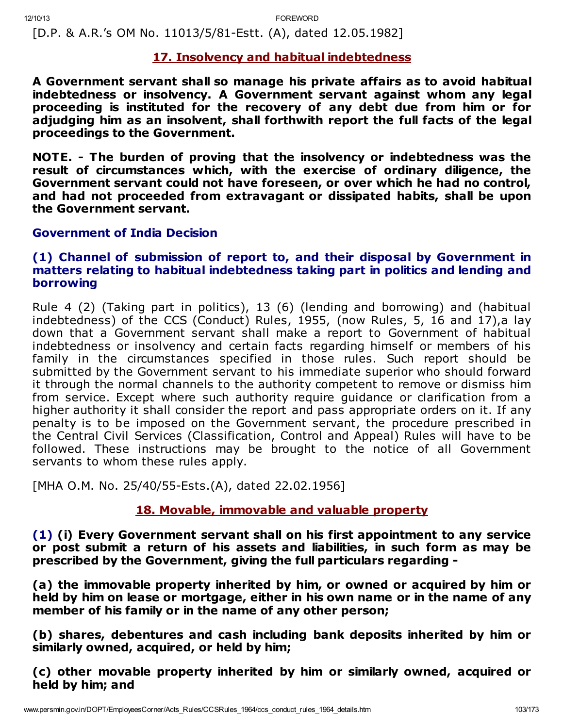## 17. Insolvency and habitual indebtedness

A Government servant shall so manage his private affairs as to avoid habitual indebtedness or insolvency. A Government servant against whom any legal proceeding is instituted for the recovery of any debt due from him or for adjudging him as an insolvent, shall forthwith report the full facts of the legal proceedings to the Government.

NOTE. - The burden of proving that the insolvency or indebtedness was the result of circumstances which, with the exercise of ordinary diligence, the Government servant could not have foreseen, or over which he had no control, and had not proceeded from extravagant or dissipated habits, shall be upon the Government servant.

#### Government of India Decision

#### (1) Channel of submission of report to, and their disposal by Government in matters relating to habitual indebtedness taking part in politics and lending and borrowing

Rule 4 (2) (Taking part in politics), 13 (6) (lending and borrowing) and (habitual indebtedness) of the CCS (Conduct) Rules, 1955, (now Rules, 5, 16 and 17), a lay down that a Government servant shall make a report to Government of habitual indebtedness or insolvency and certain facts regarding himself or members of his family in the circumstances specified in those rules. Such report should be submitted by the Government servant to his immediate superior who should forward it through the normal channels to the authority competent to remove or dismiss him from service. Except where such authority require guidance or clarification from a higher authority it shall consider the report and pass appropriate orders on it. If any penalty is to be imposed on the Government servant, the procedure prescribed in the Central Civil Services (Classification, Control and Appeal) Rules will have to be followed. These instructions may be brought to the notice of all Government servants to whom these rules apply.

[MHA O.M. No. 25/40/55-Ests.(A), dated 22.02.1956]

# 18. Movable, immovable and valuable property

(1) (i) Every Government servant shall on his first appointment to any service or post submit a return of his assets and liabilities, in such form as may be prescribed by the Government, giving the full particulars regarding -

(a) the immovable property inherited by him, or owned or acquired by him or held by him on lease or mortgage, either in his own name or in the name of any member of his family or in the name of any other person;

(b) shares, debentures and cash including bank deposits inherited by him or similarly owned, acquired, or held by him;

(c) other movable property inherited by him or similarly owned, acquired or held by him; and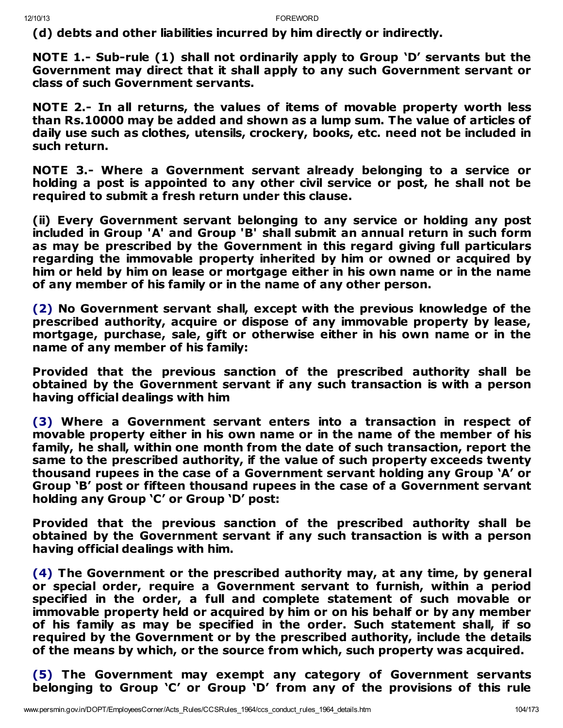(d) debts and other liabilities incurred by him directly or indirectly.

NOTE 1.- Sub-rule (1) shall not ordinarily apply to Group 'D' servants but the Government may direct that it shall apply to any such Government servant or class of such Government servants.

NOTE 2.- In all returns, the values of items of movable property worth less than Rs.10000 may be added and shown as a lump sum. The value of articles of daily use such as clothes, utensils, crockery, books, etc. need not be included in such return.

NOTE 3.- Where a Government servant already belonging to a service or holding a post is appointed to any other civil service or post, he shall not be required to submit a fresh return under this clause.

(ii) Every Government servant belonging to any service or holding any post included in Group 'A' and Group 'B' shall submit an annual return in such form as may be prescribed by the Government in this regard giving full particulars regarding the immovable property inherited by him or owned or acquired by him or held by him on lease or mortgage either in his own name or in the name of any member of his family or in the name of any other person.

(2) No Government servant shall, except with the previous knowledge of the prescribed authority, acquire or dispose of any immovable property by lease, mortgage, purchase, sale, gift or otherwise either in his own name or in the name of any member of his family:

Provided that the previous sanction of the prescribed authority shall be obtained by the Government servant if any such transaction is with a person having official dealings with him

(3) Where a Government servant enters into a transaction in respect of movable property either in his own name or in the name of the member of his family, he shall, within one month from the date of such transaction, report the same to the prescribed authority, if the value of such property exceeds twenty thousand rupees in the case of a Government servant holding any Group 'A' or Group 'B' post or fifteen thousand rupees in the case of a Government servant holding any Group 'C' or Group 'D' post:

Provided that the previous sanction of the prescribed authority shall be obtained by the Government servant if any such transaction is with a person having official dealings with him.

(4) The Government or the prescribed authority may, at any time, by general or special order, require a Government servant to furnish, within a period specified in the order, a full and complete statement of such movable or immovable property held or acquired by him or on his behalf or by any member of his family as may be specified in the order. Such statement shall, if so required by the Government or by the prescribed authority, include the details of the means by which, or the source from which, such property was acquired.

(5) The Government may exempt any category of Government servants belonging to Group 'C' or Group 'D' from any of the provisions of this rule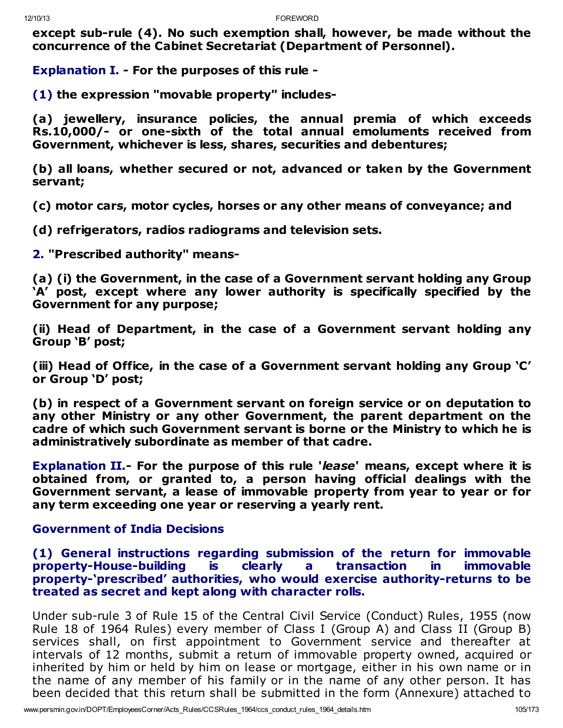except sub-rule (4). No such exemption shall, however, be made without the concurrence of the Cabinet Secretariat (Department of Personnel).

Explanation I. - For the purposes of this rule -

(1) the expression "movable property" includes-

(a) jewellery, insurance policies, the annual premia of which exceeds Rs.10,000/- or one-sixth of the total annual emoluments received from Government, whichever is less, shares, securities and debentures;

(b) all loans, whether secured or not, advanced or taken by the Government servant;

(c) motor cars, motor cycles, horses or any other means of conveyance; and

(d) refrigerators, radios radiograms and television sets.

2. "Prescribed authority" means-

(a) (i) the Government, in the case of a Government servant holding any Group 'A' post, except where any lower authority is specifically specified by the Government for any purpose;

(ii) Head of Department, in the case of a Government servant holding any Group 'B' post;

(iii) Head of Office, in the case of a Government servant holding any Group 'C' or Group 'D' post;

(b) in respect of a Government servant on foreign service or on deputation to any other Ministry or any other Government, the parent department on the cadre of which such Government servant is borne or the Ministry to which he is administratively subordinate as member of that cadre.

Explanation II.- For the purpose of this rule 'lease' means, except where it is obtained from, or granted to, a person having official dealings with the Government servant, a lease of immovable property from year to year or for any term exceeding one year or reserving a yearly rent.

#### Government of India Decisions

(1) General instructions regarding submission of the return for immovable property-House-building is clearly a transaction in immovable property-'prescribed' authorities, who would exercise authority-returns to be treated as secret and kept along with character rolls.

Under sub-rule 3 of Rule 15 of the Central Civil Service (Conduct) Rules, 1955 (now Rule 18 of 1964 Rules) every member of Class I (Group A) and Class II (Group B) services shall, on first appointment to Government service and thereafter at intervals of 12 months, submit a return of immovable property owned, acquired or inherited by him or held by him on lease or mortgage, either in his own name or in the name of any member of his family or in the name of any other person. It has been decided that this return shall be submitted in the form (Annexure) attached to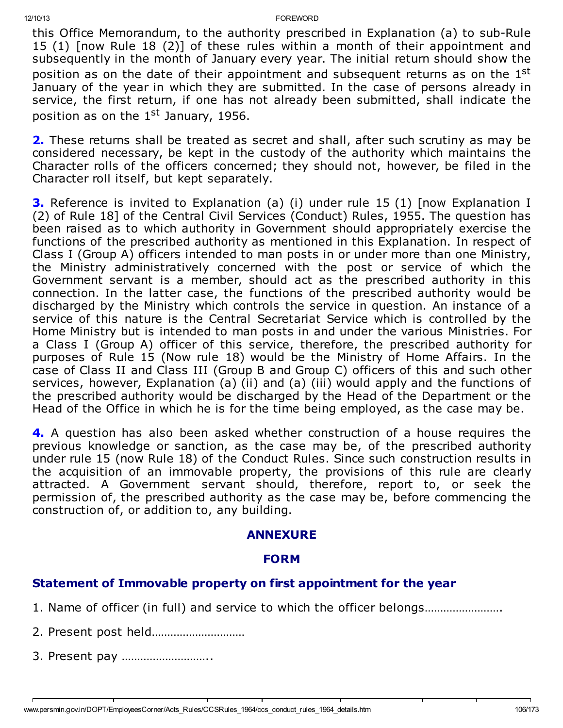this Office Memorandum, to the authority prescribed in Explanation (a) to sub-Rule 15 (1) [now Rule 18 (2)] of these rules within a month of their appointment and subsequently in the month of January every year. The initial return should show the position as on the date of their appointment and subsequent returns as on the 1<sup>st</sup> January of the year in which they are submitted. In the case of persons already in service, the first return, if one has not already been submitted, shall indicate the position as on the 1<sup>st</sup> January, 1956.

2. These returns shall be treated as secret and shall, after such scrutiny as may be considered necessary, be kept in the custody of the authority which maintains the Character rolls of the officers concerned; they should not, however, be filed in the Character roll itself, but kept separately.

**3.** Reference is invited to Explanation (a) (i) under rule 15 (1) [now Explanation I (2) of Rule 18] of the Central Civil Services (Conduct) Rules, 1955. The question has been raised as to which authority in Government should appropriately exercise the functions of the prescribed authority as mentioned in this Explanation. In respect of Class I (Group A) officers intended to man posts in or under more than one Ministry, the Ministry administratively concerned with the post or service of which the Government servant is a member, should act as the prescribed authority in this connection. In the latter case, the functions of the prescribed authority would be discharged by the Ministry which controls the service in question. An instance of a service of this nature is the Central Secretariat Service which is controlled by the Home Ministry but is intended to man posts in and under the various Ministries. For a Class I (Group A) officer of this service, therefore, the prescribed authority for purposes of Rule 15 (Now rule 18) would be the Ministry of Home Affairs. In the case of Class II and Class III (Group B and Group C) officers of this and such other services, however, Explanation (a) (ii) and (a) (iii) would apply and the functions of the prescribed authority would be discharged by the Head of the Department or the Head of the Office in which he is for the time being employed, as the case may be.

4. A question has also been asked whether construction of a house requires the previous knowledge or sanction, as the case may be, of the prescribed authority under rule 15 (now Rule 18) of the Conduct Rules. Since such construction results in the acquisition of an immovable property, the provisions of this rule are clearly attracted. A Government servant should, therefore, report to, or seek the permission of, the prescribed authority as the case may be, before commencing the construction of, or addition to, any building.

# ANNEXURE

## FORM

# Statement of Immovable property on first appointment for the year

- 1. Name of officer (in full) and service to which the officer belongs…………………….
- 2. Present post held…………………………
- 3. Present pay ………………………..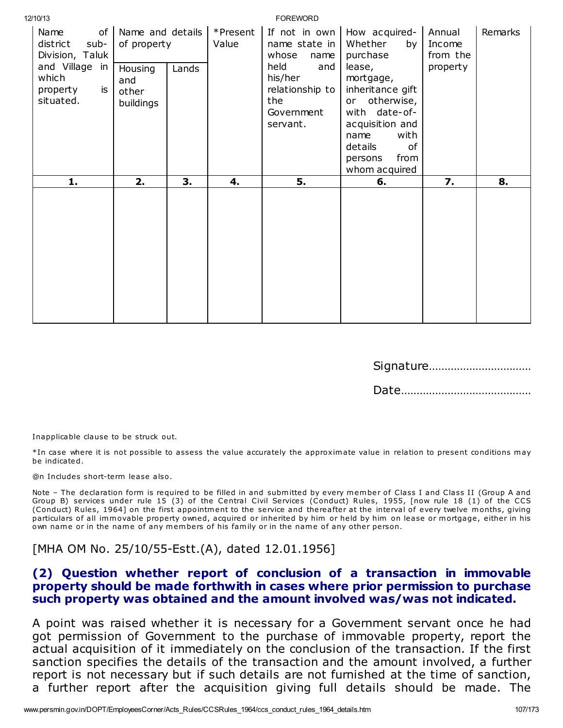| 12/10/13                                                                                                           |                                                                         |       |                   | <b>FOREWORD</b>                                                                                                          |                                                                                                                                                                                                                                 |                                          |         |  |
|--------------------------------------------------------------------------------------------------------------------|-------------------------------------------------------------------------|-------|-------------------|--------------------------------------------------------------------------------------------------------------------------|---------------------------------------------------------------------------------------------------------------------------------------------------------------------------------------------------------------------------------|------------------------------------------|---------|--|
| Name<br>$of \mid$<br>district<br>sub-<br>Division, Taluk<br>and Village in<br>which<br>property<br>is<br>situated. | Name and details<br>of property<br>Housing<br>and<br>other<br>buildings | Lands | *Present<br>Value | name state in $\parallel$<br>whose<br>name<br>held<br>and<br>his/her<br>relationship to<br>the<br>Government<br>servant. | If not in own   How acquired-<br>Whether<br>by<br>purchase<br>lease,<br>mortgage,<br>inheritance gift<br>or otherwise,<br>with date-of-<br>acquisition and<br>with<br>name<br>details<br>of<br>from<br>persons<br>whom acquired | Annual<br>Income<br>from the<br>property | Remarks |  |
| 1.                                                                                                                 | 2.                                                                      | 3.    | 4.                | 5.                                                                                                                       | 6.                                                                                                                                                                                                                              | 7.                                       | 8.      |  |
|                                                                                                                    |                                                                         |       |                   |                                                                                                                          |                                                                                                                                                                                                                                 |                                          |         |  |

Signature……………………………

Date……………………………………

Inapplicable clause to be struck out.

\*In case where it is not possible to assess the value accurately the approximate value in relation to present conditions may be indicated.

@n Includes short-term lease also.

Note – The declaration form is required to be filled in and submitted by every member of Class I and Class II (Group A and Group B) services under rule 15 (3) of the Central Civil Services (Conduct) Rules, 1955, [now rule 18 (1) of the CCS (Conduct) Rules, 1964] on the first appointment to the service and thereafter at the interval of every twelve months, giving particulars of all immovable property owned, acquired or inherited by him or held by him on lease or mortgage, either in his own name or in the name of any members of his family or in the name of any other person.

[MHA OM No. 25/10/55-Estt.(A), dated 12.01.1956]

#### (2) Question whether report of conclusion of a transaction in immovable property should be made forthwith in cases where prior permission to purchase such property was obtained and the amount involved was/was not indicated.

A point was raised whether it is necessary for a Government servant once he had got permission of Government to the purchase of immovable property, report the actual acquisition of it immediately on the conclusion of the transaction. If the first sanction specifies the details of the transaction and the amount involved, a further report is not necessary but if such details are not furnished at the time of sanction, a further report after the acquisition giving full details should be made. The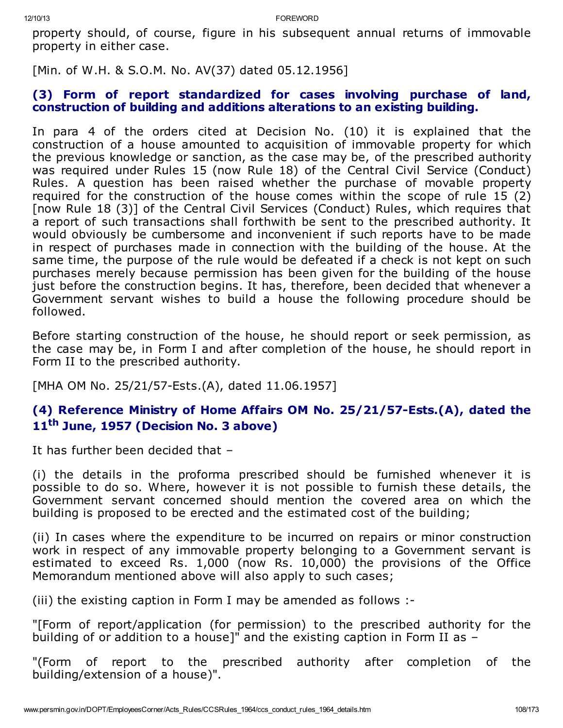property should, of course, figure in his subsequent annual returns of immovable property in either case.

[Min. of W.H. & S.O.M. No. AV(37) dated 05.12.1956]

### (3) Form of report standardized for cases involving purchase of land, construction of building and additions alterations to an existing building.

In para 4 of the orders cited at Decision No. (10) it is explained that the construction of a house amounted to acquisition of immovable property for which the previous knowledge or sanction, as the case may be, of the prescribed authority was required under Rules 15 (now Rule 18) of the Central Civil Service (Conduct) Rules. A question has been raised whether the purchase of movable property required for the construction of the house comes within the scope of rule 15 (2) [now Rule 18 (3)] of the Central Civil Services (Conduct) Rules, which requires that a report of such transactions shall forthwith be sent to the prescribed authority. It would obviously be cumbersome and inconvenient if such reports have to be made in respect of purchases made in connection with the building of the house. At the same time, the purpose of the rule would be defeated if a check is not kept on such purchases merely because permission has been given for the building of the house just before the construction begins. It has, therefore, been decided that whenever a Government servant wishes to build a house the following procedure should be followed.

Before starting construction of the house, he should report or seek permission, as the case may be, in Form I and after completion of the house, he should report in Form II to the prescribed authority.

[MHA OM No. 25/21/57-Ests.(A), dated 11.06.1957]

# (4) Reference Ministry of Home Affairs OM No. 25/21/57-Ests.(A), dated the 11<sup>th</sup> June, 1957 (Decision No. 3 above)

It has further been decided that –

(i) the details in the proforma prescribed should be furnished whenever it is possible to do so. Where, however it is not possible to furnish these details, the Government servant concerned should mention the covered area on which the building is proposed to be erected and the estimated cost of the building;

(ii) In cases where the expenditure to be incurred on repairs or minor construction work in respect of any immovable property belonging to a Government servant is estimated to exceed Rs. 1,000 (now Rs. 10,000) the provisions of the Office Memorandum mentioned above will also apply to such cases;

(iii) the existing caption in Form I may be amended as follows :-

"[Form of report/application (for permission) to the prescribed authority for the building of or addition to a house]" and the existing caption in Form II as –

"(Form of report to the prescribed authority after completion of the building/extension of a house)".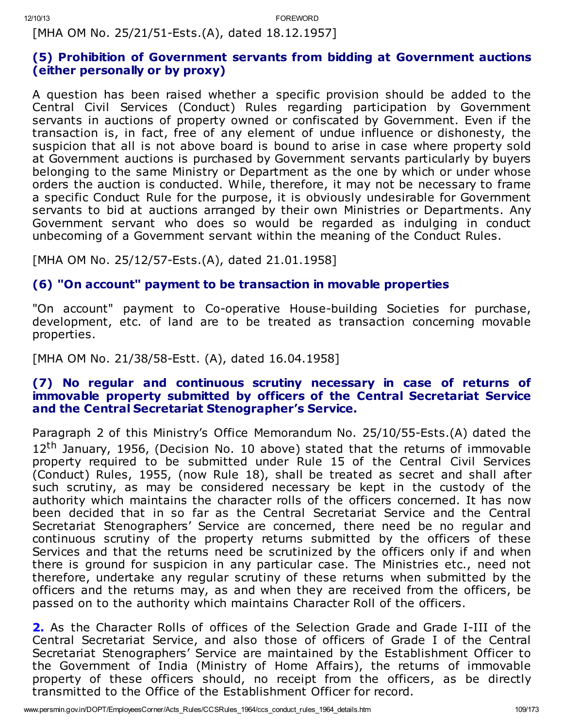[MHA OM No. 25/21/51-Ests.(A), dated 18.12.1957]

## (5) Prohibition of Government servants from bidding at Government auctions (either personally or by proxy)

A question has been raised whether a specific provision should be added to the Central Civil Services (Conduct) Rules regarding participation by Government servants in auctions of property owned or confiscated by Government. Even if the transaction is, in fact, free of any element of undue influence or dishonesty, the suspicion that all is not above board is bound to arise in case where property sold at Government auctions is purchased by Government servants particularly by buyers belonging to the same Ministry or Department as the one by which or under whose orders the auction is conducted. While, therefore, it may not be necessary to frame a specific Conduct Rule for the purpose, it is obviously undesirable for Government servants to bid at auctions arranged by their own Ministries or Departments. Any Government servant who does so would be regarded as indulging in conduct unbecoming of a Government servant within the meaning of the Conduct Rules.

[MHA OM No. 25/12/57-Ests.(A), dated 21.01.1958]

## (6) "On account" payment to be transaction in movable properties

"On account" payment to Co-operative House-building Societies for purchase, development, etc. of land are to be treated as transaction concerning movable properties.

[MHA OM No. 21/38/58-Estt. (A), dated 16.04.1958]

#### (7) No regular and continuous scrutiny necessary in case of returns of immovable property submitted by officers of the Central Secretariat Service and the Central Secretariat Stenographer's Service.

Paragraph 2 of this Ministry's Office Memorandum No. 25/10/55-Ests.(A) dated the 12<sup>th</sup> January, 1956, (Decision No. 10 above) stated that the returns of immovable property required to be submitted under Rule 15 of the Central Civil Services (Conduct) Rules, 1955, (now Rule 18), shall be treated as secret and shall after such scrutiny, as may be considered necessary be kept in the custody of the authority which maintains the character rolls of the officers concerned. It has now been decided that in so far as the Central Secretariat Service and the Central Secretariat Stenographers' Service are concerned, there need be no regular and continuous scrutiny of the property returns submitted by the officers of these Services and that the returns need be scrutinized by the officers only if and when there is ground for suspicion in any particular case. The Ministries etc., need not therefore, undertake any regular scrutiny of these returns when submitted by the officers and the returns may, as and when they are received from the officers, be passed on to the authority which maintains Character Roll of the officers.

2. As the Character Rolls of offices of the Selection Grade and Grade I-III of the Central Secretariat Service, and also those of officers of Grade I of the Central Secretariat Stenographers' Service are maintained by the Establishment Officer to the Government of India (Ministry of Home Affairs), the returns of immovable property of these officers should, no receipt from the officers, as be directly transmitted to the Office of the Establishment Officer for record.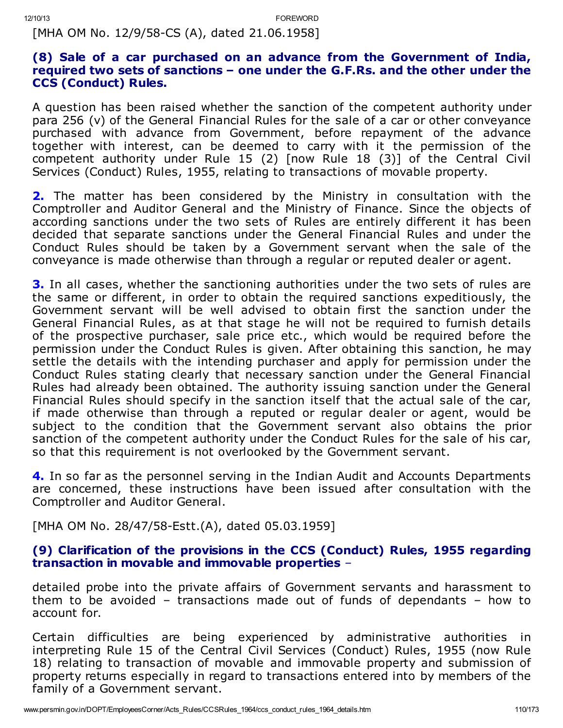#### (8) Sale of a car purchased on an advance from the Government of India, required two sets of sanctions – one under the G.F.Rs. and the other under the CCS (Conduct) Rules.

A question has been raised whether the sanction of the competent authority under para 256 (v) of the General Financial Rules for the sale of a car or other conveyance purchased with advance from Government, before repayment of the advance together with interest, can be deemed to carry with it the permission of the competent authority under Rule 15 (2) [now Rule 18 (3)] of the Central Civil Services (Conduct) Rules, 1955, relating to transactions of movable property.

**2.** The matter has been considered by the Ministry in consultation with the Comptroller and Auditor General and the Ministry of Finance. Since the objects of according sanctions under the two sets of Rules are entirely different it has been decided that separate sanctions under the General Financial Rules and under the Conduct Rules should be taken by a Government servant when the sale of the conveyance is made otherwise than through a regular or reputed dealer or agent.

**3.** In all cases, whether the sanctioning authorities under the two sets of rules are the same or different, in order to obtain the required sanctions expeditiously, the Government servant will be well advised to obtain first the sanction under the General Financial Rules, as at that stage he will not be required to furnish details of the prospective purchaser, sale price etc., which would be required before the permission under the Conduct Rules is given. After obtaining this sanction, he may settle the details with the intending purchaser and apply for permission under the Conduct Rules stating clearly that necessary sanction under the General Financial Rules had already been obtained. The authority issuing sanction under the General Financial Rules should specify in the sanction itself that the actual sale of the car, if made otherwise than through a reputed or regular dealer or agent, would be subject to the condition that the Government servant also obtains the prior sanction of the competent authority under the Conduct Rules for the sale of his car, so that this requirement is not overlooked by the Government servant.

4. In so far as the personnel serving in the Indian Audit and Accounts Departments are concerned, these instructions have been issued after consultation with the Comptroller and Auditor General.

[MHA OM No. 28/47/58-Estt.(A), dated 05.03.1959]

## (9) Clarification of the provisions in the CCS (Conduct) Rules, 1955 regarding transaction in movable and immovable properties –

detailed probe into the private affairs of Government servants and harassment to them to be avoided – transactions made out of funds of dependants – how to account for.

Certain difficulties are being experienced by administrative authorities in interpreting Rule 15 of the Central Civil Services (Conduct) Rules, 1955 (now Rule 18) relating to transaction of movable and immovable property and submission of property returns especially in regard to transactions entered into by members of the family of a Government servant.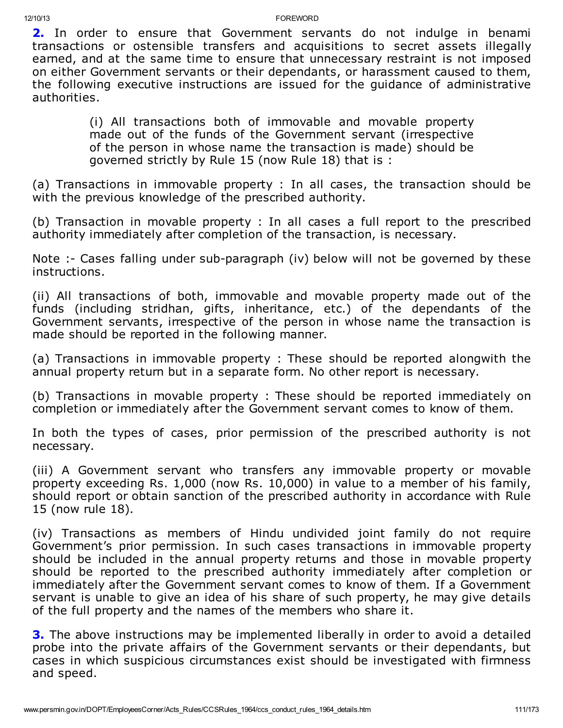2. In order to ensure that Government servants do not indulge in benami transactions or ostensible transfers and acquisitions to secret assets illegally earned, and at the same time to ensure that unnecessary restraint is not imposed on either Government servants or their dependants, or harassment caused to them, the following executive instructions are issued for the guidance of administrative authorities.

> (i) All transactions both of immovable and movable property made out of the funds of the Government servant (irrespective of the person in whose name the transaction is made) should be governed strictly by Rule 15 (now Rule 18) that is :

(a) Transactions in immovable property : In all cases, the transaction should be with the previous knowledge of the prescribed authority.

(b) Transaction in movable property : In all cases a full report to the prescribed authority immediately after completion of the transaction, is necessary.

Note :- Cases falling under sub-paragraph (iv) below will not be governed by these instructions.

(ii) All transactions of both, immovable and movable property made out of the funds (including stridhan, gifts, inheritance, etc.) of the dependants of the Government servants, irrespective of the person in whose name the transaction is made should be reported in the following manner.

(a) Transactions in immovable property : These should be reported alongwith the annual property return but in a separate form. No other report is necessary.

(b) Transactions in movable property : These should be reported immediately on completion or immediately after the Government servant comes to know of them.

In both the types of cases, prior permission of the prescribed authority is not necessary.

(iii) A Government servant who transfers any immovable property or movable property exceeding Rs. 1,000 (now Rs. 10,000) in value to a member of his family, should report or obtain sanction of the prescribed authority in accordance with Rule 15 (now rule 18).

(iv) Transactions as members of Hindu undivided joint family do not require Government's prior permission. In such cases transactions in immovable property should be included in the annual property returns and those in movable property should be reported to the prescribed authority immediately after completion or immediately after the Government servant comes to know of them. If a Government servant is unable to give an idea of his share of such property, he may give details of the full property and the names of the members who share it.

**3.** The above instructions may be implemented liberally in order to avoid a detailed probe into the private affairs of the Government servants or their dependants, but cases in which suspicious circumstances exist should be investigated with firmness and speed.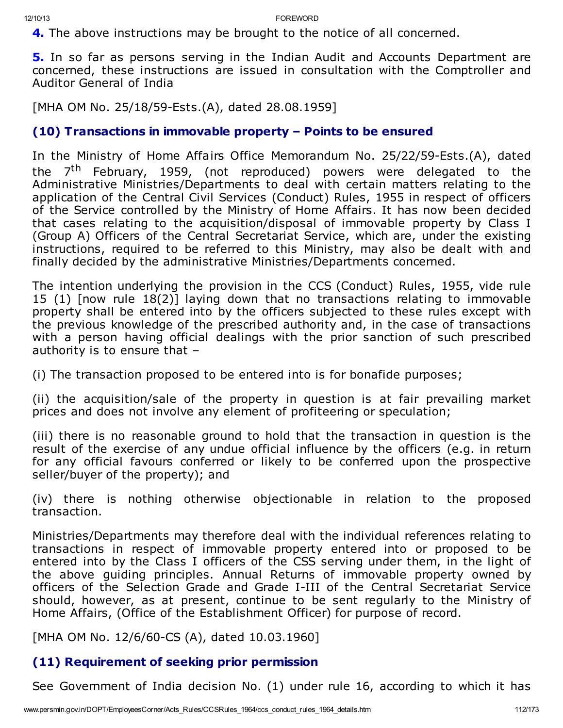4. The above instructions may be brought to the notice of all concerned.

**5.** In so far as persons serving in the Indian Audit and Accounts Department are concerned, these instructions are issued in consultation with the Comptroller and Auditor General of India

[MHA OM No. 25/18/59-Ests.(A), dated 28.08.1959]

## (10) Transactions in immovable property – Points to be ensured

In the Ministry of Home Affairs Office Memorandum No. 25/22/59-Ests.(A), dated the 7<sup>th</sup> February, 1959, (not reproduced) powers were delegated to the Administrative Ministries/Departments to deal with certain matters relating to the application of the Central Civil Services (Conduct) Rules, 1955 in respect of officers of the Service controlled by the Ministry of Home Affairs. It has now been decided that cases relating to the acquisition/disposal of immovable property by Class I (Group A) Officers of the Central Secretariat Service, which are, under the existing instructions, required to be referred to this Ministry, may also be dealt with and finally decided by the administrative Ministries/Departments concerned.

The intention underlying the provision in the CCS (Conduct) Rules, 1955, vide rule 15 (1) [now rule 18(2)] laying down that no transactions relating to immovable property shall be entered into by the officers subjected to these rules except with the previous knowledge of the prescribed authority and, in the case of transactions with a person having official dealings with the prior sanction of such prescribed authority is to ensure that –

(i) The transaction proposed to be entered into is for bonafide purposes;

(ii) the acquisition/sale of the property in question is at fair prevailing market prices and does not involve any element of profiteering or speculation;

(iii) there is no reasonable ground to hold that the transaction in question is the result of the exercise of any undue official influence by the officers (e.g. in return for any official favours conferred or likely to be conferred upon the prospective seller/buyer of the property); and

(iv) there is nothing otherwise objectionable in relation to the proposed transaction.

Ministries/Departments may therefore deal with the individual references relating to transactions in respect of immovable property entered into or proposed to be entered into by the Class I officers of the CSS serving under them, in the light of the above guiding principles. Annual Returns of immovable property owned by officers of the Selection Grade and Grade I-III of the Central Secretariat Service should, however, as at present, continue to be sent regularly to the Ministry of Home Affairs, (Office of the Establishment Officer) for purpose of record.

[MHA OM No. 12/6/60-CS (A), dated 10.03.1960]

# (11) Requirement of seeking prior permission

See Government of India decision No. (1) under rule 16, according to which it has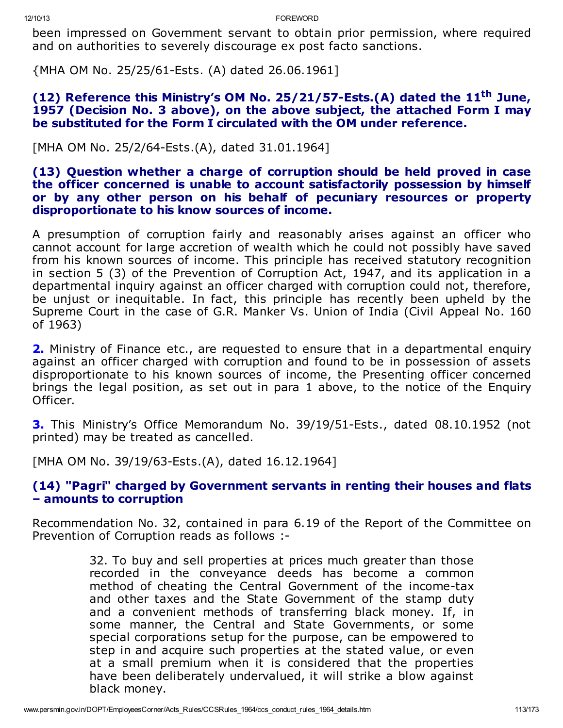been impressed on Government servant to obtain prior permission, where required and on authorities to severely discourage ex post facto sanctions.

{MHA OM No. 25/25/61-Ests. (A) dated 26.06.1961]

#### (12) Reference this Ministry's OM No. 25/21/57-Ests.(A) dated the  $11<sup>th</sup>$  June, 1957 (Decision No. 3 above), on the above subject, the attached Form I may be substituted for the Form I circulated with the OM under reference.

[MHA OM No. 25/2/64-Ests.(A), dated 31.01.1964]

#### (13) Question whether a charge of corruption should be held proved in case the officer concerned is unable to account satisfactorily possession by himself or by any other person on his behalf of pecuniary resources or property disproportionate to his know sources of income.

A presumption of corruption fairly and reasonably arises against an officer who cannot account for large accretion of wealth which he could not possibly have saved from his known sources of income. This principle has received statutory recognition in section 5 (3) of the Prevention of Corruption Act, 1947, and its application in a departmental inquiry against an officer charged with corruption could not, therefore, be unjust or inequitable. In fact, this principle has recently been upheld by the Supreme Court in the case of G.R. Manker Vs. Union of India (Civil Appeal No. 160 of 1963)

2. Ministry of Finance etc., are requested to ensure that in a departmental enquiry against an officer charged with corruption and found to be in possession of assets disproportionate to his known sources of income, the Presenting officer concerned brings the legal position, as set out in para 1 above, to the notice of the Enquiry Officer.

3. This Ministry's Office Memorandum No. 39/19/51-Ests., dated 08.10.1952 (not printed) may be treated as cancelled.

[MHA OM No. 39/19/63-Ests.(A), dated 16.12.1964]

#### (14) "Pagri" charged by Government servants in renting their houses and flats – amounts to corruption

Recommendation No. 32, contained in para 6.19 of the Report of the Committee on Prevention of Corruption reads as follows :-

> 32. To buy and sell properties at prices much greater than those recorded in the conveyance deeds has become a common method of cheating the Central Government of the income-tax and other taxes and the State Government of the stamp duty and a convenient methods of transferring black money. If, in some manner, the Central and State Governments, or some special corporations setup for the purpose, can be empowered to step in and acquire such properties at the stated value, or even at a small premium when it is considered that the properties have been deliberately undervalued, it will strike a blow against black money.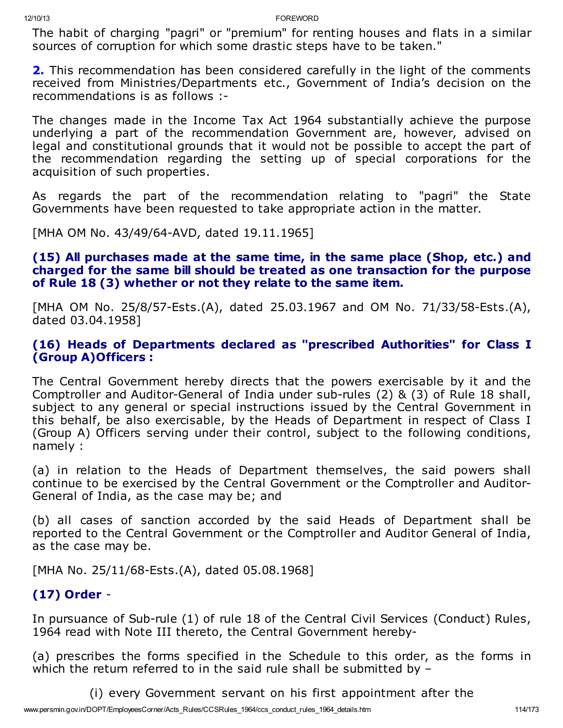The habit of charging "pagri" or "premium" for renting houses and flats in a similar sources of corruption for which some drastic steps have to be taken."

**2.** This recommendation has been considered carefully in the light of the comments received from Ministries/Departments etc., Government of India's decision on the recommendations is as follows :-

The changes made in the Income Tax Act 1964 substantially achieve the purpose underlying a part of the recommendation Government are, however, advised on legal and constitutional grounds that it would not be possible to accept the part of the recommendation regarding the setting up of special corporations for the acquisition of such properties.

As regards the part of the recommendation relating to "pagri" the State Governments have been requested to take appropriate action in the matter.

[MHA OM No. 43/49/64-AVD, dated 19.11.1965]

## (15) All purchases made at the same time, in the same place (Shop, etc.) and charged for the same bill should be treated as one transaction for the purpose of Rule 18 (3) whether or not they relate to the same item.

[MHA OM No. 25/8/57-Ests.(A), dated 25.03.1967 and OM No. 71/33/58-Ests.(A), dated 03.04.1958]

## (16) Heads of Departments declared as "prescribed Authorities" for Class I (Group A)Officers :

The Central Government hereby directs that the powers exercisable by it and the Comptroller and Auditor-General of India under sub-rules (2) & (3) of Rule 18 shall, subject to any general or special instructions issued by the Central Government in this behalf, be also exercisable, by the Heads of Department in respect of Class I (Group A) Officers serving under their control, subject to the following conditions, namely :

(a) in relation to the Heads of Department themselves, the said powers shall continue to be exercised by the Central Government or the Comptroller and Auditor-General of India, as the case may be; and

(b) all cases of sanction accorded by the said Heads of Department shall be reported to the Central Government or the Comptroller and Auditor General of India, as the case may be.

[MHA No. 25/11/68-Ests.(A), dated 05.08.1968]

# (17) Order -

In pursuance of Sub-rule (1) of rule 18 of the Central Civil Services (Conduct) Rules, 1964 read with Note III thereto, the Central Government hereby-

(a) prescribes the forms specified in the Schedule to this order, as the forms in which the return referred to in the said rule shall be submitted by –

(i) every Government servant on his first appointment after the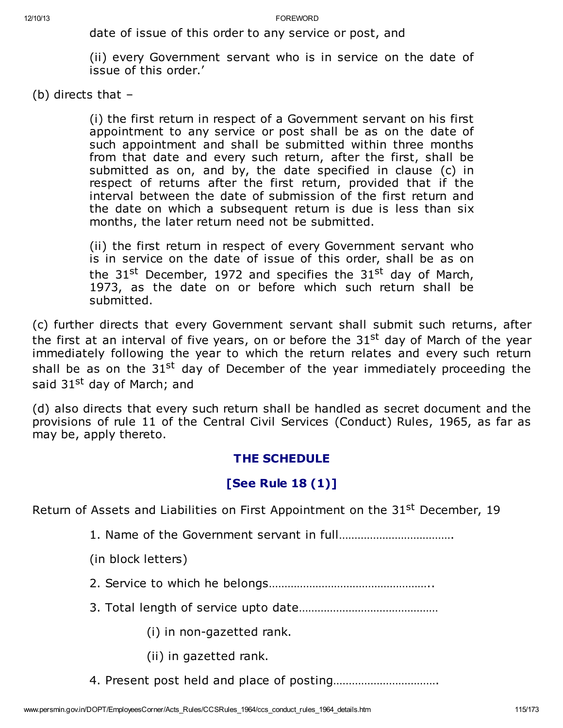date of issue of this order to any service or post, and

(ii) every Government servant who is in service on the date of issue of this order.'

(b) directs that –

(i) the first return in respect of a Government servant on his first appointment to any service or post shall be as on the date of such appointment and shall be submitted within three months from that date and every such return, after the first, shall be submitted as on, and by, the date specified in clause (c) in respect of returns after the first return, provided that if the interval between the date of submission of the first return and the date on which a subsequent return is due is less than six months, the later return need not be submitted.

(ii) the first return in respect of every Government servant who is in service on the date of issue of this order, shall be as on the 31<sup>st</sup> December, 1972 and specifies the 31<sup>st</sup> day of March, 1973, as the date on or before which such return shall be submitted.

(c) further directs that every Government servant shall submit such returns, after the first at an interval of five years, on or before the 31<sup>st</sup> day of March of the year immediately following the year to which the return relates and every such return shall be as on the 31<sup>st</sup> day of December of the year immediately proceeding the said 31<sup>st</sup> day of March; and

(d) also directs that every such return shall be handled as secret document and the provisions of rule 11 of the Central Civil Services (Conduct) Rules, 1965, as far as may be, apply thereto.

# THE SCHEDULE

# [See Rule 18 (1)]

Return of Assets and Liabilities on First Appointment on the 31<sup>st</sup> December, 19

1. Name of the Government servant in full……………………………….

(in block letters)

2. Service to which he belongs……………………………………………..

3. Total length of service upto date………………………………………

(i) in non-gazetted rank.

- (ii) in gazetted rank.
- 4. Present post held and place of posting…………………………….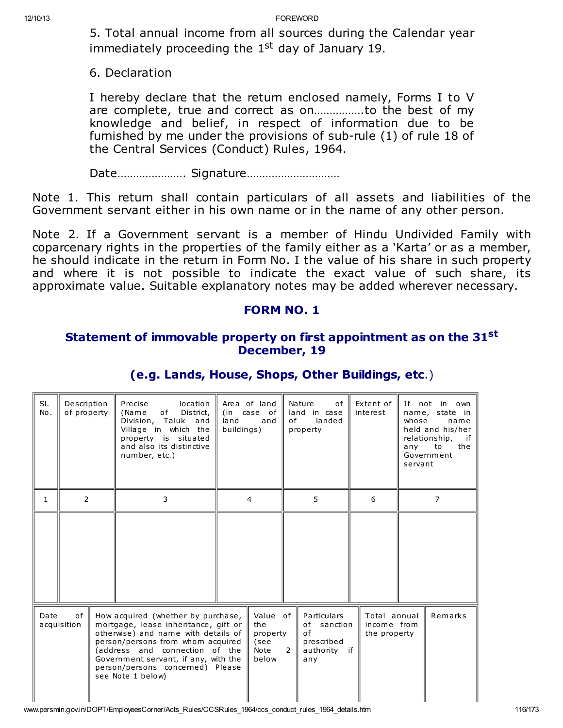5. Total annual income from all sources during the Calendar year immediately proceeding the 1<sup>st</sup> day of January 19.

6. Declaration

I hereby declare that the return enclosed namely, Forms I to V are complete, true and correct as on…………….to the best of my knowledge and belief, in respect of information due to be furnished by me under the provisions of sub-rule (1) of rule 18 of the Central Services (Conduct) Rules, 1964.

Date…………………. Signature…………………………

Note 1. This return shall contain particulars of all assets and liabilities of the Government servant either in his own name or in the name of any other person.

Note 2. If a Government servant is a member of Hindu Undivided Family with coparcenary rights in the properties of the family either as a 'Karta' or as a member, he should indicate in the return in Form No. I the value of his share in such property and where it is not possible to indicate the exact value of such share, its approximate value. Suitable explanatory notes may be added wherever necessary.

## FORM NO. 1

## Statement of immovable property on first appointment as on the 31<sup>st</sup> December, 19

| SI.<br>No.                | Description<br>of property | location<br>Precise<br>(Name<br>District,<br>of<br>Division, Taluk and<br>Village in which the<br>property is situated<br>and also its distinctive<br>number, etc.)                                                                                                                       | land<br>buildings) | Area of land<br>(in case of<br>and                   | of | Nature<br>of  <br>land in case<br>landed<br>property                  | Extent of<br>interest                       | whose<br>any<br>servant | If not in own<br>name, state in<br>name<br>held and his/her<br>relationship,<br>if<br>the<br>to<br>Government |
|---------------------------|----------------------------|-------------------------------------------------------------------------------------------------------------------------------------------------------------------------------------------------------------------------------------------------------------------------------------------|--------------------|------------------------------------------------------|----|-----------------------------------------------------------------------|---------------------------------------------|-------------------------|---------------------------------------------------------------------------------------------------------------|
| $\mathbf{1}$              | $\overline{2}$             | 3                                                                                                                                                                                                                                                                                         |                    | $\overline{4}$                                       |    | 5                                                                     | 6                                           |                         | 7                                                                                                             |
|                           |                            |                                                                                                                                                                                                                                                                                           |                    |                                                      |    |                                                                       |                                             |                         |                                                                                                               |
| of<br>Date<br>acquisition |                            | How acquired (whether by purchase,<br>mortgage, lease inheritance, gift or<br>otherwise) and name with details of<br>person/persons from whom acquired<br>(address and connection of the<br>Government servant, if any, with the<br>person/persons concerned) Please<br>see Note 1 below) |                    | Value of<br>the<br>property<br>(see<br>Note<br>below | 2  | Particulars<br>of sanction<br>0f<br>prescribed<br>authority if<br>any | Total annual<br>income from<br>the property |                         | Remarks                                                                                                       |

## (e.g. Lands, House, Shops, Other Buildings, etc.)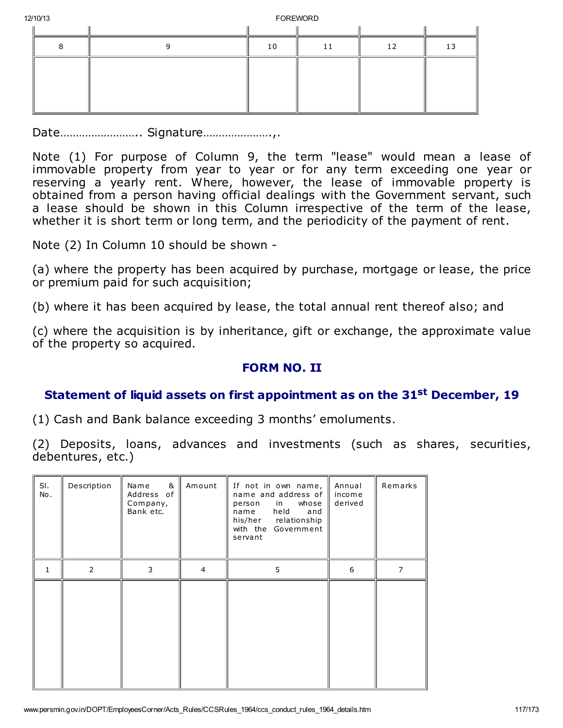| 12/10/13 |    | FOREWORD |    |    |
|----------|----|----------|----|----|
|          |    |          |    |    |
|          | 10 | 11       | 12 | 13 |
|          |    |          |    |    |
|          |    |          |    |    |
|          |    |          |    |    |
|          |    |          |    |    |

Date…………………….. Signature………………….,.

Note (1) For purpose of Column 9, the term "lease" would mean a lease of immovable property from year to year or for any term exceeding one year or reserving a yearly rent. Where, however, the lease of immovable property is obtained from a person having official dealings with the Government servant, such a lease should be shown in this Column irrespective of the term of the lease, whether it is short term or long term, and the periodicity of the payment of rent.

Note (2) In Column 10 should be shown -

(a) where the property has been acquired by purchase, mortgage or lease, the price or premium paid for such acquisition;

(b) where it has been acquired by lease, the total annual rent thereof also; and

(c) where the acquisition is by inheritance, gift or exchange, the approximate value of the property so acquired.

## FORM NO. II

## Statement of liquid assets on first appointment as on the 31<sup>st</sup> December, 19

(1) Cash and Bank balance exceeding 3 months' emoluments.

(2) Deposits, loans, advances and investments (such as shares, securities, debentures, etc.)

| SI.<br>No. | Description | &<br>Name<br>Address of<br>Company,<br>Bank etc. | Amount         | If not in own name,<br>name and address of<br>in<br>whose<br>person<br>held<br>and<br>name<br>his/her relationship<br>with the Government<br>servant | Annual<br>income<br>derived | Remarks |
|------------|-------------|--------------------------------------------------|----------------|------------------------------------------------------------------------------------------------------------------------------------------------------|-----------------------------|---------|
|            | 2           | 3                                                | $\overline{4}$ | 5                                                                                                                                                    | 6                           | 7       |
|            |             |                                                  |                |                                                                                                                                                      |                             |         |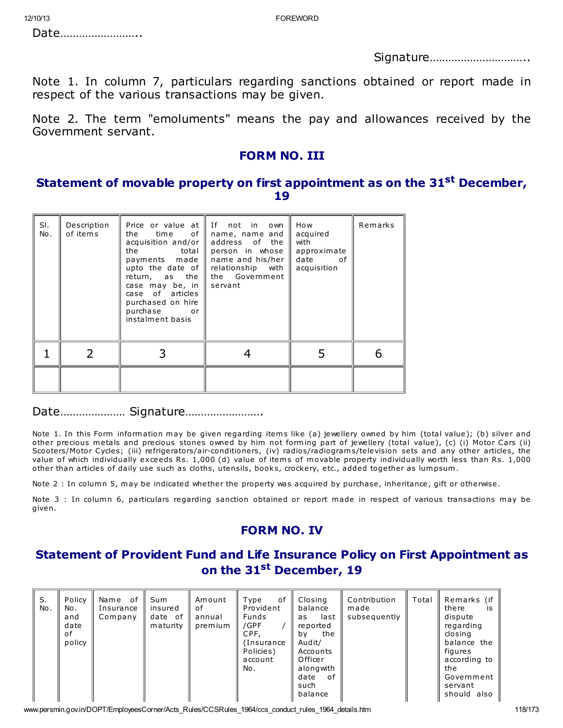Note 1. In column 7, particulars regarding sanctions obtained or report made in respect of the various transactions may be given.

Note 2. The term "emoluments" means the pay and allowances received by the Government servant.

## FORM NO. III

#### Statement of movable property on first appointment as on the 31<sup>st</sup> December, 19

| SI.<br>No. | Description<br>of items | the time of $\parallel$<br>acquisition and/or $\parallel$<br>the total<br>payments made<br>upto the date of<br>return, as the<br>case may be, in<br>case of articles<br>purchased on hire<br>purchase<br><b>or</b><br>instalment basis | Price or value at $\parallel$ If not in own<br>name, name and<br>address of the<br>person in whose<br>name and his/her<br>relationship with<br>the Government<br>servant | How<br>acquired<br>with<br>approximate<br>date of<br>acquisition | Remarks |
|------------|-------------------------|----------------------------------------------------------------------------------------------------------------------------------------------------------------------------------------------------------------------------------------|--------------------------------------------------------------------------------------------------------------------------------------------------------------------------|------------------------------------------------------------------|---------|
|            |                         |                                                                                                                                                                                                                                        |                                                                                                                                                                          |                                                                  |         |
|            |                         |                                                                                                                                                                                                                                        |                                                                                                                                                                          |                                                                  |         |

Date………………… Signature…………………….

Note 1. In this Form information may be given regarding items like (a) jewellery owned by him (total value); (b) silver and other precious metals and precious stones owned by him not forming part of jewellery (total value), (c) (i) Motor Cars (ii) Scooters/Motor Cycles; (iii) refrigerators/air-conditioners, (iv) radios/radiograms/television sets and any other articles, the value of which individually exceeds Rs. 1,000 (d) value of items of movable property individually worth less than Rs. 1,000 other than articles of daily use such as cloths, utensils, books, crockery, etc., added together as lumpsum.

Note 2 : In column 5, may be indicated whether the property was acquired by purchase, inheritance, gift or otherwise.

Note 3 : In column 6, particulars regarding sanction obtained or report made in respect of various transactions may be given.

## FORM NO. IV

## Statement of Provident Fund and Life Insurance Policy on First Appointment as on the 31<sup>st</sup> December, 19

| S.<br>No. | Policy<br>No.<br>and<br>date<br>οf<br>policy | Name of<br>Insurance<br>Company | Sum<br>insured<br>date of<br>maturity | Amount<br>0 f<br>annual<br>premium | оf<br>Type<br>Provident<br>Funds<br>/GPF<br>CPF.<br>(Insurance<br>Policies)<br>account<br>No. | Closing<br>balance<br>last<br>as<br>reported<br>the<br>b٧<br>Audit/<br>Accounts<br>Officer<br>alongwith<br>date<br>0f<br>such<br>balance | Contribution<br>made<br>subsequently | Total | Remarks (if<br>there<br>İS<br>dispute<br>regarding<br>closing<br>balance the<br>figures<br>according to<br>the<br>Government<br>servant<br>should also |
|-----------|----------------------------------------------|---------------------------------|---------------------------------------|------------------------------------|-----------------------------------------------------------------------------------------------|------------------------------------------------------------------------------------------------------------------------------------------|--------------------------------------|-------|--------------------------------------------------------------------------------------------------------------------------------------------------------|
|-----------|----------------------------------------------|---------------------------------|---------------------------------------|------------------------------------|-----------------------------------------------------------------------------------------------|------------------------------------------------------------------------------------------------------------------------------------------|--------------------------------------|-------|--------------------------------------------------------------------------------------------------------------------------------------------------------|

www.persmin.gov.in/DOPT/EmployeesCorner/Acts\_Rules/CCSRules\_1964/ccs\_conduct\_rules\_1964\_details.htm 118/173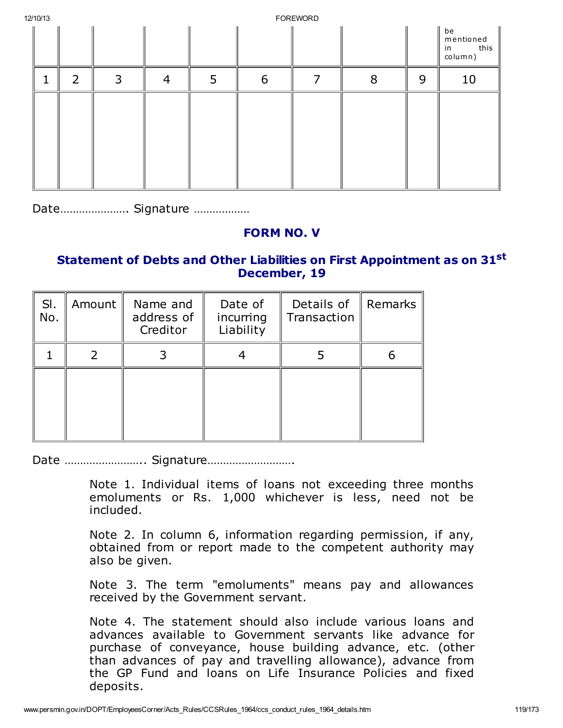| 12/10/13 |                |   |   |   | FOREWORD |   |   |                                          |
|----------|----------------|---|---|---|----------|---|---|------------------------------------------|
|          |                |   |   |   |          |   |   | be<br>mentioned<br>this<br>in<br>column) |
|          | $\overline{2}$ | 3 | 5 | 6 |          | 8 | 9 | 10                                       |
|          |                |   |   |   |          |   |   |                                          |
|          |                |   |   |   |          |   |   |                                          |
|          |                |   |   |   |          |   |   |                                          |
|          |                |   |   |   |          |   |   |                                          |

Date…………………. Signature ………………

## FORM NO. V

## Statement of Debts and Other Liabilities on First Appointment as on 31<sup>st</sup> December, 19

| SI.<br>No. | Amount | Name and<br>address of<br>Creditor | Date of<br>incurring<br>Liability | Details of<br>Transaction | Remarks |
|------------|--------|------------------------------------|-----------------------------------|---------------------------|---------|
|            |        |                                    |                                   |                           |         |
|            |        |                                    |                                   |                           |         |

Date …………………….. Signature……………………….

Note 1. Individual items of loans not exceeding three months emoluments or Rs. 1,000 whichever is less, need not be included.

Note 2. In column 6, information regarding permission, if any, obtained from or report made to the competent authority may also be given.

Note 3. The term "emoluments" means pay and allowances received by the Government servant.

Note 4. The statement should also include various loans and advances available to Government servants like advance for purchase of conveyance, house building advance, etc. (other than advances of pay and travelling allowance), advance from the GP Fund and loans on Life Insurance Policies and fixed deposits.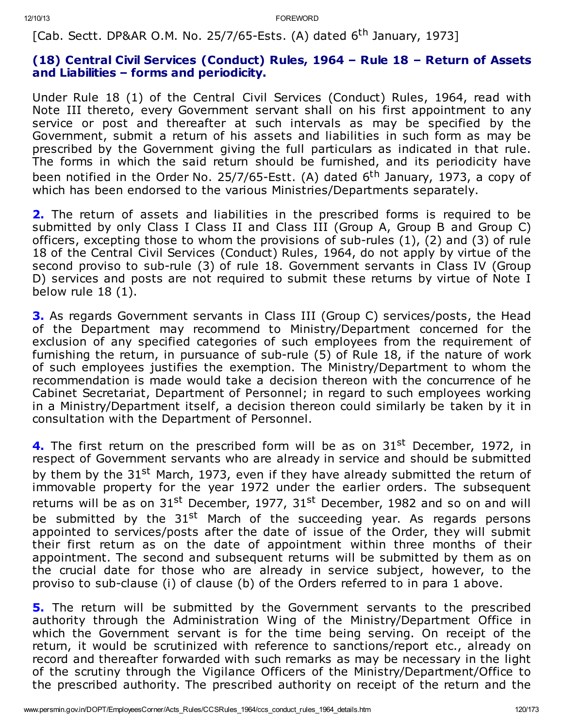[Cab. Sectt. DP&AR O.M. No. 25/7/65-Ests. (A) dated  $6<sup>th</sup>$  January, 1973]

## (18) Central Civil Services (Conduct) Rules, 1964 – Rule 18 – Return of Assets and Liabilities – forms and periodicity.

Under Rule 18 (1) of the Central Civil Services (Conduct) Rules, 1964, read with Note III thereto, every Government servant shall on his first appointment to any service or post and thereafter at such intervals as may be specified by the Government, submit a return of his assets and liabilities in such form as may be prescribed by the Government giving the full particulars as indicated in that rule. The forms in which the said return should be furnished, and its periodicity have been notified in the Order No. 25/7/65-Estt. (A) dated 6<sup>th</sup> January, 1973, a copy of which has been endorsed to the various Ministries/Departments separately.

**2.** The return of assets and liabilities in the prescribed forms is required to be submitted by only Class I Class II and Class III (Group A, Group B and Group C) officers, excepting those to whom the provisions of sub-rules (1), (2) and (3) of rule 18 of the Central Civil Services (Conduct) Rules, 1964, do not apply by virtue of the second proviso to sub-rule (3) of rule 18. Government servants in Class IV (Group D) services and posts are not required to submit these returns by virtue of Note I below rule 18 (1).

**3.** As regards Government servants in Class III (Group C) services/posts, the Head of the Department may recommend to Ministry/Department concerned for the exclusion of any specified categories of such employees from the requirement of furnishing the return, in pursuance of sub-rule (5) of Rule 18, if the nature of work of such employees justifies the exemption. The Ministry/Department to whom the recommendation is made would take a decision thereon with the concurrence of he Cabinet Secretariat, Department of Personnel; in regard to such employees working in a Ministry/Department itself, a decision thereon could similarly be taken by it in consultation with the Department of Personnel.

**4.** The first return on the prescribed form will be as on  $31<sup>st</sup>$  December, 1972, in respect of Government servants who are already in service and should be submitted by them by the 31<sup>st</sup> March, 1973, even if they have already submitted the return of immovable property for the year 1972 under the earlier orders. The subsequent returns will be as on 31<sup>st</sup> December, 1977, 31<sup>st</sup> December, 1982 and so on and will be submitted by the 31<sup>st</sup> March of the succeeding year. As regards persons appointed to services/posts after the date of issue of the Order, they will submit their first return as on the date of appointment within three months of their appointment. The second and subsequent returns will be submitted by them as on the crucial date for those who are already in service subject, however, to the proviso to sub-clause (i) of clause (b) of the Orders referred to in para 1 above.

**5.** The return will be submitted by the Government servants to the prescribed authority through the Administration Wing of the Ministry/Department Office in which the Government servant is for the time being serving. On receipt of the return, it would be scrutinized with reference to sanctions/report etc., already on record and thereafter forwarded with such remarks as may be necessary in the light of the scrutiny through the Vigilance Officers of the Ministry/Department/Office to the prescribed authority. The prescribed authority on receipt of the return and the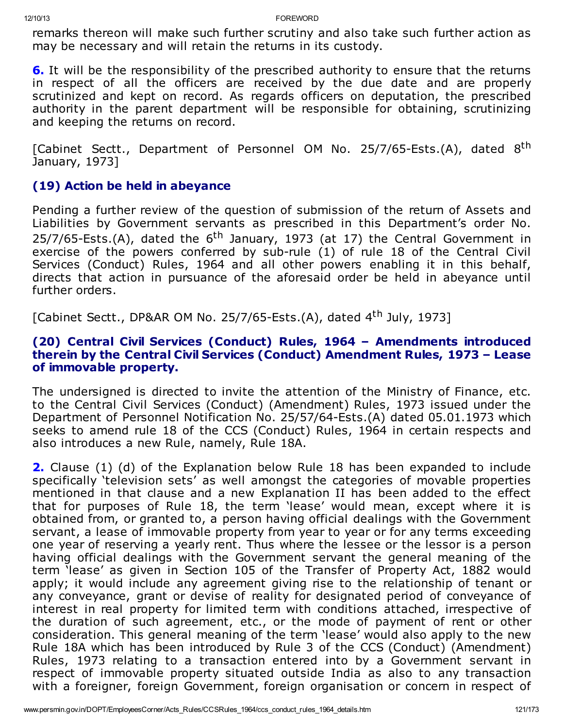remarks thereon will make such further scrutiny and also take such further action as may be necessary and will retain the returns in its custody.

**6.** It will be the responsibility of the prescribed authority to ensure that the returns in respect of all the officers are received by the due date and are properly scrutinized and kept on record. As regards officers on deputation, the prescribed authority in the parent department will be responsible for obtaining, scrutinizing and keeping the returns on record.

[Cabinet Sectt., Department of Personnel OM No. 25/7/65-Ests.(A), dated 8<sup>th</sup> January, 1973]

## (19) Action be held in abeyance

Pending a further review of the question of submission of the return of Assets and Liabilities by Government servants as prescribed in this Department's order No. 25/7/65-Ests.(A), dated the  $6<sup>th</sup>$  January, 1973 (at 17) the Central Government in exercise of the powers conferred by sub-rule (1) of rule 18 of the Central Civil Services (Conduct) Rules, 1964 and all other powers enabling it in this behalf, directs that action in pursuance of the aforesaid order be held in abeyance until further orders.

[Cabinet Sectt., DP&AR OM No. 25/7/65-Ests.(A), dated  $4<sup>th</sup>$  July, 1973]

### (20) Central Civil Services (Conduct) Rules, 1964 – Amendments introduced therein by the Central Civil Services (Conduct) Amendment Rules, 1973 – Lease of immovable property.

The undersigned is directed to invite the attention of the Ministry of Finance, etc. to the Central Civil Services (Conduct) (Amendment) Rules, 1973 issued under the Department of Personnel Notification No. 25/57/64-Ests.(A) dated 05.01.1973 which seeks to amend rule 18 of the CCS (Conduct) Rules, 1964 in certain respects and also introduces a new Rule, namely, Rule 18A.

2. Clause (1) (d) of the Explanation below Rule 18 has been expanded to include specifically 'television sets' as well amongst the categories of movable properties mentioned in that clause and a new Explanation II has been added to the effect that for purposes of Rule 18, the term 'lease' would mean, except where it is obtained from, or granted to, a person having official dealings with the Government servant, a lease of immovable property from year to year or for any terms exceeding one year of reserving a yearly rent. Thus where the lessee or the lessor is a person having official dealings with the Government servant the general meaning of the term 'lease' as given in Section 105 of the Transfer of Property Act, 1882 would apply; it would include any agreement giving rise to the relationship of tenant or any conveyance, grant or devise of reality for designated period of conveyance of interest in real property for limited term with conditions attached, irrespective of the duration of such agreement, etc., or the mode of payment of rent or other consideration. This general meaning of the term 'lease' would also apply to the new Rule 18A which has been introduced by Rule 3 of the CCS (Conduct) (Amendment) Rules, 1973 relating to a transaction entered into by a Government servant in respect of immovable property situated outside India as also to any transaction with a foreigner, foreign Government, foreign organisation or concern in respect of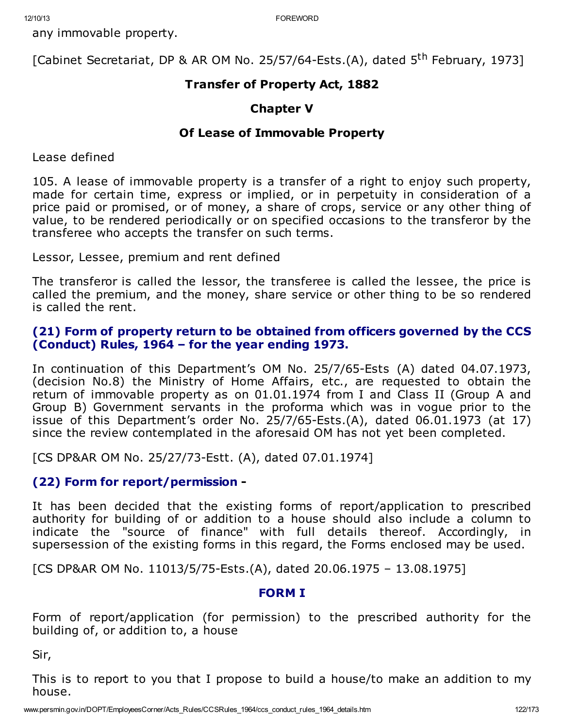any immovable property.

[Cabinet Secretariat, DP & AR OM No. 25/57/64-Ests.(A), dated 5<sup>th</sup> February, 1973]

## Transfer of Property Act, 1882

## Chapter V

## Of Lease of Immovable Property

Lease defined

105. A lease of immovable property is a transfer of a right to enjoy such property, made for certain time, express or implied, or in perpetuity in consideration of a price paid or promised, or of money, a share of crops, service or any other thing of value, to be rendered periodically or on specified occasions to the transferor by the transferee who accepts the transfer on such terms.

Lessor, Lessee, premium and rent defined

The transferor is called the lessor, the transferee is called the lessee, the price is called the premium, and the money, share service or other thing to be so rendered is called the rent.

## (21) Form of property return to be obtained from officers governed by the CCS (Conduct) Rules, 1964 – for the year ending 1973.

In continuation of this Department's OM No. 25/7/65-Ests (A) dated 04.07.1973, (decision No.8) the Ministry of Home Affairs, etc., are requested to obtain the return of immovable property as on 01.01.1974 from I and Class II (Group A and Group B) Government servants in the proforma which was in vogue prior to the issue of this Department's order No. 25/7/65-Ests.(A), dated 06.01.1973 (at 17) since the review contemplated in the aforesaid OM has not yet been completed.

[CS DP&AR OM No. 25/27/73-Estt. (A), dated 07.01.1974]

## (22) Form for report/permission -

It has been decided that the existing forms of report/application to prescribed authority for building of or addition to a house should also include a column to indicate the "source of finance" with full details thereof. Accordingly, in supersession of the existing forms in this regard, the Forms enclosed may be used.

[CS DP&AR OM No. 11013/5/75-Ests.(A), dated 20.06.1975 – 13.08.1975]

## FORM I

Form of report/application (for permission) to the prescribed authority for the building of, or addition to, a house

Sir,

This is to report to you that I propose to build a house/to make an addition to my house.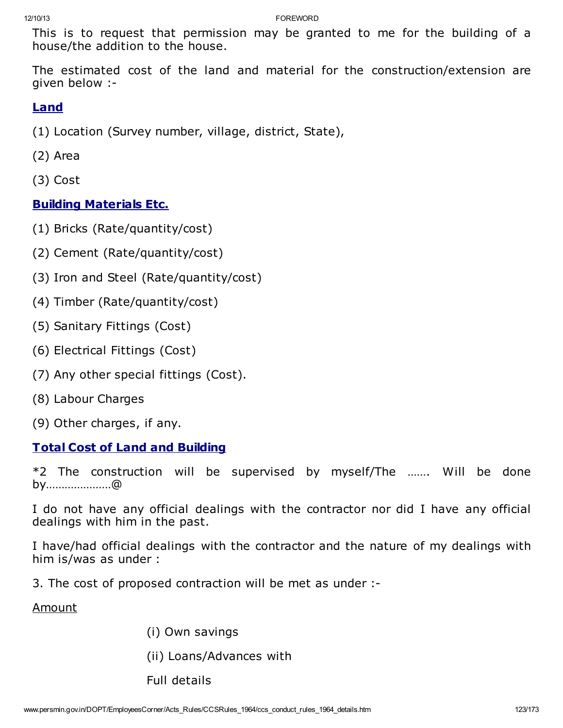This is to request that permission may be granted to me for the building of a house/the addition to the house.

The estimated cost of the land and material for the construction/extension are given below :-

## Land

(1) Location (Survey number, village, district, State),

(2) Area

(3) Cost

## Building Materials Etc.

- (1) Bricks (Rate/quantity/cost)
- (2) Cement (Rate/quantity/cost)
- (3) Iron and Steel (Rate/quantity/cost)
- (4) Timber (Rate/quantity/cost)
- (5) Sanitary Fittings (Cost)
- (6) Electrical Fittings (Cost)
- (7) Any other special fittings (Cost).
- (8) Labour Charges
- (9) Other charges, if any.

## Total Cost of Land and Building

\*2 The construction will be supervised by myself/The ……. Will be done by…………………@

I do not have any official dealings with the contractor nor did I have any official dealings with him in the past.

I have/had official dealings with the contractor and the nature of my dealings with him is/was as under :

3. The cost of proposed contraction will be met as under :-

Amount

- (i) Own savings
- (ii) Loans/Advances with
- Full details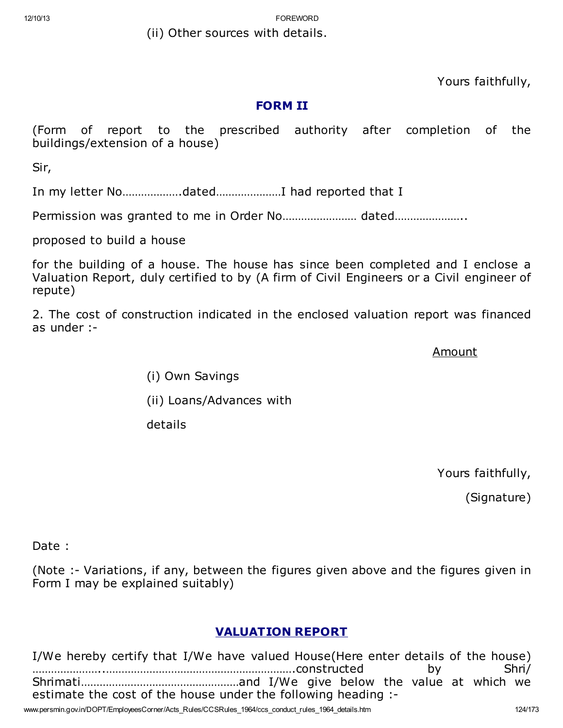(ii) Other sources with details.

Yours faithfully,

## FORM II

(Form of report to the prescribed authority after completion of the buildings/extension of a house)

Sir,

In my letter No……………….dated…………………I had reported that I

Permission was granted to me in Order No…………………… dated…………………..

proposed to build a house

for the building of a house. The house has since been completed and I enclose a Valuation Report, duly certified to by (A firm of Civil Engineers or a Civil engineer of repute)

2. The cost of construction indicated in the enclosed valuation report was financed as under :-

Amount

(i) Own Savings

(ii) Loans/Advances with

details

Yours faithfully,

(Signature)

Date :

(Note :- Variations, if any, between the figures given above and the figures given in Form I may be explained suitably)

# VALUATION REPORT

I/We hereby certify that I/We have valued House(Here enter details of the house) …………………..…………………………………………………….constructed by Shri/ Shrimati……………………………………………and I/We give below the value at which we estimate the cost of the house under the following heading :-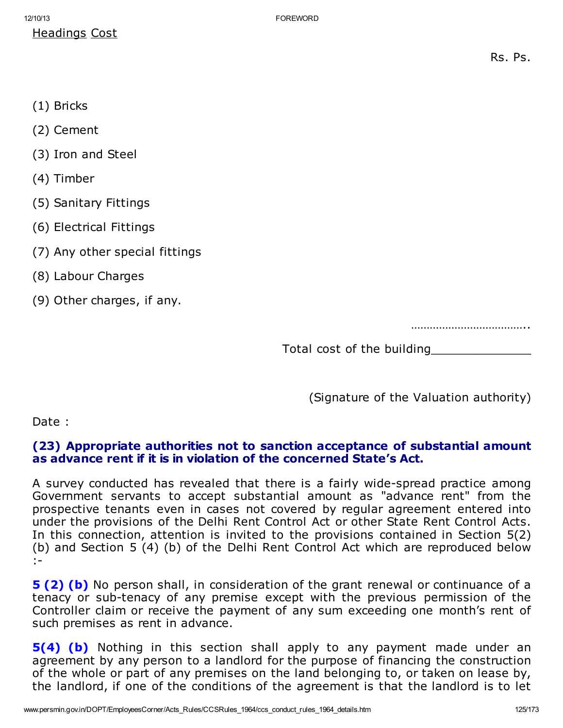Headings Cost

Rs. Ps.

- (1) Bricks
- (2) Cement
- (3) Iron and Steel
- (4) Timber
- (5) Sanitary Fittings
- (6) Electrical Fittings
- (7) Any other special fittings
- (8) Labour Charges
- (9) Other charges, if any.

…………………………………………

Total cost of the building

(Signature of the Valuation authority)

Date :

## (23) Appropriate authorities not to sanction acceptance of substantial amount as advance rent if it is in violation of the concerned State's Act.

A survey conducted has revealed that there is a fairly wide-spread practice among Government servants to accept substantial amount as "advance rent" from the prospective tenants even in cases not covered by regular agreement entered into under the provisions of the Delhi Rent Control Act or other State Rent Control Acts. In this connection, attention is invited to the provisions contained in Section 5(2) (b) and Section 5 (4) (b) of the Delhi Rent Control Act which are reproduced below :-

5 (2) (b) No person shall, in consideration of the grant renewal or continuance of a tenacy or sub-tenacy of any premise except with the previous permission of the Controller claim or receive the payment of any sum exceeding one month's rent of such premises as rent in advance.

5(4) (b) Nothing in this section shall apply to any payment made under an agreement by any person to a landlord for the purpose of financing the construction of the whole or part of any premises on the land belonging to, or taken on lease by, the landlord, if one of the conditions of the agreement is that the landlord is to let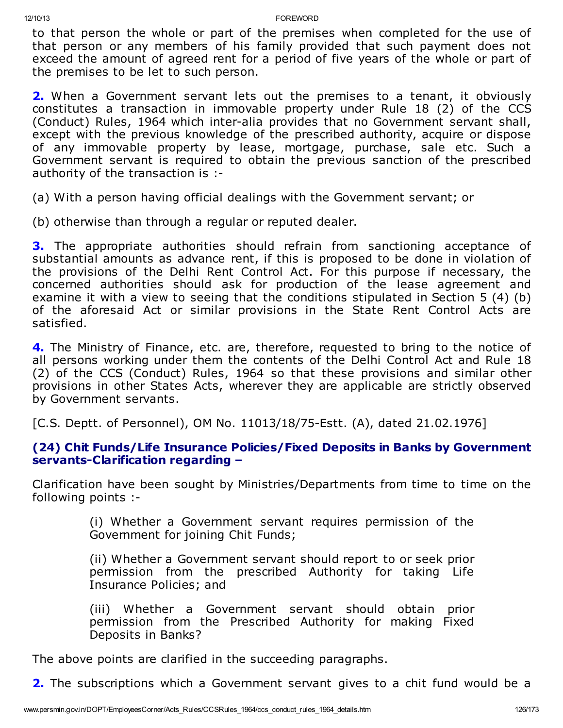to that person the whole or part of the premises when completed for the use of that person or any members of his family provided that such payment does not exceed the amount of agreed rent for a period of five years of the whole or part of the premises to be let to such person.

2. When a Government servant lets out the premises to a tenant, it obviously constitutes a transaction in immovable property under Rule 18 (2) of the CCS (Conduct) Rules, 1964 which inter-alia provides that no Government servant shall, except with the previous knowledge of the prescribed authority, acquire or dispose of any immovable property by lease, mortgage, purchase, sale etc. Such a Government servant is required to obtain the previous sanction of the prescribed authority of the transaction is :-

(a) With a person having official dealings with the Government servant; or

(b) otherwise than through a regular or reputed dealer.

**3.** The appropriate authorities should refrain from sanctioning acceptance of substantial amounts as advance rent, if this is proposed to be done in violation of the provisions of the Delhi Rent Control Act. For this purpose if necessary, the concerned authorities should ask for production of the lease agreement and examine it with a view to seeing that the conditions stipulated in Section 5 (4) (b) of the aforesaid Act or similar provisions in the State Rent Control Acts are satisfied.

4. The Ministry of Finance, etc. are, therefore, requested to bring to the notice of all persons working under them the contents of the Delhi Control Act and Rule 18 (2) of the CCS (Conduct) Rules, 1964 so that these provisions and similar other provisions in other States Acts, wherever they are applicable are strictly observed by Government servants.

[C.S. Deptt. of Personnel), OM No. 11013/18/75-Estt. (A), dated 21.02.1976]

## (24) Chit Funds/Life Insurance Policies/Fixed Deposits in Banks by Government servants-Clarification regarding –

Clarification have been sought by Ministries/Departments from time to time on the following points :-

> (i) Whether a Government servant requires permission of the Government for joining Chit Funds;

> (ii) Whether a Government servant should report to or seek prior permission from the prescribed Authority for taking Life Insurance Policies; and

> (iii) Whether a Government servant should obtain prior permission from the Prescribed Authority for making Fixed Deposits in Banks?

The above points are clarified in the succeeding paragraphs.

**2.** The subscriptions which a Government servant gives to a chit fund would be a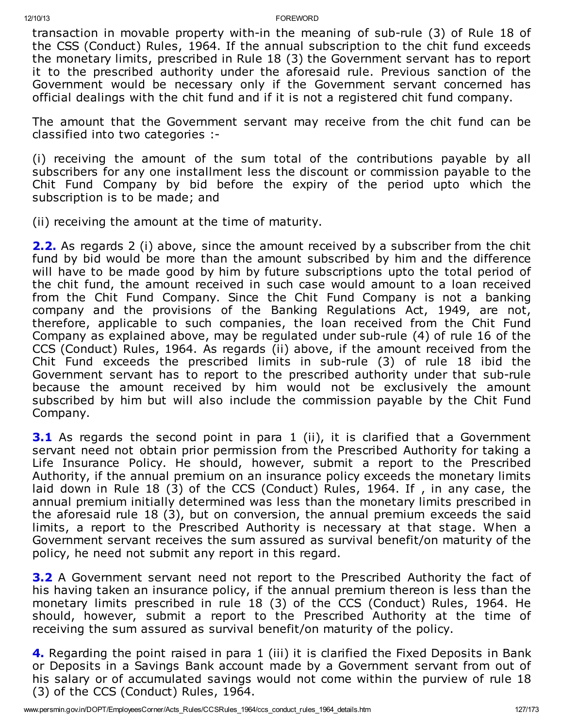transaction in movable property with-in the meaning of sub-rule (3) of Rule 18 of the CSS (Conduct) Rules, 1964. If the annual subscription to the chit fund exceeds the monetary limits, prescribed in Rule 18 (3) the Government servant has to report it to the prescribed authority under the aforesaid rule. Previous sanction of the Government would be necessary only if the Government servant concerned has official dealings with the chit fund and if it is not a registered chit fund company.

The amount that the Government servant may receive from the chit fund can be classified into two categories :-

(i) receiving the amount of the sum total of the contributions payable by all subscribers for any one installment less the discount or commission payable to the Chit Fund Company by bid before the expiry of the period upto which the subscription is to be made; and

(ii) receiving the amount at the time of maturity.

**2.2.** As regards 2 (i) above, since the amount received by a subscriber from the chit fund by bid would be more than the amount subscribed by him and the difference will have to be made good by him by future subscriptions upto the total period of the chit fund, the amount received in such case would amount to a loan received from the Chit Fund Company. Since the Chit Fund Company is not a banking company and the provisions of the Banking Regulations Act, 1949, are not, therefore, applicable to such companies, the loan received from the Chit Fund Company as explained above, may be regulated under sub-rule (4) of rule 16 of the CCS (Conduct) Rules, 1964. As regards (ii) above, if the amount received from the Chit Fund exceeds the prescribed limits in sub-rule (3) of rule 18 ibid the Government servant has to report to the prescribed authority under that sub-rule because the amount received by him would not be exclusively the amount subscribed by him but will also include the commission payable by the Chit Fund Company.

**3.1** As regards the second point in para 1 (ii), it is clarified that a Government servant need not obtain prior permission from the Prescribed Authority for taking a Life Insurance Policy. He should, however, submit a report to the Prescribed Authority, if the annual premium on an insurance policy exceeds the monetary limits laid down in Rule 18 (3) of the CCS (Conduct) Rules, 1964. If , in any case, the annual premium initially determined was less than the monetary limits prescribed in the aforesaid rule 18 (3), but on conversion, the annual premium exceeds the said limits, a report to the Prescribed Authority is necessary at that stage. When a Government servant receives the sum assured as survival benefit/on maturity of the policy, he need not submit any report in this regard.

**3.2** A Government servant need not report to the Prescribed Authority the fact of his having taken an insurance policy, if the annual premium thereon is less than the monetary limits prescribed in rule 18 (3) of the CCS (Conduct) Rules, 1964. He should, however, submit a report to the Prescribed Authority at the time of receiving the sum assured as survival benefit/on maturity of the policy.

4. Regarding the point raised in para 1 (iii) it is clarified the Fixed Deposits in Bank or Deposits in a Savings Bank account made by a Government servant from out of his salary or of accumulated savings would not come within the purview of rule 18 (3) of the CCS (Conduct) Rules, 1964.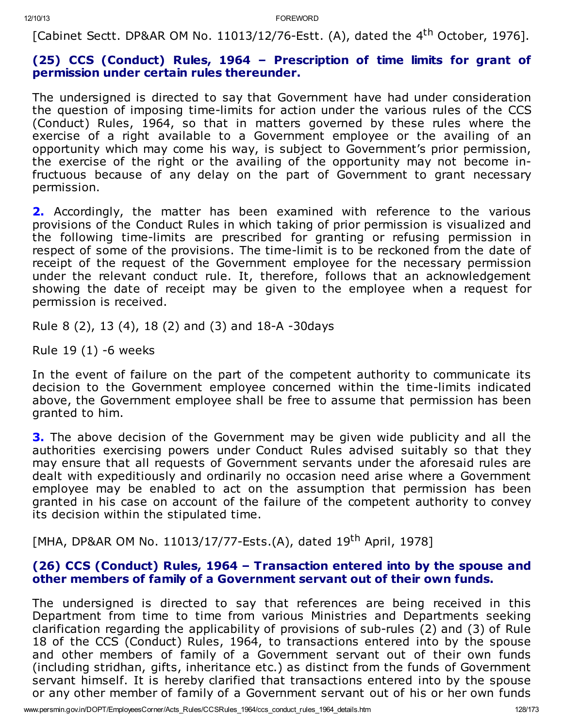[Cabinet Sectt. DP&AR OM No.  $11013/12/76$ -Estt. (A), dated the  $4<sup>th</sup>$  October, 1976].

## (25) CCS (Conduct) Rules, 1964 – Prescription of time limits for grant of permission under certain rules thereunder.

The undersigned is directed to say that Government have had under consideration the question of imposing time-limits for action under the various rules of the CCS (Conduct) Rules, 1964, so that in matters governed by these rules where the exercise of a right available to a Government employee or the availing of an opportunity which may come his way, is subject to Government's prior permission, the exercise of the right or the availing of the opportunity may not become infructuous because of any delay on the part of Government to grant necessary permission.

**2.** Accordingly, the matter has been examined with reference to the various provisions of the Conduct Rules in which taking of prior permission is visualized and the following time-limits are prescribed for granting or refusing permission in respect of some of the provisions. The time-limit is to be reckoned from the date of receipt of the request of the Government employee for the necessary permission under the relevant conduct rule. It, therefore, follows that an acknowledgement showing the date of receipt may be given to the employee when a request for permission is received.

Rule 8 (2), 13 (4), 18 (2) and (3) and 18-A -30days

Rule 19 (1) -6 weeks

In the event of failure on the part of the competent authority to communicate its decision to the Government employee concerned within the time-limits indicated above, the Government employee shall be free to assume that permission has been granted to him.

**3.** The above decision of the Government may be given wide publicity and all the authorities exercising powers under Conduct Rules advised suitably so that they may ensure that all requests of Government servants under the aforesaid rules are dealt with expeditiously and ordinarily no occasion need arise where a Government employee may be enabled to act on the assumption that permission has been granted in his case on account of the failure of the competent authority to convey its decision within the stipulated time.

[MHA, DP&AR OM No. 11013/17/77-Ests.(A), dated 19<sup>th</sup> April, 1978]

## (26) CCS (Conduct) Rules, 1964 – Transaction entered into by the spouse and other members of family of a Government servant out of their own funds.

The undersigned is directed to say that references are being received in this Department from time to time from various Ministries and Departments seeking clarification regarding the applicability of provisions of sub-rules (2) and (3) of Rule 18 of the CCS (Conduct) Rules, 1964, to transactions entered into by the spouse and other members of family of a Government servant out of their own funds (including stridhan, gifts, inheritance etc.) as distinct from the funds of Government servant himself. It is hereby clarified that transactions entered into by the spouse or any other member of family of a Government servant out of his or her own funds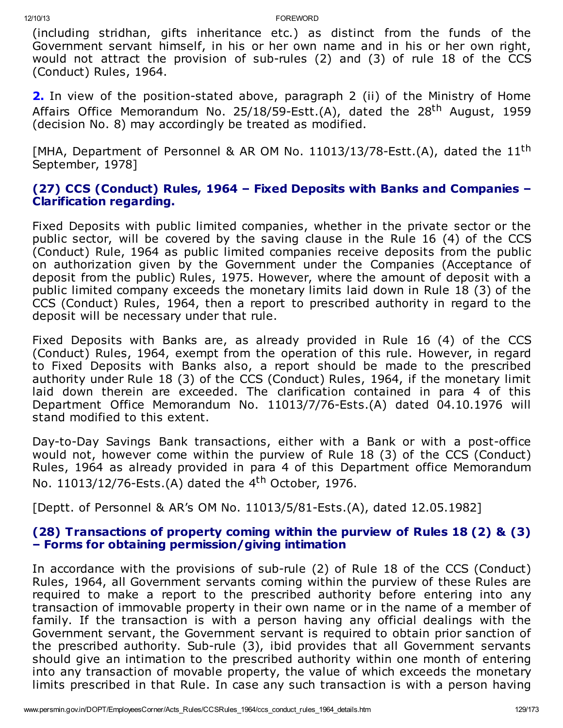(including stridhan, gifts inheritance etc.) as distinct from the funds of the Government servant himself, in his or her own name and in his or her own right, would not attract the provision of sub-rules (2) and (3) of rule 18 of the CCS (Conduct) Rules, 1964.

**2.** In view of the position-stated above, paragraph 2 (ii) of the Ministry of Home Affairs Office Memorandum No. 25/18/59-Estt.(A), dated the 28<sup>th</sup> August, 1959 (decision No. 8) may accordingly be treated as modified.

[MHA, Department of Personnel & AR OM No. 11013/13/78-Estt.(A), dated the  $11<sup>th</sup>$ September, 1978]

## (27) CCS (Conduct) Rules, 1964 – Fixed Deposits with Banks and Companies – Clarification regarding.

Fixed Deposits with public limited companies, whether in the private sector or the public sector, will be covered by the saving clause in the Rule 16 (4) of the CCS (Conduct) Rule, 1964 as public limited companies receive deposits from the public on authorization given by the Government under the Companies (Acceptance of deposit from the public) Rules, 1975. However, where the amount of deposit with a public limited company exceeds the monetary limits laid down in Rule 18 (3) of the CCS (Conduct) Rules, 1964, then a report to prescribed authority in regard to the deposit will be necessary under that rule.

Fixed Deposits with Banks are, as already provided in Rule 16 (4) of the CCS (Conduct) Rules, 1964, exempt from the operation of this rule. However, in regard to Fixed Deposits with Banks also, a report should be made to the prescribed authority under Rule 18 (3) of the CCS (Conduct) Rules, 1964, if the monetary limit laid down therein are exceeded. The clarification contained in para 4 of this Department Office Memorandum No. 11013/7/76-Ests.(A) dated 04.10.1976 will stand modified to this extent.

Day-to-Day Savings Bank transactions, either with a Bank or with a post-office would not, however come within the purview of Rule 18 (3) of the CCS (Conduct) Rules, 1964 as already provided in para 4 of this Department office Memorandum No. 11013/12/76-Ests.(A) dated the 4<sup>th</sup> October, 1976.

[Deptt. of Personnel & AR's OM No. 11013/5/81-Ests.(A), dated 12.05.1982]

## (28) Transactions of property coming within the purview of Rules 18 (2) & (3) – Forms for obtaining permission/giving intimation

In accordance with the provisions of sub-rule (2) of Rule 18 of the CCS (Conduct) Rules, 1964, all Government servants coming within the purview of these Rules are required to make a report to the prescribed authority before entering into any transaction of immovable property in their own name or in the name of a member of family. If the transaction is with a person having any official dealings with the Government servant, the Government servant is required to obtain prior sanction of the prescribed authority. Sub-rule (3), ibid provides that all Government servants should give an intimation to the prescribed authority within one month of entering into any transaction of movable property, the value of which exceeds the monetary limits prescribed in that Rule. In case any such transaction is with a person having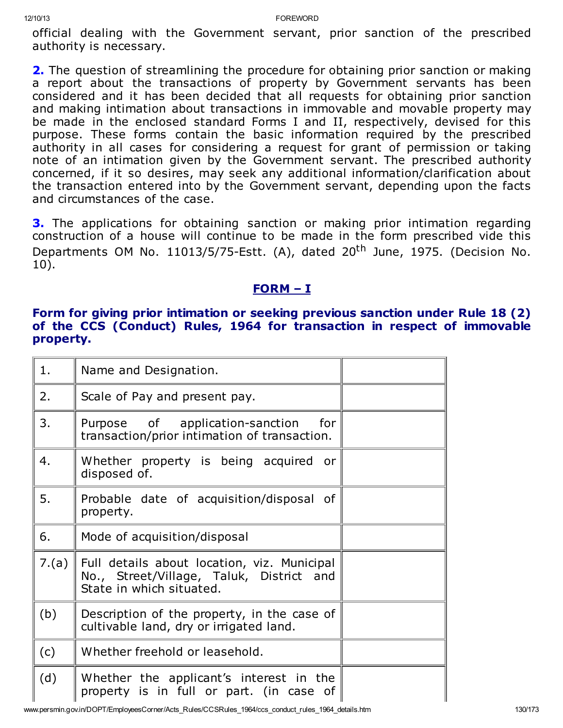official dealing with the Government servant, prior sanction of the prescribed authority is necessary.

**2.** The question of streamlining the procedure for obtaining prior sanction or making a report about the transactions of property by Government servants has been considered and it has been decided that all requests for obtaining prior sanction and making intimation about transactions in immovable and movable property may be made in the enclosed standard Forms I and II, respectively, devised for this purpose. These forms contain the basic information required by the prescribed authority in all cases for considering a request for grant of permission or taking note of an intimation given by the Government servant. The prescribed authority concerned, if it so desires, may seek any additional information/clarification about the transaction entered into by the Government servant, depending upon the facts and circumstances of the case.

3. The applications for obtaining sanction or making prior intimation regarding construction of a house will continue to be made in the form prescribed vide this Departments OM No. 11013/5/75-Estt. (A), dated 20<sup>th</sup> June, 1975. (Decision No. 10).

## FORM – I

#### Form for giving prior intimation or seeking previous sanction under Rule 18 (2) of the CCS (Conduct) Rules, 1964 for transaction in respect of immovable property.

| 1.    | Name and Designation.                                                                                               |  |
|-------|---------------------------------------------------------------------------------------------------------------------|--|
| 2.    | Scale of Pay and present pay.                                                                                       |  |
| 3.    | Purpose of application-sanction for<br>transaction/prior intimation of transaction.                                 |  |
| 4.    | Whether property is being acquired or<br>disposed of.                                                               |  |
| 5.    | Probable date of acquisition/disposal of<br>property.                                                               |  |
| 6.    | Mode of acquisition/disposal                                                                                        |  |
| 7.(a) | Full details about location, viz. Municipal<br>No., Street/Village, Taluk, District and<br>State in which situated. |  |
| (b)   | Description of the property, in the case of<br>cultivable land, dry or irrigated land.                              |  |
| (c)   | Whether freehold or leasehold.                                                                                      |  |
| (d)   | Whether the applicant's interest in the<br>property is in full or part. (in case of                                 |  |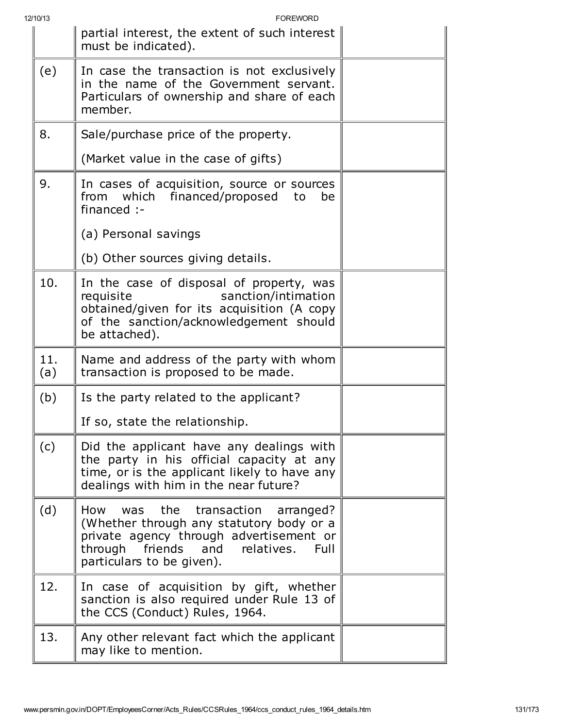| 12/10/13   | <b>FOREWORD</b>                                                                                                                                                                              |  |
|------------|----------------------------------------------------------------------------------------------------------------------------------------------------------------------------------------------|--|
|            | partial interest, the extent of such interest<br>must be indicated).                                                                                                                         |  |
| (e)        | In case the transaction is not exclusively<br>in the name of the Government servant.<br>Particulars of ownership and share of each<br>member.                                                |  |
| 8.         | Sale/purchase price of the property.                                                                                                                                                         |  |
|            | (Market value in the case of gifts)                                                                                                                                                          |  |
| 9.         | In cases of acquisition, source or sources<br>from which financed/proposed<br>to<br>be<br>financed :-                                                                                        |  |
|            | (a) Personal savings                                                                                                                                                                         |  |
|            | (b) Other sources giving details.                                                                                                                                                            |  |
| 10.        | In the case of disposal of property, was<br>sanction/intimation<br>requisite<br>obtained/given for its acquisition (A copy<br>of the sanction/acknowledgement should<br>be attached).        |  |
| 11.<br>(a) | Name and address of the party with whom<br>transaction is proposed to be made.                                                                                                               |  |
| (b)        | Is the party related to the applicant?                                                                                                                                                       |  |
|            | If so, state the relationship.                                                                                                                                                               |  |
| (c)        | Did the applicant have any dealings with<br>the party in his official capacity at any<br>time, or is the applicant likely to have any<br>dealings with him in the near future?               |  |
| (d)        | How was the transaction arranged?<br>(Whether through any statutory body or a<br>private agency through advertisement or<br>through friends and relatives. Full<br>particulars to be given). |  |
| 12.        | In case of acquisition by gift, whether<br>sanction is also required under Rule 13 of<br>the CCS (Conduct) Rules, 1964.                                                                      |  |
| 13.        | Any other relevant fact which the applicant<br>may like to mention.                                                                                                                          |  |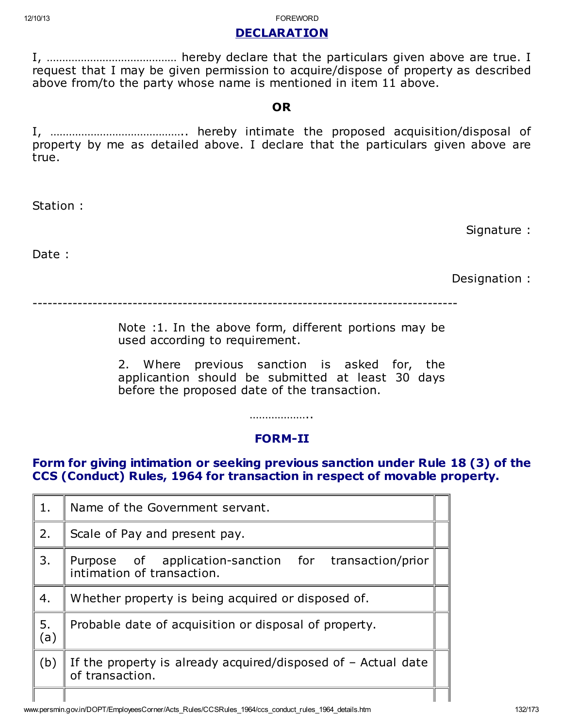## DECLARATION

I, …………………………………… hereby declare that the particulars given above are true. I request that I may be given permission to acquire/dispose of property as described above from/to the party whose name is mentioned in item 11 above.

#### OR

I, …………………………………….. hereby intimate the proposed acquisition/disposal of property by me as detailed above. I declare that the particulars given above are true.

Station :

Signature :

Date :

Designation :

-------------------------------------------------------------------------------------

Note :1. In the above form, different portions may be used according to requirement.

2. Where previous sanction is asked for, the applicantion should be submitted at least 30 days before the proposed date of the transaction.

## FORM-II

………………..

## Form for giving intimation or seeking previous sanction under Rule 18 (3) of the CCS (Conduct) Rules, 1964 for transaction in respect of movable property.

| 1.        | Name of the Government servant.                                                     |  |
|-----------|-------------------------------------------------------------------------------------|--|
| 2.        | Scale of Pay and present pay.                                                       |  |
| 3.        | Purpose of application-sanction for transaction/prior<br>intimation of transaction. |  |
| 4.        | Whether property is being acquired or disposed of.                                  |  |
| 5.<br>(a) | Probable date of acquisition or disposal of property.                               |  |
| (b)       | If the property is already acquired/disposed of $-$ Actual date<br>of transaction.  |  |
|           |                                                                                     |  |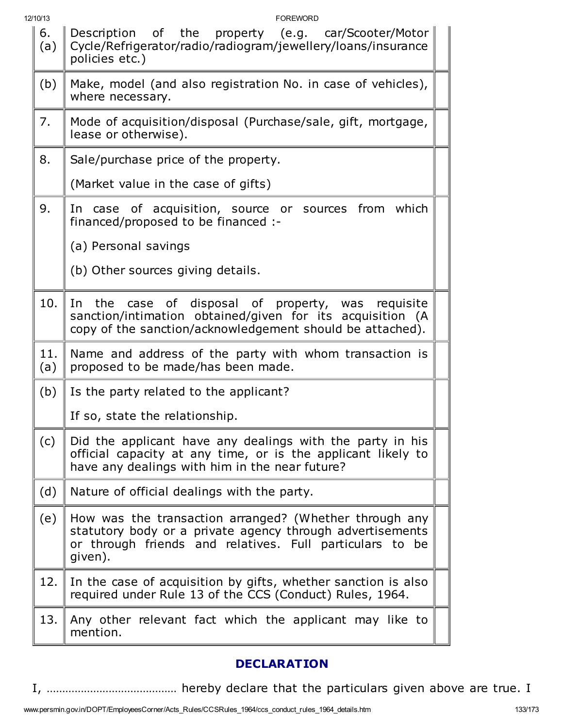| 12/10/13   | <b>FOREWORD</b>                                                                                                                                                                            |
|------------|--------------------------------------------------------------------------------------------------------------------------------------------------------------------------------------------|
| 6.<br>(a)  | Description of the property (e.g. car/Scooter/Motor<br>Cycle/Refrigerator/radio/radiogram/jewellery/loans/insurance<br>policies etc.)                                                      |
| (b)        | Make, model (and also registration No. in case of vehicles),<br>where necessary.                                                                                                           |
| 7.         | Mode of acquisition/disposal (Purchase/sale, gift, mortgage,<br>lease or otherwise).                                                                                                       |
| 8.         | Sale/purchase price of the property.                                                                                                                                                       |
|            | (Market value in the case of gifts)                                                                                                                                                        |
| 9.         | which<br>In case of acquisition, source or sources from<br>financed/proposed to be financed :-                                                                                             |
|            | (a) Personal savings                                                                                                                                                                       |
|            | (b) Other sources giving details.                                                                                                                                                          |
| 10.        | case of disposal of property, was requisite<br>the<br>In<br>sanction/intimation obtained/given for its acquisition (A<br>copy of the sanction/acknowledgement should be attached).         |
| 11.<br>(a) | Name and address of the party with whom transaction is<br>proposed to be made/has been made.                                                                                               |
| (b)        | Is the party related to the applicant?                                                                                                                                                     |
|            | If so, state the relationship.                                                                                                                                                             |
| (c)        | Did the applicant have any dealings with the party in his<br>official capacity at any time, or is the applicant likely to<br>have any dealings with him in the near future?                |
| (d)        | Nature of official dealings with the party.                                                                                                                                                |
| (e)        | How was the transaction arranged? (Whether through any<br>statutory body or a private agency through advertisements<br>or through friends and relatives. Full particulars to be<br>given). |
| 12.        | In the case of acquisition by gifts, whether sanction is also<br>required under Rule 13 of the CCS (Conduct) Rules, 1964.                                                                  |
| 13.        | Any other relevant fact which the applicant may like to<br>mention.                                                                                                                        |

# DECLARATION

I, …………………………………… hereby declare that the particulars given above are true. I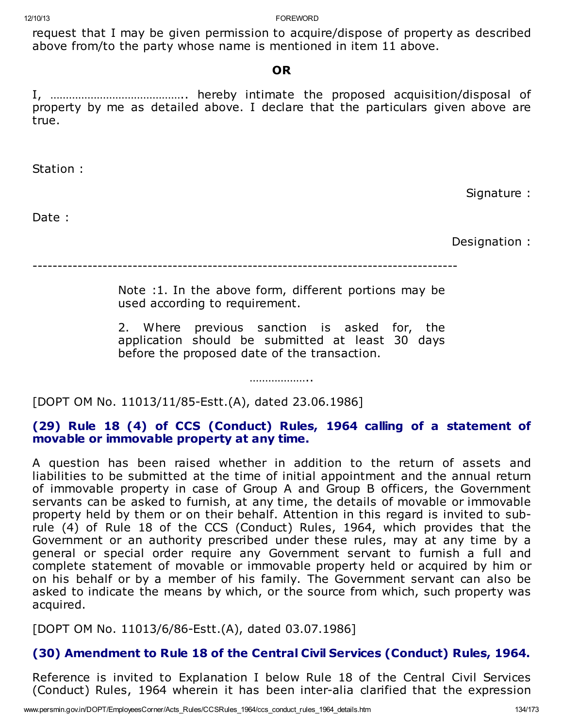request that I may be given permission to acquire/dispose of property as described above from/to the party whose name is mentioned in item 11 above.

#### OR

I, …………………………………….. hereby intimate the proposed acquisition/disposal of property by me as detailed above. I declare that the particulars given above are true.

Station :

Signature :

Date :

Designation :

-------------------------------------------------------------------------------------

Note :1. In the above form, different portions may be used according to requirement.

2. Where previous sanction is asked for, the application should be submitted at least 30 days before the proposed date of the transaction.

………………..

[DOPT OM No. 11013/11/85-Estt.(A), dated 23.06.1986]

## (29) Rule 18 (4) of CCS (Conduct) Rules, 1964 calling of a statement of movable or immovable property at any time.

A question has been raised whether in addition to the return of assets and liabilities to be submitted at the time of initial appointment and the annual return of immovable property in case of Group A and Group B officers, the Government servants can be asked to furnish, at any time, the details of movable or immovable property held by them or on their behalf. Attention in this regard is invited to subrule (4) of Rule 18 of the CCS (Conduct) Rules, 1964, which provides that the Government or an authority prescribed under these rules, may at any time by a general or special order require any Government servant to furnish a full and complete statement of movable or immovable property held or acquired by him or on his behalf or by a member of his family. The Government servant can also be asked to indicate the means by which, or the source from which, such property was acquired.

[DOPT OM No. 11013/6/86-Estt.(A), dated 03.07.1986]

## (30) Amendment to Rule 18 of the Central Civil Services (Conduct) Rules, 1964.

Reference is invited to Explanation I below Rule 18 of the Central Civil Services (Conduct) Rules, 1964 wherein it has been inter-alia clarified that the expression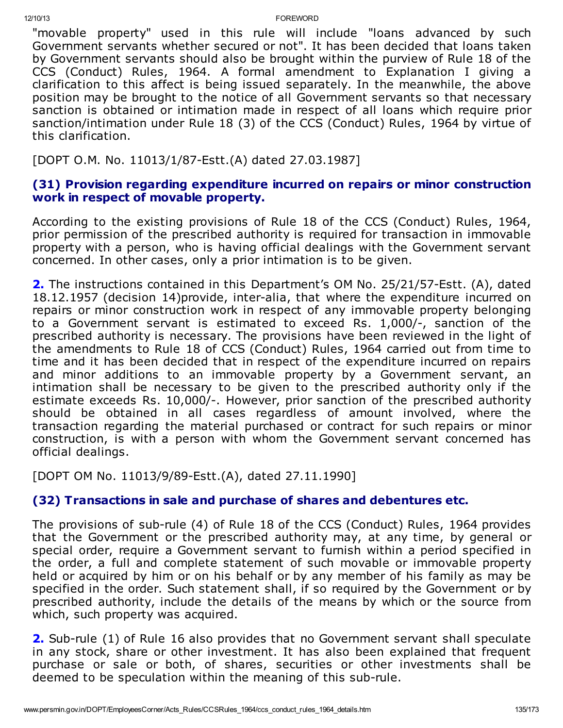"movable property" used in this rule will include "loans advanced by such Government servants whether secured or not". It has been decided that loans taken by Government servants should also be brought within the purview of Rule 18 of the CCS (Conduct) Rules, 1964. A formal amendment to Explanation I giving a clarification to this affect is being issued separately. In the meanwhile, the above position may be brought to the notice of all Government servants so that necessary sanction is obtained or intimation made in respect of all loans which require prior sanction/intimation under Rule 18 (3) of the CCS (Conduct) Rules, 1964 by virtue of this clarification.

[DOPT O.M. No. 11013/1/87-Estt.(A) dated 27.03.1987]

## (31) Provision regarding expenditure incurred on repairs or minor construction work in respect of movable property.

According to the existing provisions of Rule 18 of the CCS (Conduct) Rules, 1964, prior permission of the prescribed authority is required for transaction in immovable property with a person, who is having official dealings with the Government servant concerned. In other cases, only a prior intimation is to be given.

2. The instructions contained in this Department's OM No. 25/21/57-Estt. (A), dated 18.12.1957 (decision 14)provide, inter-alia, that where the expenditure incurred on repairs or minor construction work in respect of any immovable property belonging to a Government servant is estimated to exceed Rs. 1,000/-, sanction of the prescribed authority is necessary. The provisions have been reviewed in the light of the amendments to Rule 18 of CCS (Conduct) Rules, 1964 carried out from time to time and it has been decided that in respect of the expenditure incurred on repairs and minor additions to an immovable property by a Government servant, an intimation shall be necessary to be given to the prescribed authority only if the estimate exceeds Rs. 10,000/-. However, prior sanction of the prescribed authority should be obtained in all cases regardless of amount involved, where the transaction regarding the material purchased or contract for such repairs or minor construction, is with a person with whom the Government servant concerned has official dealings.

[DOPT OM No. 11013/9/89-Estt.(A), dated 27.11.1990]

## (32) Transactions in sale and purchase of shares and debentures etc.

The provisions of sub-rule (4) of Rule 18 of the CCS (Conduct) Rules, 1964 provides that the Government or the prescribed authority may, at any time, by general or special order, require a Government servant to furnish within a period specified in the order, a full and complete statement of such movable or immovable property held or acquired by him or on his behalf or by any member of his family as may be specified in the order. Such statement shall, if so required by the Government or by prescribed authority, include the details of the means by which or the source from which, such property was acquired.

2. Sub-rule (1) of Rule 16 also provides that no Government servant shall speculate in any stock, share or other investment. It has also been explained that frequent purchase or sale or both, of shares, securities or other investments shall be deemed to be speculation within the meaning of this sub-rule.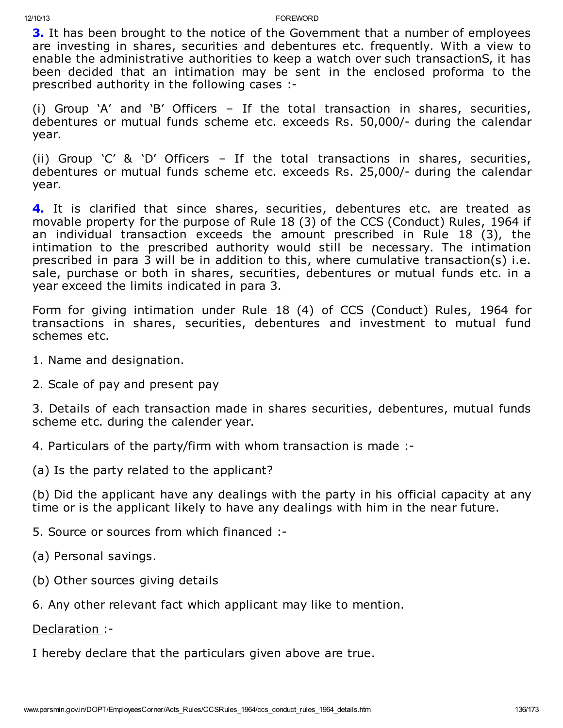**3.** It has been brought to the notice of the Government that a number of employees are investing in shares, securities and debentures etc. frequently. With a view to enable the administrative authorities to keep a watch over such transactionS, it has been decided that an intimation may be sent in the enclosed proforma to the prescribed authority in the following cases :-

(i) Group 'A' and 'B' Officers – If the total transaction in shares, securities, debentures or mutual funds scheme etc. exceeds Rs. 50,000/- during the calendar year.

(ii) Group 'C'  $\&$  'D' Officers – If the total transactions in shares, securities, debentures or mutual funds scheme etc. exceeds Rs. 25,000/- during the calendar year.

4. It is clarified that since shares, securities, debentures etc. are treated as movable property for the purpose of Rule 18 (3) of the CCS (Conduct) Rules, 1964 if an individual transaction exceeds the amount prescribed in Rule 18 (3), the intimation to the prescribed authority would still be necessary. The intimation prescribed in para 3 will be in addition to this, where cumulative transaction(s) i.e. sale, purchase or both in shares, securities, debentures or mutual funds etc. in a year exceed the limits indicated in para 3.

Form for giving intimation under Rule 18 (4) of CCS (Conduct) Rules, 1964 for transactions in shares, securities, debentures and investment to mutual fund schemes etc.

- 1. Name and designation.
- 2. Scale of pay and present pay

3. Details of each transaction made in shares securities, debentures, mutual funds scheme etc. during the calender year.

4. Particulars of the party/firm with whom transaction is made :-

(a) Is the party related to the applicant?

(b) Did the applicant have any dealings with the party in his official capacity at any time or is the applicant likely to have any dealings with him in the near future.

5. Source or sources from which financed :-

- (a) Personal savings.
- (b) Other sources giving details

6. Any other relevant fact which applicant may like to mention.

Declaration :-

I hereby declare that the particulars given above are true.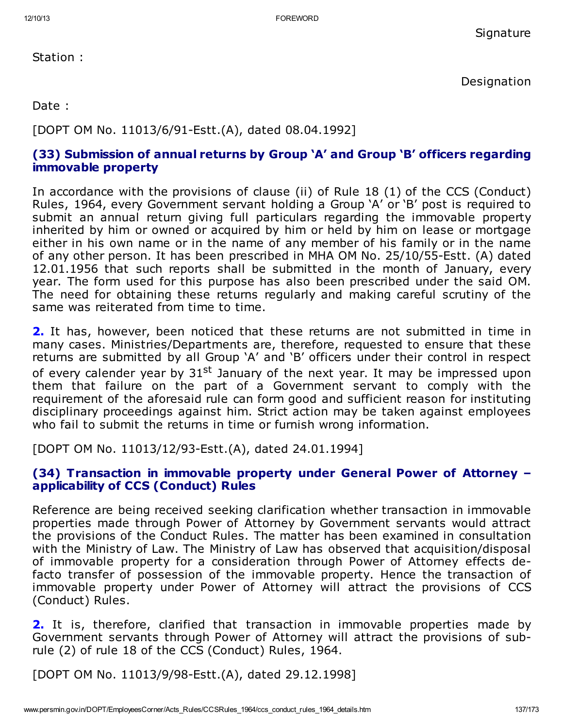**Signature** 

**Designation** 

Date :

Station :

[DOPT OM No. 11013/6/91-Estt.(A), dated 08.04.1992]

## (33) Submission of annual returns by Group 'A' and Group 'B' officers regarding immovable property

In accordance with the provisions of clause (ii) of Rule 18 (1) of the CCS (Conduct) Rules, 1964, every Government servant holding a Group 'A' or 'B' post is required to submit an annual return giving full particulars regarding the immovable property inherited by him or owned or acquired by him or held by him on lease or mortgage either in his own name or in the name of any member of his family or in the name of any other person. It has been prescribed in MHA OM No. 25/10/55-Estt. (A) dated 12.01.1956 that such reports shall be submitted in the month of January, every year. The form used for this purpose has also been prescribed under the said OM. The need for obtaining these returns regularly and making careful scrutiny of the same was reiterated from time to time.

**2.** It has, however, been noticed that these returns are not submitted in time in many cases. Ministries/Departments are, therefore, requested to ensure that these returns are submitted by all Group 'A' and 'B' officers under their control in respect of every calender year by 31<sup>st</sup> January of the next year. It may be impressed upon them that failure on the part of a Government servant to comply with the requirement of the aforesaid rule can form good and sufficient reason for instituting disciplinary proceedings against him. Strict action may be taken against employees who fail to submit the returns in time or furnish wrong information.

[DOPT OM No. 11013/12/93-Estt.(A), dated 24.01.1994]

## (34) Transaction in immovable property under General Power of Attorney – applicability of CCS (Conduct) Rules

Reference are being received seeking clarification whether transaction in immovable properties made through Power of Attorney by Government servants would attract the provisions of the Conduct Rules. The matter has been examined in consultation with the Ministry of Law. The Ministry of Law has observed that acquisition/disposal of immovable property for a consideration through Power of Attorney effects defacto transfer of possession of the immovable property. Hence the transaction of immovable property under Power of Attorney will attract the provisions of CCS (Conduct) Rules.

**2.** It is, therefore, clarified that transaction in immovable properties made by Government servants through Power of Attorney will attract the provisions of subrule (2) of rule 18 of the CCS (Conduct) Rules, 1964.

[DOPT OM No. 11013/9/98-Estt.(A), dated 29.12.1998]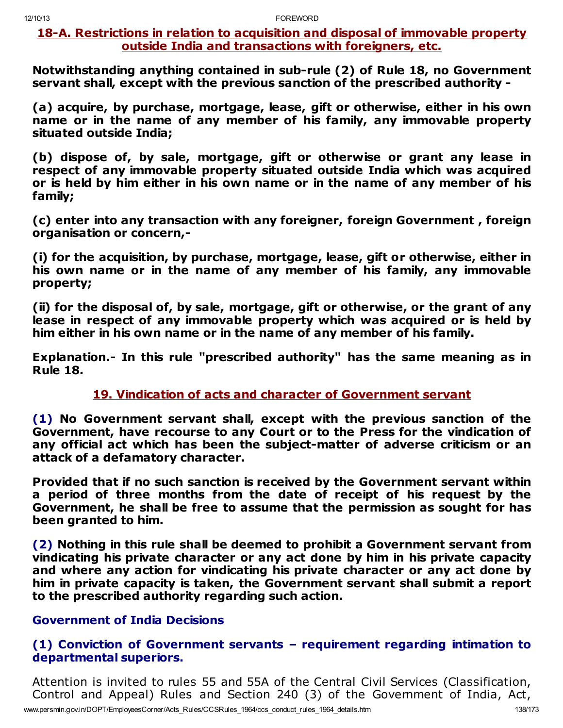#### 18-A. Restrictions in relation to acquisition and disposal of immovable property outside India and transactions with foreigners, etc.

Notwithstanding anything contained in sub-rule (2) of Rule 18, no Government servant shall, except with the previous sanction of the prescribed authority -

(a) acquire, by purchase, mortgage, lease, gift or otherwise, either in his own name or in the name of any member of his family, any immovable property situated outside India;

(b) dispose of, by sale, mortgage, gift or otherwise or grant any lease in respect of any immovable property situated outside India which was acquired or is held by him either in his own name or in the name of any member of his family;

(c) enter into any transaction with any foreigner, foreign Government , foreign organisation or concern,-

(i) for the acquisition, by purchase, mortgage, lease, gift or otherwise, either in his own name or in the name of any member of his family, any immovable property;

(ii) for the disposal of, by sale, mortgage, gift or otherwise, or the grant of any lease in respect of any immovable property which was acquired or is held by him either in his own name or in the name of any member of his family.

Explanation.- In this rule "prescribed authority" has the same meaning as in Rule 18.

## 19. Vindication of acts and character of Government servant

(1) No Government servant shall, except with the previous sanction of the Government, have recourse to any Court or to the Press for the vindication of any official act which has been the subject-matter of adverse criticism or an attack of a defamatory character.

Provided that if no such sanction is received by the Government servant within a period of three months from the date of receipt of his request by the Government, he shall be free to assume that the permission as sought for has been granted to him.

(2) Nothing in this rule shall be deemed to prohibit a Government servant from vindicating his private character or any act done by him in his private capacity and where any action for vindicating his private character or any act done by him in private capacity is taken, the Government servant shall submit a report to the prescribed authority regarding such action.

## Government of India Decisions

## (1) Conviction of Government servants – requirement regarding intimation to departmental superiors.

www.persmin.gov.in/DOPT/EmployeesCorner/Acts\_Rules/CCSRules\_1964/ccs\_conduct\_rules\_1964\_details.htm 138/173 138/173 Attention is invited to rules 55 and 55A of the Central Civil Services (Classification, Control and Appeal) Rules and Section 240 (3) of the Government of India, Act,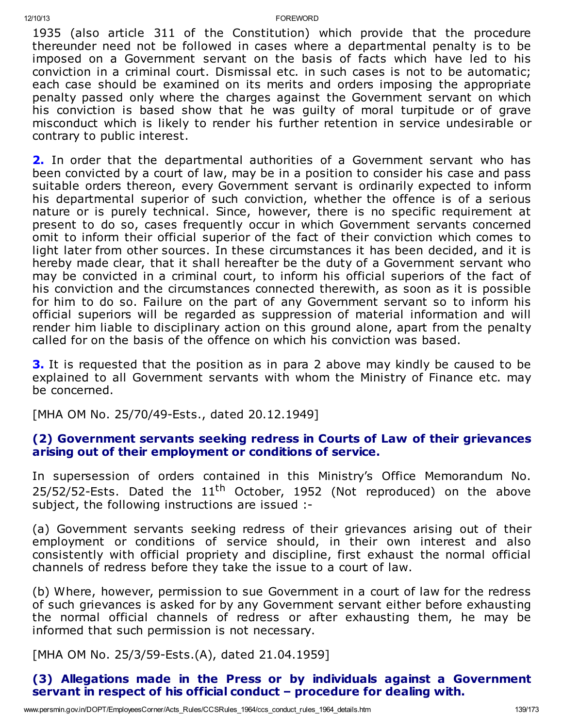1935 (also article 311 of the Constitution) which provide that the procedure thereunder need not be followed in cases where a departmental penalty is to be imposed on a Government servant on the basis of facts which have led to his conviction in a criminal court. Dismissal etc. in such cases is not to be automatic; each case should be examined on its merits and orders imposing the appropriate penalty passed only where the charges against the Government servant on which his conviction is based show that he was guilty of moral turpitude or of grave misconduct which is likely to render his further retention in service undesirable or contrary to public interest.

2. In order that the departmental authorities of a Government servant who has been convicted by a court of law, may be in a position to consider his case and pass suitable orders thereon, every Government servant is ordinarily expected to inform his departmental superior of such conviction, whether the offence is of a serious nature or is purely technical. Since, however, there is no specific requirement at present to do so, cases frequently occur in which Government servants concerned omit to inform their official superior of the fact of their conviction which comes to light later from other sources. In these circumstances it has been decided, and it is hereby made clear, that it shall hereafter be the duty of a Government servant who may be convicted in a criminal court, to inform his official superiors of the fact of his conviction and the circumstances connected therewith, as soon as it is possible for him to do so. Failure on the part of any Government servant so to inform his official superiors will be regarded as suppression of material information and will render him liable to disciplinary action on this ground alone, apart from the penalty called for on the basis of the offence on which his conviction was based.

**3.** It is requested that the position as in para 2 above may kindly be caused to be explained to all Government servants with whom the Ministry of Finance etc. may be concerned.

[MHA OM No. 25/70/49-Ests., dated 20.12.1949]

## (2) Government servants seeking redress in Courts of Law of their grievances arising out of their employment or conditions of service.

In supersession of orders contained in this Ministry's Office Memorandum No. 25/52/52-Ests. Dated the 11<sup>th</sup> October, 1952 (Not reproduced) on the above subject, the following instructions are issued :-

(a) Government servants seeking redress of their grievances arising out of their employment or conditions of service should, in their own interest and also consistently with official propriety and discipline, first exhaust the normal official channels of redress before they take the issue to a court of law.

(b) Where, however, permission to sue Government in a court of law for the redress of such grievances is asked for by any Government servant either before exhausting the normal official channels of redress or after exhausting them, he may be informed that such permission is not necessary.

[MHA OM No. 25/3/59-Ests.(A), dated 21.04.1959]

(3) Allegations made in the Press or by individuals against a Government servant in respect of his official conduct – procedure for dealing with.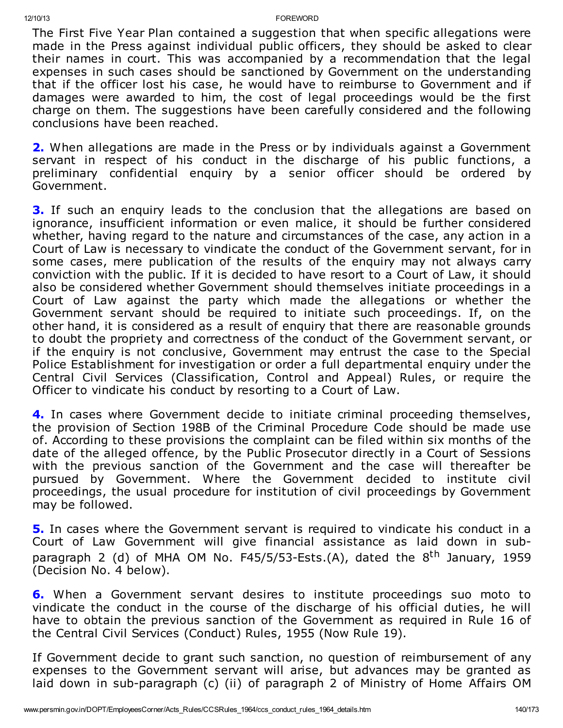The First Five Year Plan contained a suggestion that when specific allegations were made in the Press against individual public officers, they should be asked to clear their names in court. This was accompanied by a recommendation that the legal expenses in such cases should be sanctioned by Government on the understanding that if the officer lost his case, he would have to reimburse to Government and if damages were awarded to him, the cost of legal proceedings would be the first charge on them. The suggestions have been carefully considered and the following conclusions have been reached.

2. When allegations are made in the Press or by individuals against a Government servant in respect of his conduct in the discharge of his public functions, a preliminary confidential enquiry by a senior officer should be ordered by Government.

**3.** If such an enguiry leads to the conclusion that the allegations are based on ignorance, insufficient information or even malice, it should be further considered whether, having regard to the nature and circumstances of the case, any action in a Court of Law is necessary to vindicate the conduct of the Government servant, for in some cases, mere publication of the results of the enquiry may not always carry conviction with the public. If it is decided to have resort to a Court of Law, it should also be considered whether Government should themselves initiate proceedings in a Court of Law against the party which made the allegations or whether the Government servant should be required to initiate such proceedings. If, on the other hand, it is considered as a result of enquiry that there are reasonable grounds to doubt the propriety and correctness of the conduct of the Government servant, or if the enquiry is not conclusive, Government may entrust the case to the Special Police Establishment for investigation or order a full departmental enquiry under the Central Civil Services (Classification, Control and Appeal) Rules, or require the Officer to vindicate his conduct by resorting to a Court of Law.

4. In cases where Government decide to initiate criminal proceeding themselves, the provision of Section 198B of the Criminal Procedure Code should be made use of. According to these provisions the complaint can be filed within six months of the date of the alleged offence, by the Public Prosecutor directly in a Court of Sessions with the previous sanction of the Government and the case will thereafter be pursued by Government. Where the Government decided to institute civil proceedings, the usual procedure for institution of civil proceedings by Government may be followed.

5. In cases where the Government servant is required to vindicate his conduct in a Court of Law Government will give financial assistance as laid down in subparagraph 2 (d) of MHA OM No. F45/5/53-Ests.(A), dated the 8<sup>th</sup> January, 1959 (Decision No. 4 below).

6. When a Government servant desires to institute proceedings suo moto to vindicate the conduct in the course of the discharge of his official duties, he will have to obtain the previous sanction of the Government as required in Rule 16 of the Central Civil Services (Conduct) Rules, 1955 (Now Rule 19).

If Government decide to grant such sanction, no question of reimbursement of any expenses to the Government servant will arise, but advances may be granted as laid down in sub-paragraph (c) (ii) of paragraph 2 of Ministry of Home Affairs OM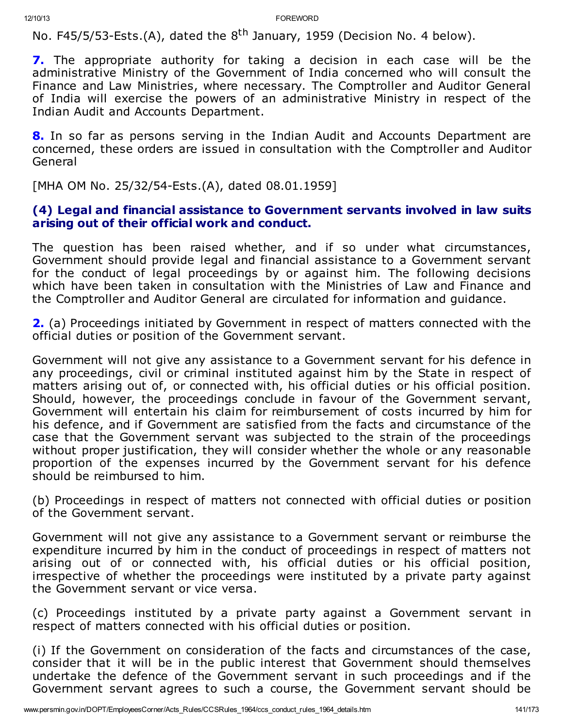No. F45/5/53-Ests.(A), dated the 8<sup>th</sup> January, 1959 (Decision No. 4 below).

7. The appropriate authority for taking a decision in each case will be the administrative Ministry of the Government of India concerned who will consult the Finance and Law Ministries, where necessary. The Comptroller and Auditor General of India will exercise the powers of an administrative Ministry in respect of the Indian Audit and Accounts Department.

8. In so far as persons serving in the Indian Audit and Accounts Department are concerned, these orders are issued in consultation with the Comptroller and Auditor General

[MHA OM No. 25/32/54-Ests.(A), dated 08.01.1959]

#### (4) Legal and financial assistance to Government servants involved in law suits arising out of their official work and conduct.

The question has been raised whether, and if so under what circumstances, Government should provide legal and financial assistance to a Government servant for the conduct of legal proceedings by or against him. The following decisions which have been taken in consultation with the Ministries of Law and Finance and the Comptroller and Auditor General are circulated for information and guidance.

2. (a) Proceedings initiated by Government in respect of matters connected with the official duties or position of the Government servant.

Government will not give any assistance to a Government servant for his defence in any proceedings, civil or criminal instituted against him by the State in respect of matters arising out of, or connected with, his official duties or his official position. Should, however, the proceedings conclude in favour of the Government servant, Government will entertain his claim for reimbursement of costs incurred by him for his defence, and if Government are satisfied from the facts and circumstance of the case that the Government servant was subjected to the strain of the proceedings without proper justification, they will consider whether the whole or any reasonable proportion of the expenses incurred by the Government servant for his defence should be reimbursed to him.

(b) Proceedings in respect of matters not connected with official duties or position of the Government servant.

Government will not give any assistance to a Government servant or reimburse the expenditure incurred by him in the conduct of proceedings in respect of matters not arising out of or connected with, his official duties or his official position, irrespective of whether the proceedings were instituted by a private party against the Government servant or vice versa.

(c) Proceedings instituted by a private party against a Government servant in respect of matters connected with his official duties or position.

(i) If the Government on consideration of the facts and circumstances of the case, consider that it will be in the public interest that Government should themselves undertake the defence of the Government servant in such proceedings and if the Government servant agrees to such a course, the Government servant should be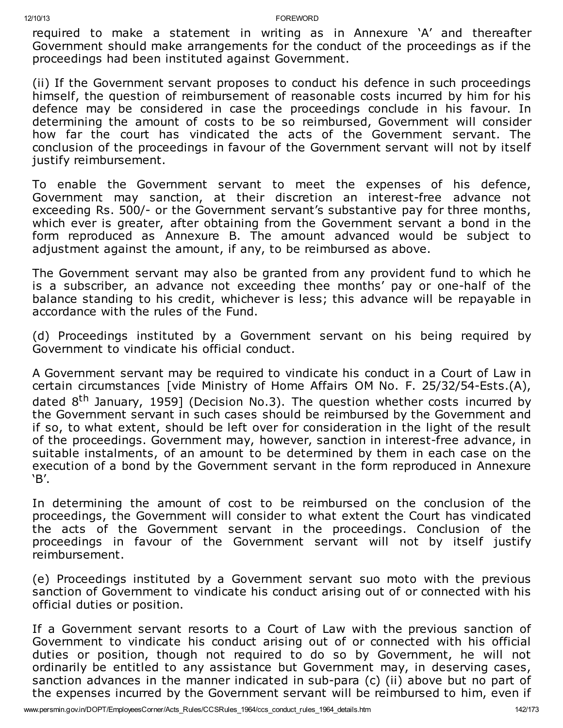required to make a statement in writing as in Annexure 'A' and thereafter Government should make arrangements for the conduct of the proceedings as if the proceedings had been instituted against Government.

(ii) If the Government servant proposes to conduct his defence in such proceedings himself, the question of reimbursement of reasonable costs incurred by him for his defence may be considered in case the proceedings conclude in his favour. In determining the amount of costs to be so reimbursed, Government will consider how far the court has vindicated the acts of the Government servant. The conclusion of the proceedings in favour of the Government servant will not by itself justify reimbursement.

To enable the Government servant to meet the expenses of his defence, Government may sanction, at their discretion an interest-free advance not exceeding Rs. 500/- or the Government servant's substantive pay for three months, which ever is greater, after obtaining from the Government servant a bond in the form reproduced as Annexure B. The amount advanced would be subject to adjustment against the amount, if any, to be reimbursed as above.

The Government servant may also be granted from any provident fund to which he is a subscriber, an advance not exceeding thee months' pay or one-half of the balance standing to his credit, whichever is less; this advance will be repayable in accordance with the rules of the Fund.

(d) Proceedings instituted by a Government servant on his being required by Government to vindicate his official conduct.

A Government servant may be required to vindicate his conduct in a Court of Law in certain circumstances [vide Ministry of Home Affairs OM No. F. 25/32/54-Ests.(A), dated 8<sup>th</sup> January, 1959] (Decision No.3). The question whether costs incurred by the Government servant in such cases should be reimbursed by the Government and if so, to what extent, should be left over for consideration in the light of the result of the proceedings. Government may, however, sanction in interest-free advance, in suitable instalments, of an amount to be determined by them in each case on the execution of a bond by the Government servant in the form reproduced in Annexure 'B'.

In determining the amount of cost to be reimbursed on the conclusion of the proceedings, the Government will consider to what extent the Court has vindicated the acts of the Government servant in the proceedings. Conclusion of the proceedings in favour of the Government servant will not by itself justify reimbursement.

(e) Proceedings instituted by a Government servant suo moto with the previous sanction of Government to vindicate his conduct arising out of or connected with his official duties or position.

If a Government servant resorts to a Court of Law with the previous sanction of Government to vindicate his conduct arising out of or connected with his official duties or position, though not required to do so by Government, he will not ordinarily be entitled to any assistance but Government may, in deserving cases, sanction advances in the manner indicated in sub-para (c) (ii) above but no part of the expenses incurred by the Government servant will be reimbursed to him, even if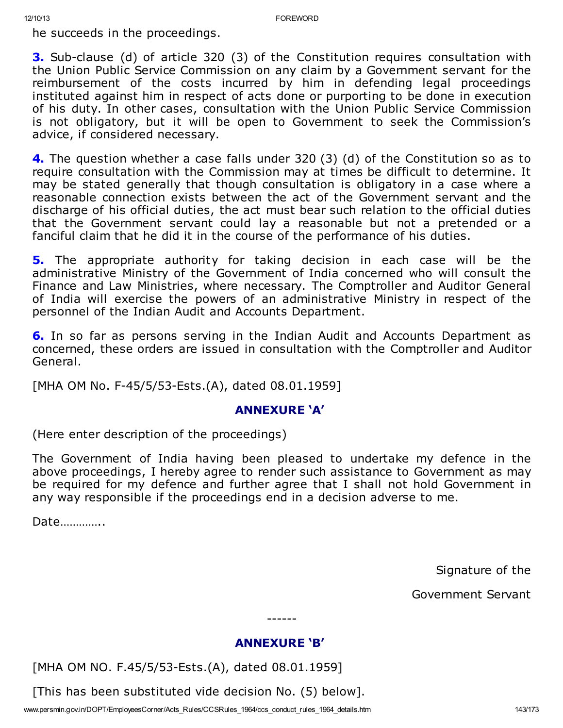he succeeds in the proceedings.

**3.** Sub-clause (d) of article 320 (3) of the Constitution requires consultation with the Union Public Service Commission on any claim by a Government servant for the reimbursement of the costs incurred by him in defending legal proceedings instituted against him in respect of acts done or purporting to be done in execution of his duty. In other cases, consultation with the Union Public Service Commission is not obligatory, but it will be open to Government to seek the Commission's advice, if considered necessary.

4. The question whether a case falls under 320 (3) (d) of the Constitution so as to require consultation with the Commission may at times be difficult to determine. It may be stated generally that though consultation is obligatory in a case where a reasonable connection exists between the act of the Government servant and the discharge of his official duties, the act must bear such relation to the official duties that the Government servant could lay a reasonable but not a pretended or a fanciful claim that he did it in the course of the performance of his duties.

**5.** The appropriate authority for taking decision in each case will be the administrative Ministry of the Government of India concerned who will consult the Finance and Law Ministries, where necessary. The Comptroller and Auditor General of India will exercise the powers of an administrative Ministry in respect of the personnel of the Indian Audit and Accounts Department.

6. In so far as persons serving in the Indian Audit and Accounts Department as concerned, these orders are issued in consultation with the Comptroller and Auditor General.

[MHA OM No. F-45/5/53-Ests.(A), dated 08.01.1959]

## ANNEXURE 'A'

(Here enter description of the proceedings)

The Government of India having been pleased to undertake my defence in the above proceedings, I hereby agree to render such assistance to Government as may be required for my defence and further agree that I shall not hold Government in any way responsible if the proceedings end in a decision adverse to me.

Date…………..

Signature of the

Government Servant

## ANNEXURE 'B'

------

[MHA OM NO. F.45/5/53-Ests.(A), dated 08.01.1959]

[This has been substituted vide decision No. (5) below].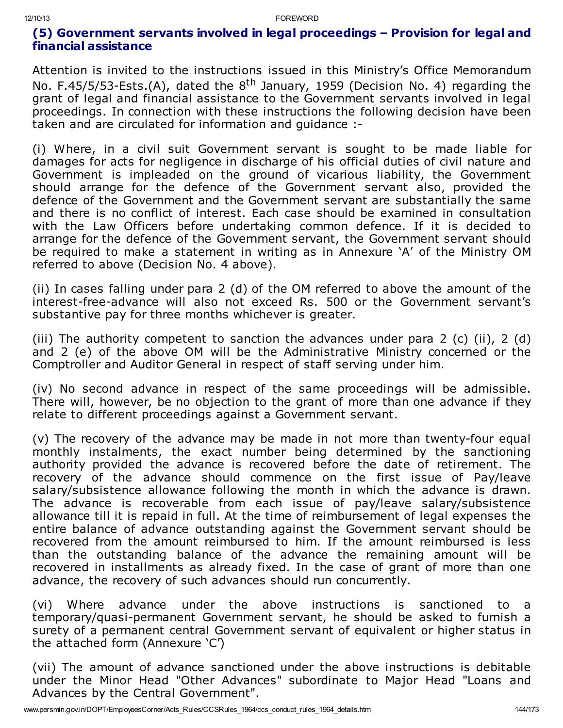#### (5) Government servants involved in legal proceedings – Provision for legal and financial assistance

Attention is invited to the instructions issued in this Ministry's Office Memorandum No. F.45/5/53-Ests.(A), dated the 8<sup>th</sup> January, 1959 (Decision No. 4) regarding the grant of legal and financial assistance to the Government servants involved in legal proceedings. In connection with these instructions the following decision have been taken and are circulated for information and guidance :-

(i) Where, in a civil suit Government servant is sought to be made liable for damages for acts for negligence in discharge of his official duties of civil nature and Government is impleaded on the ground of vicarious liability, the Government should arrange for the defence of the Government servant also, provided the defence of the Government and the Government servant are substantially the same and there is no conflict of interest. Each case should be examined in consultation with the Law Officers before undertaking common defence. If it is decided to arrange for the defence of the Government servant, the Government servant should be required to make a statement in writing as in Annexure 'A' of the Ministry OM referred to above (Decision No. 4 above).

(ii) In cases falling under para 2 (d) of the OM referred to above the amount of the interest-free-advance will also not exceed Rs. 500 or the Government servant's substantive pay for three months whichever is greater.

(iii) The authority competent to sanction the advances under para 2 (c) (ii), 2 (d) and 2 (e) of the above OM will be the Administrative Ministry concerned or the Comptroller and Auditor General in respect of staff serving under him.

(iv) No second advance in respect of the same proceedings will be admissible. There will, however, be no objection to the grant of more than one advance if they relate to different proceedings against a Government servant.

(v) The recovery of the advance may be made in not more than twenty-four equal monthly instalments, the exact number being determined by the sanctioning authority provided the advance is recovered before the date of retirement. The recovery of the advance should commence on the first issue of Pay/leave salary/subsistence allowance following the month in which the advance is drawn. The advance is recoverable from each issue of pay/leave salary/subsistence allowance till it is repaid in full. At the time of reimbursement of legal expenses the entire balance of advance outstanding against the Government servant should be recovered from the amount reimbursed to him. If the amount reimbursed is less than the outstanding balance of the advance the remaining amount will be recovered in installments as already fixed. In the case of grant of more than one advance, the recovery of such advances should run concurrently.

(vi) Where advance under the above instructions is sanctioned to a temporary/quasi-permanent Government servant, he should be asked to furnish a surety of a permanent central Government servant of equivalent or higher status in the attached form (Annexure 'C')

(vii) The amount of advance sanctioned under the above instructions is debitable under the Minor Head "Other Advances" subordinate to Major Head "Loans and Advances by the Central Government".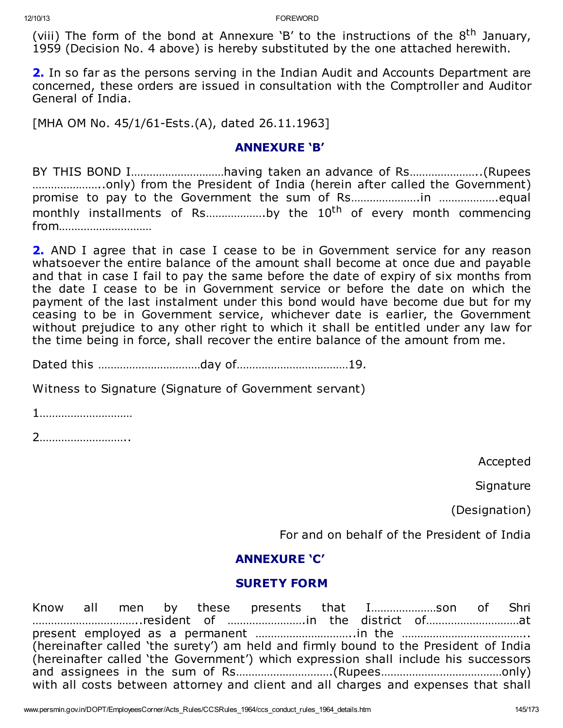(viii) The form of the bond at Annexure 'B' to the instructions of the 8<sup>th</sup> January, 1959 (Decision No. 4 above) is hereby substituted by the one attached herewith.

2. In so far as the persons serving in the Indian Audit and Accounts Department are concerned, these orders are issued in consultation with the Comptroller and Auditor General of India.

[MHA OM No. 45/1/61-Ests.(A), dated 26.11.1963]

#### ANNEXURE 'B'

BY THIS BOND I…………………………having taken an advance of Rs…………………..(Rupees …………………..only) from the President of India (herein after called the Government) promise to pay to the Government the sum of Rs………………….in ……………….equal monthly installments of Rs...................by the 10<sup>th</sup> of every month commencing from…………………………

**2.** AND I agree that in case I cease to be in Government service for any reason whatsoever the entire balance of the amount shall become at once due and payable and that in case I fail to pay the same before the date of expiry of six months from the date I cease to be in Government service or before the date on which the payment of the last instalment under this bond would have become due but for my ceasing to be in Government service, whichever date is earlier, the Government without prejudice to any other right to which it shall be entitled under any law for the time being in force, shall recover the entire balance of the amount from me.

Dated this ……………………………day of………………………………19.

Witness to Signature (Signature of Government servant)

1…………………………

2………………………..

Accepted

**Signature** 

(Designation)

For and on behalf of the President of India

### ANNEXURE 'C'

#### SURETY FORM

Know all men by these presents that I…………………son of Shri ……………………………..resident of …………………….in the district of…………………………at present employed as a permanent …………………………..in the ………………………………….. (hereinafter called 'the surety') am held and firmly bound to the President of India (hereinafter called 'the Government') which expression shall include his successors and assignees in the sum of Rs………………………….(Rupees…………………………………only) with all costs between attorney and client and all charges and expenses that shall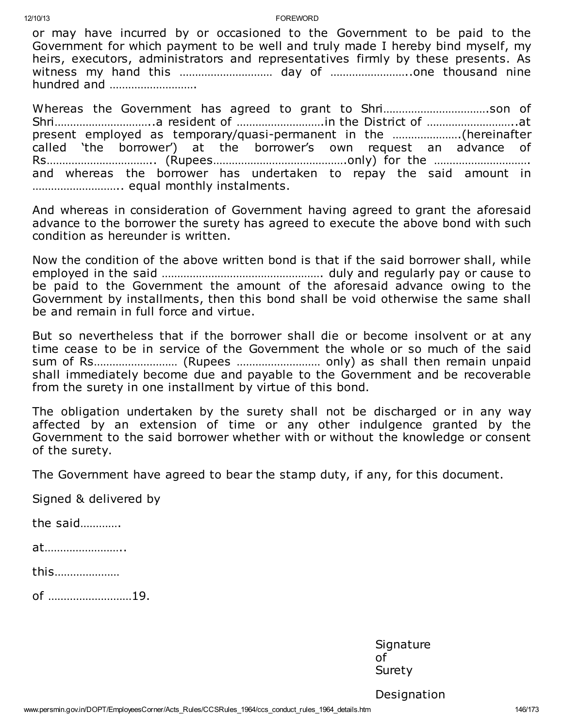or may have incurred by or occasioned to the Government to be paid to the Government for which payment to be well and truly made I hereby bind myself, my heirs, executors, administrators and representatives firmly by these presents. As witness my hand this ………………………… day of ……………………..one thousand nine hundred and ……………………….

Whereas the Government has agreed to grant to Shri…………………………….son of Shri…………………………..a resident of ……………………….in the District of ………………………..at present employed as temporary/quasi-permanent in the ………………….(hereinafter called 'the borrower') at the borrower's own request an advance of Rs…………………………….. (Rupees…………………………………….only) for the …………………………. and whereas the borrower has undertaken to repay the said amount in ……………………….. equal monthly instalments.

And whereas in consideration of Government having agreed to grant the aforesaid advance to the borrower the surety has agreed to execute the above bond with such condition as hereunder is written.

Now the condition of the above written bond is that if the said borrower shall, while employed in the said ……………………………………………. duly and regularly pay or cause to be paid to the Government the amount of the aforesaid advance owing to the Government by installments, then this bond shall be void otherwise the same shall be and remain in full force and virtue.

But so nevertheless that if the borrower shall die or become insolvent or at any time cease to be in service of the Government the whole or so much of the said sum of Rs……………………… (Rupees ……………………… only) as shall then remain unpaid shall immediately become due and payable to the Government and be recoverable from the surety in one installment by virtue of this bond.

The obligation undertaken by the surety shall not be discharged or in any way affected by an extension of time or any other indulgence granted by the Government to the said borrower whether with or without the knowledge or consent of the surety.

The Government have agreed to bear the stamp duty, if any, for this document.

Signed & delivered by

the said………….

at……………………..

this…………………

of ………………………19.

**Signature** of **Surety** 

Designation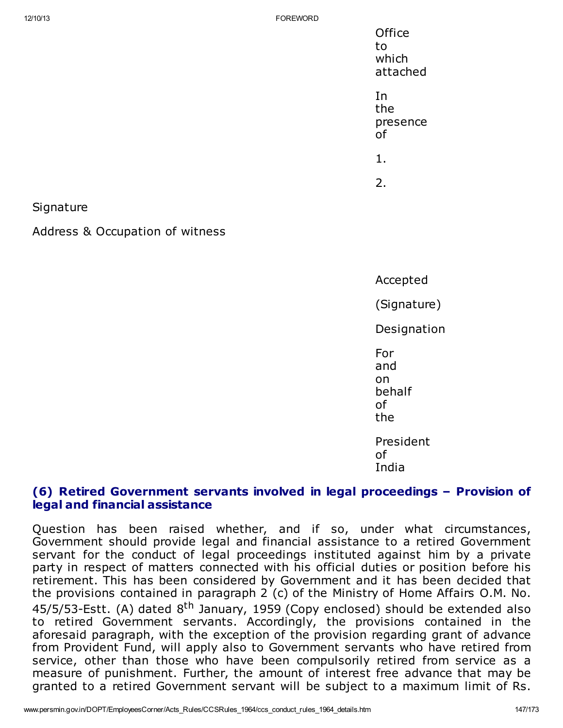**Office** to which attached In the presence of 1. 2.

**Signature** 

### Address & Occupation of witness

Accepted

(Signature)

**Designation** 

For and on behalf of the

President of India

### (6) Retired Government servants involved in legal proceedings – Provision of legal and financial assistance

Question has been raised whether, and if so, under what circumstances, Government should provide legal and financial assistance to a retired Government servant for the conduct of legal proceedings instituted against him by a private party in respect of matters connected with his official duties or position before his retirement. This has been considered by Government and it has been decided that the provisions contained in paragraph  $2^{'}(c)$  of the Ministry of Home Affairs O.M. No. 45/5/53-Estt. (A) dated 8<sup>th</sup> January, 1959 (Copy enclosed) should be extended also to retired Government servants. Accordingly, the provisions contained in the aforesaid paragraph, with the exception of the provision regarding grant of advance from Provident Fund, will apply also to Government servants who have retired from service, other than those who have been compulsorily retired from service as a measure of punishment. Further, the amount of interest free advance that may be granted to a retired Government servant will be subject to a maximum limit of Rs.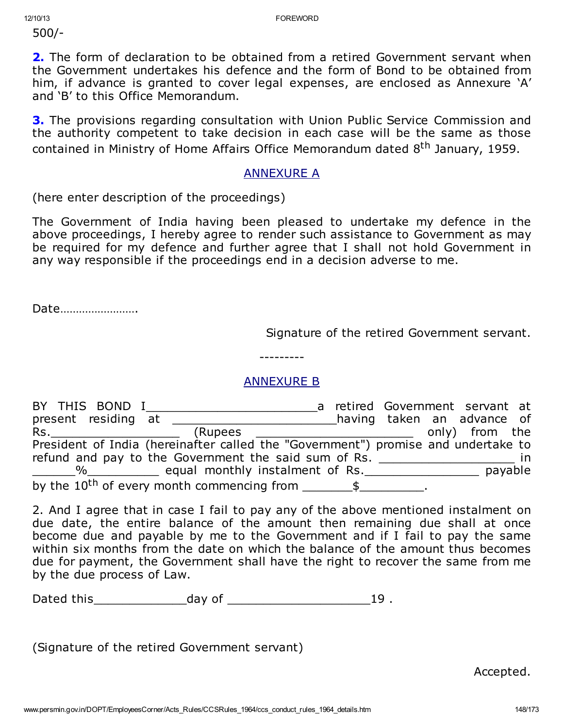500/-

2. The form of declaration to be obtained from a retired Government servant when the Government undertakes his defence and the form of Bond to be obtained from him, if advance is granted to cover legal expenses, are enclosed as Annexure 'A' and 'B' to this Office Memorandum.

**3.** The provisions regarding consultation with Union Public Service Commission and the authority competent to take decision in each case will be the same as those contained in Ministry of Home Affairs Office Memorandum dated 8<sup>th</sup> January, 1959.

### ANNEXURE A

(here enter description of the proceedings)

The Government of India having been pleased to undertake my defence in the above proceedings, I hereby agree to render such assistance to Government as may be required for my defence and further agree that I shall not hold Government in any way responsible if the proceedings end in a decision adverse to me.

Date…………………….

Signature of the retired Government servant.

#### ANNEXURE B

---------

| BY THIS BOND I                                                                    |  |  | a retired Government servant at |    |
|-----------------------------------------------------------------------------------|--|--|---------------------------------|----|
| present residing at                                                               |  |  | having taken an advance of      |    |
| (Rupees                                                                           |  |  | only) from the                  |    |
| President of India (hereinafter called the "Government") promise and undertake to |  |  |                                 |    |
| refund and pay to the Government the said sum of Rs.                              |  |  |                                 | ın |
| % equal monthly instalment of Rs.                                                 |  |  | payable                         |    |
| by the $10^{th}$ of every month commencing from $\frac{1}{100}$ \$                |  |  |                                 |    |

2. And I agree that in case I fail to pay any of the above mentioned instalment on due date, the entire balance of the amount then remaining due shall at once become due and payable by me to the Government and if I fail to pay the same within six months from the date on which the balance of the amount thus becomes due for payment, the Government shall have the right to recover the same from me by the due process of Law.

Dated this\_\_\_\_\_\_\_\_\_\_\_\_\_day of \_\_\_\_\_\_\_\_\_\_\_\_\_\_\_\_\_\_\_\_19 .

(Signature of the retired Government servant)

Accepted.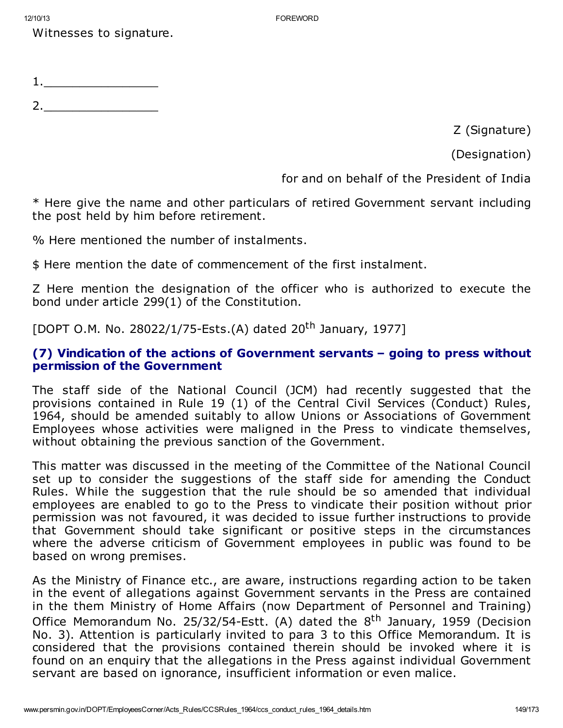Witnesses to signature.

1.\_\_\_\_\_\_\_\_\_\_\_\_\_\_\_\_

2.\_\_\_\_\_\_\_\_\_\_\_\_\_\_\_\_

Z (Signature)

(Designation)

for and on behalf of the President of India

\* Here give the name and other particulars of retired Government servant including the post held by him before retirement.

% Here mentioned the number of instalments.

\$ Here mention the date of commencement of the first instalment.

Z Here mention the designation of the officer who is authorized to execute the bond under article 299(1) of the Constitution.

[DOPT O.M. No. 28022/1/75-Ests.(A) dated 20<sup>th</sup> January, 1977]

#### (7) Vindication of the actions of Government servants – going to press without permission of the Government

The staff side of the National Council (JCM) had recently suggested that the provisions contained in Rule 19 (1) of the Central Civil Services (Conduct) Rules, 1964, should be amended suitably to allow Unions or Associations of Government Employees whose activities were maligned in the Press to vindicate themselves, without obtaining the previous sanction of the Government.

This matter was discussed in the meeting of the Committee of the National Council set up to consider the suggestions of the staff side for amending the Conduct Rules. While the suggestion that the rule should be so amended that individual employees are enabled to go to the Press to vindicate their position without prior permission was not favoured, it was decided to issue further instructions to provide that Government should take significant or positive steps in the circumstances where the adverse criticism of Government employees in public was found to be based on wrong premises.

As the Ministry of Finance etc., are aware, instructions regarding action to be taken in the event of allegations against Government servants in the Press are contained in the them Ministry of Home Affairs (now Department of Personnel and Training) Office Memorandum No. 25/32/54-Estt. (A) dated the 8<sup>th</sup> January, 1959 (Decision No. 3). Attention is particularly invited to para 3 to this Office Memorandum. It is considered that the provisions contained therein should be invoked where it is found on an enquiry that the allegations in the Press against individual Government servant are based on ignorance, insufficient information or even malice.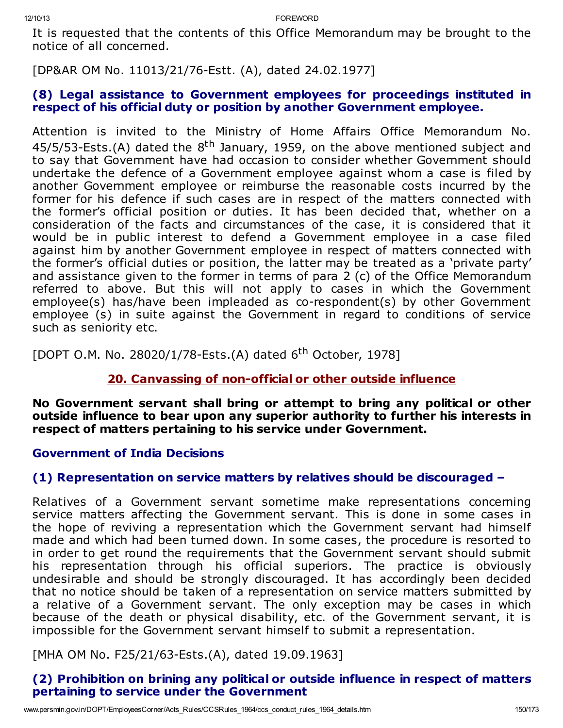It is requested that the contents of this Office Memorandum may be brought to the notice of all concerned.

[DP&AR OM No. 11013/21/76-Estt. (A), dated 24.02.1977]

### (8) Legal assistance to Government employees for proceedings instituted in respect of his official duty or position by another Government employee.

Attention is invited to the Ministry of Home Affairs Office Memorandum No. 45/5/53-Ests.(A) dated the 8<sup>th</sup> January, 1959, on the above mentioned subject and to say that Government have had occasion to consider whether Government should undertake the defence of a Government employee against whom a case is filed by another Government employee or reimburse the reasonable costs incurred by the former for his defence if such cases are in respect of the matters connected with the former's official position or duties. It has been decided that, whether on a consideration of the facts and circumstances of the case, it is considered that it would be in public interest to defend a Government employee in a case filed against him by another Government employee in respect of matters connected with the former's official duties or position, the latter may be treated as a 'private party' and assistance given to the former in terms of para 2 (c) of the Office Memorandum referred to above. But this will not apply to cases in which the Government employee(s) has/have been impleaded as co-respondent(s) by other Government employee (s) in suite against the Government in regard to conditions of service such as seniority etc.

[DOPT O.M. No. 28020/1/78-Ests.(A) dated  $6^{th}$  October, 1978]

# 20. Canvassing of non-official or other outside influence

No Government servant shall bring or attempt to bring any political or other outside influence to bear upon any superior authority to further his interests in respect of matters pertaining to his service under Government.

### Government of India Decisions

### (1) Representation on service matters by relatives should be discouraged –

Relatives of a Government servant sometime make representations concerning service matters affecting the Government servant. This is done in some cases in the hope of reviving a representation which the Government servant had himself made and which had been turned down. In some cases, the procedure is resorted to in order to get round the requirements that the Government servant should submit his representation through his official superiors. The practice is obviously undesirable and should be strongly discouraged. It has accordingly been decided that no notice should be taken of a representation on service matters submitted by a relative of a Government servant. The only exception may be cases in which because of the death or physical disability, etc. of the Government servant, it is impossible for the Government servant himself to submit a representation.

[MHA OM No. F25/21/63-Ests.(A), dated 19.09.1963]

### (2) Prohibition on brining any political or outside influence in respect of matters pertaining to service under the Government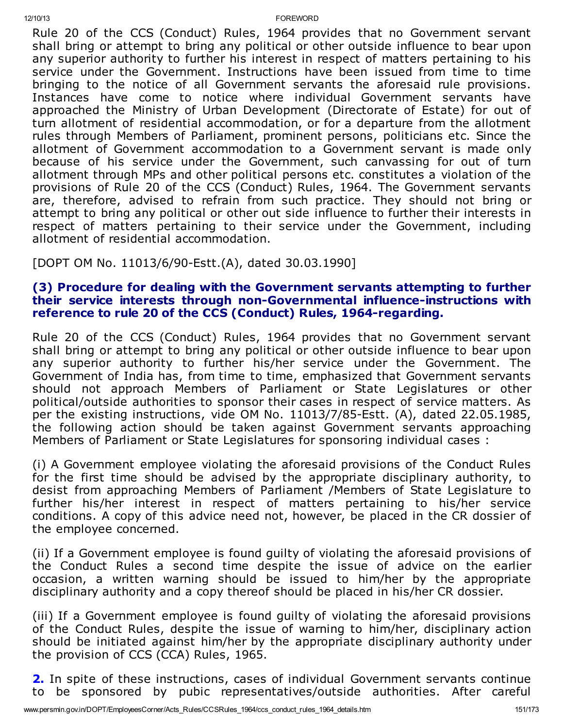Rule 20 of the CCS (Conduct) Rules, 1964 provides that no Government servant shall bring or attempt to bring any political or other outside influence to bear upon any superior authority to further his interest in respect of matters pertaining to his service under the Government. Instructions have been issued from time to time bringing to the notice of all Government servants the aforesaid rule provisions. Instances have come to notice where individual Government servants have approached the Ministry of Urban Development (Directorate of Estate) for out of turn allotment of residential accommodation, or for a departure from the allotment rules through Members of Parliament, prominent persons, politicians etc. Since the allotment of Government accommodation to a Government servant is made only because of his service under the Government, such canvassing for out of turn allotment through MPs and other political persons etc. constitutes a violation of the provisions of Rule 20 of the CCS (Conduct) Rules, 1964. The Government servants are, therefore, advised to refrain from such practice. They should not bring or attempt to bring any political or other out side influence to further their interests in respect of matters pertaining to their service under the Government, including allotment of residential accommodation.

[DOPT OM No. 11013/6/90-Estt.(A), dated 30.03.1990]

#### (3) Procedure for dealing with the Government servants attempting to further their service interests through non-Governmental influence-instructions with reference to rule 20 of the CCS (Conduct) Rules, 1964-regarding.

Rule 20 of the CCS (Conduct) Rules, 1964 provides that no Government servant shall bring or attempt to bring any political or other outside influence to bear upon any superior authority to further his/her service under the Government. The Government of India has, from time to time, emphasized that Government servants should not approach Members of Parliament or State Legislatures or other political/outside authorities to sponsor their cases in respect of service matters. As per the existing instructions, vide OM No. 11013/7/85-Estt. (A), dated 22.05.1985, the following action should be taken against Government servants approaching Members of Parliament or State Legislatures for sponsoring individual cases :

(i) A Government employee violating the aforesaid provisions of the Conduct Rules for the first time should be advised by the appropriate disciplinary authority, to desist from approaching Members of Parliament /Members of State Legislature to further his/her interest in respect of matters pertaining to his/her service conditions. A copy of this advice need not, however, be placed in the CR dossier of the employee concerned.

(ii) If a Government employee is found guilty of violating the aforesaid provisions of the Conduct Rules a second time despite the issue of advice on the earlier occasion, a written warning should be issued to him/her by the appropriate disciplinary authority and a copy thereof should be placed in his/her CR dossier.

(iii) If a Government employee is found guilty of violating the aforesaid provisions of the Conduct Rules, despite the issue of warning to him/her, disciplinary action should be initiated against him/her by the appropriate disciplinary authority under the provision of CCS (CCA) Rules, 1965.

2. In spite of these instructions, cases of individual Government servants continue to be sponsored by pubic representatives/outside authorities. After careful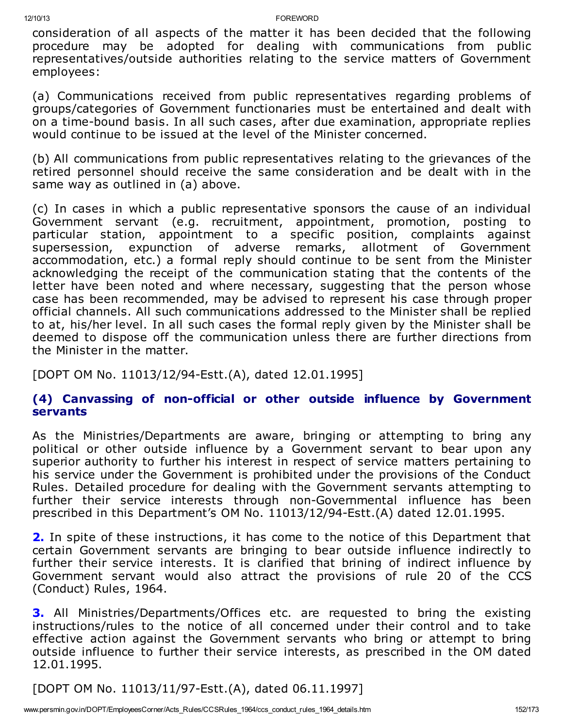consideration of all aspects of the matter it has been decided that the following procedure may be adopted for dealing with communications from public representatives/outside authorities relating to the service matters of Government employees:

(a) Communications received from public representatives regarding problems of groups/categories of Government functionaries must be entertained and dealt with on a time-bound basis. In all such cases, after due examination, appropriate replies would continue to be issued at the level of the Minister concerned.

(b) All communications from public representatives relating to the grievances of the retired personnel should receive the same consideration and be dealt with in the same way as outlined in (a) above.

(c) In cases in which a public representative sponsors the cause of an individual Government servant (e.g. recruitment, appointment, promotion, posting to particular station, appointment to a specific position, complaints against supersession, expunction of adverse remarks, allotment of Government accommodation, etc.) a formal reply should continue to be sent from the Minister acknowledging the receipt of the communication stating that the contents of the letter have been noted and where necessary, suggesting that the person whose case has been recommended, may be advised to represent his case through proper official channels. All such communications addressed to the Minister shall be replied to at, his/her level. In all such cases the formal reply given by the Minister shall be deemed to dispose off the communication unless there are further directions from the Minister in the matter.

[DOPT OM No. 11013/12/94-Estt.(A), dated 12.01.1995]

### (4) Canvassing of non-official or other outside influence by Government servants

As the Ministries/Departments are aware, bringing or attempting to bring any political or other outside influence by a Government servant to bear upon any superior authority to further his interest in respect of service matters pertaining to his service under the Government is prohibited under the provisions of the Conduct Rules. Detailed procedure for dealing with the Government servants attempting to further their service interests through non-Governmental influence has been prescribed in this Department's OM No. 11013/12/94-Estt.(A) dated 12.01.1995.

**2.** In spite of these instructions, it has come to the notice of this Department that certain Government servants are bringing to bear outside influence indirectly to further their service interests. It is clarified that brining of indirect influence by Government servant would also attract the provisions of rule 20 of the CCS (Conduct) Rules, 1964.

**3.** All Ministries/Departments/Offices etc. are requested to bring the existing instructions/rules to the notice of all concerned under their control and to take effective action against the Government servants who bring or attempt to bring outside influence to further their service interests, as prescribed in the OM dated 12.01.1995.

[DOPT OM No. 11013/11/97-Estt.(A), dated 06.11.1997]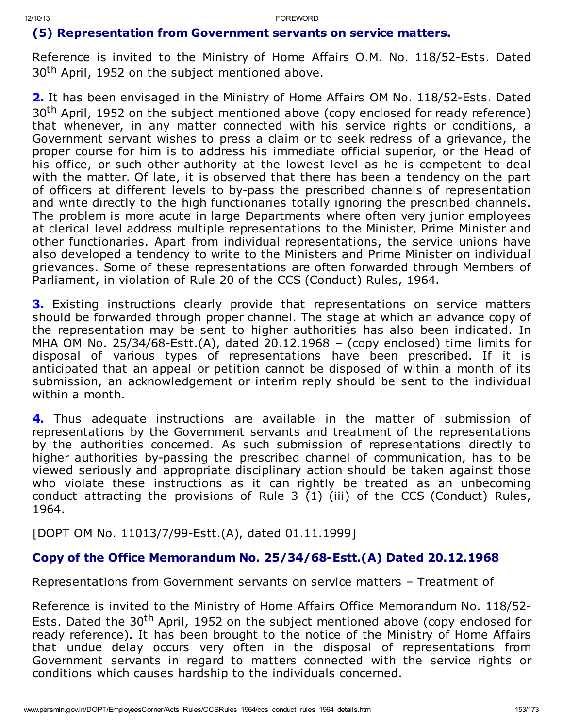#### (5) Representation from Government servants on service matters.

Reference is invited to the Ministry of Home Affairs O.M. No. 118/52-Ests. Dated 30<sup>th</sup> April, 1952 on the subject mentioned above.

2. It has been envisaged in the Ministry of Home Affairs OM No. 118/52-Ests. Dated 30<sup>th</sup> April, 1952 on the subject mentioned above (copy enclosed for ready reference) that whenever, in any matter connected with his service rights or conditions, a Government servant wishes to press a claim or to seek redress of a grievance, the proper course for him is to address his immediate official superior, or the Head of his office, or such other authority at the lowest level as he is competent to deal with the matter. Of late, it is observed that there has been a tendency on the part of officers at different levels to by-pass the prescribed channels of representation and write directly to the high functionaries totally ignoring the prescribed channels. The problem is more acute in large Departments where often very junior employees at clerical level address multiple representations to the Minister, Prime Minister and other functionaries. Apart from individual representations, the service unions have also developed a tendency to write to the Ministers and Prime Minister on individual grievances. Some of these representations are often forwarded through Members of Parliament, in violation of Rule 20 of the CCS (Conduct) Rules, 1964.

**3.** Existing instructions clearly provide that representations on service matters should be forwarded through proper channel. The stage at which an advance copy of the representation may be sent to higher authorities has also been indicated. In MHA OM No. 25/34/68-Estt.(A), dated 20.12.1968 – (copy enclosed) time limits for disposal of various types of representations have been prescribed. If it is anticipated that an appeal or petition cannot be disposed of within a month of its submission, an acknowledgement or interim reply should be sent to the individual within a month.

**4.** Thus adequate instructions are available in the matter of submission of representations by the Government servants and treatment of the representations by the authorities concerned. As such submission of representations directly to higher authorities by-passing the prescribed channel of communication, has to be viewed seriously and appropriate disciplinary action should be taken against those who violate these instructions as it can rightly be treated as an unbecoming conduct attracting the provisions of Rule 3  $(1)$  (iii) of the CCS (Conduct) Rules, 1964.

[DOPT OM No. 11013/7/99-Estt.(A), dated 01.11.1999]

#### Copy of the Office Memorandum No. 25/34/68-Estt.(A) Dated 20.12.1968

Representations from Government servants on service matters – Treatment of

Reference is invited to the Ministry of Home Affairs Office Memorandum No. 118/52- Ests. Dated the 30<sup>th</sup> April, 1952 on the subject mentioned above (copy enclosed for ready reference). It has been brought to the notice of the Ministry of Home Affairs that undue delay occurs very often in the disposal of representations from Government servants in regard to matters connected with the service rights or conditions which causes hardship to the individuals concerned.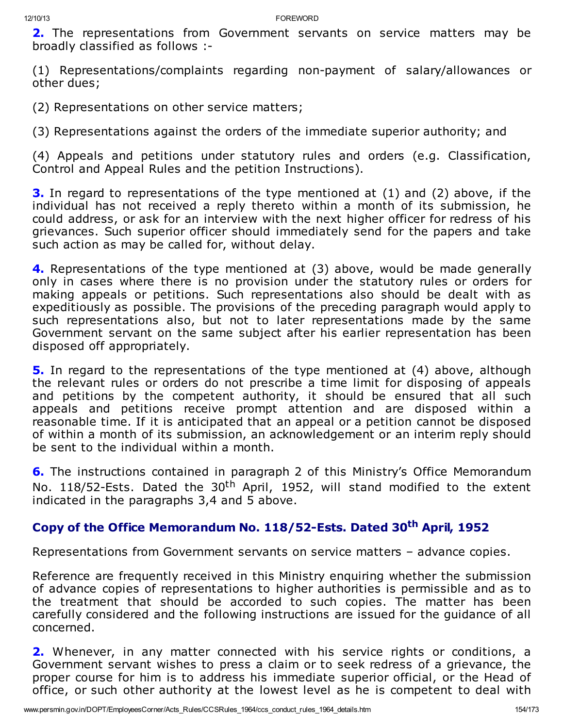2. The representations from Government servants on service matters may be broadly classified as follows :-

(1) Representations/complaints regarding non-payment of salary/allowances or other dues;

(2) Representations on other service matters;

(3) Representations against the orders of the immediate superior authority; and

(4) Appeals and petitions under statutory rules and orders (e.g. Classification, Control and Appeal Rules and the petition Instructions).

**3.** In regard to representations of the type mentioned at (1) and (2) above, if the individual has not received a reply thereto within a month of its submission, he could address, or ask for an interview with the next higher officer for redress of his grievances. Such superior officer should immediately send for the papers and take such action as may be called for, without delay.

4. Representations of the type mentioned at (3) above, would be made generally only in cases where there is no provision under the statutory rules or orders for making appeals or petitions. Such representations also should be dealt with as expeditiously as possible. The provisions of the preceding paragraph would apply to such representations also, but not to later representations made by the same Government servant on the same subject after his earlier representation has been disposed off appropriately.

**5.** In regard to the representations of the type mentioned at (4) above, although the relevant rules or orders do not prescribe a time limit for disposing of appeals and petitions by the competent authority, it should be ensured that all such appeals and petitions receive prompt attention and are disposed within a reasonable time. If it is anticipated that an appeal or a petition cannot be disposed of within a month of its submission, an acknowledgement or an interim reply should be sent to the individual within a month.

**6.** The instructions contained in paragraph 2 of this Ministry's Office Memorandum No. 118/52-Ests. Dated the 30<sup>th</sup> April, 1952, will stand modified to the extent indicated in the paragraphs 3,4 and 5 above.

# Copy of the Office Memorandum No. 118/52-Ests. Dated 30<sup>th</sup> April, 1952

Representations from Government servants on service matters – advance copies.

Reference are frequently received in this Ministry enquiring whether the submission of advance copies of representations to higher authorities is permissible and as to the treatment that should be accorded to such copies. The matter has been carefully considered and the following instructions are issued for the guidance of all concerned.

2. Whenever, in any matter connected with his service rights or conditions, a Government servant wishes to press a claim or to seek redress of a grievance, the proper course for him is to address his immediate superior official, or the Head of office, or such other authority at the lowest level as he is competent to deal with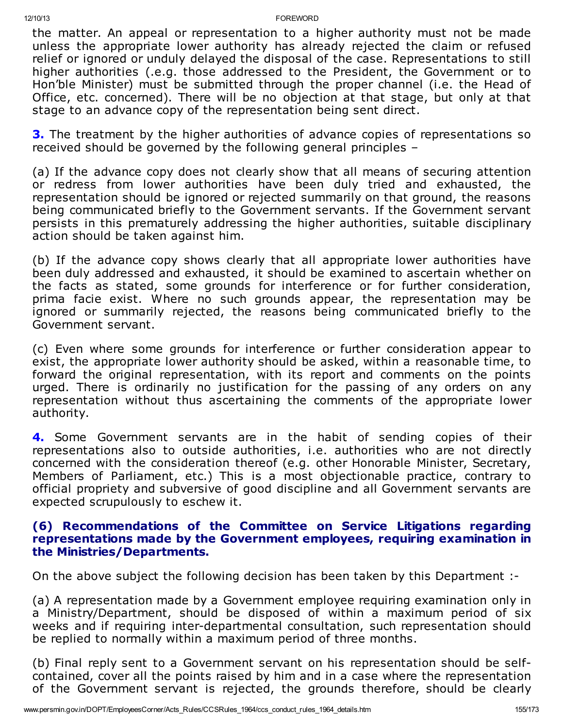the matter. An appeal or representation to a higher authority must not be made unless the appropriate lower authority has already rejected the claim or refused relief or ignored or unduly delayed the disposal of the case. Representations to still higher authorities (.e.g. those addressed to the President, the Government or to Hon'ble Minister) must be submitted through the proper channel (i.e. the Head of Office, etc. concerned). There will be no objection at that stage, but only at that stage to an advance copy of the representation being sent direct.

**3.** The treatment by the higher authorities of advance copies of representations so received should be governed by the following general principles –

(a) If the advance copy does not clearly show that all means of securing attention or redress from lower authorities have been duly tried and exhausted, the representation should be ignored or rejected summarily on that ground, the reasons being communicated briefly to the Government servants. If the Government servant persists in this prematurely addressing the higher authorities, suitable disciplinary action should be taken against him.

(b) If the advance copy shows clearly that all appropriate lower authorities have been duly addressed and exhausted, it should be examined to ascertain whether on the facts as stated, some grounds for interference or for further consideration, prima facie exist. Where no such grounds appear, the representation may be ignored or summarily rejected, the reasons being communicated briefly to the Government servant.

(c) Even where some grounds for interference or further consideration appear to exist, the appropriate lower authority should be asked, within a reasonable time, to forward the original representation, with its report and comments on the points urged. There is ordinarily no justification for the passing of any orders on any representation without thus ascertaining the comments of the appropriate lower authority.

4. Some Government servants are in the habit of sending copies of their representations also to outside authorities, i.e. authorities who are not directly concerned with the consideration thereof (e.g. other Honorable Minister, Secretary, Members of Parliament, etc.) This is a most objectionable practice, contrary to official propriety and subversive of good discipline and all Government servants are expected scrupulously to eschew it.

#### (6) Recommendations of the Committee on Service Litigations regarding representations made by the Government employees, requiring examination in the Ministries/Departments.

On the above subject the following decision has been taken by this Department :-

(a) A representation made by a Government employee requiring examination only in a Ministry/Department, should be disposed of within a maximum period of six weeks and if requiring inter-departmental consultation, such representation should be replied to normally within a maximum period of three months.

(b) Final reply sent to a Government servant on his representation should be selfcontained, cover all the points raised by him and in a case where the representation of the Government servant is rejected, the grounds therefore, should be clearly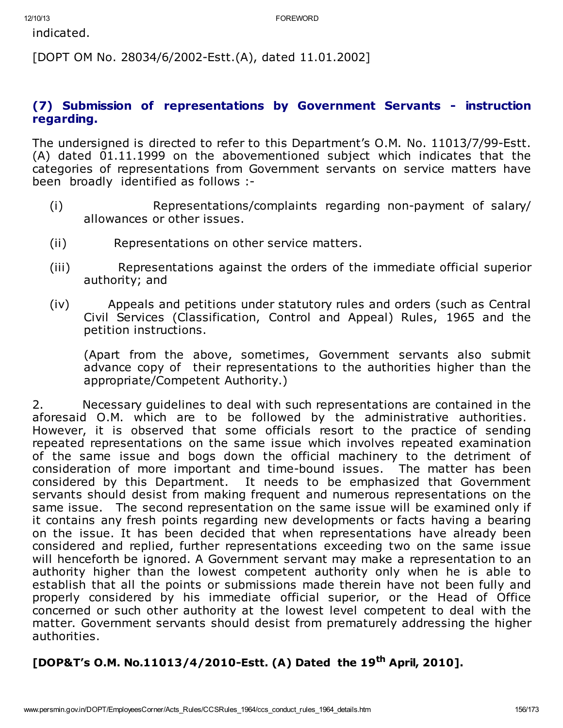indicated.

[DOPT OM No. 28034/6/2002-Estt.(A), dated 11.01.2002]

#### (7) Submission of representations by Government Servants - instruction regarding.

The undersigned is directed to refer to this Department's O.M. No. 11013/7/99-Estt. (A) dated 01.11.1999 on the abovementioned subject which indicates that the categories of representations from Government servants on service matters have been broadly identified as follows :-

- (i) Representations/complaints regarding non-payment of salary/ allowances or other issues.
- (ii) Representations on other service matters.
- (iii) Representations against the orders of the immediate official superior authority; and
- (iv) Appeals and petitions under statutory rules and orders (such as Central Civil Services (Classification, Control and Appeal) Rules, 1965 and the petition instructions.

(Apart from the above, sometimes, Government servants also submit advance copy of their representations to the authorities higher than the appropriate/Competent Authority.)

2. Necessary guidelines to deal with such representations are contained in the aforesaid O.M. which are to be followed by the administrative authorities. However, it is observed that some officials resort to the practice of sending repeated representations on the same issue which involves repeated examination of the same issue and bogs down the official machinery to the detriment of consideration of more important and time-bound issues. The matter has been considered by this Department. It needs to be emphasized that Government servants should desist from making frequent and numerous representations on the same issue. The second representation on the same issue will be examined only if it contains any fresh points regarding new developments or facts having a bearing on the issue. It has been decided that when representations have already been considered and replied, further representations exceeding two on the same issue will henceforth be ignored. A Government servant may make a representation to an authority higher than the lowest competent authority only when he is able to establish that all the points or submissions made therein have not been fully and properly considered by his immediate official superior, or the Head of Office concerned or such other authority at the lowest level competent to deal with the matter. Government servants should desist from prematurely addressing the higher authorities.

### [DOP&T's O.M. No.11013/4/2010-Estt. (A) Dated the 19<sup>th</sup> April, 2010].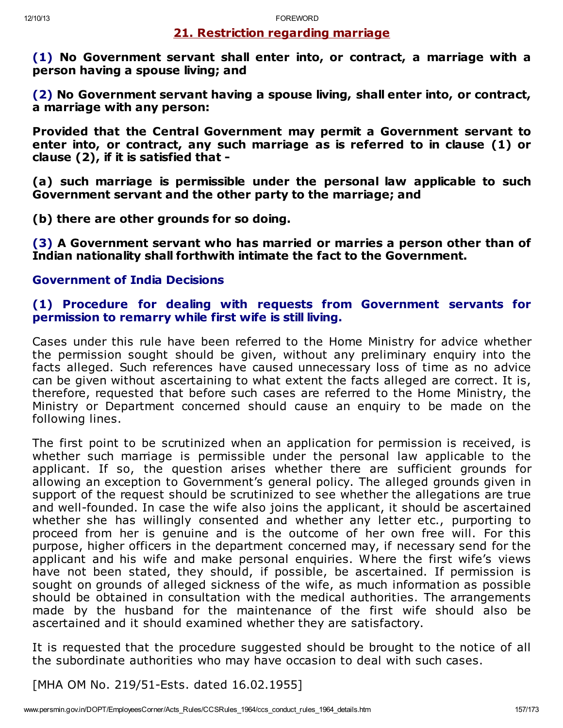#### 21. Restriction regarding marriage

(1) No Government servant shall enter into, or contract, a marriage with a person having a spouse living; and

(2) No Government servant having a spouse living, shall enter into, or contract, a marriage with any person:

Provided that the Central Government may permit a Government servant to enter into, or contract, any such marriage as is referred to in clause (1) or clause (2), if it is satisfied that -

(a) such marriage is permissible under the personal law applicable to such Government servant and the other party to the marriage; and

(b) there are other grounds for so doing.

(3) A Government servant who has married or marries a person other than of Indian nationality shall forthwith intimate the fact to the Government.

#### Government of India Decisions

#### (1) Procedure for dealing with requests from Government servants for permission to remarry while first wife is still living.

Cases under this rule have been referred to the Home Ministry for advice whether the permission sought should be given, without any preliminary enquiry into the facts alleged. Such references have caused unnecessary loss of time as no advice can be given without ascertaining to what extent the facts alleged are correct. It is, therefore, requested that before such cases are referred to the Home Ministry, the Ministry or Department concerned should cause an enquiry to be made on the following lines.

The first point to be scrutinized when an application for permission is received, is whether such marriage is permissible under the personal law applicable to the applicant. If so, the question arises whether there are sufficient grounds for allowing an exception to Government's general policy. The alleged grounds given in support of the request should be scrutinized to see whether the allegations are true and well-founded. In case the wife also joins the applicant, it should be ascertained whether she has willingly consented and whether any letter etc., purporting to proceed from her is genuine and is the outcome of her own free will. For this purpose, higher officers in the department concerned may, if necessary send for the applicant and his wife and make personal enquiries. Where the first wife's views have not been stated, they should, if possible, be ascertained. If permission is sought on grounds of alleged sickness of the wife, as much information as possible should be obtained in consultation with the medical authorities. The arrangements made by the husband for the maintenance of the first wife should also be ascertained and it should examined whether they are satisfactory.

It is requested that the procedure suggested should be brought to the notice of all the subordinate authorities who may have occasion to deal with such cases.

[MHA OM No. 219/51-Ests. dated 16.02.1955]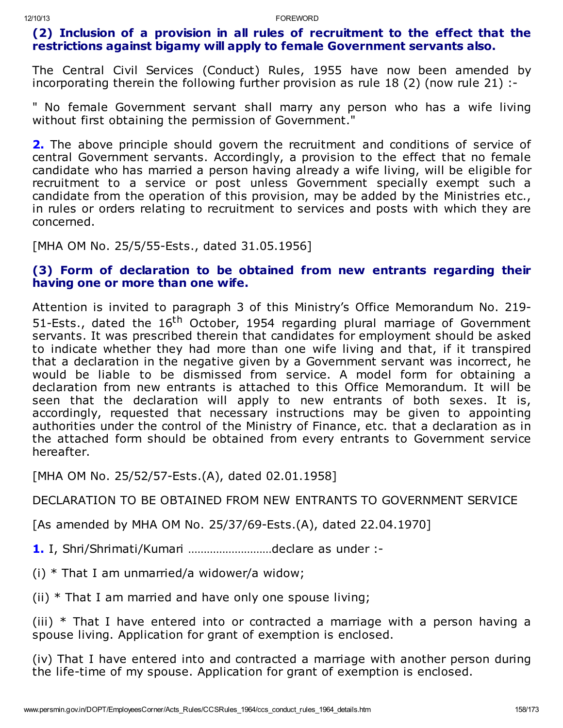#### (2) Inclusion of a provision in all rules of recruitment to the effect that the restrictions against bigamy will apply to female Government servants also.

The Central Civil Services (Conduct) Rules, 1955 have now been amended by incorporating therein the following further provision as rule 18 (2) (now rule 21) :-

" No female Government servant shall marry any person who has a wife living without first obtaining the permission of Government."

**2.** The above principle should govern the recruitment and conditions of service of central Government servants. Accordingly, a provision to the effect that no female candidate who has married a person having already a wife living, will be eligible for recruitment to a service or post unless Government specially exempt such a candidate from the operation of this provision, may be added by the Ministries etc., in rules or orders relating to recruitment to services and posts with which they are concerned.

[MHA OM No. 25/5/55-Ests., dated 31.05.1956]

#### (3) Form of declaration to be obtained from new entrants regarding their having one or more than one wife.

Attention is invited to paragraph 3 of this Ministry's Office Memorandum No. 219- 51-Ests., dated the 16<sup>th</sup> October, 1954 regarding plural marriage of Government servants. It was prescribed therein that candidates for employment should be asked to indicate whether they had more than one wife living and that, if it transpired that a declaration in the negative given by a Government servant was incorrect, he would be liable to be dismissed from service. A model form for obtaining a declaration from new entrants is attached to this Office Memorandum. It will be seen that the declaration will apply to new entrants of both sexes. It is, accordingly, requested that necessary instructions may be given to appointing authorities under the control of the Ministry of Finance, etc. that a declaration as in the attached form should be obtained from every entrants to Government service hereafter.

[MHA OM No. 25/52/57-Ests.(A), dated 02.01.1958]

DECLARATION TO BE OBTAINED FROM NEW ENTRANTS TO GOVERNMENT SERVICE

[As amended by MHA OM No. 25/37/69-Ests.(A), dated 22.04.1970]

1. I, Shri/Shrimati/Kumari .................................declare as under :-

(i)  $*$  That I am unmarried/a widower/a widow;

(ii) \* That I am married and have only one spouse living;

(iii)  $*$  That I have entered into or contracted a marriage with a person having a spouse living. Application for grant of exemption is enclosed.

(iv) That I have entered into and contracted a marriage with another person during the life-time of my spouse. Application for grant of exemption is enclosed.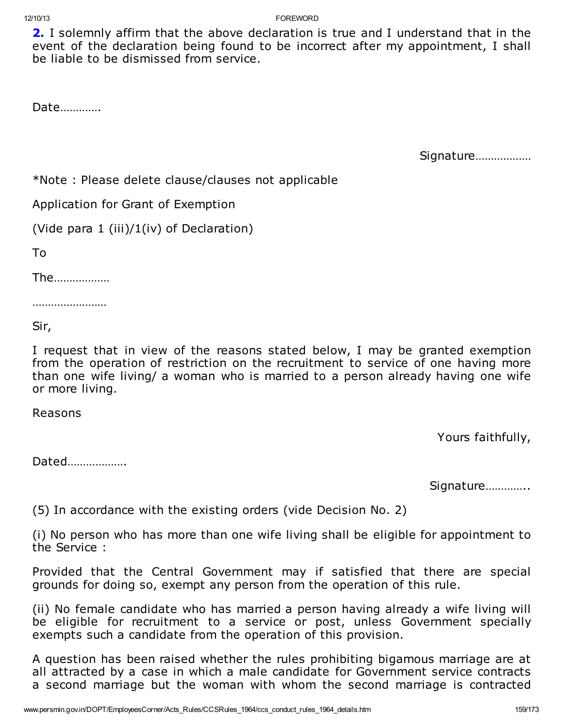2. I solemnly affirm that the above declaration is true and I understand that in the event of the declaration being found to be incorrect after my appointment, I shall be liable to be dismissed from service.

Date………….

Signature………………

\*Note : Please delete clause/clauses not applicable

Application for Grant of Exemption

(Vide para 1 (iii)/1(iv) of Declaration)

To

The………………

……………………

Sir,

I request that in view of the reasons stated below, I may be granted exemption from the operation of restriction on the recruitment to service of one having more than one wife living/ a woman who is married to a person already having one wife or more living.

Reasons

Yours faithfully,

Dated……………….

Signature…………..

(5) In accordance with the existing orders (vide Decision No. 2)

(i) No person who has more than one wife living shall be eligible for appointment to the Service :

Provided that the Central Government may if satisfied that there are special grounds for doing so, exempt any person from the operation of this rule.

(ii) No female candidate who has married a person having already a wife living will be eligible for recruitment to a service or post, unless Government specially exempts such a candidate from the operation of this provision.

A question has been raised whether the rules prohibiting bigamous marriage are at all attracted by a case in which a male candidate for Government service contracts a second marriage but the woman with whom the second marriage is contracted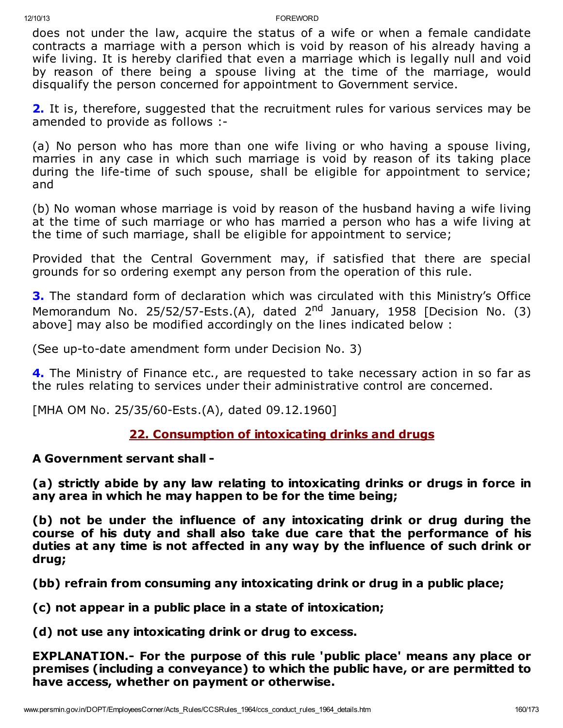does not under the law, acquire the status of a wife or when a female candidate contracts a marriage with a person which is void by reason of his already having a wife living. It is hereby clarified that even a marriage which is legally null and void by reason of there being a spouse living at the time of the marriage, would disqualify the person concerned for appointment to Government service.

2. It is, therefore, suggested that the recruitment rules for various services may be amended to provide as follows :-

(a) No person who has more than one wife living or who having a spouse living, marries in any case in which such marriage is void by reason of its taking place during the life-time of such spouse, shall be eligible for appointment to service; and

(b) No woman whose marriage is void by reason of the husband having a wife living at the time of such marriage or who has married a person who has a wife living at the time of such marriage, shall be eligible for appointment to service;

Provided that the Central Government may, if satisfied that there are special grounds for so ordering exempt any person from the operation of this rule.

**3.** The standard form of declaration which was circulated with this Ministry's Office Memorandum No. 25/52/57-Ests.(A), dated 2<sup>nd</sup> January, 1958 [Decision No. (3) above] may also be modified accordingly on the lines indicated below :

(See up-to-date amendment form under Decision No. 3)

4. The Ministry of Finance etc., are requested to take necessary action in so far as the rules relating to services under their administrative control are concerned.

[MHA OM No. 25/35/60-Ests.(A), dated 09.12.1960]

# 22. Consumption of intoxicating drinks and drugs

### A Government servant shall -

(a) strictly abide by any law relating to intoxicating drinks or drugs in force in any area in which he may happen to be for the time being;

(b) not be under the influence of any intoxicating drink or drug during the course of his duty and shall also take due care that the performance of his duties at any time is not affected in any way by the influence of such drink or drug;

(bb) refrain from consuming any intoxicating drink or drug in a public place;

(c) not appear in a public place in a state of intoxication;

(d) not use any intoxicating drink or drug to excess.

EXPLANATION.- For the purpose of this rule 'public place' means any place or premises (including a conveyance) to which the public have, or are permitted to have access, whether on payment or otherwise.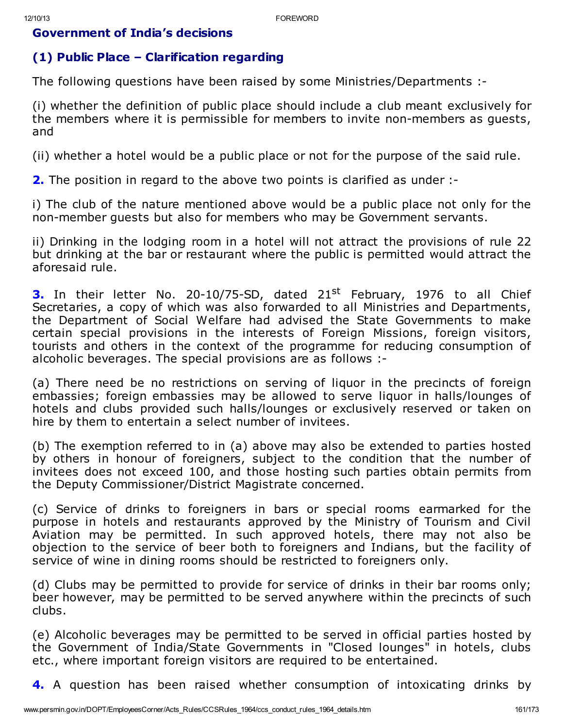#### Government of India's decisions

# (1) Public Place – Clarification regarding

The following questions have been raised by some Ministries/Departments :-

(i) whether the definition of public place should include a club meant exclusively for the members where it is permissible for members to invite non-members as guests, and

(ii) whether a hotel would be a public place or not for the purpose of the said rule.

2. The position in regard to the above two points is clarified as under :-

i) The club of the nature mentioned above would be a public place not only for the non-member guests but also for members who may be Government servants.

ii) Drinking in the lodging room in a hotel will not attract the provisions of rule 22 but drinking at the bar or restaurant where the public is permitted would attract the aforesaid rule.

3. In their letter No. 20-10/75-SD, dated 21<sup>st</sup> February, 1976 to all Chief Secretaries, a copy of which was also forwarded to all Ministries and Departments, the Department of Social Welfare had advised the State Governments to make certain special provisions in the interests of Foreign Missions, foreign visitors, tourists and others in the context of the programme for reducing consumption of alcoholic beverages. The special provisions are as follows :-

(a) There need be no restrictions on serving of liquor in the precincts of foreign embassies; foreign embassies may be allowed to serve liquor in halls/lounges of hotels and clubs provided such halls/lounges or exclusively reserved or taken on hire by them to entertain a select number of invitees.

(b) The exemption referred to in (a) above may also be extended to parties hosted by others in honour of foreigners, subject to the condition that the number of invitees does not exceed 100, and those hosting such parties obtain permits from the Deputy Commissioner/District Magistrate concerned.

(c) Service of drinks to foreigners in bars or special rooms earmarked for the purpose in hotels and restaurants approved by the Ministry of Tourism and Civil Aviation may be permitted. In such approved hotels, there may not also be objection to the service of beer both to foreigners and Indians, but the facility of service of wine in dining rooms should be restricted to foreigners only.

(d) Clubs may be permitted to provide for service of drinks in their bar rooms only; beer however, may be permitted to be served anywhere within the precincts of such clubs.

(e) Alcoholic beverages may be permitted to be served in official parties hosted by the Government of India/State Governments in "Closed lounges" in hotels, clubs etc., where important foreign visitors are required to be entertained.

4. A question has been raised whether consumption of intoxicating drinks by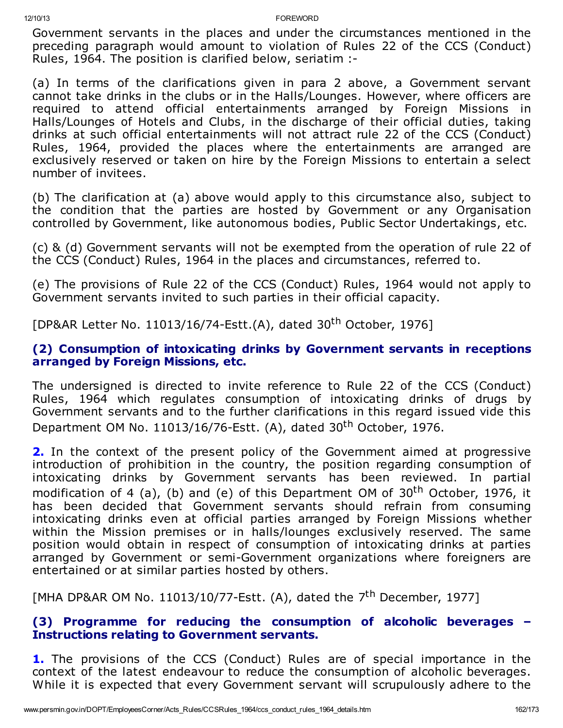Government servants in the places and under the circumstances mentioned in the preceding paragraph would amount to violation of Rules 22 of the CCS (Conduct) Rules, 1964. The position is clarified below, seriatim :-

(a) In terms of the clarifications given in para 2 above, a Government servant cannot take drinks in the clubs or in the Halls/Lounges. However, where officers are required to attend official entertainments arranged by Foreign Missions in Halls/Lounges of Hotels and Clubs, in the discharge of their official duties, taking drinks at such official entertainments will not attract rule 22 of the CCS (Conduct) Rules, 1964, provided the places where the entertainments are arranged are exclusively reserved or taken on hire by the Foreign Missions to entertain a select number of invitees.

(b) The clarification at (a) above would apply to this circumstance also, subject to the condition that the parties are hosted by Government or any Organisation controlled by Government, like autonomous bodies, Public Sector Undertakings, etc.

(c) & (d) Government servants will not be exempted from the operation of rule 22 of the CCS (Conduct) Rules, 1964 in the places and circumstances, referred to.

(e) The provisions of Rule 22 of the CCS (Conduct) Rules, 1964 would not apply to Government servants invited to such parties in their official capacity.

[DP&AR Letter No. 11013/16/74-Estt.(A), dated 30<sup>th</sup> October, 1976]

#### (2) Consumption of intoxicating drinks by Government servants in receptions arranged by Foreign Missions, etc.

The undersigned is directed to invite reference to Rule 22 of the CCS (Conduct) Rules, 1964 which regulates consumption of intoxicating drinks of drugs by Government servants and to the further clarifications in this regard issued vide this Department OM No. 11013/16/76-Estt. (A), dated 30<sup>th</sup> October, 1976.

**2.** In the context of the present policy of the Government aimed at progressive introduction of prohibition in the country, the position regarding consumption of intoxicating drinks by Government servants has been reviewed. In partial modification of 4 (a), (b) and (e) of this Department OM of 30<sup>th</sup> October, 1976, it has been decided that Government servants should refrain from consuming intoxicating drinks even at official parties arranged by Foreign Missions whether within the Mission premises or in halls/lounges exclusively reserved. The same position would obtain in respect of consumption of intoxicating drinks at parties arranged by Government or semi-Government organizations where foreigners are entertained or at similar parties hosted by others.

[MHA DP&AR OM No. 11013/10/77-Estt. (A), dated the  $7<sup>th</sup>$  December, 1977]

#### (3) Programme for reducing the consumption of alcoholic beverages – Instructions relating to Government servants.

**1.** The provisions of the CCS (Conduct) Rules are of special importance in the context of the latest endeavour to reduce the consumption of alcoholic beverages. While it is expected that every Government servant will scrupulously adhere to the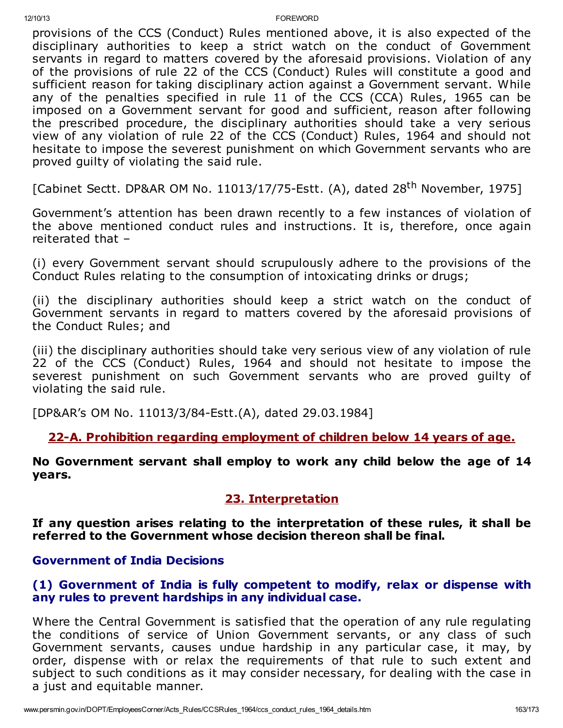provisions of the CCS (Conduct) Rules mentioned above, it is also expected of the disciplinary authorities to keep a strict watch on the conduct of Government servants in regard to matters covered by the aforesaid provisions. Violation of any of the provisions of rule 22 of the CCS (Conduct) Rules will constitute a good and sufficient reason for taking disciplinary action against a Government servant. While any of the penalties specified in rule 11 of the CCS (CCA) Rules, 1965 can be imposed on a Government servant for good and sufficient, reason after following the prescribed procedure, the disciplinary authorities should take a very serious view of any violation of rule 22 of the CCS (Conduct) Rules, 1964 and should not hesitate to impose the severest punishment on which Government servants who are proved guilty of violating the said rule.

[Cabinet Sectt. DP&AR OM No. 11013/17/75-Estt. (A), dated  $28<sup>th</sup>$  November, 1975]

Government's attention has been drawn recently to a few instances of violation of the above mentioned conduct rules and instructions. It is, therefore, once again reiterated that –

(i) every Government servant should scrupulously adhere to the provisions of the Conduct Rules relating to the consumption of intoxicating drinks or drugs;

(ii) the disciplinary authorities should keep a strict watch on the conduct of Government servants in regard to matters covered by the aforesaid provisions of the Conduct Rules; and

(iii) the disciplinary authorities should take very serious view of any violation of rule 22 of the CCS (Conduct) Rules, 1964 and should not hesitate to impose the severest punishment on such Government servants who are proved guilty of violating the said rule.

[DP&AR's OM No. 11013/3/84-Estt.(A), dated 29.03.1984]

22-A. Prohibition regarding employment of children below 14 years of age.

No Government servant shall employ to work any child below the age of 14 years.

# 23. Interpretation

If any question arises relating to the interpretation of these rules, it shall be referred to the Government whose decision thereon shall be final.

# Government of India Decisions

### (1) Government of India is fully competent to modify, relax or dispense with any rules to prevent hardships in any individual case.

Where the Central Government is satisfied that the operation of any rule regulating the conditions of service of Union Government servants, or any class of such Government servants, causes undue hardship in any particular case, it may, by order, dispense with or relax the requirements of that rule to such extent and subject to such conditions as it may consider necessary, for dealing with the case in a just and equitable manner.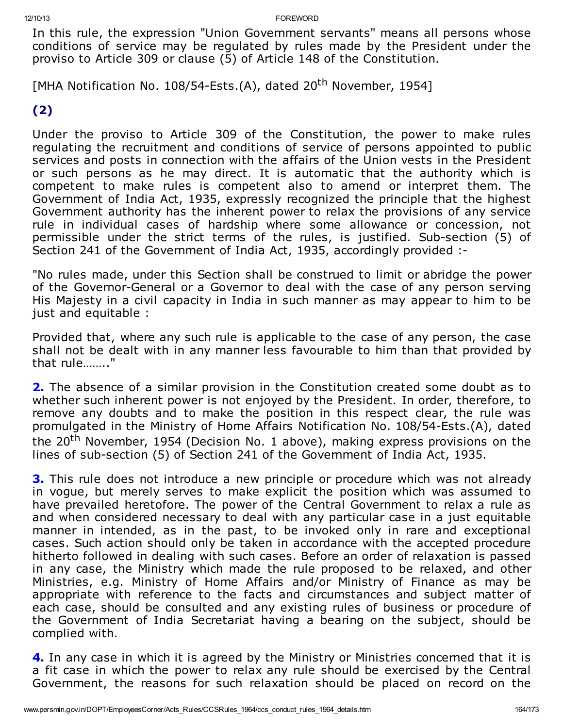In this rule, the expression "Union Government servants" means all persons whose conditions of service may be regulated by rules made by the President under the proviso to Article 309 or clause (5) of Article 148 of the Constitution.

[MHA Notification No. 108/54-Ests.(A), dated  $20<sup>th</sup>$  November, 1954]

# (2)

Under the proviso to Article 309 of the Constitution, the power to make rules regulating the recruitment and conditions of service of persons appointed to public services and posts in connection with the affairs of the Union vests in the President or such persons as he may direct. It is automatic that the authority which is competent to make rules is competent also to amend or interpret them. The Government of India Act, 1935, expressly recognized the principle that the highest Government authority has the inherent power to relax the provisions of any service rule in individual cases of hardship where some allowance or concession, not permissible under the strict terms of the rules, is justified. Sub-section (5) of Section 241 of the Government of India Act, 1935, accordingly provided :-

"No rules made, under this Section shall be construed to limit or abridge the power of the Governor-General or a Governor to deal with the case of any person serving His Majesty in a civil capacity in India in such manner as may appear to him to be just and equitable :

Provided that, where any such rule is applicable to the case of any person, the case shall not be dealt with in any manner less favourable to him than that provided by that rule…….."

**2.** The absence of a similar provision in the Constitution created some doubt as to whether such inherent power is not enjoyed by the President. In order, therefore, to remove any doubts and to make the position in this respect clear, the rule was promulgated in the Ministry of Home Affairs Notification No. 108/54-Ests.(A), dated the 20<sup>th</sup> November, 1954 (Decision No. 1 above), making express provisions on the lines of sub-section (5) of Section 241 of the Government of India Act, 1935.

**3.** This rule does not introduce a new principle or procedure which was not already in vogue, but merely serves to make explicit the position which was assumed to have prevailed heretofore. The power of the Central Government to relax a rule as and when considered necessary to deal with any particular case in a just equitable manner in intended, as in the past, to be invoked only in rare and exceptional cases. Such action should only be taken in accordance with the accepted procedure hitherto followed in dealing with such cases. Before an order of relaxation is passed in any case, the Ministry which made the rule proposed to be relaxed, and other Ministries, e.g. Ministry of Home Affairs and/or Ministry of Finance as may be appropriate with reference to the facts and circumstances and subject matter of each case, should be consulted and any existing rules of business or procedure of the Government of India Secretariat having a bearing on the subject, should be complied with.

4. In any case in which it is agreed by the Ministry or Ministries concerned that it is a fit case in which the power to relax any rule should be exercised by the Central Government, the reasons for such relaxation should be placed on record on the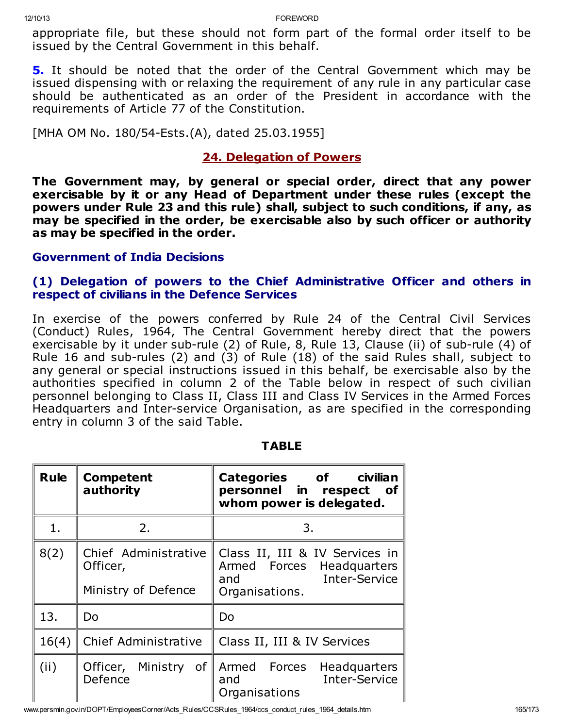appropriate file, but these should not form part of the formal order itself to be issued by the Central Government in this behalf.

**5.** It should be noted that the order of the Central Government which may be issued dispensing with or relaxing the requirement of any rule in any particular case should be authenticated as an order of the President in accordance with the requirements of Article 77 of the Constitution.

[MHA OM No. 180/54-Ests.(A), dated 25.03.1955]

### 24. Delegation of Powers

The Government may, by general or special order, direct that any power exercisable by it or any Head of Department under these rules (except the powers under Rule 23 and this rule) shall, subject to such conditions, if any, as may be specified in the order, be exercisable also by such officer or authority as may be specified in the order.

#### Government of India Decisions

#### (1) Delegation of powers to the Chief Administrative Officer and others in respect of civilians in the Defence Services

In exercise of the powers conferred by Rule 24 of the Central Civil Services (Conduct) Rules, 1964, The Central Government hereby direct that the powers exercisable by it under sub-rule (2) of Rule, 8, Rule 13, Clause (ii) of sub-rule (4) of Rule 16 and sub-rules (2) and (3) of Rule (18) of the said Rules shall, subject to any general or special instructions issued in this behalf, be exercisable also by the authorities specified in column 2 of the Table below in respect of such civilian personnel belonging to Class II, Class III and Class IV Services in the Armed Forces Headquarters and Inter-service Organisation, as are specified in the corresponding entry in column 3 of the said Table.

| <b>Rule</b> | <b>Competent</b><br>authority                           | Categories of civilian<br>personnel in respect of<br>whom power is delegated.                         |  |  |
|-------------|---------------------------------------------------------|-------------------------------------------------------------------------------------------------------|--|--|
| 1.          | 2.                                                      | 3.                                                                                                    |  |  |
| 8(2)        | Chief Administrative<br>Officer,<br>Ministry of Defence | Class II, III & IV Services in<br>Armed Forces Headquarters<br>Inter-Service<br>and<br>Organisations. |  |  |
| 13.         | Do                                                      | Do                                                                                                    |  |  |
| 16(4)       | Chief Administrative                                    | Class II, III & IV Services                                                                           |  |  |
| (ii)        | Officer, Ministry<br>Defence                            | of Armed Forces Headquarters<br>Inter-Service<br>and<br>Organisations                                 |  |  |

TABLE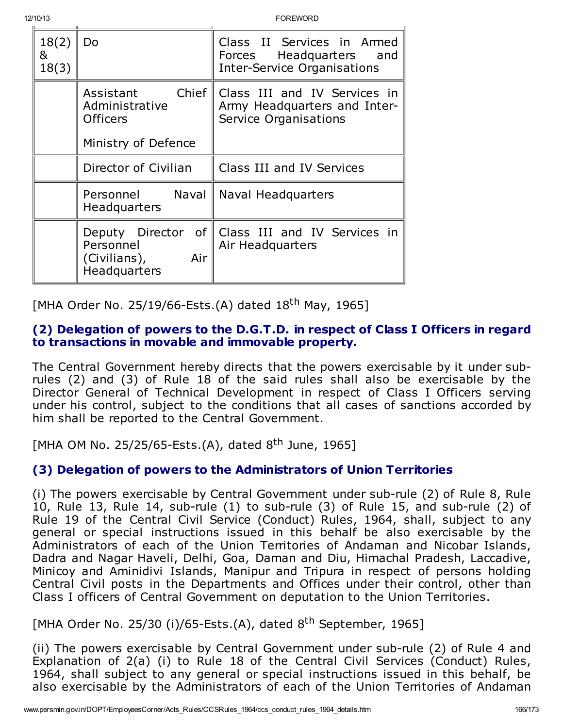| 18(2)<br>&<br>18(3) | Do                                                                  | Class II Services in Armed<br>Forces Headquarters and<br><b>Inter-Service Organisations</b> |  |
|---------------------|---------------------------------------------------------------------|---------------------------------------------------------------------------------------------|--|
|                     | Assistant Chief<br>Administrative<br><b>Officers</b>                | Class III and IV Services in<br>Army Headquarters and Inter-<br>Service Organisations       |  |
|                     | Ministry of Defence                                                 |                                                                                             |  |
|                     | Director of Civilian                                                | Class III and IV Services                                                                   |  |
|                     | Personnel Naval<br><b>Headquarters</b>                              | Naval Headquarters                                                                          |  |
|                     | Deputy Director<br>Personnel<br>(Civilians),<br>Air<br>Headquarters | of Class III and IV Services in<br>Air Headquarters                                         |  |

[MHA Order No. 25/19/66-Ests.(A) dated  $18<sup>th</sup>$  May, 1965]

### (2) Delegation of powers to the D.G.T.D. in respect of Class I Officers in regard to transactions in movable and immovable property.

The Central Government hereby directs that the powers exercisable by it under subrules (2) and (3) of Rule 18 of the said rules shall also be exercisable by the Director General of Technical Development in respect of Class I Officers serving under his control, subject to the conditions that all cases of sanctions accorded by him shall be reported to the Central Government.

[MHA OM No. 25/25/65-Ests.(A), dated  $8<sup>th</sup>$  June, 1965]

# (3) Delegation of powers to the Administrators of Union Territories

(i) The powers exercisable by Central Government under sub-rule (2) of Rule 8, Rule 10, Rule 13, Rule 14, sub-rule (1) to sub-rule (3) of Rule 15, and sub-rule (2) of Rule 19 of the Central Civil Service (Conduct) Rules, 1964, shall, subject to any general or special instructions issued in this behalf be also exercisable by the Administrators of each of the Union Territories of Andaman and Nicobar Islands, Dadra and Nagar Haveli, Delhi, Goa, Daman and Diu, Himachal Pradesh, Laccadive, Minicoy and Aminidivi Islands, Manipur and Tripura in respect of persons holding Central Civil posts in the Departments and Offices under their control, other than Class I officers of Central Government on deputation to the Union Territories.

[MHA Order No. 25/30 (i)/65-Ests.(A), dated  $8<sup>th</sup>$  September, 1965]

(ii) The powers exercisable by Central Government under sub-rule (2) of Rule 4 and Explanation of 2(a) (i) to Rule 18 of the Central Civil Services (Conduct) Rules, 1964, shall subject to any general or special instructions issued in this behalf, be also exercisable by the Administrators of each of the Union Territories of Andaman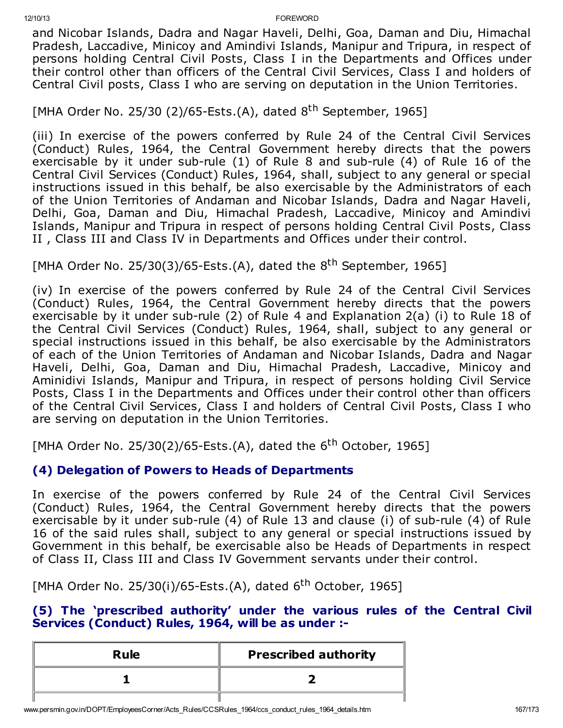and Nicobar Islands, Dadra and Nagar Haveli, Delhi, Goa, Daman and Diu, Himachal Pradesh, Laccadive, Minicoy and Amindivi Islands, Manipur and Tripura, in respect of persons holding Central Civil Posts, Class I in the Departments and Offices under their control other than officers of the Central Civil Services, Class I and holders of Central Civil posts, Class I who are serving on deputation in the Union Territories.

[MHA Order No. 25/30 (2)/65-Ests.(A), dated  $8<sup>th</sup>$  September, 1965]

(iii) In exercise of the powers conferred by Rule 24 of the Central Civil Services (Conduct) Rules, 1964, the Central Government hereby directs that the powers exercisable by it under sub-rule (1) of Rule 8 and sub-rule (4) of Rule 16 of the Central Civil Services (Conduct) Rules, 1964, shall, subject to any general or special instructions issued in this behalf, be also exercisable by the Administrators of each of the Union Territories of Andaman and Nicobar Islands, Dadra and Nagar Haveli, Delhi, Goa, Daman and Diu, Himachal Pradesh, Laccadive, Minicoy and Amindivi Islands, Manipur and Tripura in respect of persons holding Central Civil Posts, Class II , Class III and Class IV in Departments and Offices under their control.

[MHA Order No. 25/30(3)/65-Ests.(A), dated the  $8<sup>th</sup>$  September, 1965]

(iv) In exercise of the powers conferred by Rule 24 of the Central Civil Services (Conduct) Rules, 1964, the Central Government hereby directs that the powers exercisable by it under sub-rule (2) of Rule 4 and Explanation 2(a) (i) to Rule 18 of the Central Civil Services (Conduct) Rules, 1964, shall, subject to any general or special instructions issued in this behalf, be also exercisable by the Administrators of each of the Union Territories of Andaman and Nicobar Islands, Dadra and Nagar Haveli, Delhi, Goa, Daman and Diu, Himachal Pradesh, Laccadive, Minicoy and Aminidivi Islands, Manipur and Tripura, in respect of persons holding Civil Service Posts, Class I in the Departments and Offices under their control other than officers of the Central Civil Services, Class I and holders of Central Civil Posts, Class I who are serving on deputation in the Union Territories.

[MHA Order No. 25/30(2)/65-Ests.(A), dated the  $6<sup>th</sup>$  October, 1965]

# (4) Delegation of Powers to Heads of Departments

In exercise of the powers conferred by Rule 24 of the Central Civil Services (Conduct) Rules, 1964, the Central Government hereby directs that the powers exercisable by it under sub-rule (4) of Rule 13 and clause (i) of sub-rule (4) of Rule 16 of the said rules shall, subject to any general or special instructions issued by Government in this behalf, be exercisable also be Heads of Departments in respect of Class II, Class III and Class IV Government servants under their control.

[MHA Order No. 25/30(i)/65-Ests.(A), dated  $6<sup>th</sup>$  October, 1965]

### (5) The 'prescribed authority' under the various rules of the Central Civil Services (Conduct) Rules, 1964, will be as under :-

| <b>Rule</b> | <b>Prescribed authority</b> |  |
|-------------|-----------------------------|--|
|             |                             |  |
|             |                             |  |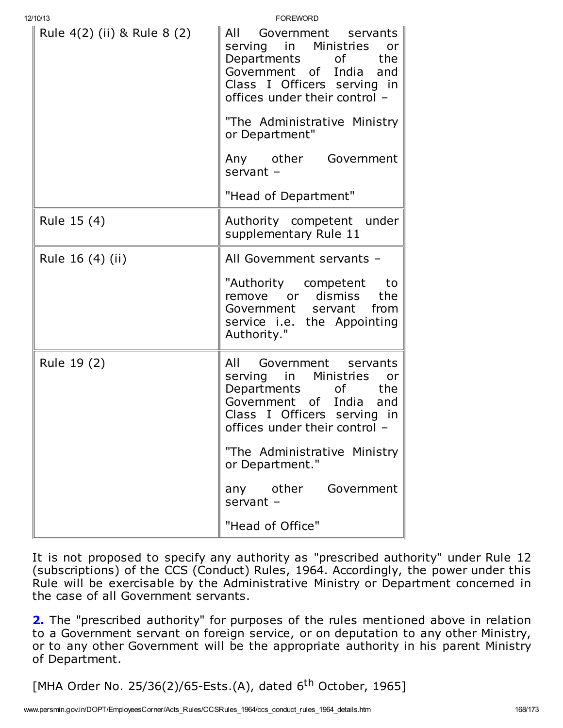| 12/10/13                    | <b>FOREWORD</b>                                                                                                                                                         |
|-----------------------------|-------------------------------------------------------------------------------------------------------------------------------------------------------------------------|
| Rule 4(2) (ii) & Rule 8 (2) | All<br>Government servants<br>serving in Ministries or<br>Departments of the<br>Government of India and<br>Class I Officers serving in<br>offices under their control - |
|                             | "The Administrative Ministry<br>or Department"                                                                                                                          |
|                             | Any other Government<br>servant $-$                                                                                                                                     |
|                             | "Head of Department"                                                                                                                                                    |
| Rule 15 (4)                 | Authority competent under<br>supplementary Rule 11                                                                                                                      |
| Rule 16 (4) (ii)            | All Government servants -                                                                                                                                               |
|                             | "Authority competent to<br>remove or dismiss the<br>Government servant<br>from<br>service i.e. the Appointing<br>Authority."                                            |
| Rule 19 (2)                 | All Government servants<br>serving in Ministries or<br>Departments of the<br>Government of India and<br>Class I Officers serving in<br>offices under their control -    |
|                             | "The Administrative Ministry<br>or Department."                                                                                                                         |
|                             | any other Government<br>servant $-$                                                                                                                                     |
|                             | "Head of Office"                                                                                                                                                        |

It is not proposed to specify any authority as "prescribed authority" under Rule 12 (subscriptions) of the CCS (Conduct) Rules, 1964. Accordingly, the power under this Rule will be exercisable by the Administrative Ministry or Department concerned in the case of all Government servants.

2. The "prescribed authority" for purposes of the rules mentioned above in relation to a Government servant on foreign service, or on deputation to any other Ministry, or to any other Government will be the appropriate authority in his parent Ministry of Department.

[MHA Order No. 25/36(2)/65-Ests.(A), dated 6<sup>th</sup> October, 1965]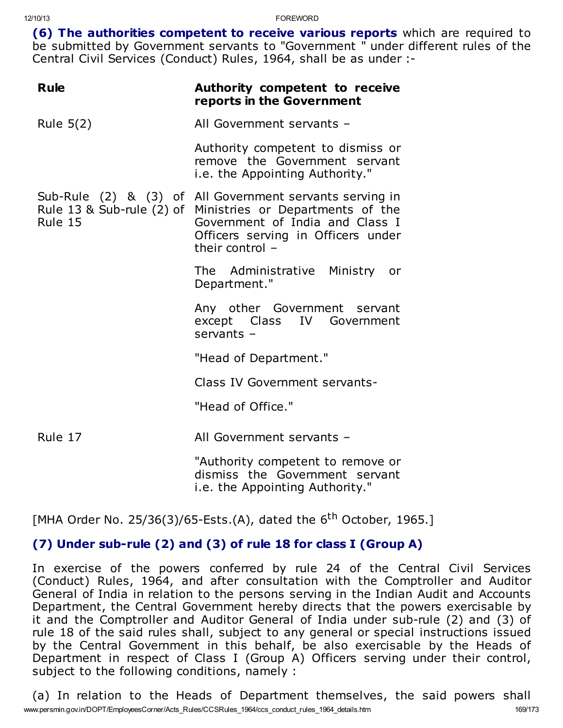(6) The authorities competent to receive various reports which are required to be submitted by Government servants to "Government " under different rules of the Central Civil Services (Conduct) Rules, 1964, shall be as under :-

| <b>Rule</b> | Authority competent to receive<br>reports in the Government                                                                                                                                                              |
|-------------|--------------------------------------------------------------------------------------------------------------------------------------------------------------------------------------------------------------------------|
| Rule $5(2)$ | All Government servants -                                                                                                                                                                                                |
|             | Authority competent to dismiss or<br>remove the Government servant<br>i.e. the Appointing Authority."                                                                                                                    |
| Rule 15     | Sub-Rule $(2)$ & $(3)$ of All Government servants serving in<br>Rule 13 & Sub-rule (2) of Ministries or Departments of the<br>Government of India and Class I<br>Officers serving in Officers under<br>their control $-$ |
|             | The Administrative Ministry or<br>Department."                                                                                                                                                                           |
|             | Any other Government servant<br>except Class IV Government<br>servants $-$                                                                                                                                               |
|             | "Head of Department."                                                                                                                                                                                                    |
|             | Class IV Government servants-                                                                                                                                                                                            |
|             | "Head of Office."                                                                                                                                                                                                        |
| Rule 17     | All Government servants -                                                                                                                                                                                                |
|             | "Authority competent to remove or<br>dismiss the Government servant<br>i.e. the Appointing Authority."                                                                                                                   |

[MHA Order No. 25/36(3)/65-Ests.(A), dated the  $6<sup>th</sup>$  October, 1965.]

# (7) Under sub-rule (2) and (3) of rule 18 for class I (Group A)

In exercise of the powers conferred by rule 24 of the Central Civil Services (Conduct) Rules, 1964, and after consultation with the Comptroller and Auditor General of India in relation to the persons serving in the Indian Audit and Accounts Department, the Central Government hereby directs that the powers exercisable by it and the Comptroller and Auditor General of India under sub-rule (2) and (3) of rule 18 of the said rules shall, subject to any general or special instructions issued by the Central Government in this behalf, be also exercisable by the Heads of Department in respect of Class I (Group A) Officers serving under their control, subject to the following conditions, namely :

www.persmin.gov.in/DOPT/EmployeesCorner/Acts\_Rules/CCSRules\_1964/ccs\_conduct\_rules\_1964\_details.htm 169/173 (a) In relation to the Heads of Department themselves, the said powers shall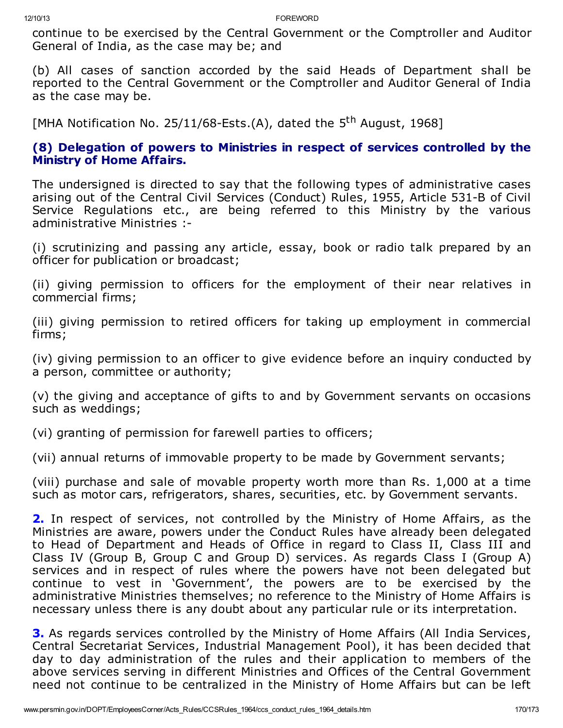continue to be exercised by the Central Government or the Comptroller and Auditor General of India, as the case may be; and

(b) All cases of sanction accorded by the said Heads of Department shall be reported to the Central Government or the Comptroller and Auditor General of India as the case may be.

[MHA Notification No. 25/11/68-Ests.(A), dated the  $5<sup>th</sup>$  August, 1968]

### (8) Delegation of powers to Ministries in respect of services controlled by the Ministry of Home Affairs.

The undersigned is directed to say that the following types of administrative cases arising out of the Central Civil Services (Conduct) Rules, 1955, Article 531-B of Civil Service Regulations etc., are being referred to this Ministry by the various administrative Ministries :-

(i) scrutinizing and passing any article, essay, book or radio talk prepared by an officer for publication or broadcast;

(ii) giving permission to officers for the employment of their near relatives in commercial firms;

(iii) giving permission to retired officers for taking up employment in commercial firms;

(iv) giving permission to an officer to give evidence before an inquiry conducted by a person, committee or authority;

(v) the giving and acceptance of gifts to and by Government servants on occasions such as weddings;

(vi) granting of permission for farewell parties to officers;

(vii) annual returns of immovable property to be made by Government servants;

(viii) purchase and sale of movable property worth more than Rs. 1,000 at a time such as motor cars, refrigerators, shares, securities, etc. by Government servants.

**2.** In respect of services, not controlled by the Ministry of Home Affairs, as the Ministries are aware, powers under the Conduct Rules have already been delegated to Head of Department and Heads of Office in regard to Class II, Class III and Class IV (Group B, Group C and Group D) services. As regards Class I (Group A) services and in respect of rules where the powers have not been delegated but continue to vest in 'Government', the powers are to be exercised by the administrative Ministries themselves; no reference to the Ministry of Home Affairs is necessary unless there is any doubt about any particular rule or its interpretation.

3. As regards services controlled by the Ministry of Home Affairs (All India Services, Central Secretariat Services, Industrial Management Pool), it has been decided that day to day administration of the rules and their application to members of the above services serving in different Ministries and Offices of the Central Government need not continue to be centralized in the Ministry of Home Affairs but can be left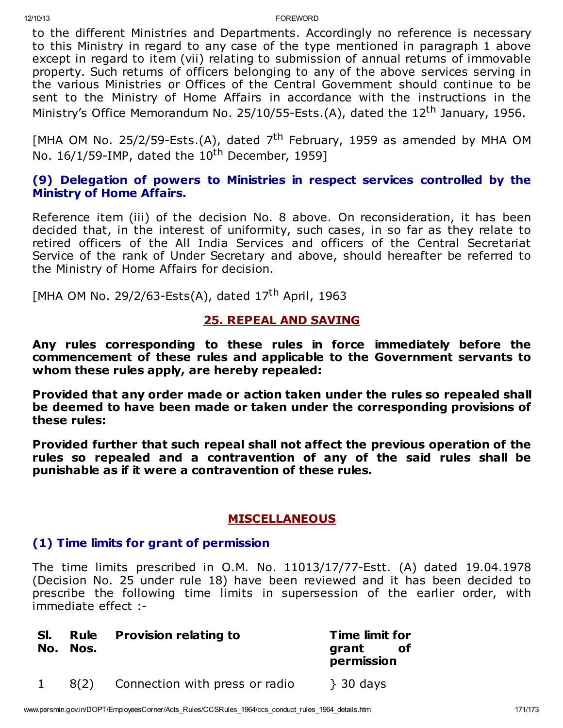to the different Ministries and Departments. Accordingly no reference is necessary to this Ministry in regard to any case of the type mentioned in paragraph 1 above except in regard to item (vii) relating to submission of annual returns of immovable property. Such returns of officers belonging to any of the above services serving in the various Ministries or Offices of the Central Government should continue to be sent to the Ministry of Home Affairs in accordance with the instructions in the Ministry's Office Memorandum No. 25/10/55-Ests.(A), dated the 12<sup>th</sup> January, 1956.

[MHA OM No. 25/2/59-Ests.(A), dated  $7<sup>th</sup>$  February, 1959 as amended by MHA OM No. 16/1/59-IMP, dated the 10<sup>th</sup> December, 1959]

### (9) Delegation of powers to Ministries in respect services controlled by the Ministry of Home Affairs.

Reference item (iii) of the decision No. 8 above. On reconsideration, it has been decided that, in the interest of uniformity, such cases, in so far as they relate to retired officers of the All India Services and officers of the Central Secretariat Service of the rank of Under Secretary and above, should hereafter be referred to the Ministry of Home Affairs for decision.

[MHA OM No. 29/2/63-Ests(A), dated 17<sup>th</sup> April, 1963

# 25. REPEAL AND SAVING

Any rules corresponding to these rules in force immediately before the commencement of these rules and applicable to the Government servants to whom these rules apply, are hereby repealed:

Provided that any order made or action taken under the rules so repealed shall be deemed to have been made or taken under the corresponding provisions of these rules:

Provided further that such repeal shall not affect the previous operation of the rules so repealed and a contravention of any of the said rules shall be punishable as if it were a contravention of these rules.

### MISCELLANEOUS

### (1) Time limits for grant of permission

The time limits prescribed in O.M. No. 11013/17/77-Estt. (A) dated 19.04.1978 (Decision No. 25 under rule 18) have been reviewed and it has been decided to prescribe the following time limits in supersession of the earlier order, with immediate effect :-

| No. Nos. | SI. Rule Provision relating to | <b>Time limit for</b><br>grant<br>of<br>permission |
|----------|--------------------------------|----------------------------------------------------|
| 8(2)     | Connection with press or radio | $\rightarrow$ 30 days                              |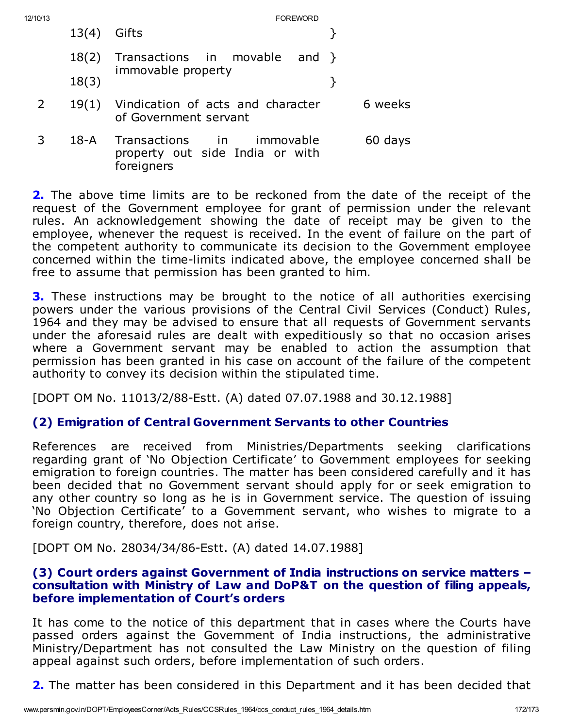| 12/10/13 |       | <b>FOREWORD</b>                                              |         |
|----------|-------|--------------------------------------------------------------|---------|
|          | 13(4) | Gifts                                                        |         |
|          | 18(2) | Transactions in movable and $\}$<br>immovable property       |         |
|          | 18(3) |                                                              |         |
| 2        | 19(1) | Vindication of acts and character<br>of Government servant   | 6 weeks |
| 3        | 18-A  | Transactions in immovable<br>property out side India or with | 60 days |

foreigners

**2.** The above time limits are to be reckoned from the date of the receipt of the request of the Government employee for grant of permission under the relevant rules. An acknowledgement showing the date of receipt may be given to the employee, whenever the request is received. In the event of failure on the part of the competent authority to communicate its decision to the Government employee concerned within the time-limits indicated above, the employee concerned shall be free to assume that permission has been granted to him.

**3.** These instructions may be brought to the notice of all authorities exercising powers under the various provisions of the Central Civil Services (Conduct) Rules, 1964 and they may be advised to ensure that all requests of Government servants under the aforesaid rules are dealt with expeditiously so that no occasion arises where a Government servant may be enabled to action the assumption that permission has been granted in his case on account of the failure of the competent authority to convey its decision within the stipulated time.

[DOPT OM No. 11013/2/88-Estt. (A) dated 07.07.1988 and 30.12.1988]

# (2) Emigration of Central Government Servants to other Countries

References are received from Ministries/Departments seeking clarifications regarding grant of 'No Objection Certificate' to Government employees for seeking emigration to foreign countries. The matter has been considered carefully and it has been decided that no Government servant should apply for or seek emigration to any other country so long as he is in Government service. The question of issuing 'No Objection Certificate' to a Government servant, who wishes to migrate to a foreign country, therefore, does not arise.

[DOPT OM No. 28034/34/86-Estt. (A) dated 14.07.1988]

#### (3) Court orders against Government of India instructions on service matters – consultation with Ministry of Law and DoP&T on the question of filing appeals, before implementation of Court's orders

It has come to the notice of this department that in cases where the Courts have passed orders against the Government of India instructions, the administrative Ministry/Department has not consulted the Law Ministry on the question of filing appeal against such orders, before implementation of such orders.

**2.** The matter has been considered in this Department and it has been decided that